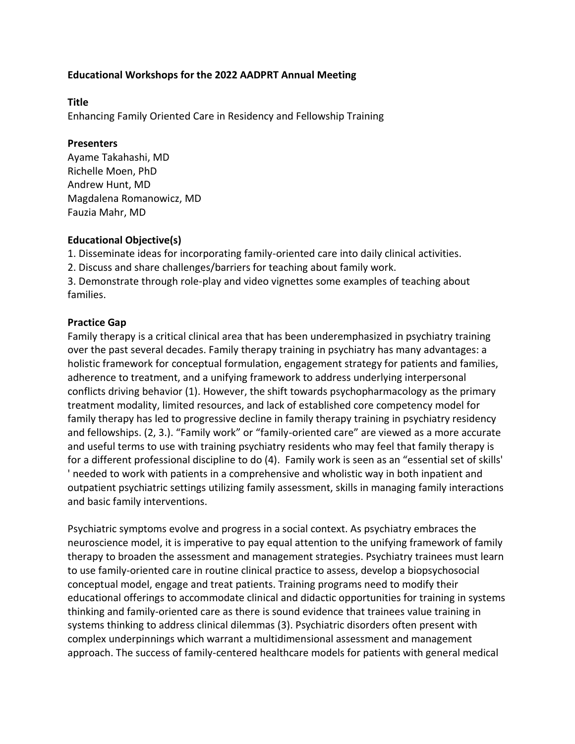## **Educational Workshops for the 2022 AADPRT Annual Meeting**

### **Title**

Enhancing Family Oriented Care in Residency and Fellowship Training

### **Presenters**

Ayame Takahashi, MD Richelle Moen, PhD Andrew Hunt, MD Magdalena Romanowicz, MD Fauzia Mahr, MD

## **Educational Objective(s)**

1. Disseminate ideas for incorporating family-oriented care into daily clinical activities.

2. Discuss and share challenges/barriers for teaching about family work.

3. Demonstrate through role-play and video vignettes some examples of teaching about families.

## **Practice Gap**

Family therapy is a critical clinical area that has been underemphasized in psychiatry training over the past several decades. Family therapy training in psychiatry has many advantages: a holistic framework for conceptual formulation, engagement strategy for patients and families, adherence to treatment, and a unifying framework to address underlying interpersonal conflicts driving behavior (1). However, the shift towards psychopharmacology as the primary treatment modality, limited resources, and lack of established core competency model for family therapy has led to progressive decline in family therapy training in psychiatry residency and fellowships. (2, 3.). "Family work" or "family-oriented care" are viewed as a more accurate and useful terms to use with training psychiatry residents who may feel that family therapy is for a different professional discipline to do (4). Family work is seen as an "essential set of skills' ' needed to work with patients in a comprehensive and wholistic way in both inpatient and outpatient psychiatric settings utilizing family assessment, skills in managing family interactions and basic family interventions.

Psychiatric symptoms evolve and progress in a social context. As psychiatry embraces the neuroscience model, it is imperative to pay equal attention to the unifying framework of family therapy to broaden the assessment and management strategies. Psychiatry trainees must learn to use family-oriented care in routine clinical practice to assess, develop a biopsychosocial conceptual model, engage and treat patients. Training programs need to modify their educational offerings to accommodate clinical and didactic opportunities for training in systems thinking and family-oriented care as there is sound evidence that trainees value training in systems thinking to address clinical dilemmas (3). Psychiatric disorders often present with complex underpinnings which warrant a multidimensional assessment and management approach. The success of family-centered healthcare models for patients with general medical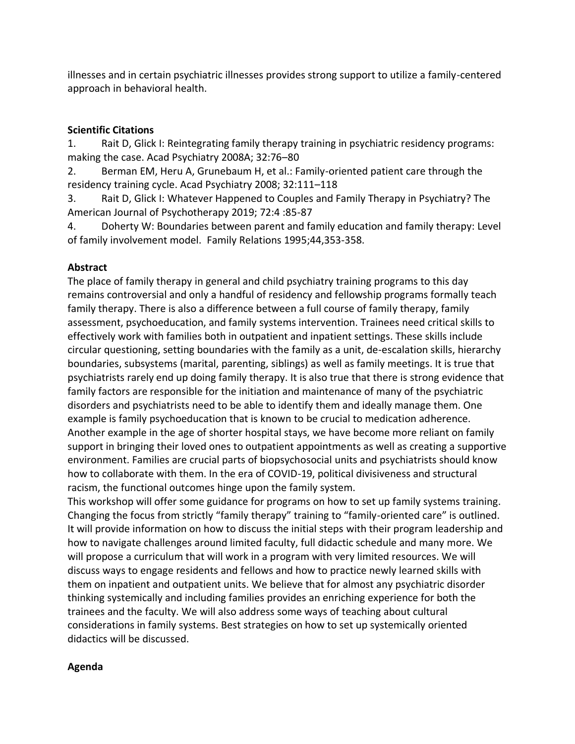illnesses and in certain psychiatric illnesses provides strong support to utilize a family-centered approach in behavioral health.

# **Scientific Citations**

1. Rait D, Glick I: Reintegrating family therapy training in psychiatric residency programs: making the case. Acad Psychiatry 2008A; 32:76–80

2. Berman EM, Heru A, Grunebaum H, et al.: Family-oriented patient care through the residency training cycle. Acad Psychiatry 2008; 32:111–118

3. Rait D, Glick I: Whatever Happened to Couples and Family Therapy in Psychiatry? The American Journal of Psychotherapy 2019; 72:4 :85-87

4. Doherty W: Boundaries between parent and family education and family therapy: Level of family involvement model. Family Relations 1995;44,353-358.

# **Abstract**

The place of family therapy in general and child psychiatry training programs to this day remains controversial and only a handful of residency and fellowship programs formally teach family therapy. There is also a difference between a full course of family therapy, family assessment, psychoeducation, and family systems intervention. Trainees need critical skills to effectively work with families both in outpatient and inpatient settings. These skills include circular questioning, setting boundaries with the family as a unit, de-escalation skills, hierarchy boundaries, subsystems (marital, parenting, siblings) as well as family meetings. It is true that psychiatrists rarely end up doing family therapy. It is also true that there is strong evidence that family factors are responsible for the initiation and maintenance of many of the psychiatric disorders and psychiatrists need to be able to identify them and ideally manage them. One example is family psychoeducation that is known to be crucial to medication adherence. Another example in the age of shorter hospital stays, we have become more reliant on family support in bringing their loved ones to outpatient appointments as well as creating a supportive environment. Families are crucial parts of biopsychosocial units and psychiatrists should know how to collaborate with them. In the era of COVID-19, political divisiveness and structural racism, the functional outcomes hinge upon the family system.

This workshop will offer some guidance for programs on how to set up family systems training. Changing the focus from strictly "family therapy" training to "family-oriented care" is outlined. It will provide information on how to discuss the initial steps with their program leadership and how to navigate challenges around limited faculty, full didactic schedule and many more. We will propose a curriculum that will work in a program with very limited resources. We will discuss ways to engage residents and fellows and how to practice newly learned skills with them on inpatient and outpatient units. We believe that for almost any psychiatric disorder thinking systemically and including families provides an enriching experience for both the trainees and the faculty. We will also address some ways of teaching about cultural considerations in family systems. Best strategies on how to set up systemically oriented didactics will be discussed.

## **Agenda**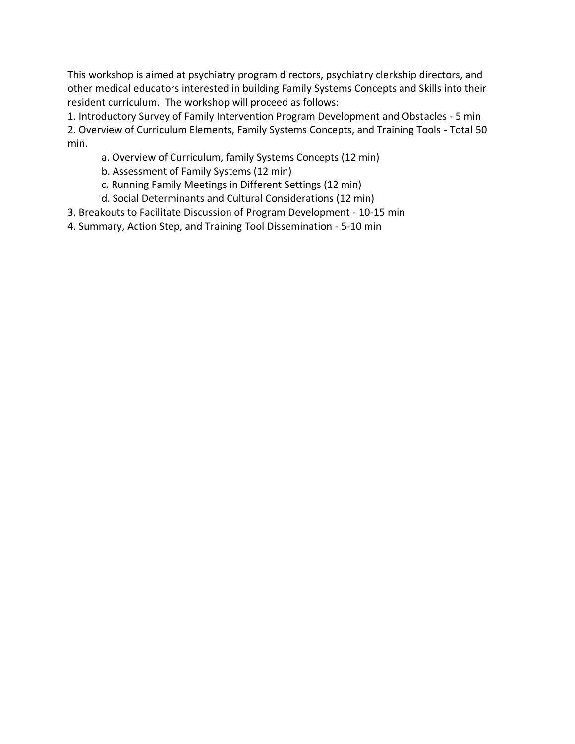This workshop is aimed at psychiatry program directors, psychiatry clerkship directors, and other medical educators interested in building Family Systems Concepts and Skills into their resident curriculum. The workshop will proceed as follows:

1. Introductory Survey of Family Intervention Program Development and Obstacles - 5 min 2. Overview of Curriculum Elements, Family Systems Concepts, and Training Tools - Total 50 min.

- a. Overview of Curriculum, family Systems Concepts (12 min)
- b. Assessment of Family Systems (12 min)
- c. Running Family Meetings in Different Settings (12 min)
- d. Social Determinants and Cultural Considerations (12 min)
- 3. Breakouts to Facilitate Discussion of Program Development 10-15 min
- 4. Summary, Action Step, and Training Tool Dissemination 5-10 min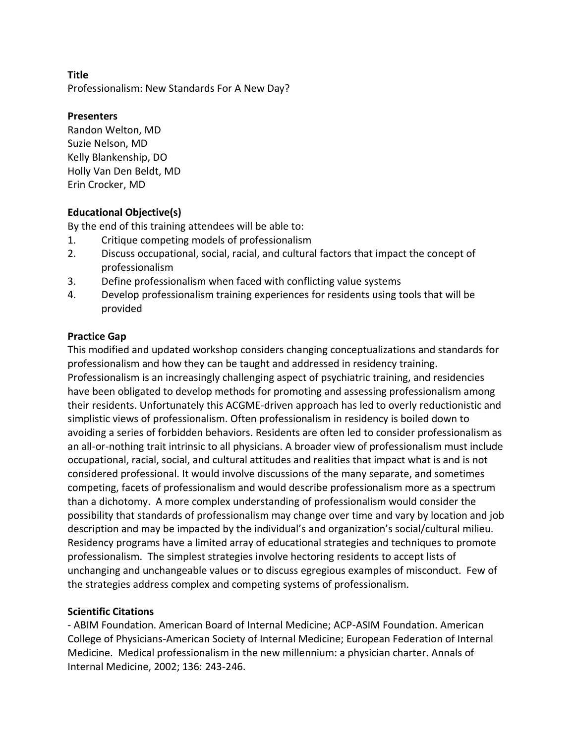Professionalism: New Standards For A New Day?

## **Presenters**

Randon Welton, MD Suzie Nelson, MD Kelly Blankenship, DO Holly Van Den Beldt, MD Erin Crocker, MD

## **Educational Objective(s)**

By the end of this training attendees will be able to:

- 1. Critique competing models of professionalism
- 2. Discuss occupational, social, racial, and cultural factors that impact the concept of professionalism
- 3. Define professionalism when faced with conflicting value systems
- 4. Develop professionalism training experiences for residents using tools that will be provided

## **Practice Gap**

This modified and updated workshop considers changing conceptualizations and standards for professionalism and how they can be taught and addressed in residency training. Professionalism is an increasingly challenging aspect of psychiatric training, and residencies have been obligated to develop methods for promoting and assessing professionalism among their residents. Unfortunately this ACGME-driven approach has led to overly reductionistic and simplistic views of professionalism. Often professionalism in residency is boiled down to avoiding a series of forbidden behaviors. Residents are often led to consider professionalism as an all-or-nothing trait intrinsic to all physicians. A broader view of professionalism must include occupational, racial, social, and cultural attitudes and realities that impact what is and is not considered professional. It would involve discussions of the many separate, and sometimes competing, facets of professionalism and would describe professionalism more as a spectrum than a dichotomy. A more complex understanding of professionalism would consider the possibility that standards of professionalism may change over time and vary by location and job description and may be impacted by the individual's and organization's social/cultural milieu. Residency programs have a limited array of educational strategies and techniques to promote professionalism. The simplest strategies involve hectoring residents to accept lists of unchanging and unchangeable values or to discuss egregious examples of misconduct. Few of the strategies address complex and competing systems of professionalism.

## **Scientific Citations**

- ABIM Foundation. American Board of Internal Medicine; ACP-ASIM Foundation. American College of Physicians-American Society of Internal Medicine; European Federation of Internal Medicine. Medical professionalism in the new millennium: a physician charter. Annals of Internal Medicine, 2002; 136: 243-246.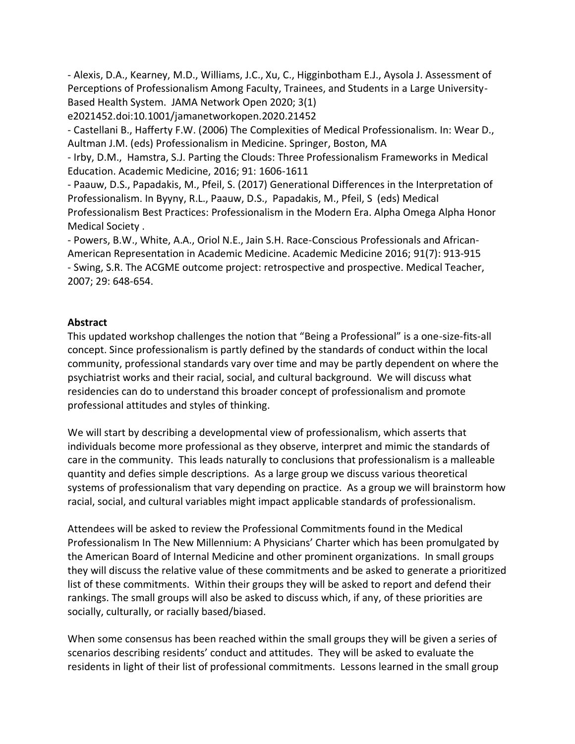- Alexis, D.A., Kearney, M.D., Williams, J.C., Xu, C., Higginbotham E.J., Aysola J. Assessment of Perceptions of Professionalism Among Faculty, Trainees, and Students in a Large University-Based Health System. JAMA Network Open 2020; 3(1)

e2021452.doi:10.1001/jamanetworkopen.2020.21452

- Castellani B., Hafferty F.W. (2006) The Complexities of Medical Professionalism. In: Wear D., Aultman J.M. (eds) Professionalism in Medicine. Springer, Boston, MA

- Irby, D.M., Hamstra, S.J. Parting the Clouds: Three Professionalism Frameworks in Medical Education. Academic Medicine, 2016; 91: 1606-1611

- Paauw, D.S., Papadakis, M., Pfeil, S. (2017) Generational Differences in the Interpretation of Professionalism. In Byyny, R.L., Paauw, D.S., Papadakis, M., Pfeil, S (eds) Medical Professionalism Best Practices: Professionalism in the Modern Era. Alpha Omega Alpha Honor Medical Society .

- Powers, B.W., White, A.A., Oriol N.E., Jain S.H. Race-Conscious Professionals and African-American Representation in Academic Medicine. Academic Medicine 2016; 91(7): 913-915 - Swing, S.R. The ACGME outcome project: retrospective and prospective. Medical Teacher, 2007; 29: 648-654.

## **Abstract**

This updated workshop challenges the notion that "Being a Professional" is a one-size-fits-all concept. Since professionalism is partly defined by the standards of conduct within the local community, professional standards vary over time and may be partly dependent on where the psychiatrist works and their racial, social, and cultural background. We will discuss what residencies can do to understand this broader concept of professionalism and promote professional attitudes and styles of thinking.

We will start by describing a developmental view of professionalism, which asserts that individuals become more professional as they observe, interpret and mimic the standards of care in the community. This leads naturally to conclusions that professionalism is a malleable quantity and defies simple descriptions. As a large group we discuss various theoretical systems of professionalism that vary depending on practice. As a group we will brainstorm how racial, social, and cultural variables might impact applicable standards of professionalism.

Attendees will be asked to review the Professional Commitments found in the Medical Professionalism In The New Millennium: A Physicians' Charter which has been promulgated by the American Board of Internal Medicine and other prominent organizations. In small groups they will discuss the relative value of these commitments and be asked to generate a prioritized list of these commitments. Within their groups they will be asked to report and defend their rankings. The small groups will also be asked to discuss which, if any, of these priorities are socially, culturally, or racially based/biased.

When some consensus has been reached within the small groups they will be given a series of scenarios describing residents' conduct and attitudes. They will be asked to evaluate the residents in light of their list of professional commitments. Lessons learned in the small group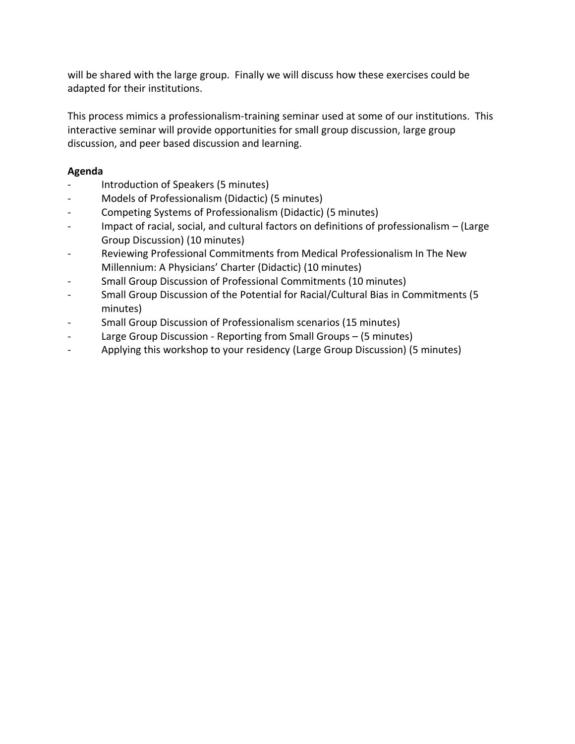will be shared with the large group. Finally we will discuss how these exercises could be adapted for their institutions.

This process mimics a professionalism-training seminar used at some of our institutions. This interactive seminar will provide opportunities for small group discussion, large group discussion, and peer based discussion and learning.

## **Agenda**

- Introduction of Speakers (5 minutes)
- Models of Professionalism (Didactic) (5 minutes)
- Competing Systems of Professionalism (Didactic) (5 minutes)
- Impact of racial, social, and cultural factors on definitions of professionalism (Large Group Discussion) (10 minutes)
- Reviewing Professional Commitments from Medical Professionalism In The New Millennium: A Physicians' Charter (Didactic) (10 minutes)
- Small Group Discussion of Professional Commitments (10 minutes)
- Small Group Discussion of the Potential for Racial/Cultural Bias in Commitments (5 minutes)
- Small Group Discussion of Professionalism scenarios (15 minutes)
- Large Group Discussion Reporting from Small Groups (5 minutes)
- Applying this workshop to your residency (Large Group Discussion) (5 minutes)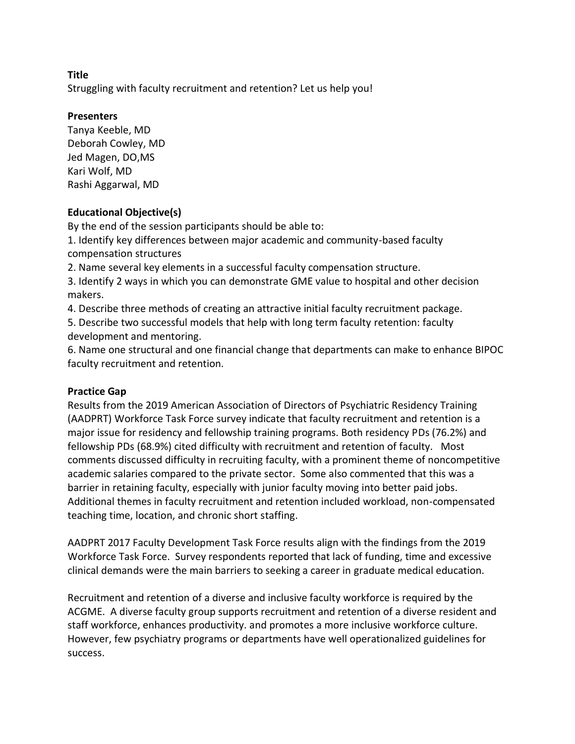Struggling with faculty recruitment and retention? Let us help you!

### **Presenters**

Tanya Keeble, MD Deborah Cowley, MD Jed Magen, DO,MS Kari Wolf, MD Rashi Aggarwal, MD

## **Educational Objective(s)**

By the end of the session participants should be able to:

1. Identify key differences between major academic and community-based faculty compensation structures

2. Name several key elements in a successful faculty compensation structure.

3. Identify 2 ways in which you can demonstrate GME value to hospital and other decision makers.

4. Describe three methods of creating an attractive initial faculty recruitment package.

5. Describe two successful models that help with long term faculty retention: faculty development and mentoring.

6. Name one structural and one financial change that departments can make to enhance BIPOC faculty recruitment and retention.

### **Practice Gap**

Results from the 2019 American Association of Directors of Psychiatric Residency Training (AADPRT) Workforce Task Force survey indicate that faculty recruitment and retention is a major issue for residency and fellowship training programs. Both residency PDs (76.2%) and fellowship PDs (68.9%) cited difficulty with recruitment and retention of faculty. Most comments discussed difficulty in recruiting faculty, with a prominent theme of noncompetitive academic salaries compared to the private sector. Some also commented that this was a barrier in retaining faculty, especially with junior faculty moving into better paid jobs. Additional themes in faculty recruitment and retention included workload, non-compensated teaching time, location, and chronic short staffing.

AADPRT 2017 Faculty Development Task Force results align with the findings from the 2019 Workforce Task Force. Survey respondents reported that lack of funding, time and excessive clinical demands were the main barriers to seeking a career in graduate medical education.

Recruitment and retention of a diverse and inclusive faculty workforce is required by the ACGME. A diverse faculty group supports recruitment and retention of a diverse resident and staff workforce, enhances productivity. and promotes a more inclusive workforce culture. However, few psychiatry programs or departments have well operationalized guidelines for success.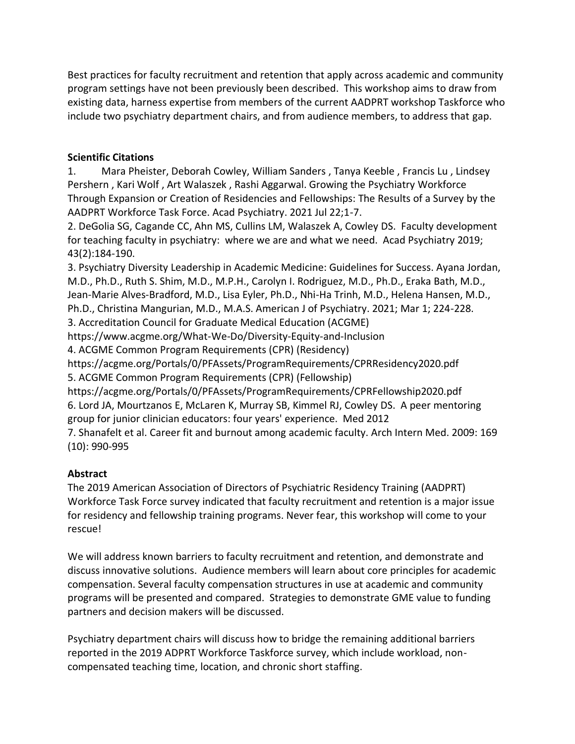Best practices for faculty recruitment and retention that apply across academic and community program settings have not been previously been described. This workshop aims to draw from existing data, harness expertise from members of the current AADPRT workshop Taskforce who include two psychiatry department chairs, and from audience members, to address that gap.

## **Scientific Citations**

1. Mara Pheister, Deborah Cowley, William Sanders , Tanya Keeble , Francis Lu , Lindsey Pershern , Kari Wolf , Art Walaszek , Rashi Aggarwal. Growing the Psychiatry Workforce Through Expansion or Creation of Residencies and Fellowships: The Results of a Survey by the AADPRT Workforce Task Force. Acad Psychiatry. 2021 Jul 22;1-7.

2. DeGolia SG, Cagande CC, Ahn MS, Cullins LM, Walaszek A, Cowley DS. Faculty development for teaching faculty in psychiatry: where we are and what we need. Acad Psychiatry 2019; 43(2):184-190.

3. Psychiatry Diversity Leadership in Academic Medicine: Guidelines for Success. Ayana Jordan, M.D., Ph.D., Ruth S. Shim, M.D., M.P.H., Carolyn I. Rodriguez, M.D., Ph.D., Eraka Bath, M.D., Jean-Marie Alves-Bradford, M.D., Lisa Eyler, Ph.D., Nhi-Ha Trinh, M.D., Helena Hansen, M.D., Ph.D., Christina Mangurian, M.D., M.A.S. American J of Psychiatry. 2021; Mar 1; 224-228. 3. Accreditation Council for Graduate Medical Education (ACGME) https://www.acgme.org/What-We-Do/Diversity-Equity-and-Inclusion 4. ACGME Common Program Requirements (CPR) (Residency) https://acgme.org/Portals/0/PFAssets/ProgramRequirements/CPRResidency2020.pdf

5. ACGME Common Program Requirements (CPR) (Fellowship)

https://acgme.org/Portals/0/PFAssets/ProgramRequirements/CPRFellowship2020.pdf 6. Lord JA, Mourtzanos E, McLaren K, Murray SB, Kimmel RJ, Cowley DS. A peer mentoring group for junior clinician educators: four years' experience. Med 2012

7. Shanafelt et al. Career fit and burnout among academic faculty. Arch Intern Med. 2009: 169 (10): 990-995

## **Abstract**

The 2019 American Association of Directors of Psychiatric Residency Training (AADPRT) Workforce Task Force survey indicated that faculty recruitment and retention is a major issue for residency and fellowship training programs. Never fear, this workshop will come to your rescue!

We will address known barriers to faculty recruitment and retention, and demonstrate and discuss innovative solutions. Audience members will learn about core principles for academic compensation. Several faculty compensation structures in use at academic and community programs will be presented and compared. Strategies to demonstrate GME value to funding partners and decision makers will be discussed.

Psychiatry department chairs will discuss how to bridge the remaining additional barriers reported in the 2019 ADPRT Workforce Taskforce survey, which include workload, noncompensated teaching time, location, and chronic short staffing.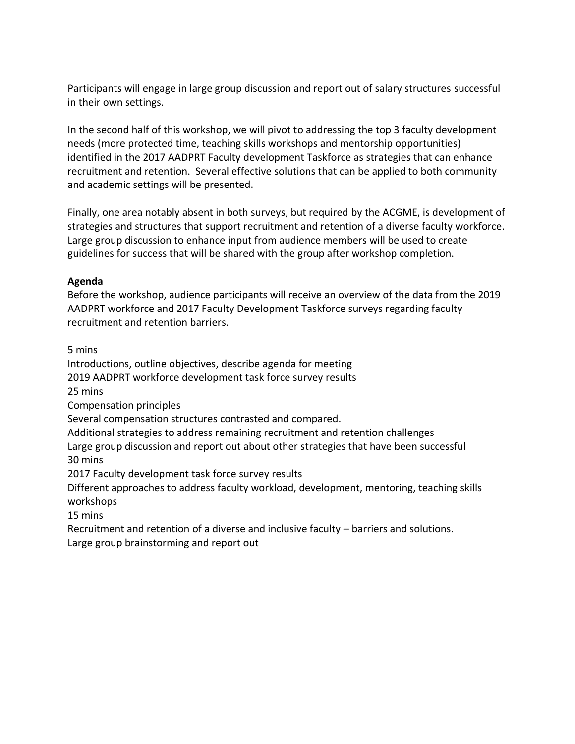Participants will engage in large group discussion and report out of salary structures successful in their own settings.

In the second half of this workshop, we will pivot to addressing the top 3 faculty development needs (more protected time, teaching skills workshops and mentorship opportunities) identified in the 2017 AADPRT Faculty development Taskforce as strategies that can enhance recruitment and retention. Several effective solutions that can be applied to both community and academic settings will be presented.

Finally, one area notably absent in both surveys, but required by the ACGME, is development of strategies and structures that support recruitment and retention of a diverse faculty workforce. Large group discussion to enhance input from audience members will be used to create guidelines for success that will be shared with the group after workshop completion.

## **Agenda**

Before the workshop, audience participants will receive an overview of the data from the 2019 AADPRT workforce and 2017 Faculty Development Taskforce surveys regarding faculty recruitment and retention barriers.

5 mins

Introductions, outline objectives, describe agenda for meeting

2019 AADPRT workforce development task force survey results

25 mins

Compensation principles

Several compensation structures contrasted and compared.

Additional strategies to address remaining recruitment and retention challenges

Large group discussion and report out about other strategies that have been successful 30 mins

2017 Faculty development task force survey results

Different approaches to address faculty workload, development, mentoring, teaching skills workshops

15 mins

Recruitment and retention of a diverse and inclusive faculty – barriers and solutions. Large group brainstorming and report out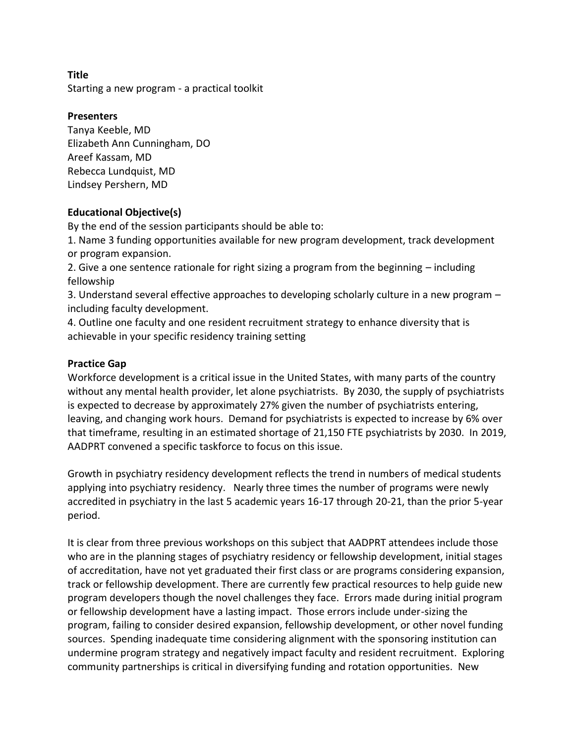**Title** Starting a new program - a practical toolkit

## **Presenters**

Tanya Keeble, MD Elizabeth Ann Cunningham, DO Areef Kassam, MD Rebecca Lundquist, MD Lindsey Pershern, MD

## **Educational Objective(s)**

By the end of the session participants should be able to: 

1. Name 3 funding opportunities available for new program development, track development or program expansion.

2. Give a one sentence rationale for right sizing a program from the beginning – including fellowship

3. Understand several effective approaches to developing scholarly culture in a new program – including faculty development.

4. Outline one faculty and one resident recruitment strategy to enhance diversity that is achievable in your specific residency training setting

## **Practice Gap**

Workforce development is a critical issue in the United States, with many parts of the country without any mental health provider, let alone psychiatrists. By 2030, the supply of psychiatrists is expected to decrease by approximately 27% given the number of psychiatrists entering, leaving, and changing work hours. Demand for psychiatrists is expected to increase by 6% over that timeframe, resulting in an estimated shortage of 21,150 FTE psychiatrists by 2030. In 2019, AADPRT convened a specific taskforce to focus on this issue.

Growth in psychiatry residency development reflects the trend in numbers of medical students applying into psychiatry residency.   Nearly three times the number of programs were newly accredited in psychiatry in the last 5 academic years 16-17 through 20-21, than the prior 5-year period. 

It is clear from three previous workshops on this subject that AADPRT attendees include those who are in the planning stages of psychiatry residency or fellowship development, initial stages of accreditation, have not yet graduated their first class or are programs considering expansion, track or fellowship development. There are currently few practical resources to help guide new program developers though the novel challenges they face. Errors made during initial program or fellowship development have a lasting impact. Those errors include under-sizing the program, failing to consider desired expansion, fellowship development, or other novel funding sources. Spending inadequate time considering alignment with the sponsoring institution can undermine program strategy and negatively impact faculty and resident recruitment. Exploring community partnerships is critical in diversifying funding and rotation opportunities. New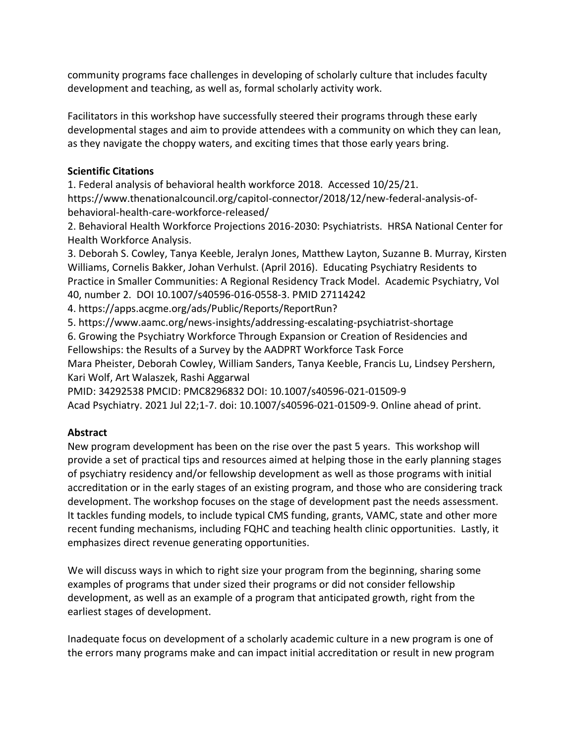community programs face challenges in developing of scholarly culture that includes faculty development and teaching, as well as, formal scholarly activity work.

Facilitators in this workshop have successfully steered their programs through these early developmental stages and aim to provide attendees with a community on which they can lean, as they navigate the choppy waters, and exciting times that those early years bring.

# **Scientific Citations**

1. Federal analysis of behavioral health workforce 2018. Accessed 10/25/21. https://www.thenationalcouncil.org/capitol-connector/2018/12/new-federal-analysis-ofbehavioral-health-care-workforce-released/

2. Behavioral Health Workforce Projections 2016-2030: Psychiatrists. HRSA National Center for Health Workforce Analysis.

3. Deborah S. Cowley, Tanya Keeble, Jeralyn Jones, Matthew Layton, Suzanne B. Murray, Kirsten Williams, Cornelis Bakker, Johan Verhulst. (April 2016). Educating Psychiatry Residents to Practice in Smaller Communities: A Regional Residency Track Model. Academic Psychiatry, Vol 40, number 2. DOI 10.1007/s40596-016-0558-3. PMID 27114242

4. https://apps.acgme.org/ads/Public/Reports/ReportRun?

5. https://www.aamc.org/news-insights/addressing-escalating-psychiatrist-shortage

6. Growing the Psychiatry Workforce Through Expansion or Creation of Residencies and Fellowships: the Results of a Survey by the AADPRT Workforce Task Force

Mara Pheister, Deborah Cowley, William Sanders, Tanya Keeble, Francis Lu, Lindsey Pershern, Kari Wolf, Art Walaszek, Rashi Aggarwal

PMID: 34292538 PMCID: PMC8296832 DOI: 10.1007/s40596-021-01509-9

Acad Psychiatry. 2021 Jul 22;1-7. doi: 10.1007/s40596-021-01509-9. Online ahead of print.

# **Abstract**

New program development has been on the rise over the past 5 years. This workshop will provide a set of practical tips and resources aimed at helping those in the early planning stages of psychiatry residency and/or fellowship development as well as those programs with initial accreditation or in the early stages of an existing program, and those who are considering track development. The workshop focuses on the stage of development past the needs assessment. It tackles funding models, to include typical CMS funding, grants, VAMC, state and other more recent funding mechanisms, including FQHC and teaching health clinic opportunities. Lastly, it emphasizes direct revenue generating opportunities.

We will discuss ways in which to right size your program from the beginning, sharing some examples of programs that under sized their programs or did not consider fellowship development, as well as an example of a program that anticipated growth, right from the earliest stages of development.

Inadequate focus on development of a scholarly academic culture in a new program is one of the errors many programs make and can impact initial accreditation or result in new program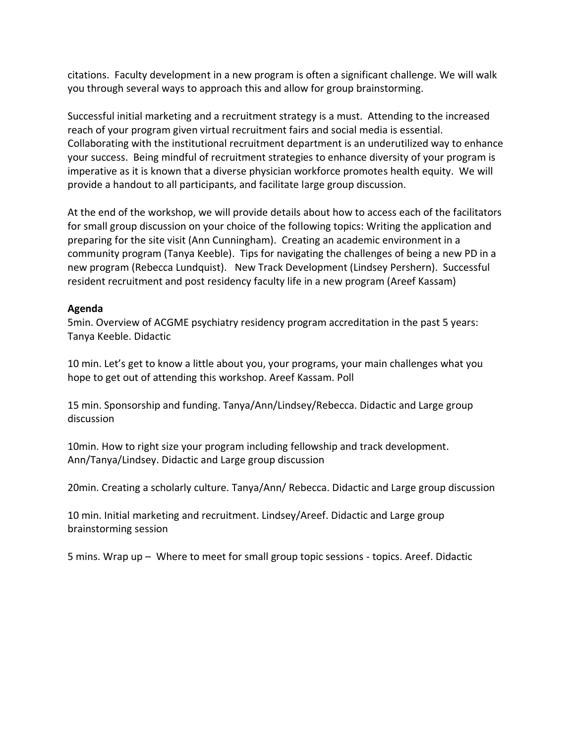citations. Faculty development in a new program is often a significant challenge. We will walk you through several ways to approach this and allow for group brainstorming.

Successful initial marketing and a recruitment strategy is a must. Attending to the increased reach of your program given virtual recruitment fairs and social media is essential. Collaborating with the institutional recruitment department is an underutilized way to enhance your success. Being mindful of recruitment strategies to enhance diversity of your program is imperative as it is known that a diverse physician workforce promotes health equity. We will provide a handout to all participants, and facilitate large group discussion.

At the end of the workshop, we will provide details about how to access each of the facilitators for small group discussion on your choice of the following topics: Writing the application and preparing for the site visit (Ann Cunningham). Creating an academic environment in a community program (Tanya Keeble). Tips for navigating the challenges of being a new PD in a new program (Rebecca Lundquist). New Track Development (Lindsey Pershern). Successful resident recruitment and post residency faculty life in a new program (Areef Kassam)

### **Agenda**

5min. Overview of ACGME psychiatry residency program accreditation in the past 5 years: Tanya Keeble. Didactic

10 min. Let's get to know a little about you, your programs, your main challenges what you hope to get out of attending this workshop. Areef Kassam. Poll

15 min. Sponsorship and funding. Tanya/Ann/Lindsey/Rebecca. Didactic and Large group discussion

10min. How to right size your program including fellowship and track development. Ann/Tanya/Lindsey. Didactic and Large group discussion

20min. Creating a scholarly culture. Tanya/Ann/ Rebecca. Didactic and Large group discussion

10 min. Initial marketing and recruitment. Lindsey/Areef. Didactic and Large group brainstorming session

5 mins. Wrap up – Where to meet for small group topic sessions - topics. Areef. Didactic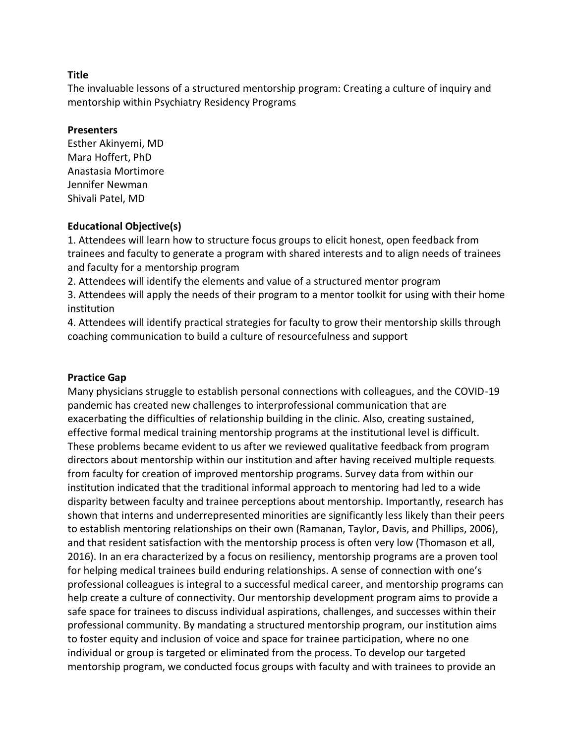The invaluable lessons of a structured mentorship program: Creating a culture of inquiry and mentorship within Psychiatry Residency Programs

#### **Presenters**

Esther Akinyemi, MD Mara Hoffert, PhD Anastasia Mortimore Jennifer Newman Shivali Patel, MD

### **Educational Objective(s)**

1. Attendees will learn how to structure focus groups to elicit honest, open feedback from trainees and faculty to generate a program with shared interests and to align needs of trainees and faculty for a mentorship program

2. Attendees will identify the elements and value of a structured mentor program 3. Attendees will apply the needs of their program to a mentor toolkit for using with their home

institution

4. Attendees will identify practical strategies for faculty to grow their mentorship skills through coaching communication to build a culture of resourcefulness and support

### **Practice Gap**

Many physicians struggle to establish personal connections with colleagues, and the COVID-19 pandemic has created new challenges to interprofessional communication that are exacerbating the difficulties of relationship building in the clinic. Also, creating sustained, effective formal medical training mentorship programs at the institutional level is difficult. These problems became evident to us after we reviewed qualitative feedback from program directors about mentorship within our institution and after having received multiple requests from faculty for creation of improved mentorship programs. Survey data from within our institution indicated that the traditional informal approach to mentoring had led to a wide disparity between faculty and trainee perceptions about mentorship. Importantly, research has shown that interns and underrepresented minorities are significantly less likely than their peers to establish mentoring relationships on their own (Ramanan, Taylor, Davis, and Phillips, 2006), and that resident satisfaction with the mentorship process is often very low (Thomason et all, 2016). In an era characterized by a focus on resiliency, mentorship programs are a proven tool for helping medical trainees build enduring relationships. A sense of connection with one's professional colleagues is integral to a successful medical career, and mentorship programs can help create a culture of connectivity. Our mentorship development program aims to provide a safe space for trainees to discuss individual aspirations, challenges, and successes within their professional community. By mandating a structured mentorship program, our institution aims to foster equity and inclusion of voice and space for trainee participation, where no one individual or group is targeted or eliminated from the process. To develop our targeted mentorship program, we conducted focus groups with faculty and with trainees to provide an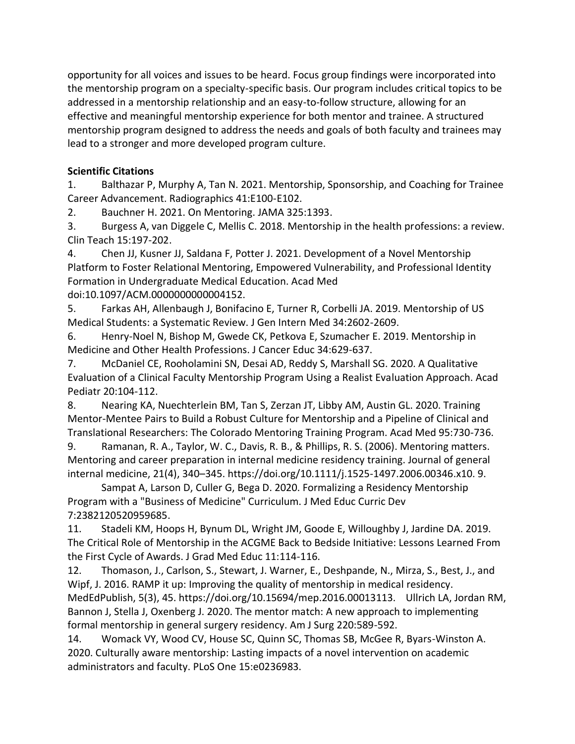opportunity for all voices and issues to be heard. Focus group findings were incorporated into the mentorship program on a specialty-specific basis. Our program includes critical topics to be addressed in a mentorship relationship and an easy-to-follow structure, allowing for an effective and meaningful mentorship experience for both mentor and trainee. A structured mentorship program designed to address the needs and goals of both faculty and trainees may lead to a stronger and more developed program culture.

# **Scientific Citations**

1. Balthazar P, Murphy A, Tan N. 2021. Mentorship, Sponsorship, and Coaching for Trainee Career Advancement. Radiographics 41:E100-E102.

2. Bauchner H. 2021. On Mentoring. JAMA 325:1393.

3. Burgess A, van Diggele C, Mellis C. 2018. Mentorship in the health professions: a review. Clin Teach 15:197-202.

4. Chen JJ, Kusner JJ, Saldana F, Potter J. 2021. Development of a Novel Mentorship Platform to Foster Relational Mentoring, Empowered Vulnerability, and Professional Identity Formation in Undergraduate Medical Education. Acad Med doi:10.1097/ACM.0000000000004152.

5. Farkas AH, Allenbaugh J, Bonifacino E, Turner R, Corbelli JA. 2019. Mentorship of US Medical Students: a Systematic Review. J Gen Intern Med 34:2602-2609.

6. Henry-Noel N, Bishop M, Gwede CK, Petkova E, Szumacher E. 2019. Mentorship in Medicine and Other Health Professions. J Cancer Educ 34:629-637.

7. McDaniel CE, Rooholamini SN, Desai AD, Reddy S, Marshall SG. 2020. A Qualitative Evaluation of a Clinical Faculty Mentorship Program Using a Realist Evaluation Approach. Acad Pediatr 20:104-112.

8. Nearing KA, Nuechterlein BM, Tan S, Zerzan JT, Libby AM, Austin GL. 2020. Training Mentor-Mentee Pairs to Build a Robust Culture for Mentorship and a Pipeline of Clinical and Translational Researchers: The Colorado Mentoring Training Program. Acad Med 95:730-736.

9. Ramanan, R. A., Taylor, W. C., Davis, R. B., & Phillips, R. S. (2006). Mentoring matters. Mentoring and career preparation in internal medicine residency training. Journal of general internal medicine, 21(4), 340–345. https://doi.org/10.1111/j.1525-1497.2006.00346.x10. 9.

Sampat A, Larson D, Culler G, Bega D. 2020. Formalizing a Residency Mentorship Program with a "Business of Medicine" Curriculum. J Med Educ Curric Dev 7:2382120520959685.

11. Stadeli KM, Hoops H, Bynum DL, Wright JM, Goode E, Willoughby J, Jardine DA. 2019. The Critical Role of Mentorship in the ACGME Back to Bedside Initiative: Lessons Learned From the First Cycle of Awards. J Grad Med Educ 11:114-116.

12. Thomason, J., Carlson, S., Stewart, J. Warner, E., Deshpande, N., Mirza, S., Best, J., and Wipf, J. 2016. RAMP it up: Improving the quality of mentorship in medical residency. MedEdPublish, 5(3), 45. https://doi.org/10.15694/mep.2016.00013113. Ullrich LA, Jordan RM, Bannon J, Stella J, Oxenberg J. 2020. The mentor match: A new approach to implementing formal mentorship in general surgery residency. Am J Surg 220:589-592.

14. Womack VY, Wood CV, House SC, Quinn SC, Thomas SB, McGee R, Byars-Winston A. 2020. Culturally aware mentorship: Lasting impacts of a novel intervention on academic administrators and faculty. PLoS One 15:e0236983.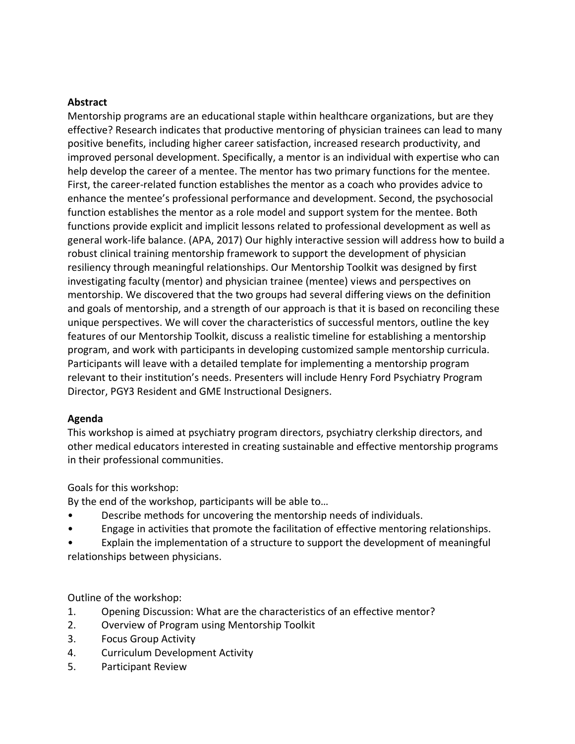#### **Abstract**

Mentorship programs are an educational staple within healthcare organizations, but are they effective? Research indicates that productive mentoring of physician trainees can lead to many positive benefits, including higher career satisfaction, increased research productivity, and improved personal development. Specifically, a mentor is an individual with expertise who can help develop the career of a mentee. The mentor has two primary functions for the mentee. First, the career-related function establishes the mentor as a coach who provides advice to enhance the mentee's professional performance and development. Second, the psychosocial function establishes the mentor as a role model and support system for the mentee. Both functions provide explicit and implicit lessons related to professional development as well as general work-life balance. (APA, 2017) Our highly interactive session will address how to build a robust clinical training mentorship framework to support the development of physician resiliency through meaningful relationships. Our Mentorship Toolkit was designed by first investigating faculty (mentor) and physician trainee (mentee) views and perspectives on mentorship. We discovered that the two groups had several differing views on the definition and goals of mentorship, and a strength of our approach is that it is based on reconciling these unique perspectives. We will cover the characteristics of successful mentors, outline the key features of our Mentorship Toolkit, discuss a realistic timeline for establishing a mentorship program, and work with participants in developing customized sample mentorship curricula. Participants will leave with a detailed template for implementing a mentorship program relevant to their institution's needs. Presenters will include Henry Ford Psychiatry Program Director, PGY3 Resident and GME Instructional Designers.

### **Agenda**

This workshop is aimed at psychiatry program directors, psychiatry clerkship directors, and other medical educators interested in creating sustainable and effective mentorship programs in their professional communities.

Goals for this workshop:

By the end of the workshop, participants will be able to…

- Describe methods for uncovering the mentorship needs of individuals.
- Engage in activities that promote the facilitation of effective mentoring relationships.

• Explain the implementation of a structure to support the development of meaningful relationships between physicians.

Outline of the workshop:

- 1. Opening Discussion: What are the characteristics of an effective mentor?
- 2. Overview of Program using Mentorship Toolkit
- 3. Focus Group Activity
- 4. Curriculum Development Activity
- 5. Participant Review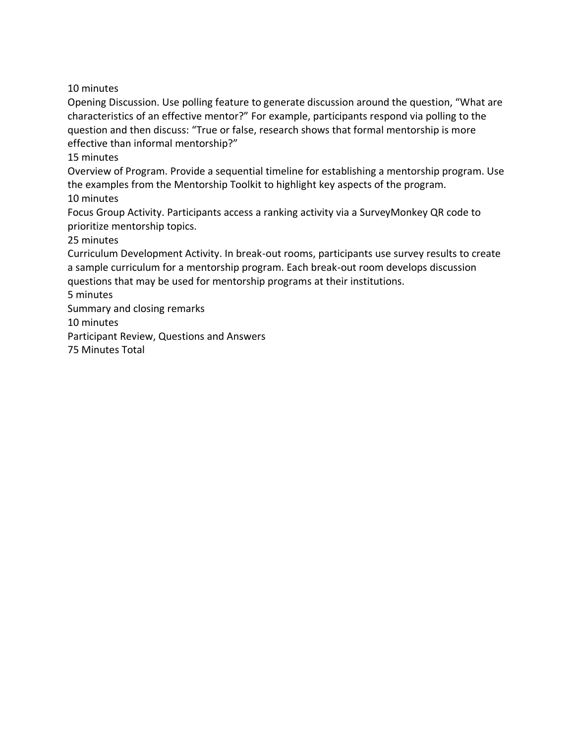10 minutes

Opening Discussion. Use polling feature to generate discussion around the question, "What are characteristics of an effective mentor?" For example, participants respond via polling to the question and then discuss: "True or false, research shows that formal mentorship is more effective than informal mentorship?"

15 minutes

Overview of Program. Provide a sequential timeline for establishing a mentorship program. Use the examples from the Mentorship Toolkit to highlight key aspects of the program. 10 minutes

Focus Group Activity. Participants access a ranking activity via a SurveyMonkey QR code to prioritize mentorship topics.

25 minutes

Curriculum Development Activity. In break-out rooms, participants use survey results to create a sample curriculum for a mentorship program. Each break-out room develops discussion questions that may be used for mentorship programs at their institutions.

5 minutes

Summary and closing remarks

10 minutes

Participant Review, Questions and Answers

75 Minutes Total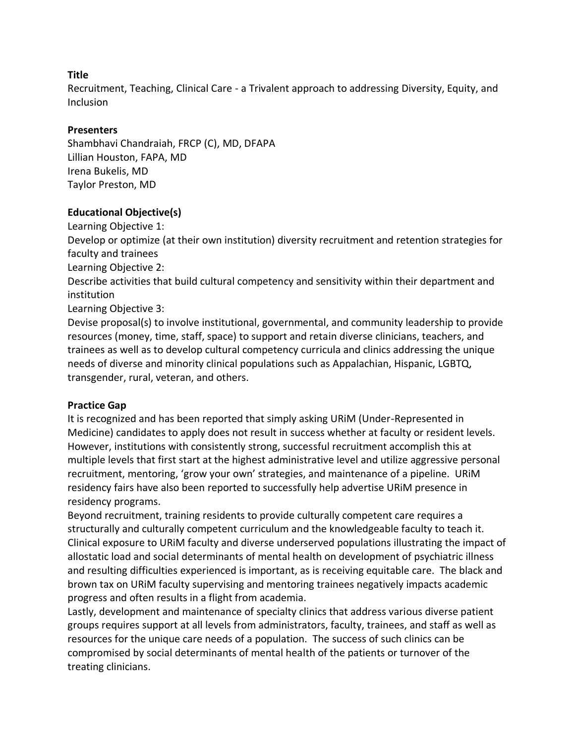Recruitment, Teaching, Clinical Care - a Trivalent approach to addressing Diversity, Equity, and Inclusion

## **Presenters**

Shambhavi Chandraiah, FRCP (C), MD, DFAPA Lillian Houston, FAPA, MD Irena Bukelis, MD Taylor Preston, MD

## **Educational Objective(s)**

Learning Objective 1:

Develop or optimize (at their own institution) diversity recruitment and retention strategies for faculty and trainees

Learning Objective 2:

Describe activities that build cultural competency and sensitivity within their department and institution

Learning Objective 3:

Devise proposal(s) to involve institutional, governmental, and community leadership to provide resources (money, time, staff, space) to support and retain diverse clinicians, teachers, and trainees as well as to develop cultural competency curricula and clinics addressing the unique needs of diverse and minority clinical populations such as Appalachian, Hispanic, LGBTQ, transgender, rural, veteran, and others.

## **Practice Gap**

It is recognized and has been reported that simply asking URiM (Under-Represented in Medicine) candidates to apply does not result in success whether at faculty or resident levels. However, institutions with consistently strong, successful recruitment accomplish this at multiple levels that first start at the highest administrative level and utilize aggressive personal recruitment, mentoring, 'grow your own' strategies, and maintenance of a pipeline. URiM residency fairs have also been reported to successfully help advertise URiM presence in residency programs.

Beyond recruitment, training residents to provide culturally competent care requires a structurally and culturally competent curriculum and the knowledgeable faculty to teach it. Clinical exposure to URiM faculty and diverse underserved populations illustrating the impact of allostatic load and social determinants of mental health on development of psychiatric illness and resulting difficulties experienced is important, as is receiving equitable care. The black and brown tax on URiM faculty supervising and mentoring trainees negatively impacts academic progress and often results in a flight from academia.

Lastly, development and maintenance of specialty clinics that address various diverse patient groups requires support at all levels from administrators, faculty, trainees, and staff as well as resources for the unique care needs of a population. The success of such clinics can be compromised by social determinants of mental health of the patients or turnover of the treating clinicians.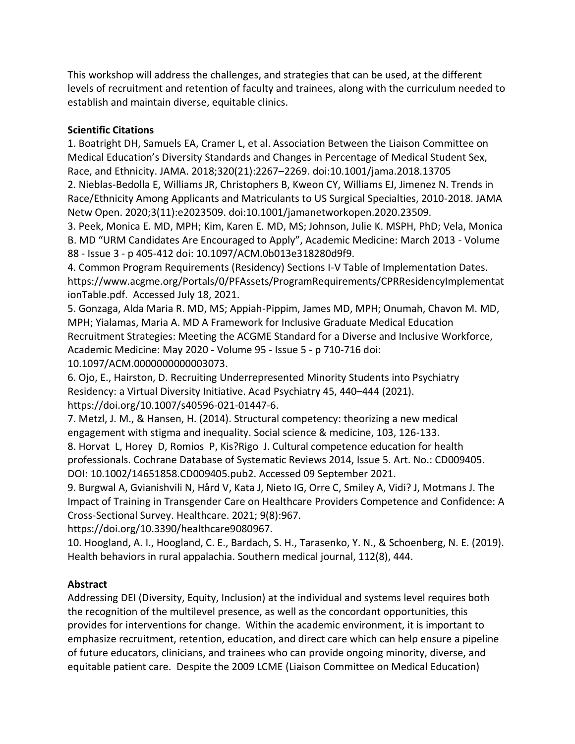This workshop will address the challenges, and strategies that can be used, at the different levels of recruitment and retention of faculty and trainees, along with the curriculum needed to establish and maintain diverse, equitable clinics.

# **Scientific Citations**

1. Boatright DH, Samuels EA, Cramer L, et al. Association Between the Liaison Committee on Medical Education's Diversity Standards and Changes in Percentage of Medical Student Sex, Race, and Ethnicity. JAMA. 2018;320(21):2267–2269. doi:10.1001/jama.2018.13705 2. Nieblas-Bedolla E, Williams JR, Christophers B, Kweon CY, Williams EJ, Jimenez N. Trends in

Race/Ethnicity Among Applicants and Matriculants to US Surgical Specialties, 2010-2018. JAMA Netw Open. 2020;3(11):e2023509. doi:10.1001/jamanetworkopen.2020.23509.

3. Peek, Monica E. MD, MPH; Kim, Karen E. MD, MS; Johnson, Julie K. MSPH, PhD; Vela, Monica B. MD "URM Candidates Are Encouraged to Apply", Academic Medicine: March 2013 - Volume 88 - Issue 3 - p 405-412 doi: 10.1097/ACM.0b013e318280d9f9.

4. Common Program Requirements (Residency) Sections I-V Table of Implementation Dates. https://www.acgme.org/Portals/0/PFAssets/ProgramRequirements/CPRResidencyImplementat ionTable.pdf. Accessed July 18, 2021.

5. Gonzaga, Alda Maria R. MD, MS; Appiah-Pippim, James MD, MPH; Onumah, Chavon M. MD, MPH; Yialamas, Maria A. MD A Framework for Inclusive Graduate Medical Education Recruitment Strategies: Meeting the ACGME Standard for a Diverse and Inclusive Workforce, Academic Medicine: May 2020 - Volume 95 - Issue 5 - p 710-716 doi: 10.1097/ACM.0000000000003073.

6. Ojo, E., Hairston, D. Recruiting Underrepresented Minority Students into Psychiatry Residency: a Virtual Diversity Initiative. Acad Psychiatry 45, 440–444 (2021). https://doi.org/10.1007/s40596-021-01447-6.

7. Metzl, J. M., & Hansen, H. (2014). Structural competency: theorizing a new medical engagement with stigma and inequality. Social science & medicine, 103, 126-133.

8. Horvat L, Horey D, Romios P, Kis?Rigo J. Cultural competence education for health professionals. Cochrane Database of Systematic Reviews 2014, Issue 5. Art. No.: CD009405. DOI: 10.1002/14651858.CD009405.pub2. Accessed 09 September 2021.

9. Burgwal A, Gvianishvili N, Hård V, Kata J, Nieto IG, Orre C, Smiley A, Vidi? J, Motmans J. The Impact of Training in Transgender Care on Healthcare Providers Competence and Confidence: A Cross-Sectional Survey. Healthcare. 2021; 9(8):967.

https://doi.org/10.3390/healthcare9080967.

10. Hoogland, A. I., Hoogland, C. E., Bardach, S. H., Tarasenko, Y. N., & Schoenberg, N. E. (2019). Health behaviors in rural appalachia. Southern medical journal, 112(8), 444.

# **Abstract**

Addressing DEI (Diversity, Equity, Inclusion) at the individual and systems level requires both the recognition of the multilevel presence, as well as the concordant opportunities, this provides for interventions for change. Within the academic environment, it is important to emphasize recruitment, retention, education, and direct care which can help ensure a pipeline of future educators, clinicians, and trainees who can provide ongoing minority, diverse, and equitable patient care. Despite the 2009 LCME (Liaison Committee on Medical Education)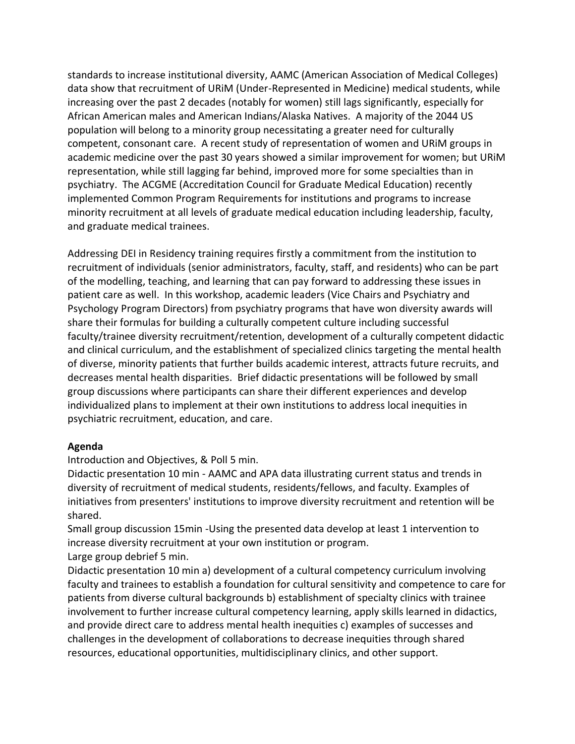standards to increase institutional diversity, AAMC (American Association of Medical Colleges) data show that recruitment of URiM (Under-Represented in Medicine) medical students, while increasing over the past 2 decades (notably for women) still lags significantly, especially for African American males and American Indians/Alaska Natives. A majority of the 2044 US population will belong to a minority group necessitating a greater need for culturally competent, consonant care. A recent study of representation of women and URiM groups in academic medicine over the past 30 years showed a similar improvement for women; but URiM representation, while still lagging far behind, improved more for some specialties than in psychiatry. The ACGME (Accreditation Council for Graduate Medical Education) recently implemented Common Program Requirements for institutions and programs to increase minority recruitment at all levels of graduate medical education including leadership, faculty, and graduate medical trainees.

Addressing DEI in Residency training requires firstly a commitment from the institution to recruitment of individuals (senior administrators, faculty, staff, and residents) who can be part of the modelling, teaching, and learning that can pay forward to addressing these issues in patient care as well. In this workshop, academic leaders (Vice Chairs and Psychiatry and Psychology Program Directors) from psychiatry programs that have won diversity awards will share their formulas for building a culturally competent culture including successful faculty/trainee diversity recruitment/retention, development of a culturally competent didactic and clinical curriculum, and the establishment of specialized clinics targeting the mental health of diverse, minority patients that further builds academic interest, attracts future recruits, and decreases mental health disparities. Brief didactic presentations will be followed by small group discussions where participants can share their different experiences and develop individualized plans to implement at their own institutions to address local inequities in psychiatric recruitment, education, and care.

### **Agenda**

Introduction and Objectives, & Poll 5 min.

Didactic presentation 10 min - AAMC and APA data illustrating current status and trends in diversity of recruitment of medical students, residents/fellows, and faculty. Examples of initiatives from presenters' institutions to improve diversity recruitment and retention will be shared.

Small group discussion 15min -Using the presented data develop at least 1 intervention to increase diversity recruitment at your own institution or program. Large group debrief 5 min.

Didactic presentation 10 min a) development of a cultural competency curriculum involving faculty and trainees to establish a foundation for cultural sensitivity and competence to care for patients from diverse cultural backgrounds b) establishment of specialty clinics with trainee involvement to further increase cultural competency learning, apply skills learned in didactics, and provide direct care to address mental health inequities c) examples of successes and challenges in the development of collaborations to decrease inequities through shared resources, educational opportunities, multidisciplinary clinics, and other support.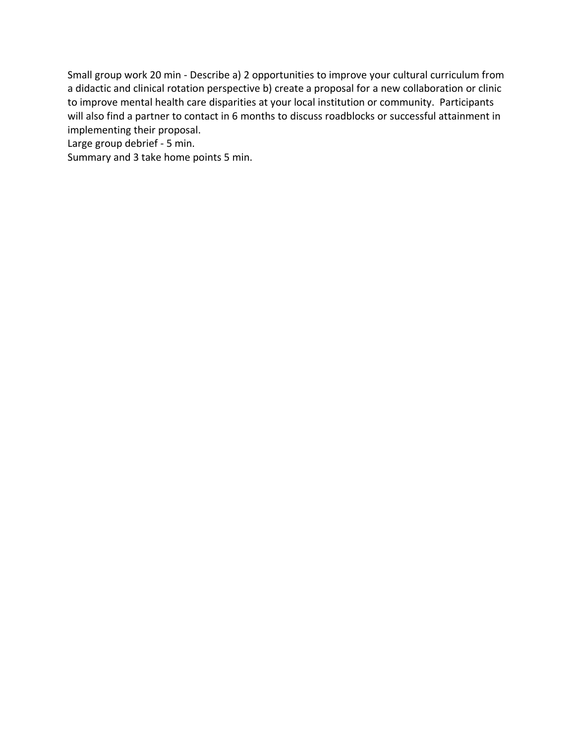Small group work 20 min - Describe a) 2 opportunities to improve your cultural curriculum from a didactic and clinical rotation perspective b) create a proposal for a new collaboration or clinic to improve mental health care disparities at your local institution or community. Participants will also find a partner to contact in 6 months to discuss roadblocks or successful attainment in implementing their proposal.

Large group debrief - 5 min.

Summary and 3 take home points 5 min.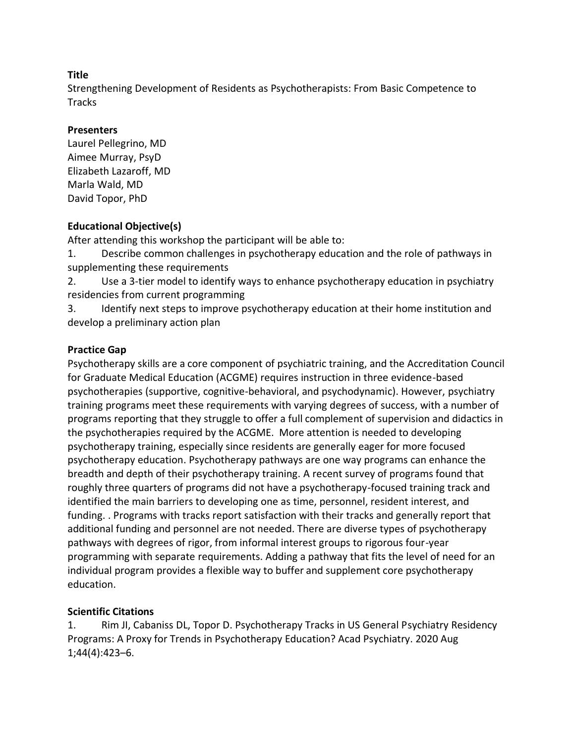Strengthening Development of Residents as Psychotherapists: From Basic Competence to **Tracks** 

## **Presenters**

Laurel Pellegrino, MD Aimee Murray, PsyD Elizabeth Lazaroff, MD Marla Wald, MD David Topor, PhD

## **Educational Objective(s)**

After attending this workshop the participant will be able to:

1. Describe common challenges in psychotherapy education and the role of pathways in supplementing these requirements

2. Use a 3-tier model to identify ways to enhance psychotherapy education in psychiatry residencies from current programming

3. Identify next steps to improve psychotherapy education at their home institution and develop a preliminary action plan

## **Practice Gap**

Psychotherapy skills are a core component of psychiatric training, and the Accreditation Council for Graduate Medical Education (ACGME) requires instruction in three evidence-based psychotherapies (supportive, cognitive-behavioral, and psychodynamic). However, psychiatry training programs meet these requirements with varying degrees of success, with a number of programs reporting that they struggle to offer a full complement of supervision and didactics in the psychotherapies required by the ACGME. More attention is needed to developing psychotherapy training, especially since residents are generally eager for more focused psychotherapy education. Psychotherapy pathways are one way programs can enhance the breadth and depth of their psychotherapy training. A recent survey of programs found that roughly three quarters of programs did not have a psychotherapy-focused training track and identified the main barriers to developing one as time, personnel, resident interest, and funding. . Programs with tracks report satisfaction with their tracks and generally report that additional funding and personnel are not needed. There are diverse types of psychotherapy pathways with degrees of rigor, from informal interest groups to rigorous four-year programming with separate requirements. Adding a pathway that fits the level of need for an individual program provides a flexible way to buffer and supplement core psychotherapy education.

# **Scientific Citations**

1. Rim JI, Cabaniss DL, Topor D. Psychotherapy Tracks in US General Psychiatry Residency Programs: A Proxy for Trends in Psychotherapy Education? Acad Psychiatry. 2020 Aug 1;44(4):423–6.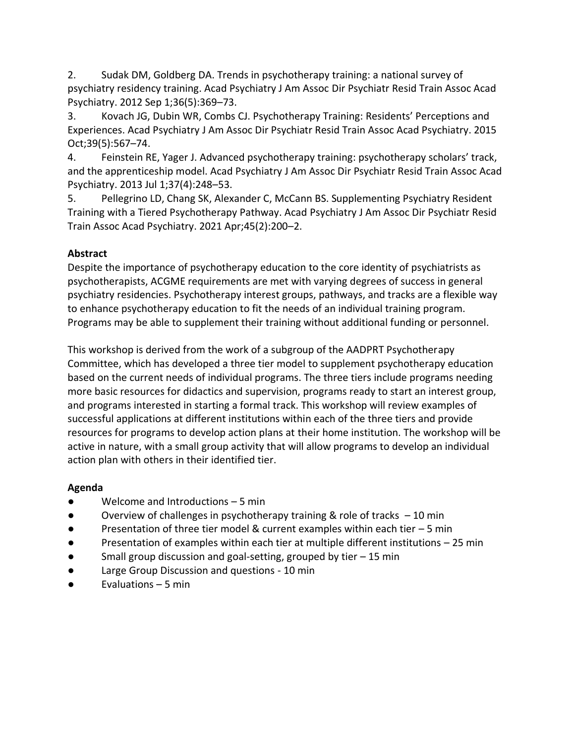2. Sudak DM, Goldberg DA. Trends in psychotherapy training: a national survey of psychiatry residency training. Acad Psychiatry J Am Assoc Dir Psychiatr Resid Train Assoc Acad Psychiatry. 2012 Sep 1;36(5):369–73.

3. Kovach JG, Dubin WR, Combs CJ. Psychotherapy Training: Residents' Perceptions and Experiences. Acad Psychiatry J Am Assoc Dir Psychiatr Resid Train Assoc Acad Psychiatry. 2015 Oct;39(5):567–74.

4. Feinstein RE, Yager J. Advanced psychotherapy training: psychotherapy scholars' track, and the apprenticeship model. Acad Psychiatry J Am Assoc Dir Psychiatr Resid Train Assoc Acad Psychiatry. 2013 Jul 1;37(4):248–53.

5. Pellegrino LD, Chang SK, Alexander C, McCann BS. Supplementing Psychiatry Resident Training with a Tiered Psychotherapy Pathway. Acad Psychiatry J Am Assoc Dir Psychiatr Resid Train Assoc Acad Psychiatry. 2021 Apr;45(2):200–2.

# **Abstract**

Despite the importance of psychotherapy education to the core identity of psychiatrists as psychotherapists, ACGME requirements are met with varying degrees of success in general psychiatry residencies. Psychotherapy interest groups, pathways, and tracks are a flexible way to enhance psychotherapy education to fit the needs of an individual training program. Programs may be able to supplement their training without additional funding or personnel.

This workshop is derived from the work of a subgroup of the AADPRT Psychotherapy Committee, which has developed a three tier model to supplement psychotherapy education based on the current needs of individual programs. The three tiers include programs needing more basic resources for didactics and supervision, programs ready to start an interest group, and programs interested in starting a formal track. This workshop will review examples of successful applications at different institutions within each of the three tiers and provide resources for programs to develop action plans at their home institution. The workshop will be active in nature, with a small group activity that will allow programs to develop an individual action plan with others in their identified tier.

## **Agenda**

- Welcome and Introductions 5 min
- $\bullet$  Overview of challenges in psychotherapy training & role of tracks  $-10$  min
- Presentation of three tier model & current examples within each tier  $-5$  min
- Presentation of examples within each tier at multiple different institutions 25 min
- Small group discussion and goal-setting, grouped by tier 15 min
- Large Group Discussion and questions 10 min
- Evaluations 5 min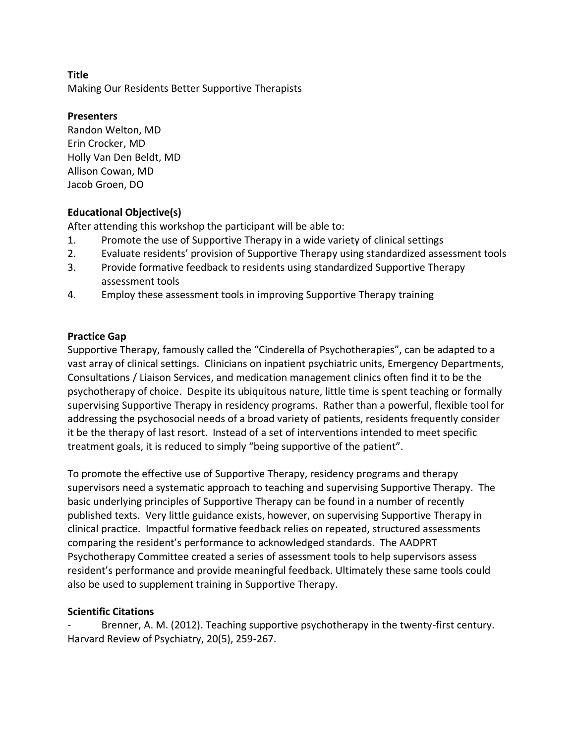Making Our Residents Better Supportive Therapists

## **Presenters**

Randon Welton, MD Erin Crocker, MD Holly Van Den Beldt, MD Allison Cowan, MD Jacob Groen, DO

# **Educational Objective(s)**

After attending this workshop the participant will be able to:

- 1. Promote the use of Supportive Therapy in a wide variety of clinical settings
- 2. Evaluate residents' provision of Supportive Therapy using standardized assessment tools
- 3. Provide formative feedback to residents using standardized Supportive Therapy assessment tools
- 4. Employ these assessment tools in improving Supportive Therapy training

# **Practice Gap**

Supportive Therapy, famously called the "Cinderella of Psychotherapies", can be adapted to a vast array of clinical settings. Clinicians on inpatient psychiatric units, Emergency Departments, Consultations / Liaison Services, and medication management clinics often find it to be the psychotherapy of choice. Despite its ubiquitous nature, little time is spent teaching or formally supervising Supportive Therapy in residency programs. Rather than a powerful, flexible tool for addressing the psychosocial needs of a broad variety of patients, residents frequently consider it be the therapy of last resort. Instead of a set of interventions intended to meet specific treatment goals, it is reduced to simply "being supportive of the patient".

To promote the effective use of Supportive Therapy, residency programs and therapy supervisors need a systematic approach to teaching and supervising Supportive Therapy. The basic underlying principles of Supportive Therapy can be found in a number of recently published texts. Very little guidance exists, however, on supervising Supportive Therapy in clinical practice. Impactful formative feedback relies on repeated, structured assessments comparing the resident's performance to acknowledged standards. The AADPRT Psychotherapy Committee created a series of assessment tools to help supervisors assess resident's performance and provide meaningful feedback. Ultimately these same tools could also be used to supplement training in Supportive Therapy.

## **Scientific Citations**

Brenner, A. M. (2012). Teaching supportive psychotherapy in the twenty-first century. Harvard Review of Psychiatry, 20(5), 259-267.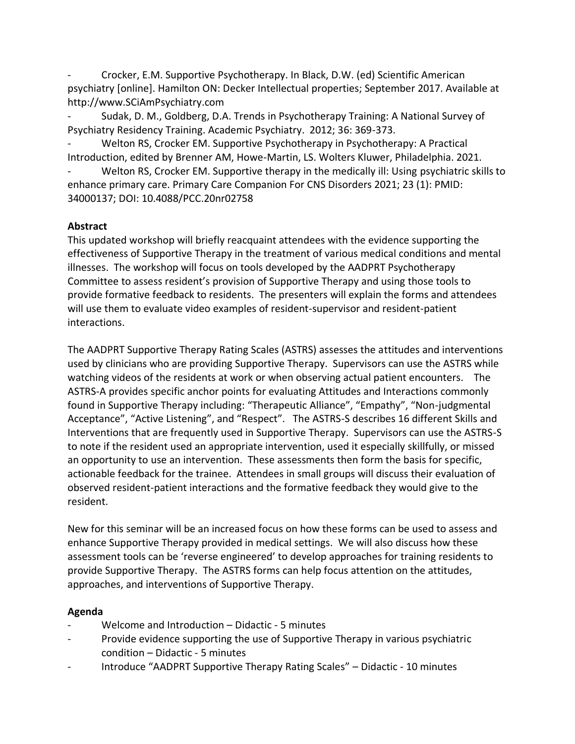- Crocker, E.M. Supportive Psychotherapy. In Black, D.W. (ed) Scientific American psychiatry [online]. Hamilton ON: Decker Intellectual properties; September 2017. Available at http://www.SCiAmPsychiatry.com

- Sudak, D. M., Goldberg, D.A. Trends in Psychotherapy Training: A National Survey of Psychiatry Residency Training. Academic Psychiatry. 2012; 36: 369-373.

Welton RS, Crocker EM. Supportive Psychotherapy in Psychotherapy: A Practical Introduction, edited by Brenner AM, Howe-Martin, LS. Wolters Kluwer, Philadelphia. 2021.

Welton RS, Crocker EM. Supportive therapy in the medically ill: Using psychiatric skills to enhance primary care. Primary Care Companion For CNS Disorders 2021; 23 (1): PMID: 34000137; DOI: 10.4088/PCC.20nr02758

## **Abstract**

This updated workshop will briefly reacquaint attendees with the evidence supporting the effectiveness of Supportive Therapy in the treatment of various medical conditions and mental illnesses. The workshop will focus on tools developed by the AADPRT Psychotherapy Committee to assess resident's provision of Supportive Therapy and using those tools to provide formative feedback to residents. The presenters will explain the forms and attendees will use them to evaluate video examples of resident-supervisor and resident-patient interactions.

The AADPRT Supportive Therapy Rating Scales (ASTRS) assesses the attitudes and interventions used by clinicians who are providing Supportive Therapy. Supervisors can use the ASTRS while watching videos of the residents at work or when observing actual patient encounters. The ASTRS-A provides specific anchor points for evaluating Attitudes and Interactions commonly found in Supportive Therapy including: "Therapeutic Alliance", "Empathy", "Non-judgmental Acceptance", "Active Listening", and "Respect". The ASTRS-S describes 16 different Skills and Interventions that are frequently used in Supportive Therapy. Supervisors can use the ASTRS-S to note if the resident used an appropriate intervention, used it especially skillfully, or missed an opportunity to use an intervention. These assessments then form the basis for specific, actionable feedback for the trainee. Attendees in small groups will discuss their evaluation of observed resident-patient interactions and the formative feedback they would give to the resident.

New for this seminar will be an increased focus on how these forms can be used to assess and enhance Supportive Therapy provided in medical settings. We will also discuss how these assessment tools can be 'reverse engineered' to develop approaches for training residents to provide Supportive Therapy. The ASTRS forms can help focus attention on the attitudes, approaches, and interventions of Supportive Therapy.

## **Agenda**

- Welcome and Introduction Didactic 5 minutes
- Provide evidence supporting the use of Supportive Therapy in various psychiatric condition – Didactic - 5 minutes
- Introduce "AADPRT Supportive Therapy Rating Scales" Didactic 10 minutes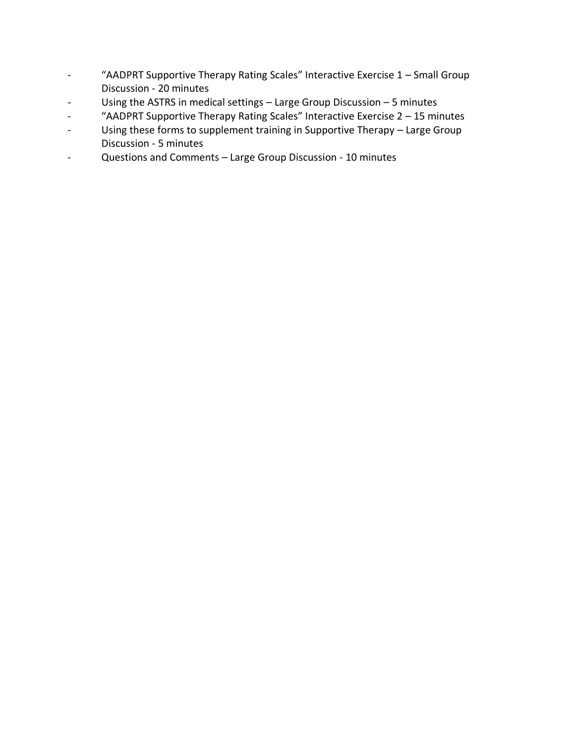- "AADPRT Supportive Therapy Rating Scales" Interactive Exercise 1 Small Group Discussion - 20 minutes
- Using the ASTRS in medical settings Large Group Discussion 5 minutes
- "AADPRT Supportive Therapy Rating Scales" Interactive Exercise 2 15 minutes
- Using these forms to supplement training in Supportive Therapy Large Group Discussion - 5 minutes
- Questions and Comments Large Group Discussion 10 minutes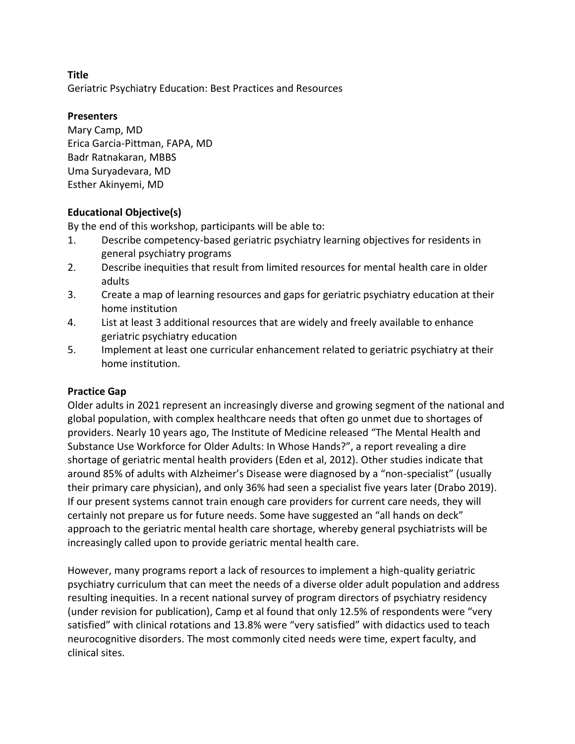Geriatric Psychiatry Education: Best Practices and Resources

## **Presenters**

Mary Camp, MD Erica Garcia-Pittman, FAPA, MD Badr Ratnakaran, MBBS Uma Suryadevara, MD Esther Akinyemi, MD

## **Educational Objective(s)**

By the end of this workshop, participants will be able to:

- 1. Describe competency-based geriatric psychiatry learning objectives for residents in general psychiatry programs
- 2. Describe inequities that result from limited resources for mental health care in older adults
- 3. Create a map of learning resources and gaps for geriatric psychiatry education at their home institution
- 4. List at least 3 additional resources that are widely and freely available to enhance geriatric psychiatry education
- 5. Implement at least one curricular enhancement related to geriatric psychiatry at their home institution.

### **Practice Gap**

Older adults in 2021 represent an increasingly diverse and growing segment of the national and global population, with complex healthcare needs that often go unmet due to shortages of providers. Nearly 10 years ago, The Institute of Medicine released "The Mental Health and Substance Use Workforce for Older Adults: In Whose Hands?", a report revealing a dire shortage of geriatric mental health providers (Eden et al, 2012). Other studies indicate that around 85% of adults with Alzheimer's Disease were diagnosed by a "non-specialist" (usually their primary care physician), and only 36% had seen a specialist five years later (Drabo 2019). If our present systems cannot train enough care providers for current care needs, they will certainly not prepare us for future needs. Some have suggested an "all hands on deck" approach to the geriatric mental health care shortage, whereby general psychiatrists will be increasingly called upon to provide geriatric mental health care.

However, many programs report a lack of resources to implement a high-quality geriatric psychiatry curriculum that can meet the needs of a diverse older adult population and address resulting inequities. In a recent national survey of program directors of psychiatry residency (under revision for publication), Camp et al found that only 12.5% of respondents were "very satisfied" with clinical rotations and 13.8% were "very satisfied" with didactics used to teach neurocognitive disorders. The most commonly cited needs were time, expert faculty, and clinical sites.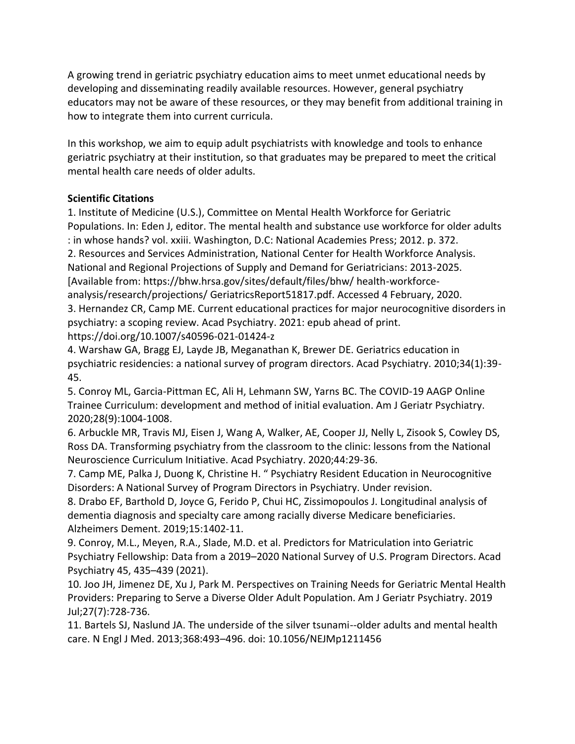A growing trend in geriatric psychiatry education aims to meet unmet educational needs by developing and disseminating readily available resources. However, general psychiatry educators may not be aware of these resources, or they may benefit from additional training in how to integrate them into current curricula.

In this workshop, we aim to equip adult psychiatrists with knowledge and tools to enhance geriatric psychiatry at their institution, so that graduates may be prepared to meet the critical mental health care needs of older adults.

# **Scientific Citations**

1. Institute of Medicine (U.S.), Committee on Mental Health Workforce for Geriatric Populations. In: Eden J, editor. The mental health and substance use workforce for older adults : in whose hands? vol. xxiii. Washington, D.C: National Academies Press; 2012. p. 372. 2. Resources and Services Administration, National Center for Health Workforce Analysis.

National and Regional Projections of Supply and Demand for Geriatricians: 2013-2025.

[Available from: https://bhw.hrsa.gov/sites/default/files/bhw/ health-workforceanalysis/research/projections/ GeriatricsReport51817.pdf. Accessed 4 February, 2020. 3. Hernandez CR, Camp ME. Current educational practices for major neurocognitive disorders in

psychiatry: a scoping review. Acad Psychiatry. 2021: epub ahead of print.

https://doi.org/10.1007/s40596-021-01424-z

4. Warshaw GA, Bragg EJ, Layde JB, Meganathan K, Brewer DE. Geriatrics education in psychiatric residencies: a national survey of program directors. Acad Psychiatry. 2010;34(1):39- 45.

5. Conroy ML, Garcia-Pittman EC, Ali H, Lehmann SW, Yarns BC. The COVID-19 AAGP Online Trainee Curriculum: development and method of initial evaluation. Am J Geriatr Psychiatry. 2020;28(9):1004-1008.

6. Arbuckle MR, Travis MJ, Eisen J, Wang A, Walker, AE, Cooper JJ, Nelly L, Zisook S, Cowley DS, Ross DA. Transforming psychiatry from the classroom to the clinic: lessons from the National Neuroscience Curriculum Initiative. Acad Psychiatry. 2020;44:29-36.

7. Camp ME, Palka J, Duong K, Christine H. " Psychiatry Resident Education in Neurocognitive Disorders: A National Survey of Program Directors in Psychiatry. Under revision.

8. Drabo EF, Barthold D, Joyce G, Ferido P, Chui HC, Zissimopoulos J. Longitudinal analysis of dementia diagnosis and specialty care among racially diverse Medicare beneficiaries. Alzheimers Dement. 2019;15:1402-11.

9. Conroy, M.L., Meyen, R.A., Slade, M.D. et al. Predictors for Matriculation into Geriatric Psychiatry Fellowship: Data from a 2019–2020 National Survey of U.S. Program Directors. Acad Psychiatry 45, 435–439 (2021).

10. Joo JH, Jimenez DE, Xu J, Park M. Perspectives on Training Needs for Geriatric Mental Health Providers: Preparing to Serve a Diverse Older Adult Population. Am J Geriatr Psychiatry. 2019 Jul;27(7):728-736.

11. Bartels SJ, Naslund JA. The underside of the silver tsunami--older adults and mental health care. N Engl J Med. 2013;368:493–496. doi: 10.1056/NEJMp1211456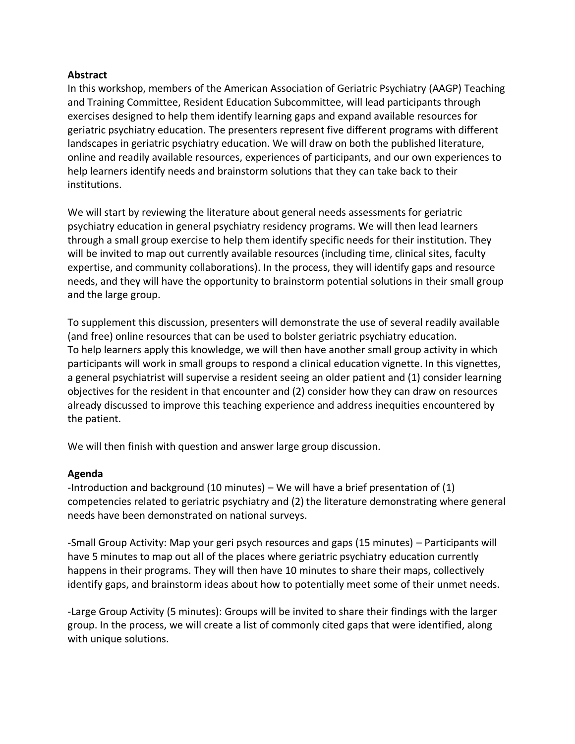#### **Abstract**

In this workshop, members of the American Association of Geriatric Psychiatry (AAGP) Teaching and Training Committee, Resident Education Subcommittee, will lead participants through exercises designed to help them identify learning gaps and expand available resources for geriatric psychiatry education. The presenters represent five different programs with different landscapes in geriatric psychiatry education. We will draw on both the published literature, online and readily available resources, experiences of participants, and our own experiences to help learners identify needs and brainstorm solutions that they can take back to their institutions.

We will start by reviewing the literature about general needs assessments for geriatric psychiatry education in general psychiatry residency programs. We will then lead learners through a small group exercise to help them identify specific needs for their institution. They will be invited to map out currently available resources (including time, clinical sites, faculty expertise, and community collaborations). In the process, they will identify gaps and resource needs, and they will have the opportunity to brainstorm potential solutions in their small group and the large group.

To supplement this discussion, presenters will demonstrate the use of several readily available (and free) online resources that can be used to bolster geriatric psychiatry education. To help learners apply this knowledge, we will then have another small group activity in which participants will work in small groups to respond a clinical education vignette. In this vignettes, a general psychiatrist will supervise a resident seeing an older patient and (1) consider learning objectives for the resident in that encounter and (2) consider how they can draw on resources already discussed to improve this teaching experience and address inequities encountered by the patient.

We will then finish with question and answer large group discussion.

### **Agenda**

-Introduction and background (10 minutes) – We will have a brief presentation of (1) competencies related to geriatric psychiatry and (2) the literature demonstrating where general needs have been demonstrated on national surveys.

-Small Group Activity: Map your geri psych resources and gaps (15 minutes) – Participants will have 5 minutes to map out all of the places where geriatric psychiatry education currently happens in their programs. They will then have 10 minutes to share their maps, collectively identify gaps, and brainstorm ideas about how to potentially meet some of their unmet needs.

-Large Group Activity (5 minutes): Groups will be invited to share their findings with the larger group. In the process, we will create a list of commonly cited gaps that were identified, along with unique solutions.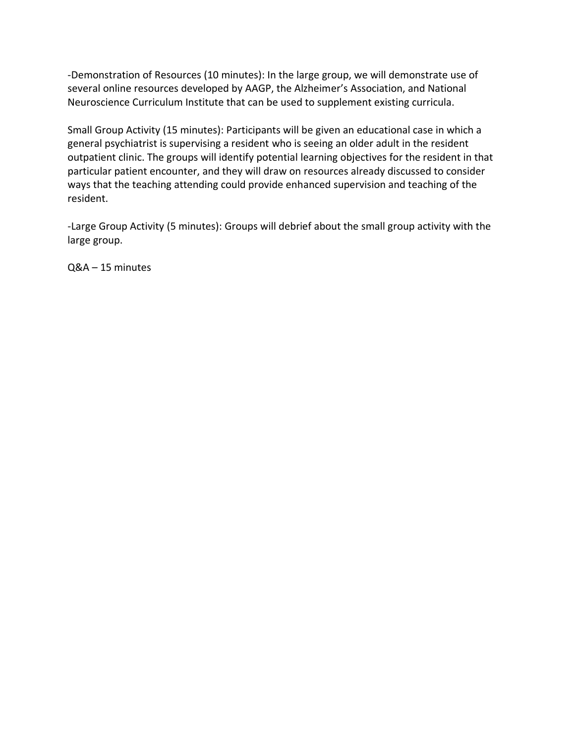-Demonstration of Resources (10 minutes): In the large group, we will demonstrate use of several online resources developed by AAGP, the Alzheimer's Association, and National Neuroscience Curriculum Institute that can be used to supplement existing curricula.

Small Group Activity (15 minutes): Participants will be given an educational case in which a general psychiatrist is supervising a resident who is seeing an older adult in the resident outpatient clinic. The groups will identify potential learning objectives for the resident in that particular patient encounter, and they will draw on resources already discussed to consider ways that the teaching attending could provide enhanced supervision and teaching of the resident.

-Large Group Activity (5 minutes): Groups will debrief about the small group activity with the large group.

Q&A – 15 minutes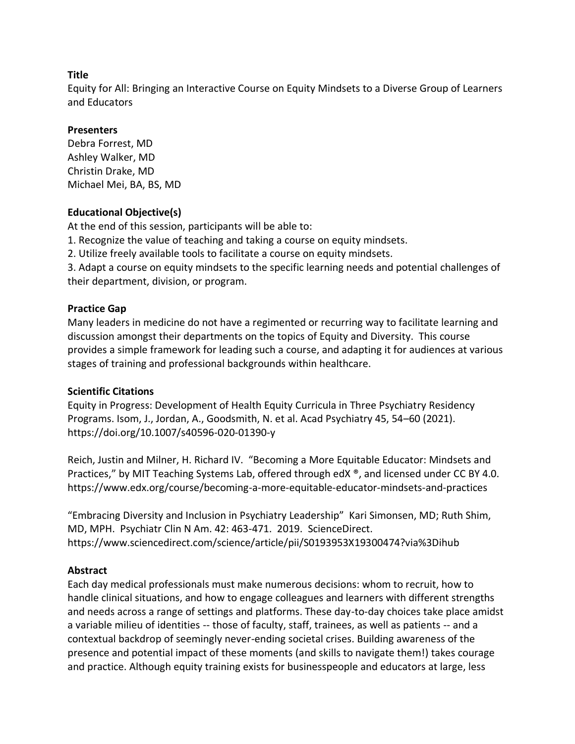Equity for All: Bringing an Interactive Course on Equity Mindsets to a Diverse Group of Learners and Educators

## **Presenters**

Debra Forrest, MD Ashley Walker, MD Christin Drake, MD Michael Mei, BA, BS, MD

## **Educational Objective(s)**

At the end of this session, participants will be able to:

1. Recognize the value of teaching and taking a course on equity mindsets.

2. Utilize freely available tools to facilitate a course on equity mindsets.

3. Adapt a course on equity mindsets to the specific learning needs and potential challenges of their department, division, or program.

## **Practice Gap**

Many leaders in medicine do not have a regimented or recurring way to facilitate learning and discussion amongst their departments on the topics of Equity and Diversity. This course provides a simple framework for leading such a course, and adapting it for audiences at various stages of training and professional backgrounds within healthcare.

### **Scientific Citations**

Equity in Progress: Development of Health Equity Curricula in Three Psychiatry Residency Programs. Isom, J., Jordan, A., Goodsmith, N. et al. Acad Psychiatry 45, 54–60 (2021). https://doi.org/10.1007/s40596-020-01390-y

Reich, Justin and Milner, H. Richard IV. "Becoming a More Equitable Educator: Mindsets and Practices," by MIT Teaching Systems Lab, offered through edX  $\degree$ , and licensed under CC BY 4.0. https://www.edx.org/course/becoming-a-more-equitable-educator-mindsets-and-practices

"Embracing Diversity and Inclusion in Psychiatry Leadership" Kari Simonsen, MD; Ruth Shim, MD, MPH. Psychiatr Clin N Am. 42: 463-471. 2019. ScienceDirect. https://www.sciencedirect.com/science/article/pii/S0193953X19300474?via%3Dihub

## **Abstract**

Each day medical professionals must make numerous decisions: whom to recruit, how to handle clinical situations, and how to engage colleagues and learners with different strengths and needs across a range of settings and platforms. These day-to-day choices take place amidst a variable milieu of identities -- those of faculty, staff, trainees, as well as patients -- and a contextual backdrop of seemingly never-ending societal crises. Building awareness of the presence and potential impact of these moments (and skills to navigate them!) takes courage and practice. Although equity training exists for businesspeople and educators at large, less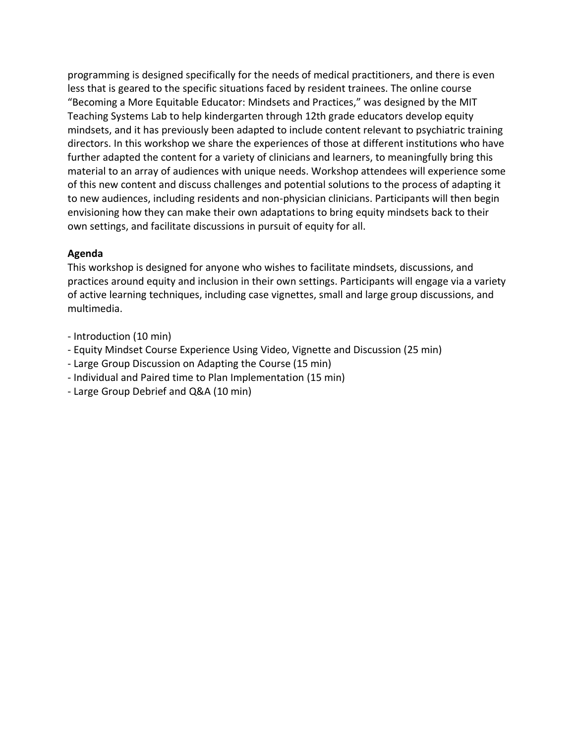programming is designed specifically for the needs of medical practitioners, and there is even less that is geared to the specific situations faced by resident trainees. The online course "Becoming a More Equitable Educator: Mindsets and Practices," was designed by the MIT Teaching Systems Lab to help kindergarten through 12th grade educators develop equity mindsets, and it has previously been adapted to include content relevant to psychiatric training directors. In this workshop we share the experiences of those at different institutions who have further adapted the content for a variety of clinicians and learners, to meaningfully bring this material to an array of audiences with unique needs. Workshop attendees will experience some of this new content and discuss challenges and potential solutions to the process of adapting it to new audiences, including residents and non-physician clinicians. Participants will then begin envisioning how they can make their own adaptations to bring equity mindsets back to their own settings, and facilitate discussions in pursuit of equity for all.

### **Agenda**

This workshop is designed for anyone who wishes to facilitate mindsets, discussions, and practices around equity and inclusion in their own settings. Participants will engage via a variety of active learning techniques, including case vignettes, small and large group discussions, and multimedia.

- Introduction (10 min)
- Equity Mindset Course Experience Using Video, Vignette and Discussion (25 min)
- Large Group Discussion on Adapting the Course (15 min)
- Individual and Paired time to Plan Implementation (15 min)
- Large Group Debrief and Q&A (10 min)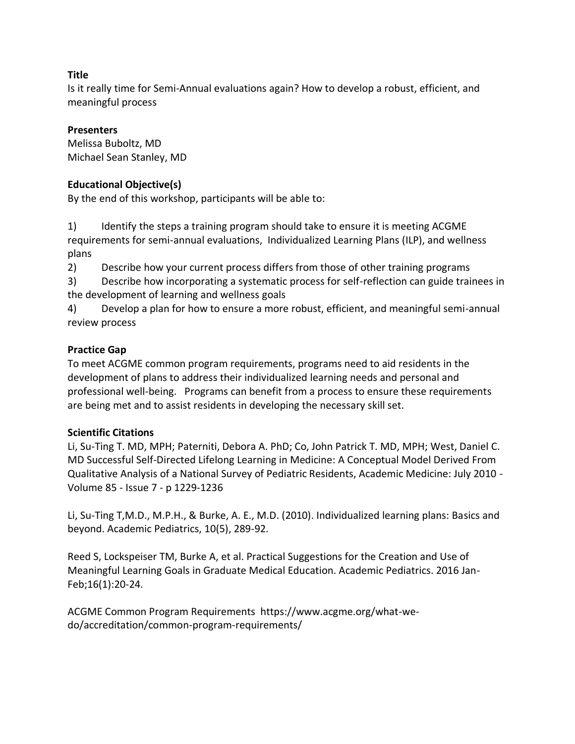Is it really time for Semi-Annual evaluations again? How to develop a robust, efficient, and meaningful process

## **Presenters**

Melissa Buboltz, MD Michael Sean Stanley, MD

## **Educational Objective(s)**

By the end of this workshop, participants will be able to:

1) Identify the steps a training program should take to ensure it is meeting ACGME requirements for semi-annual evaluations, Individualized Learning Plans (ILP), and wellness plans

2) Describe how your current process differs from those of other training programs

3) Describe how incorporating a systematic process for self-reflection can guide trainees in the development of learning and wellness goals

4) Develop a plan for how to ensure a more robust, efficient, and meaningful semi-annual review process

## **Practice Gap**

To meet ACGME common program requirements, programs need to aid residents in the development of plans to address their individualized learning needs and personal and professional well-being. Programs can benefit from a process to ensure these requirements are being met and to assist residents in developing the necessary skill set.

### **Scientific Citations**

Li, Su-Ting T. MD, MPH; Paterniti, Debora A. PhD; Co, John Patrick T. MD, MPH; West, Daniel C. MD Successful Self-Directed Lifelong Learning in Medicine: A Conceptual Model Derived From Qualitative Analysis of a National Survey of Pediatric Residents, Academic Medicine: July 2010 - Volume 85 - Issue 7 - p 1229-1236

Li, Su-Ting T,M.D., M.P.H., & Burke, A. E., M.D. (2010). Individualized learning plans: Basics and beyond. Academic Pediatrics, 10(5), 289-92.

Reed S, Lockspeiser TM, Burke A, et al. Practical Suggestions for the Creation and Use of Meaningful Learning Goals in Graduate Medical Education. Academic Pediatrics. 2016 Jan-Feb;16(1):20-24.

ACGME Common Program Requirements https://www.acgme.org/what-wedo/accreditation/common-program-requirements/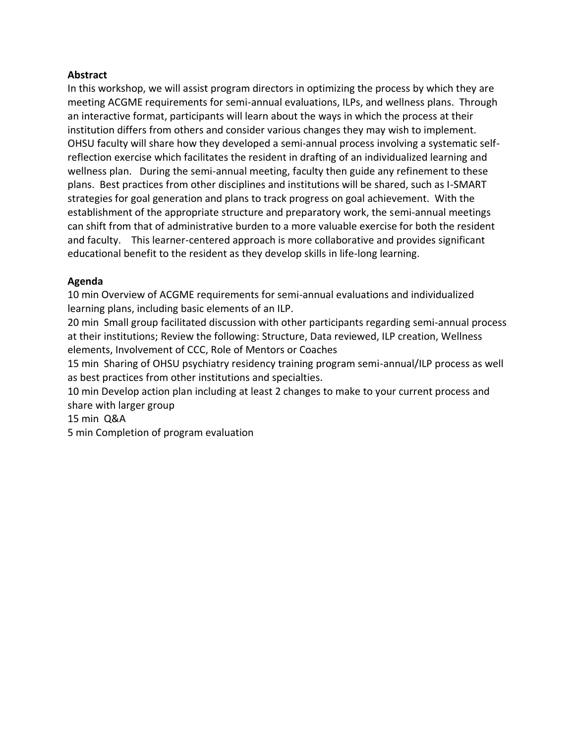### **Abstract**

In this workshop, we will assist program directors in optimizing the process by which they are meeting ACGME requirements for semi-annual evaluations, ILPs, and wellness plans. Through an interactive format, participants will learn about the ways in which the process at their institution differs from others and consider various changes they may wish to implement. OHSU faculty will share how they developed a semi-annual process involving a systematic selfreflection exercise which facilitates the resident in drafting of an individualized learning and wellness plan. During the semi-annual meeting, faculty then guide any refinement to these plans. Best practices from other disciplines and institutions will be shared, such as I-SMART strategies for goal generation and plans to track progress on goal achievement. With the establishment of the appropriate structure and preparatory work, the semi-annual meetings can shift from that of administrative burden to a more valuable exercise for both the resident and faculty. This learner-centered approach is more collaborative and provides significant educational benefit to the resident as they develop skills in life-long learning.

## **Agenda**

10 min Overview of ACGME requirements for semi-annual evaluations and individualized learning plans, including basic elements of an ILP.

20 min Small group facilitated discussion with other participants regarding semi-annual process at their institutions; Review the following: Structure, Data reviewed, ILP creation, Wellness elements, Involvement of CCC, Role of Mentors or Coaches

15 min Sharing of OHSU psychiatry residency training program semi-annual/ILP process as well as best practices from other institutions and specialties.

10 min Develop action plan including at least 2 changes to make to your current process and share with larger group

15 min Q&A

5 min Completion of program evaluation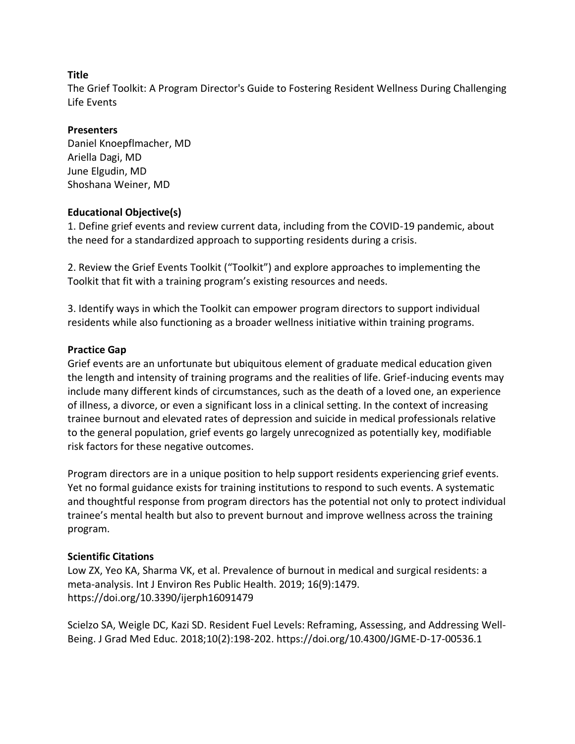The Grief Toolkit: A Program Director's Guide to Fostering Resident Wellness During Challenging Life Events

## **Presenters**

Daniel Knoepflmacher, MD Ariella Dagi, MD June Elgudin, MD Shoshana Weiner, MD

## **Educational Objective(s)**

1. Define grief events and review current data, including from the COVID-19 pandemic, about the need for a standardized approach to supporting residents during a crisis.

2. Review the Grief Events Toolkit ("Toolkit") and explore approaches to implementing the Toolkit that fit with a training program's existing resources and needs.

3. Identify ways in which the Toolkit can empower program directors to support individual residents while also functioning as a broader wellness initiative within training programs.

## **Practice Gap**

Grief events are an unfortunate but ubiquitous element of graduate medical education given the length and intensity of training programs and the realities of life. Grief-inducing events may include many different kinds of circumstances, such as the death of a loved one, an experience of illness, a divorce, or even a significant loss in a clinical setting. In the context of increasing trainee burnout and elevated rates of depression and suicide in medical professionals relative to the general population, grief events go largely unrecognized as potentially key, modifiable risk factors for these negative outcomes.

Program directors are in a unique position to help support residents experiencing grief events. Yet no formal guidance exists for training institutions to respond to such events. A systematic and thoughtful response from program directors has the potential not only to protect individual trainee's mental health but also to prevent burnout and improve wellness across the training program.

## **Scientific Citations**

Low ZX, Yeo KA, Sharma VK, et al. Prevalence of burnout in medical and surgical residents: a meta-analysis. Int J Environ Res Public Health. 2019; 16(9):1479. https://doi.org/10.3390/ijerph16091479

Scielzo SA, Weigle DC, Kazi SD. Resident Fuel Levels: Reframing, Assessing, and Addressing Well-Being. J Grad Med Educ. 2018;10(2):198-202. https://doi.org/10.4300/JGME-D-17-00536.1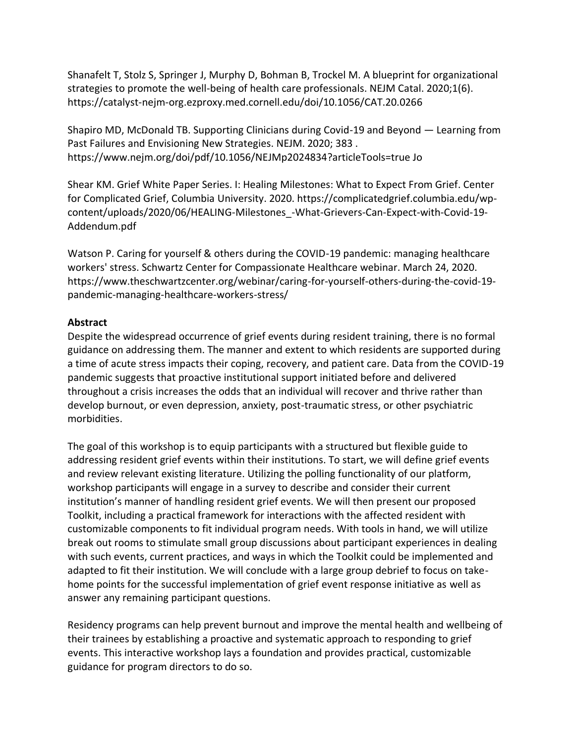Shanafelt T, Stolz S, Springer J, Murphy D, Bohman B, Trockel M. A blueprint for organizational strategies to promote the well-being of health care professionals. NEJM Catal. 2020;1(6). https://catalyst-nejm-org.ezproxy.med.cornell.edu/doi/10.1056/CAT.20.0266

Shapiro MD, McDonald TB. Supporting Clinicians during Covid-19 and Beyond — Learning from Past Failures and Envisioning New Strategies. NEJM. 2020; 383 . https://www.nejm.org/doi/pdf/10.1056/NEJMp2024834?articleTools=true Jo

Shear KM. Grief White Paper Series. I: Healing Milestones: What to Expect From Grief. Center for Complicated Grief, Columbia University. 2020. https://complicatedgrief.columbia.edu/wpcontent/uploads/2020/06/HEALING-Milestones\_-What-Grievers-Can-Expect-with-Covid-19- Addendum.pdf

Watson P. Caring for yourself & others during the COVID-19 pandemic: managing healthcare workers' stress. Schwartz Center for Compassionate Healthcare webinar. March 24, 2020. https://www.theschwartzcenter.org/webinar/caring-for-yourself-others-during-the-covid-19 pandemic-managing-healthcare-workers-stress/

## **Abstract**

Despite the widespread occurrence of grief events during resident training, there is no formal guidance on addressing them. The manner and extent to which residents are supported during a time of acute stress impacts their coping, recovery, and patient care. Data from the COVID-19 pandemic suggests that proactive institutional support initiated before and delivered throughout a crisis increases the odds that an individual will recover and thrive rather than develop burnout, or even depression, anxiety, post-traumatic stress, or other psychiatric morbidities.

The goal of this workshop is to equip participants with a structured but flexible guide to addressing resident grief events within their institutions. To start, we will define grief events and review relevant existing literature. Utilizing the polling functionality of our platform, workshop participants will engage in a survey to describe and consider their current institution's manner of handling resident grief events. We will then present our proposed Toolkit, including a practical framework for interactions with the affected resident with customizable components to fit individual program needs. With tools in hand, we will utilize break out rooms to stimulate small group discussions about participant experiences in dealing with such events, current practices, and ways in which the Toolkit could be implemented and adapted to fit their institution. We will conclude with a large group debrief to focus on takehome points for the successful implementation of grief event response initiative as well as answer any remaining participant questions.

Residency programs can help prevent burnout and improve the mental health and wellbeing of their trainees by establishing a proactive and systematic approach to responding to grief events. This interactive workshop lays a foundation and provides practical, customizable guidance for program directors to do so.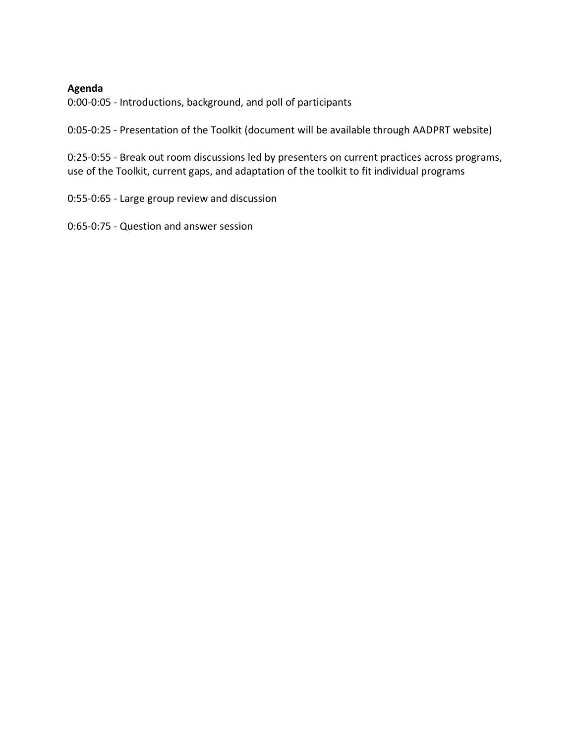#### **Agenda**

0:00-0:05 - Introductions, background, and poll of participants

0:05-0:25 - Presentation of the Toolkit (document will be available through AADPRT website)

0:25-0:55 - Break out room discussions led by presenters on current practices across programs, use of the Toolkit, current gaps, and adaptation of the toolkit to fit individual programs

0:55-0:65 - Large group review and discussion

0:65-0:75 - Question and answer session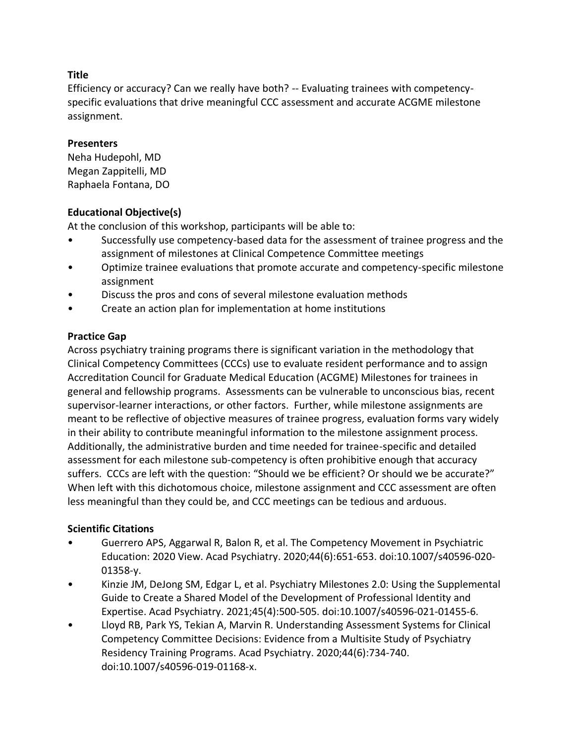Efficiency or accuracy? Can we really have both? -- Evaluating trainees with competencyspecific evaluations that drive meaningful CCC assessment and accurate ACGME milestone assignment.

### **Presenters**

Neha Hudepohl, MD Megan Zappitelli, MD Raphaela Fontana, DO

# **Educational Objective(s)**

At the conclusion of this workshop, participants will be able to:

- Successfully use competency-based data for the assessment of trainee progress and the assignment of milestones at Clinical Competence Committee meetings
- Optimize trainee evaluations that promote accurate and competency-specific milestone assignment
- Discuss the pros and cons of several milestone evaluation methods
- Create an action plan for implementation at home institutions

# **Practice Gap**

Across psychiatry training programs there is significant variation in the methodology that Clinical Competency Committees (CCCs) use to evaluate resident performance and to assign Accreditation Council for Graduate Medical Education (ACGME) Milestones for trainees in general and fellowship programs. Assessments can be vulnerable to unconscious bias, recent supervisor-learner interactions, or other factors. Further, while milestone assignments are meant to be reflective of objective measures of trainee progress, evaluation forms vary widely in their ability to contribute meaningful information to the milestone assignment process. Additionally, the administrative burden and time needed for trainee-specific and detailed assessment for each milestone sub-competency is often prohibitive enough that accuracy suffers. CCCs are left with the question: "Should we be efficient? Or should we be accurate?" When left with this dichotomous choice, milestone assignment and CCC assessment are often less meaningful than they could be, and CCC meetings can be tedious and arduous.

# **Scientific Citations**

- Guerrero APS, Aggarwal R, Balon R, et al. The Competency Movement in Psychiatric Education: 2020 View. Acad Psychiatry. 2020;44(6):651-653. doi:10.1007/s40596-020- 01358-y.
- Kinzie JM, DeJong SM, Edgar L, et al. Psychiatry Milestones 2.0: Using the Supplemental Guide to Create a Shared Model of the Development of Professional Identity and Expertise. Acad Psychiatry. 2021;45(4):500-505. doi:10.1007/s40596-021-01455-6.
- Lloyd RB, Park YS, Tekian A, Marvin R. Understanding Assessment Systems for Clinical Competency Committee Decisions: Evidence from a Multisite Study of Psychiatry Residency Training Programs. Acad Psychiatry. 2020;44(6):734-740. doi:10.1007/s40596-019-01168-x.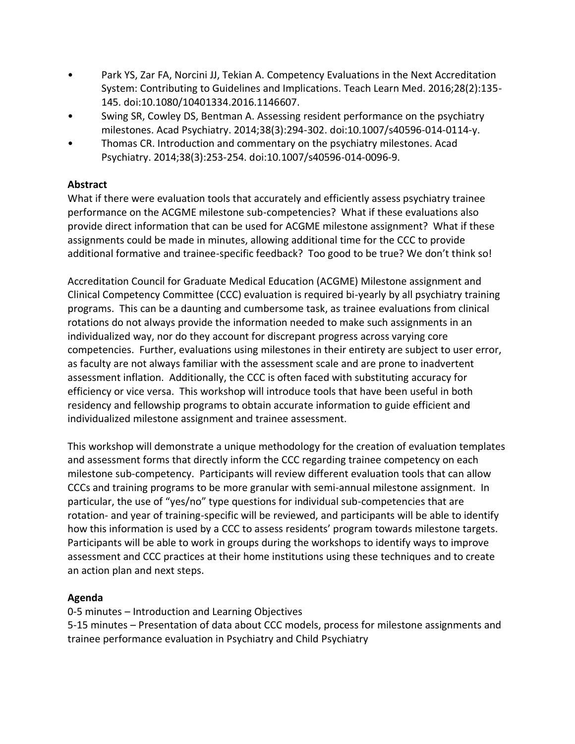- Park YS, Zar FA, Norcini JJ, Tekian A. Competency Evaluations in the Next Accreditation System: Contributing to Guidelines and Implications. Teach Learn Med. 2016;28(2):135- 145. doi:10.1080/10401334.2016.1146607.
- Swing SR, Cowley DS, Bentman A. Assessing resident performance on the psychiatry milestones. Acad Psychiatry. 2014;38(3):294-302. doi:10.1007/s40596-014-0114-y.
- Thomas CR. Introduction and commentary on the psychiatry milestones. Acad Psychiatry. 2014;38(3):253-254. doi:10.1007/s40596-014-0096-9.

# **Abstract**

What if there were evaluation tools that accurately and efficiently assess psychiatry trainee performance on the ACGME milestone sub-competencies? What if these evaluations also provide direct information that can be used for ACGME milestone assignment? What if these assignments could be made in minutes, allowing additional time for the CCC to provide additional formative and trainee-specific feedback? Too good to be true? We don't think so!

Accreditation Council for Graduate Medical Education (ACGME) Milestone assignment and Clinical Competency Committee (CCC) evaluation is required bi-yearly by all psychiatry training programs. This can be a daunting and cumbersome task, as trainee evaluations from clinical rotations do not always provide the information needed to make such assignments in an individualized way, nor do they account for discrepant progress across varying core competencies. Further, evaluations using milestones in their entirety are subject to user error, as faculty are not always familiar with the assessment scale and are prone to inadvertent assessment inflation. Additionally, the CCC is often faced with substituting accuracy for efficiency or vice versa. This workshop will introduce tools that have been useful in both residency and fellowship programs to obtain accurate information to guide efficient and individualized milestone assignment and trainee assessment.

This workshop will demonstrate a unique methodology for the creation of evaluation templates and assessment forms that directly inform the CCC regarding trainee competency on each milestone sub-competency. Participants will review different evaluation tools that can allow CCCs and training programs to be more granular with semi-annual milestone assignment. In particular, the use of "yes/no" type questions for individual sub-competencies that are rotation- and year of training-specific will be reviewed, and participants will be able to identify how this information is used by a CCC to assess residents' program towards milestone targets. Participants will be able to work in groups during the workshops to identify ways to improve assessment and CCC practices at their home institutions using these techniques and to create an action plan and next steps.

# **Agenda**

0-5 minutes – Introduction and Learning Objectives

5-15 minutes – Presentation of data about CCC models, process for milestone assignments and trainee performance evaluation in Psychiatry and Child Psychiatry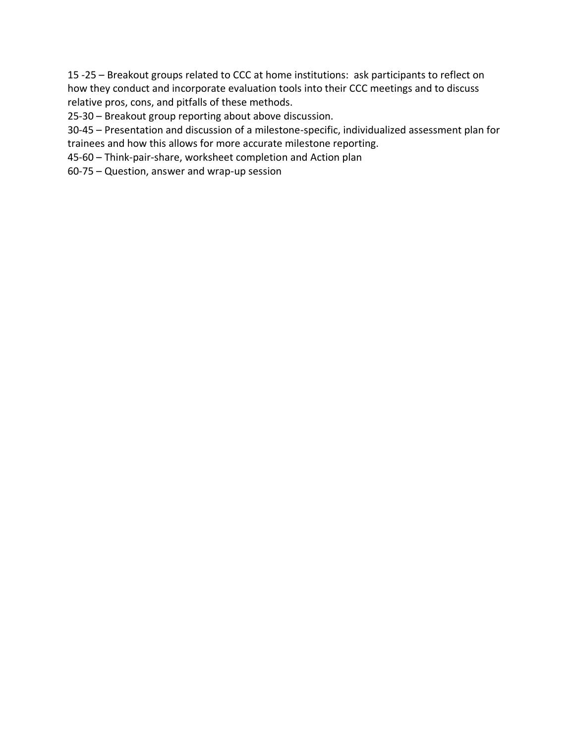15 -25 – Breakout groups related to CCC at home institutions: ask participants to reflect on how they conduct and incorporate evaluation tools into their CCC meetings and to discuss relative pros, cons, and pitfalls of these methods.

25-30 – Breakout group reporting about above discussion.

30-45 – Presentation and discussion of a milestone-specific, individualized assessment plan for trainees and how this allows for more accurate milestone reporting.

45-60 – Think-pair-share, worksheet completion and Action plan

60-75 – Question, answer and wrap-up session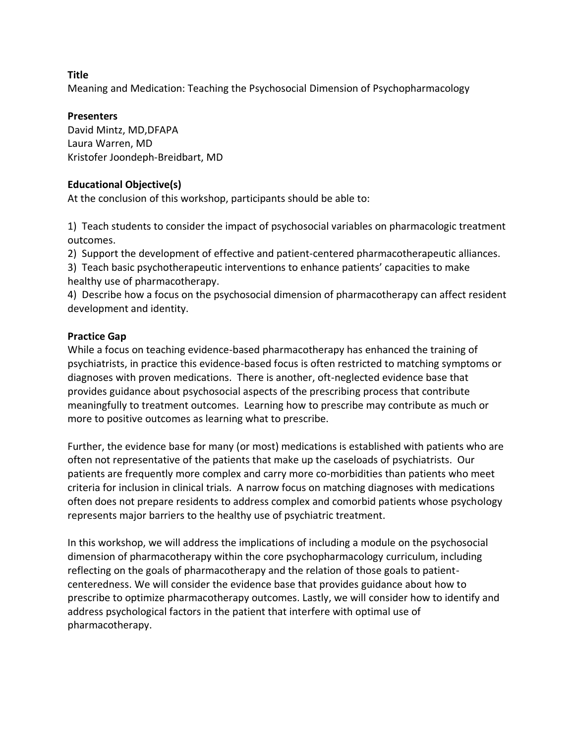Meaning and Medication: Teaching the Psychosocial Dimension of Psychopharmacology

#### **Presenters**

David Mintz, MD,DFAPA Laura Warren, MD Kristofer Joondeph-Breidbart, MD

### **Educational Objective(s)**

At the conclusion of this workshop, participants should be able to:

1) Teach students to consider the impact of psychosocial variables on pharmacologic treatment outcomes.

2) Support the development of effective and patient-centered pharmacotherapeutic alliances.

3) Teach basic psychotherapeutic interventions to enhance patients' capacities to make healthy use of pharmacotherapy.

4) Describe how a focus on the psychosocial dimension of pharmacotherapy can affect resident development and identity.

### **Practice Gap**

While a focus on teaching evidence-based pharmacotherapy has enhanced the training of psychiatrists, in practice this evidence-based focus is often restricted to matching symptoms or diagnoses with proven medications. There is another, oft-neglected evidence base that provides guidance about psychosocial aspects of the prescribing process that contribute meaningfully to treatment outcomes. Learning how to prescribe may contribute as much or more to positive outcomes as learning what to prescribe.

Further, the evidence base for many (or most) medications is established with patients who are often not representative of the patients that make up the caseloads of psychiatrists. Our patients are frequently more complex and carry more co-morbidities than patients who meet criteria for inclusion in clinical trials. A narrow focus on matching diagnoses with medications often does not prepare residents to address complex and comorbid patients whose psychology represents major barriers to the healthy use of psychiatric treatment.

In this workshop, we will address the implications of including a module on the psychosocial dimension of pharmacotherapy within the core psychopharmacology curriculum, including reflecting on the goals of pharmacotherapy and the relation of those goals to patientcenteredness. We will consider the evidence base that provides guidance about how to prescribe to optimize pharmacotherapy outcomes. Lastly, we will consider how to identify and address psychological factors in the patient that interfere with optimal use of pharmacotherapy.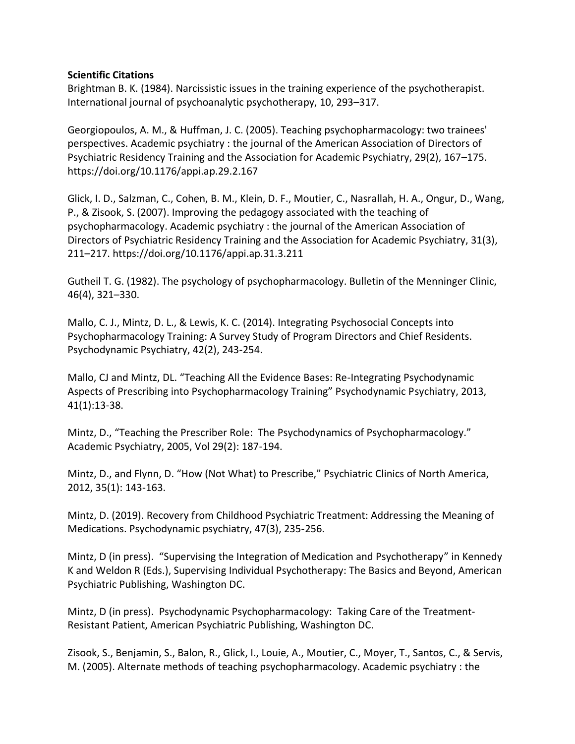#### **Scientific Citations**

Brightman B. K. (1984). Narcissistic issues in the training experience of the psychotherapist. International journal of psychoanalytic psychotherapy, 10, 293–317.

Georgiopoulos, A. M., & Huffman, J. C. (2005). Teaching psychopharmacology: two trainees' perspectives. Academic psychiatry : the journal of the American Association of Directors of Psychiatric Residency Training and the Association for Academic Psychiatry, 29(2), 167–175. https://doi.org/10.1176/appi.ap.29.2.167

Glick, I. D., Salzman, C., Cohen, B. M., Klein, D. F., Moutier, C., Nasrallah, H. A., Ongur, D., Wang, P., & Zisook, S. (2007). Improving the pedagogy associated with the teaching of psychopharmacology. Academic psychiatry : the journal of the American Association of Directors of Psychiatric Residency Training and the Association for Academic Psychiatry, 31(3), 211–217. https://doi.org/10.1176/appi.ap.31.3.211

Gutheil T. G. (1982). The psychology of psychopharmacology. Bulletin of the Menninger Clinic, 46(4), 321–330.

Mallo, C. J., Mintz, D. L., & Lewis, K. C. (2014). Integrating Psychosocial Concepts into Psychopharmacology Training: A Survey Study of Program Directors and Chief Residents. Psychodynamic Psychiatry, 42(2), 243-254.

Mallo, CJ and Mintz, DL. "Teaching All the Evidence Bases: Re-Integrating Psychodynamic Aspects of Prescribing into Psychopharmacology Training" Psychodynamic Psychiatry, 2013, 41(1):13-38.

Mintz, D., "Teaching the Prescriber Role: The Psychodynamics of Psychopharmacology." Academic Psychiatry, 2005, Vol 29(2): 187-194.

Mintz, D., and Flynn, D. "How (Not What) to Prescribe," Psychiatric Clinics of North America, 2012, 35(1): 143-163.

Mintz, D. (2019). Recovery from Childhood Psychiatric Treatment: Addressing the Meaning of Medications. Psychodynamic psychiatry, 47(3), 235-256.

Mintz, D (in press). "Supervising the Integration of Medication and Psychotherapy" in Kennedy K and Weldon R (Eds.), Supervising Individual Psychotherapy: The Basics and Beyond, American Psychiatric Publishing, Washington DC.

Mintz, D (in press). Psychodynamic Psychopharmacology: Taking Care of the Treatment-Resistant Patient, American Psychiatric Publishing, Washington DC.

Zisook, S., Benjamin, S., Balon, R., Glick, I., Louie, A., Moutier, C., Moyer, T., Santos, C., & Servis, M. (2005). Alternate methods of teaching psychopharmacology. Academic psychiatry : the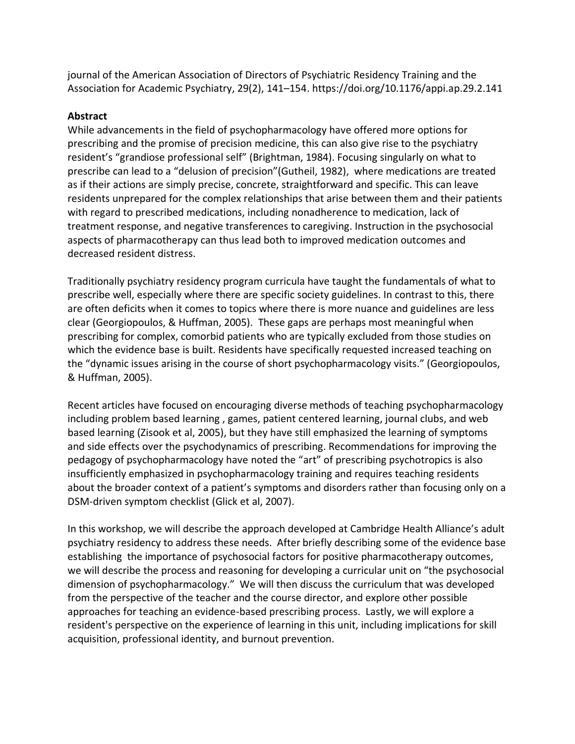journal of the American Association of Directors of Psychiatric Residency Training and the Association for Academic Psychiatry, 29(2), 141–154. https://doi.org/10.1176/appi.ap.29.2.141

### **Abstract**

While advancements in the field of psychopharmacology have offered more options for prescribing and the promise of precision medicine, this can also give rise to the psychiatry resident's "grandiose professional self" (Brightman, 1984). Focusing singularly on what to prescribe can lead to a "delusion of precision"(Gutheil, 1982), where medications are treated as if their actions are simply precise, concrete, straightforward and specific. This can leave residents unprepared for the complex relationships that arise between them and their patients with regard to prescribed medications, including nonadherence to medication, lack of treatment response, and negative transferences to caregiving. Instruction in the psychosocial aspects of pharmacotherapy can thus lead both to improved medication outcomes and decreased resident distress.

Traditionally psychiatry residency program curricula have taught the fundamentals of what to prescribe well, especially where there are specific society guidelines. In contrast to this, there are often deficits when it comes to topics where there is more nuance and guidelines are less clear (Georgiopoulos, & Huffman, 2005). These gaps are perhaps most meaningful when prescribing for complex, comorbid patients who are typically excluded from those studies on which the evidence base is built. Residents have specifically requested increased teaching on the "dynamic issues arising in the course of short psychopharmacology visits." (Georgiopoulos, & Huffman, 2005).

Recent articles have focused on encouraging diverse methods of teaching psychopharmacology including problem based learning , games, patient centered learning, journal clubs, and web based learning (Zisook et al, 2005), but they have still emphasized the learning of symptoms and side effects over the psychodynamics of prescribing. Recommendations for improving the pedagogy of psychopharmacology have noted the "art" of prescribing psychotropics is also insufficiently emphasized in psychopharmacology training and requires teaching residents about the broader context of a patient's symptoms and disorders rather than focusing only on a DSM-driven symptom checklist (Glick et al, 2007).

In this workshop, we will describe the approach developed at Cambridge Health Alliance's adult psychiatry residency to address these needs. After briefly describing some of the evidence base establishing the importance of psychosocial factors for positive pharmacotherapy outcomes, we will describe the process and reasoning for developing a curricular unit on "the psychosocial dimension of psychopharmacology." We will then discuss the curriculum that was developed from the perspective of the teacher and the course director, and explore other possible approaches for teaching an evidence-based prescribing process. Lastly, we will explore a resident's perspective on the experience of learning in this unit, including implications for skill acquisition, professional identity, and burnout prevention.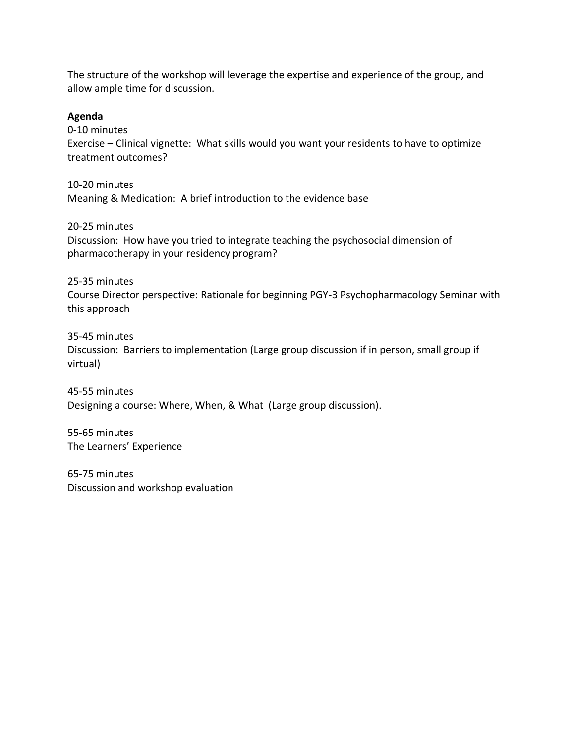The structure of the workshop will leverage the expertise and experience of the group, and allow ample time for discussion.

#### **Agenda**

0-10 minutes

Exercise – Clinical vignette: What skills would you want your residents to have to optimize treatment outcomes?

10-20 minutes Meaning & Medication: A brief introduction to the evidence base

20-25 minutes Discussion: How have you tried to integrate teaching the psychosocial dimension of pharmacotherapy in your residency program?

25-35 minutes

Course Director perspective: Rationale for beginning PGY-3 Psychopharmacology Seminar with this approach

35-45 minutes

Discussion: Barriers to implementation (Large group discussion if in person, small group if virtual)

45-55 minutes Designing a course: Where, When, & What (Large group discussion).

55-65 minutes The Learners' Experience

65-75 minutes Discussion and workshop evaluation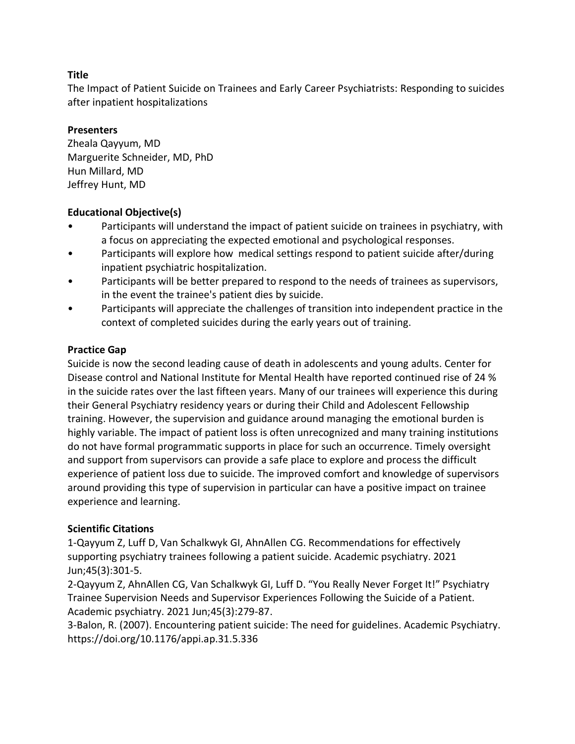The Impact of Patient Suicide on Trainees and Early Career Psychiatrists: Responding to suicides after inpatient hospitalizations

### **Presenters**

Zheala Qayyum, MD Marguerite Schneider, MD, PhD Hun Millard, MD Jeffrey Hunt, MD

### **Educational Objective(s)**

- Participants will understand the impact of patient suicide on trainees in psychiatry, with a focus on appreciating the expected emotional and psychological responses.
- Participants will explore how medical settings respond to patient suicide after/during inpatient psychiatric hospitalization.
- Participants will be better prepared to respond to the needs of trainees as supervisors, in the event the trainee's patient dies by suicide.
- Participants will appreciate the challenges of transition into independent practice in the context of completed suicides during the early years out of training.

### **Practice Gap**

Suicide is now the second leading cause of death in adolescents and young adults. Center for Disease control and National Institute for Mental Health have reported continued rise of 24 % in the suicide rates over the last fifteen years. Many of our trainees will experience this during their General Psychiatry residency years or during their Child and Adolescent Fellowship training. However, the supervision and guidance around managing the emotional burden is highly variable. The impact of patient loss is often unrecognized and many training institutions do not have formal programmatic supports in place for such an occurrence. Timely oversight and support from supervisors can provide a safe place to explore and process the difficult experience of patient loss due to suicide. The improved comfort and knowledge of supervisors around providing this type of supervision in particular can have a positive impact on trainee experience and learning.

# **Scientific Citations**

1-Qayyum Z, Luff D, Van Schalkwyk GI, AhnAllen CG. Recommendations for effectively supporting psychiatry trainees following a patient suicide. Academic psychiatry. 2021 Jun;45(3):301-5.

2-Qayyum Z, AhnAllen CG, Van Schalkwyk GI, Luff D. "You Really Never Forget It!" Psychiatry Trainee Supervision Needs and Supervisor Experiences Following the Suicide of a Patient. Academic psychiatry. 2021 Jun;45(3):279-87.

3-Balon, R. (2007). Encountering patient suicide: The need for guidelines. Academic Psychiatry. https://doi.org/10.1176/appi.ap.31.5.336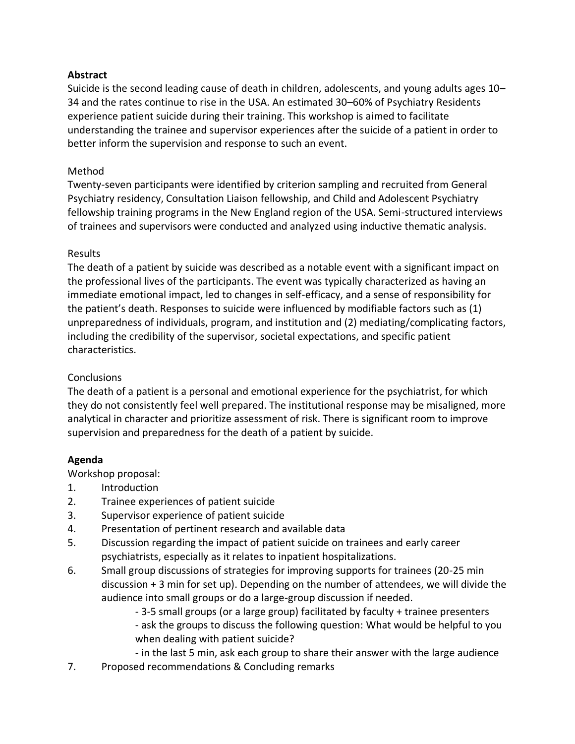### **Abstract**

Suicide is the second leading cause of death in children, adolescents, and young adults ages 10– 34 and the rates continue to rise in the USA. An estimated 30–60% of Psychiatry Residents experience patient suicide during their training. This workshop is aimed to facilitate understanding the trainee and supervisor experiences after the suicide of a patient in order to better inform the supervision and response to such an event.

### Method

Twenty-seven participants were identified by criterion sampling and recruited from General Psychiatry residency, Consultation Liaison fellowship, and Child and Adolescent Psychiatry fellowship training programs in the New England region of the USA. Semi-structured interviews of trainees and supervisors were conducted and analyzed using inductive thematic analysis.

### Results

The death of a patient by suicide was described as a notable event with a significant impact on the professional lives of the participants. The event was typically characterized as having an immediate emotional impact, led to changes in self-efficacy, and a sense of responsibility for the patient's death. Responses to suicide were influenced by modifiable factors such as (1) unpreparedness of individuals, program, and institution and (2) mediating/complicating factors, including the credibility of the supervisor, societal expectations, and specific patient characteristics.

# **Conclusions**

The death of a patient is a personal and emotional experience for the psychiatrist, for which they do not consistently feel well prepared. The institutional response may be misaligned, more analytical in character and prioritize assessment of risk. There is significant room to improve supervision and preparedness for the death of a patient by suicide.

# **Agenda**

Workshop proposal:

- 1. Introduction
- 2. Trainee experiences of patient suicide
- 3. Supervisor experience of patient suicide
- 4. Presentation of pertinent research and available data
- 5. Discussion regarding the impact of patient suicide on trainees and early career psychiatrists, especially as it relates to inpatient hospitalizations.
- 6. Small group discussions of strategies for improving supports for trainees (20-25 min discussion + 3 min for set up). Depending on the number of attendees, we will divide the audience into small groups or do a large-group discussion if needed.
	- 3-5 small groups (or a large group) facilitated by faculty + trainee presenters
	- ask the groups to discuss the following question: What would be helpful to you when dealing with patient suicide?
	- in the last 5 min, ask each group to share their answer with the large audience
- 7. Proposed recommendations & Concluding remarks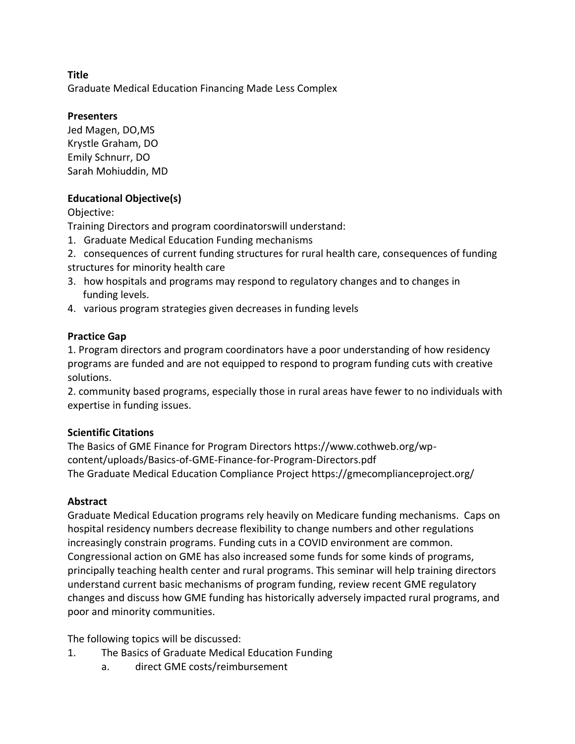Graduate Medical Education Financing Made Less Complex

# **Presenters**

Jed Magen, DO,MS Krystle Graham, DO Emily Schnurr, DO Sarah Mohiuddin, MD

# **Educational Objective(s)**

Objective:

Training Directors and program coordinatorswill understand:

- 1. Graduate Medical Education Funding mechanisms
- 2. consequences of current funding structures for rural health care, consequences of funding structures for minority health care
- 3. how hospitals and programs may respond to regulatory changes and to changes in funding levels.
- 4. various program strategies given decreases in funding levels

# **Practice Gap**

1. Program directors and program coordinators have a poor understanding of how residency programs are funded and are not equipped to respond to program funding cuts with creative solutions.

2. community based programs, especially those in rural areas have fewer to no individuals with expertise in funding issues.

# **Scientific Citations**

The Basics of GME Finance for Program Directors https://www.cothweb.org/wpcontent/uploads/Basics-of-GME-Finance-for-Program-Directors.pdf The Graduate Medical Education Compliance Project https://gmecomplianceproject.org/

# **Abstract**

Graduate Medical Education programs rely heavily on Medicare funding mechanisms. Caps on hospital residency numbers decrease flexibility to change numbers and other regulations increasingly constrain programs. Funding cuts in a COVID environment are common. Congressional action on GME has also increased some funds for some kinds of programs, principally teaching health center and rural programs. This seminar will help training directors understand current basic mechanisms of program funding, review recent GME regulatory changes and discuss how GME funding has historically adversely impacted rural programs, and poor and minority communities.

The following topics will be discussed:

- 1. The Basics of Graduate Medical Education Funding
	- a. direct GME costs/reimbursement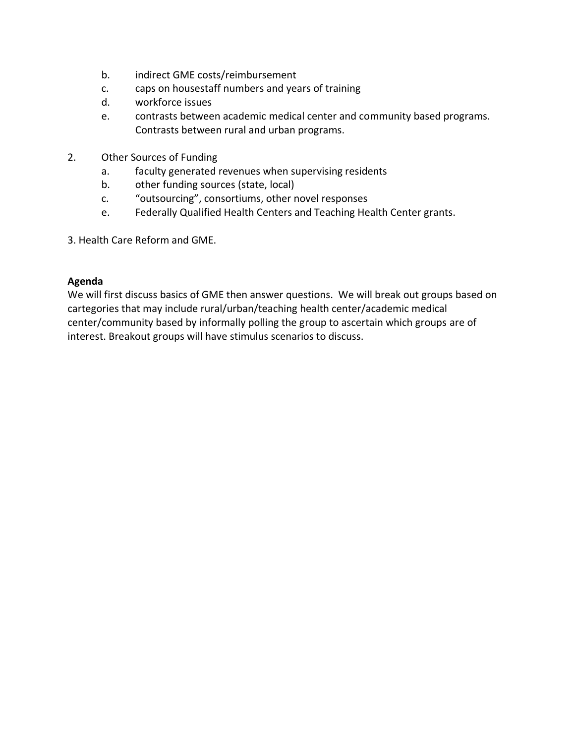- b. indirect GME costs/reimbursement
- c. caps on housestaff numbers and years of training
- d. workforce issues
- e. contrasts between academic medical center and community based programs. Contrasts between rural and urban programs.
- 2. Other Sources of Funding
	- a. faculty generated revenues when supervising residents
	- b. other funding sources (state, local)
	- c. "outsourcing", consortiums, other novel responses
	- e. Federally Qualified Health Centers and Teaching Health Center grants.
- 3. Health Care Reform and GME.

#### **Agenda**

We will first discuss basics of GME then answer questions. We will break out groups based on cartegories that may include rural/urban/teaching health center/academic medical center/community based by informally polling the group to ascertain which groups are of interest. Breakout groups will have stimulus scenarios to discuss.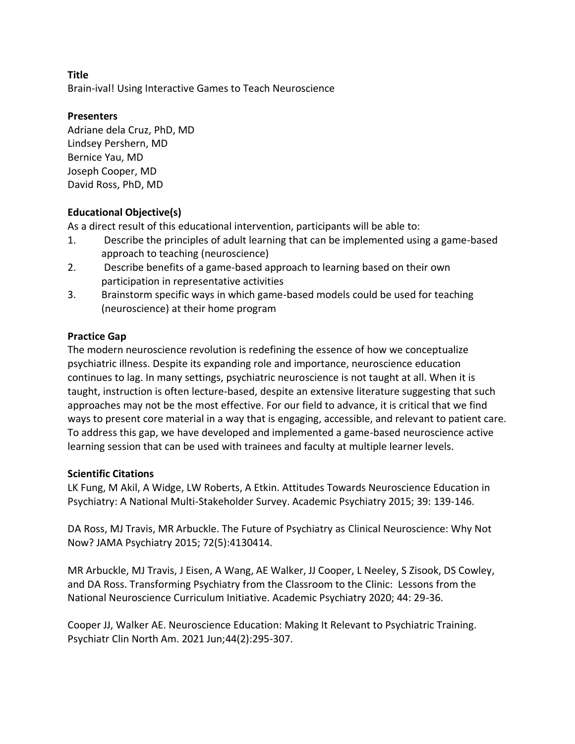Brain-ival! Using Interactive Games to Teach Neuroscience

### **Presenters**

Adriane dela Cruz, PhD, MD Lindsey Pershern, MD Bernice Yau, MD Joseph Cooper, MD David Ross, PhD, MD

# **Educational Objective(s)**

As a direct result of this educational intervention, participants will be able to:

- 1. Describe the principles of adult learning that can be implemented using a game-based approach to teaching (neuroscience)
- 2. Describe benefits of a game-based approach to learning based on their own participation in representative activities
- 3. Brainstorm specific ways in which game-based models could be used for teaching (neuroscience) at their home program

# **Practice Gap**

The modern neuroscience revolution is redefining the essence of how we conceptualize psychiatric illness. Despite its expanding role and importance, neuroscience education continues to lag. In many settings, psychiatric neuroscience is not taught at all. When it is taught, instruction is often lecture-based, despite an extensive literature suggesting that such approaches may not be the most effective. For our field to advance, it is critical that we find ways to present core material in a way that is engaging, accessible, and relevant to patient care. To address this gap, we have developed and implemented a game-based neuroscience active learning session that can be used with trainees and faculty at multiple learner levels.

#### **Scientific Citations**

LK Fung, M Akil, A Widge, LW Roberts, A Etkin. Attitudes Towards Neuroscience Education in Psychiatry: A National Multi-Stakeholder Survey. Academic Psychiatry 2015; 39: 139-146.

DA Ross, MJ Travis, MR Arbuckle. The Future of Psychiatry as Clinical Neuroscience: Why Not Now? JAMA Psychiatry 2015; 72(5):4130414.

MR Arbuckle, MJ Travis, J Eisen, A Wang, AE Walker, JJ Cooper, L Neeley, S Zisook, DS Cowley, and DA Ross. Transforming Psychiatry from the Classroom to the Clinic: Lessons from the National Neuroscience Curriculum Initiative. Academic Psychiatry 2020; 44: 29-36.

Cooper JJ, Walker AE. Neuroscience Education: Making It Relevant to Psychiatric Training. Psychiatr Clin North Am. 2021 Jun;44(2):295-307.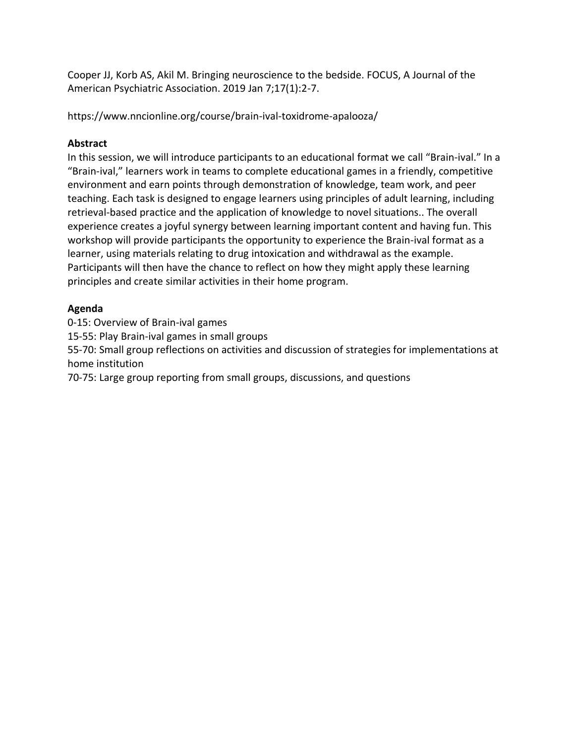Cooper JJ, Korb AS, Akil M. Bringing neuroscience to the bedside. FOCUS, A Journal of the American Psychiatric Association. 2019 Jan 7;17(1):2-7.

https://www.nncionline.org/course/brain-ival-toxidrome-apalooza/

# **Abstract**

In this session, we will introduce participants to an educational format we call "Brain-ival." In a "Brain-ival," learners work in teams to complete educational games in a friendly, competitive environment and earn points through demonstration of knowledge, team work, and peer teaching. Each task is designed to engage learners using principles of adult learning, including retrieval-based practice and the application of knowledge to novel situations.. The overall experience creates a joyful synergy between learning important content and having fun. This workshop will provide participants the opportunity to experience the Brain-ival format as a learner, using materials relating to drug intoxication and withdrawal as the example. Participants will then have the chance to reflect on how they might apply these learning principles and create similar activities in their home program.

# **Agenda**

0-15: Overview of Brain-ival games 15-55: Play Brain-ival games in small groups 55-70: Small group reflections on activities and discussion of strategies for implementations at home institution

70-75: Large group reporting from small groups, discussions, and questions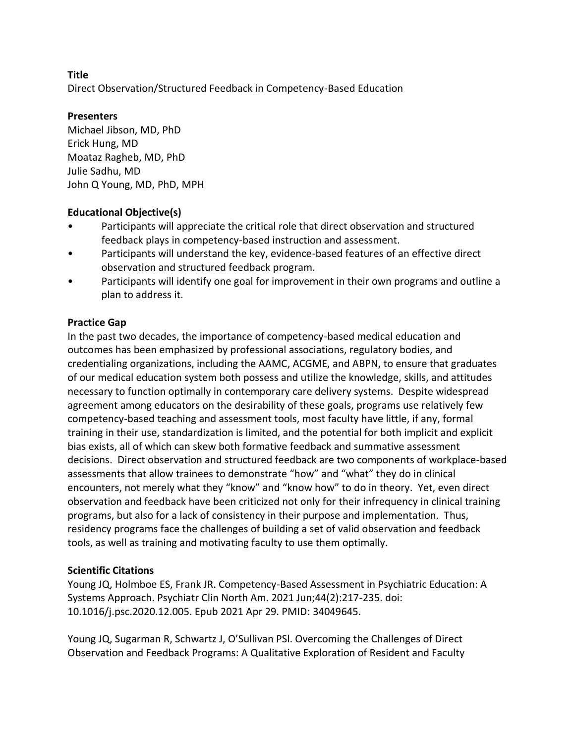Direct Observation/Structured Feedback in Competency-Based Education

### **Presenters**

Michael Jibson, MD, PhD Erick Hung, MD Moataz Ragheb, MD, PhD Julie Sadhu, MD John Q Young, MD, PhD, MPH

### **Educational Objective(s)**

- Participants will appreciate the critical role that direct observation and structured feedback plays in competency-based instruction and assessment.
- Participants will understand the key, evidence-based features of an effective direct observation and structured feedback program.
- Participants will identify one goal for improvement in their own programs and outline a plan to address it.

# **Practice Gap**

In the past two decades, the importance of competency-based medical education and outcomes has been emphasized by professional associations, regulatory bodies, and credentialing organizations, including the AAMC, ACGME, and ABPN, to ensure that graduates of our medical education system both possess and utilize the knowledge, skills, and attitudes necessary to function optimally in contemporary care delivery systems. Despite widespread agreement among educators on the desirability of these goals, programs use relatively few competency-based teaching and assessment tools, most faculty have little, if any, formal training in their use, standardization is limited, and the potential for both implicit and explicit bias exists, all of which can skew both formative feedback and summative assessment decisions. Direct observation and structured feedback are two components of workplace-based assessments that allow trainees to demonstrate "how" and "what" they do in clinical encounters, not merely what they "know" and "know how" to do in theory. Yet, even direct observation and feedback have been criticized not only for their infrequency in clinical training programs, but also for a lack of consistency in their purpose and implementation. Thus, residency programs face the challenges of building a set of valid observation and feedback tools, as well as training and motivating faculty to use them optimally.

# **Scientific Citations**

Young JQ, Holmboe ES, Frank JR. Competency-Based Assessment in Psychiatric Education: A Systems Approach. Psychiatr Clin North Am. 2021 Jun;44(2):217-235. doi: 10.1016/j.psc.2020.12.005. Epub 2021 Apr 29. PMID: 34049645.

Young JQ, Sugarman R, Schwartz J, O'Sullivan PSl. Overcoming the Challenges of Direct Observation and Feedback Programs: A Qualitative Exploration of Resident and Faculty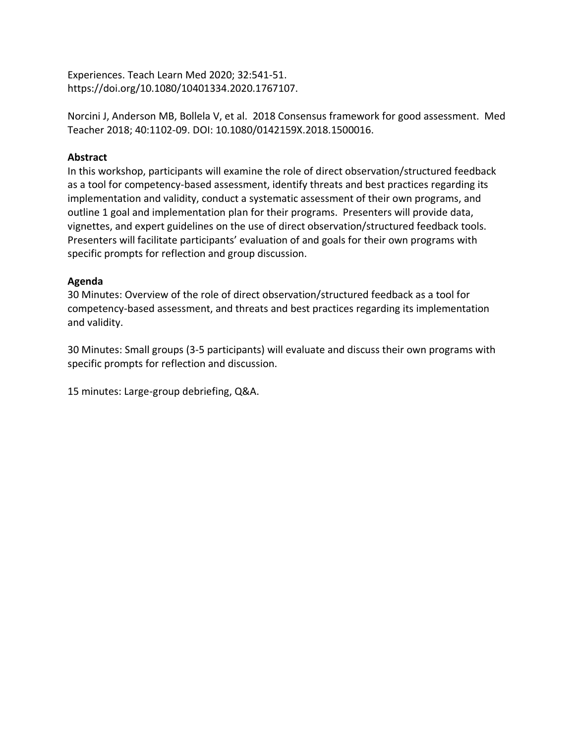Experiences. Teach Learn Med 2020; 32:541-51. https://doi.org/10.1080/10401334.2020.1767107.

Norcini J, Anderson MB, Bollela V, et al. 2018 Consensus framework for good assessment. Med Teacher 2018; 40:1102-09. DOI: 10.1080/0142159X.2018.1500016.

### **Abstract**

In this workshop, participants will examine the role of direct observation/structured feedback as a tool for competency-based assessment, identify threats and best practices regarding its implementation and validity, conduct a systematic assessment of their own programs, and outline 1 goal and implementation plan for their programs. Presenters will provide data, vignettes, and expert guidelines on the use of direct observation/structured feedback tools. Presenters will facilitate participants' evaluation of and goals for their own programs with specific prompts for reflection and group discussion.

### **Agenda**

30 Minutes: Overview of the role of direct observation/structured feedback as a tool for competency-based assessment, and threats and best practices regarding its implementation and validity.

30 Minutes: Small groups (3-5 participants) will evaluate and discuss their own programs with specific prompts for reflection and discussion.

15 minutes: Large-group debriefing, Q&A.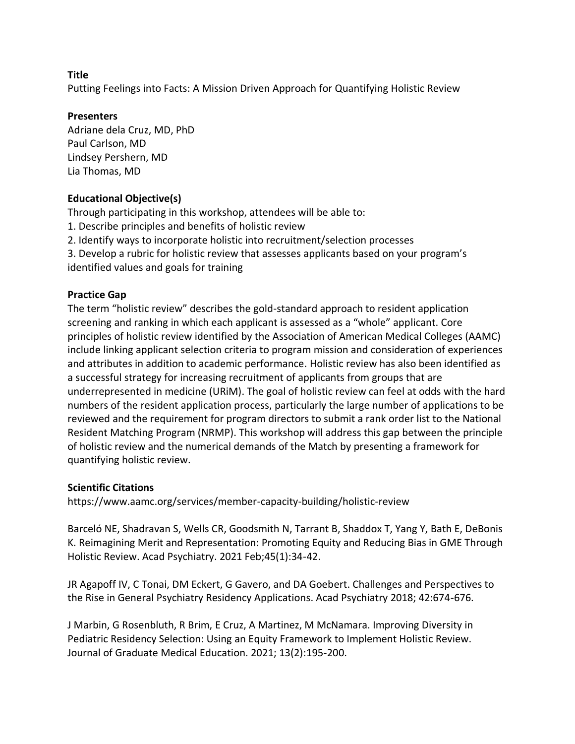Putting Feelings into Facts: A Mission Driven Approach for Quantifying Holistic Review

### **Presenters**

Adriane dela Cruz, MD, PhD Paul Carlson, MD Lindsey Pershern, MD Lia Thomas, MD

# **Educational Objective(s)**

Through participating in this workshop, attendees will be able to:

- 1. Describe principles and benefits of holistic review
- 2. Identify ways to incorporate holistic into recruitment/selection processes
- 3. Develop a rubric for holistic review that assesses applicants based on your program's

identified values and goals for training

# **Practice Gap**

The term "holistic review" describes the gold-standard approach to resident application screening and ranking in which each applicant is assessed as a "whole" applicant. Core principles of holistic review identified by the Association of American Medical Colleges (AAMC) include linking applicant selection criteria to program mission and consideration of experiences and attributes in addition to academic performance. Holistic review has also been identified as a successful strategy for increasing recruitment of applicants from groups that are underrepresented in medicine (URiM). The goal of holistic review can feel at odds with the hard numbers of the resident application process, particularly the large number of applications to be reviewed and the requirement for program directors to submit a rank order list to the National Resident Matching Program (NRMP). This workshop will address this gap between the principle of holistic review and the numerical demands of the Match by presenting a framework for quantifying holistic review.

# **Scientific Citations**

https://www.aamc.org/services/member-capacity-building/holistic-review

Barceló NE, Shadravan S, Wells CR, Goodsmith N, Tarrant B, Shaddox T, Yang Y, Bath E, DeBonis K. Reimagining Merit and Representation: Promoting Equity and Reducing Bias in GME Through Holistic Review. Acad Psychiatry. 2021 Feb;45(1):34-42.

JR Agapoff IV, C Tonai, DM Eckert, G Gavero, and DA Goebert. Challenges and Perspectives to the Rise in General Psychiatry Residency Applications. Acad Psychiatry 2018; 42:674-676.

J Marbin, G Rosenbluth, R Brim, E Cruz, A Martinez, M McNamara. Improving Diversity in Pediatric Residency Selection: Using an Equity Framework to Implement Holistic Review. Journal of Graduate Medical Education. 2021; 13(2):195-200.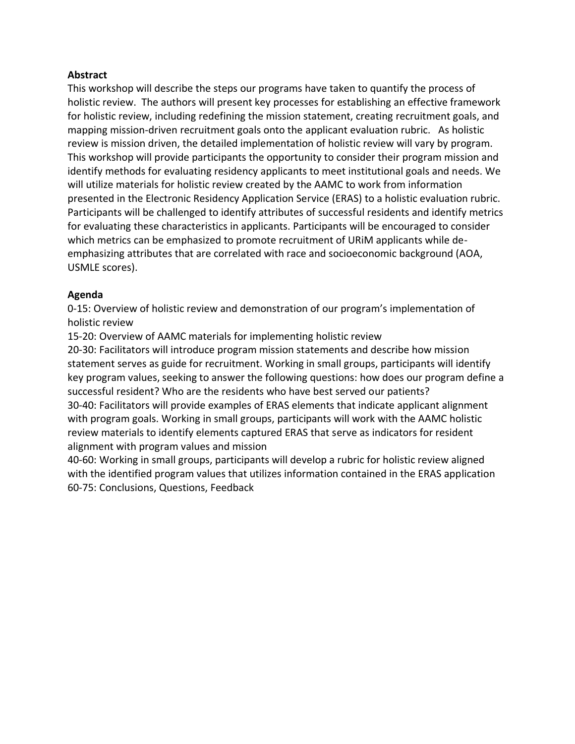### **Abstract**

This workshop will describe the steps our programs have taken to quantify the process of holistic review. The authors will present key processes for establishing an effective framework for holistic review, including redefining the mission statement, creating recruitment goals, and mapping mission-driven recruitment goals onto the applicant evaluation rubric. As holistic review is mission driven, the detailed implementation of holistic review will vary by program. This workshop will provide participants the opportunity to consider their program mission and identify methods for evaluating residency applicants to meet institutional goals and needs. We will utilize materials for holistic review created by the AAMC to work from information presented in the Electronic Residency Application Service (ERAS) to a holistic evaluation rubric. Participants will be challenged to identify attributes of successful residents and identify metrics for evaluating these characteristics in applicants. Participants will be encouraged to consider which metrics can be emphasized to promote recruitment of URiM applicants while deemphasizing attributes that are correlated with race and socioeconomic background (AOA, USMLE scores).

### **Agenda**

0-15: Overview of holistic review and demonstration of our program's implementation of holistic review

15-20: Overview of AAMC materials for implementing holistic review

20-30: Facilitators will introduce program mission statements and describe how mission statement serves as guide for recruitment. Working in small groups, participants will identify key program values, seeking to answer the following questions: how does our program define a successful resident? Who are the residents who have best served our patients? 30-40: Facilitators will provide examples of ERAS elements that indicate applicant alignment with program goals. Working in small groups, participants will work with the AAMC holistic review materials to identify elements captured ERAS that serve as indicators for resident alignment with program values and mission

40-60: Working in small groups, participants will develop a rubric for holistic review aligned with the identified program values that utilizes information contained in the ERAS application 60-75: Conclusions, Questions, Feedback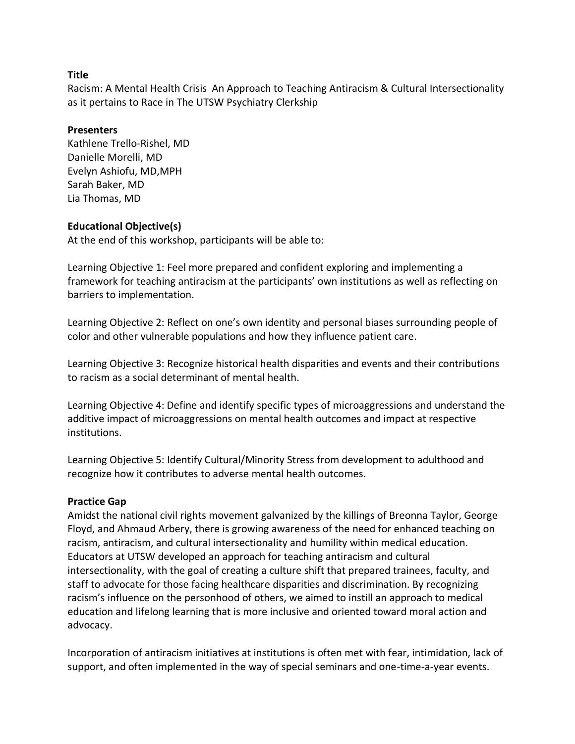Racism: A Mental Health Crisis An Approach to Teaching Antiracism & Cultural Intersectionality as it pertains to Race in The UTSW Psychiatry Clerkship

#### **Presenters**

Kathlene Trello-Rishel, MD Danielle Morelli, MD Evelyn Ashiofu, MD,MPH Sarah Baker, MD Lia Thomas, MD

### **Educational Objective(s)**

At the end of this workshop, participants will be able to:

Learning Objective 1: Feel more prepared and confident exploring and implementing a framework for teaching antiracism at the participants' own institutions as well as reflecting on barriers to implementation.

Learning Objective 2: Reflect on one's own identity and personal biases surrounding people of color and other vulnerable populations and how they influence patient care.

Learning Objective 3: Recognize historical health disparities and events and their contributions to racism as a social determinant of mental health.

Learning Objective 4: Define and identify specific types of microaggressions and understand the additive impact of microaggressions on mental health outcomes and impact at respective institutions.

Learning Objective 5: Identify Cultural/Minority Stress from development to adulthood and recognize how it contributes to adverse mental health outcomes.

# **Practice Gap**

Amidst the national civil rights movement galvanized by the killings of Breonna Taylor, George Floyd, and Ahmaud Arbery, there is growing awareness of the need for enhanced teaching on racism, antiracism, and cultural intersectionality and humility within medical education. Educators at UTSW developed an approach for teaching antiracism and cultural intersectionality, with the goal of creating a culture shift that prepared trainees, faculty, and staff to advocate for those facing healthcare disparities and discrimination. By recognizing racism's influence on the personhood of others, we aimed to instill an approach to medical education and lifelong learning that is more inclusive and oriented toward moral action and advocacy.

Incorporation of antiracism initiatives at institutions is often met with fear, intimidation, lack of support, and often implemented in the way of special seminars and one-time-a-year events.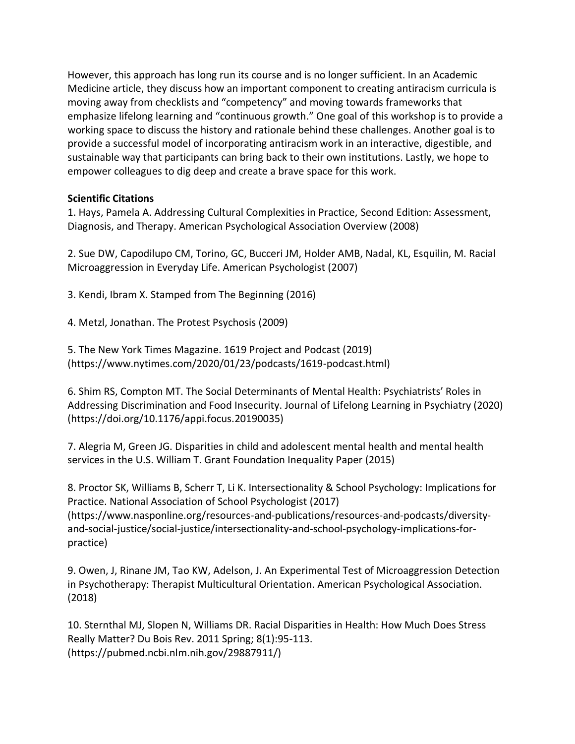However, this approach has long run its course and is no longer sufficient. In an Academic Medicine article, they discuss how an important component to creating antiracism curricula is moving away from checklists and "competency" and moving towards frameworks that emphasize lifelong learning and "continuous growth." One goal of this workshop is to provide a working space to discuss the history and rationale behind these challenges. Another goal is to provide a successful model of incorporating antiracism work in an interactive, digestible, and sustainable way that participants can bring back to their own institutions. Lastly, we hope to empower colleagues to dig deep and create a brave space for this work.

### **Scientific Citations**

1. Hays, Pamela A. Addressing Cultural Complexities in Practice, Second Edition: Assessment, Diagnosis, and Therapy. American Psychological Association Overview (2008)

2. Sue DW, Capodilupo CM, Torino, GC, Bucceri JM, Holder AMB, Nadal, KL, Esquilin, M. Racial Microaggression in Everyday Life. American Psychologist (2007)

3. Kendi, Ibram X. Stamped from The Beginning (2016)

4. Metzl, Jonathan. The Protest Psychosis (2009)

5. The New York Times Magazine. 1619 Project and Podcast (2019) (https://www.nytimes.com/2020/01/23/podcasts/1619-podcast.html)

6. Shim RS, Compton MT. The Social Determinants of Mental Health: Psychiatrists' Roles in Addressing Discrimination and Food Insecurity. Journal of Lifelong Learning in Psychiatry (2020) (https://doi.org/10.1176/appi.focus.20190035)

7. Alegria M, Green JG. Disparities in child and adolescent mental health and mental health services in the U.S. William T. Grant Foundation Inequality Paper (2015)

8. Proctor SK, Williams B, Scherr T, Li K. Intersectionality & School Psychology: Implications for Practice. National Association of School Psychologist (2017) (https://www.nasponline.org/resources-and-publications/resources-and-podcasts/diversityand-social-justice/social-justice/intersectionality-and-school-psychology-implications-forpractice)

9. Owen, J, Rinane JM, Tao KW, Adelson, J. An Experimental Test of Microaggression Detection in Psychotherapy: Therapist Multicultural Orientation. American Psychological Association. (2018)

10. Sternthal MJ, Slopen N, Williams DR. Racial Disparities in Health: How Much Does Stress Really Matter? Du Bois Rev. 2011 Spring; 8(1):95-113. (https://pubmed.ncbi.nlm.nih.gov/29887911/)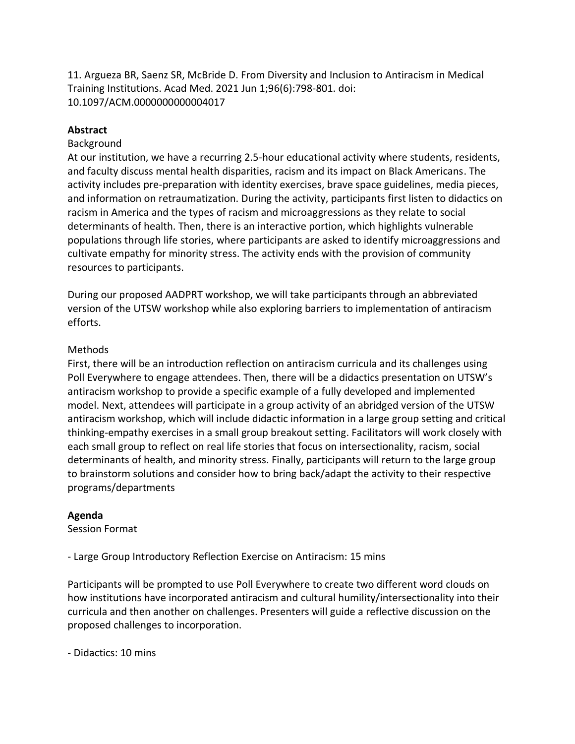11. Argueza BR, Saenz SR, McBride D. From Diversity and Inclusion to Antiracism in Medical Training Institutions. Acad Med. 2021 Jun 1;96(6):798-801. doi: 10.1097/ACM.0000000000004017

#### **Abstract**

#### Background

At our institution, we have a recurring 2.5-hour educational activity where students, residents, and faculty discuss mental health disparities, racism and its impact on Black Americans. The activity includes pre-preparation with identity exercises, brave space guidelines, media pieces, and information on retraumatization. During the activity, participants first listen to didactics on racism in America and the types of racism and microaggressions as they relate to social determinants of health. Then, there is an interactive portion, which highlights vulnerable populations through life stories, where participants are asked to identify microaggressions and cultivate empathy for minority stress. The activity ends with the provision of community resources to participants.

During our proposed AADPRT workshop, we will take participants through an abbreviated version of the UTSW workshop while also exploring barriers to implementation of antiracism efforts.

### Methods

First, there will be an introduction reflection on antiracism curricula and its challenges using Poll Everywhere to engage attendees. Then, there will be a didactics presentation on UTSW's antiracism workshop to provide a specific example of a fully developed and implemented model. Next, attendees will participate in a group activity of an abridged version of the UTSW antiracism workshop, which will include didactic information in a large group setting and critical thinking-empathy exercises in a small group breakout setting. Facilitators will work closely with each small group to reflect on real life stories that focus on intersectionality, racism, social determinants of health, and minority stress. Finally, participants will return to the large group to brainstorm solutions and consider how to bring back/adapt the activity to their respective programs/departments

#### **Agenda**

Session Format

- Large Group Introductory Reflection Exercise on Antiracism: 15 mins

Participants will be prompted to use Poll Everywhere to create two different word clouds on how institutions have incorporated antiracism and cultural humility/intersectionality into their curricula and then another on challenges. Presenters will guide a reflective discussion on the proposed challenges to incorporation.

- Didactics: 10 mins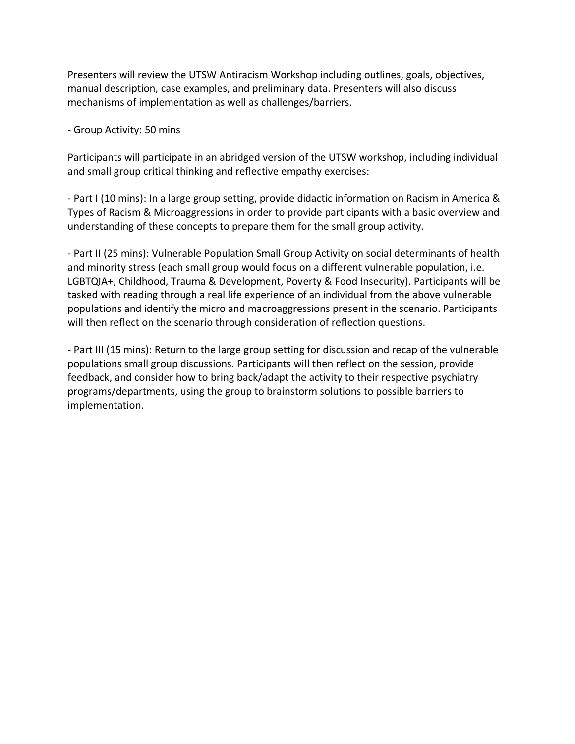Presenters will review the UTSW Antiracism Workshop including outlines, goals, objectives, manual description, case examples, and preliminary data. Presenters will also discuss mechanisms of implementation as well as challenges/barriers.

- Group Activity: 50 mins

Participants will participate in an abridged version of the UTSW workshop, including individual and small group critical thinking and reflective empathy exercises:

- Part I (10 mins): In a large group setting, provide didactic information on Racism in America & Types of Racism & Microaggressions in order to provide participants with a basic overview and understanding of these concepts to prepare them for the small group activity.

- Part II (25 mins): Vulnerable Population Small Group Activity on social determinants of health and minority stress (each small group would focus on a different vulnerable population, i.e. LGBTQIA+, Childhood, Trauma & Development, Poverty & Food Insecurity). Participants will be tasked with reading through a real life experience of an individual from the above vulnerable populations and identify the micro and macroaggressions present in the scenario. Participants will then reflect on the scenario through consideration of reflection questions.

- Part III (15 mins): Return to the large group setting for discussion and recap of the vulnerable populations small group discussions. Participants will then reflect on the session, provide feedback, and consider how to bring back/adapt the activity to their respective psychiatry programs/departments, using the group to brainstorm solutions to possible barriers to implementation.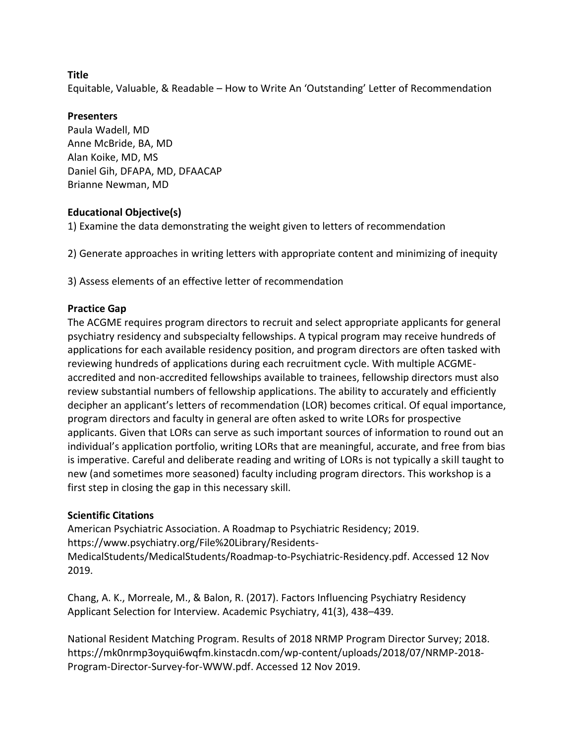Equitable, Valuable, & Readable – How to Write An 'Outstanding' Letter of Recommendation

#### **Presenters**

Paula Wadell, MD Anne McBride, BA, MD Alan Koike, MD, MS Daniel Gih, DFAPA, MD, DFAACAP Brianne Newman, MD

### **Educational Objective(s)**

1) Examine the data demonstrating the weight given to letters of recommendation

2) Generate approaches in writing letters with appropriate content and minimizing of inequity

3) Assess elements of an effective letter of recommendation

# **Practice Gap**

The ACGME requires program directors to recruit and select appropriate applicants for general psychiatry residency and subspecialty fellowships. A typical program may receive hundreds of applications for each available residency position, and program directors are often tasked with reviewing hundreds of applications during each recruitment cycle. With multiple ACGMEaccredited and non-accredited fellowships available to trainees, fellowship directors must also review substantial numbers of fellowship applications. The ability to accurately and efficiently decipher an applicant's letters of recommendation (LOR) becomes critical. Of equal importance, program directors and faculty in general are often asked to write LORs for prospective applicants. Given that LORs can serve as such important sources of information to round out an individual's application portfolio, writing LORs that are meaningful, accurate, and free from bias is imperative. Careful and deliberate reading and writing of LORs is not typically a skill taught to new (and sometimes more seasoned) faculty including program directors. This workshop is a first step in closing the gap in this necessary skill.

#### **Scientific Citations**

American Psychiatric Association. A Roadmap to Psychiatric Residency; 2019. https://www.psychiatry.org/File%20Library/Residents-MedicalStudents/MedicalStudents/Roadmap-to-Psychiatric-Residency.pdf. Accessed 12 Nov 2019.

Chang, A. K., Morreale, M., & Balon, R. (2017). Factors Influencing Psychiatry Residency Applicant Selection for Interview. Academic Psychiatry, 41(3), 438–439.

National Resident Matching Program. Results of 2018 NRMP Program Director Survey; 2018. https://mk0nrmp3oyqui6wqfm.kinstacdn.com/wp-content/uploads/2018/07/NRMP-2018- Program-Director-Survey-for-WWW.pdf. Accessed 12 Nov 2019.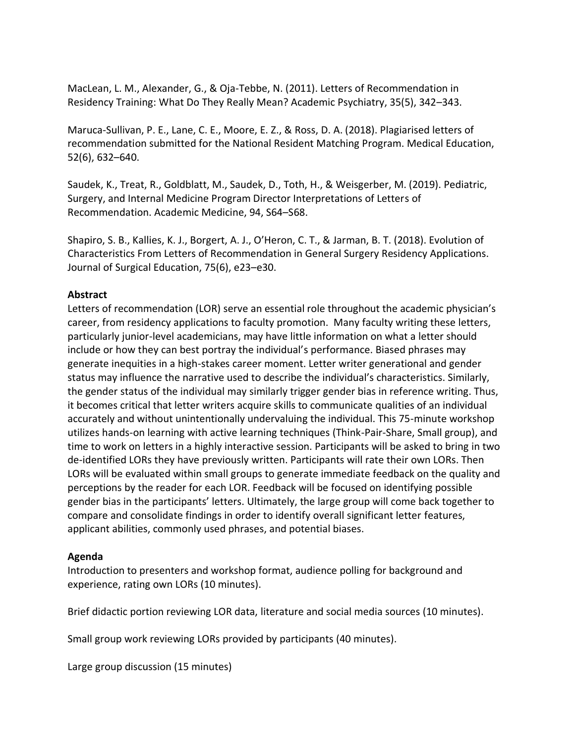MacLean, L. M., Alexander, G., & Oja-Tebbe, N. (2011). Letters of Recommendation in Residency Training: What Do They Really Mean? Academic Psychiatry, 35(5), 342–343.

Maruca-Sullivan, P. E., Lane, C. E., Moore, E. Z., & Ross, D. A. (2018). Plagiarised letters of recommendation submitted for the National Resident Matching Program. Medical Education, 52(6), 632–640.

Saudek, K., Treat, R., Goldblatt, M., Saudek, D., Toth, H., & Weisgerber, M. (2019). Pediatric, Surgery, and Internal Medicine Program Director Interpretations of Letters of Recommendation. Academic Medicine, 94, S64–S68.

Shapiro, S. B., Kallies, K. J., Borgert, A. J., O'Heron, C. T., & Jarman, B. T. (2018). Evolution of Characteristics From Letters of Recommendation in General Surgery Residency Applications. Journal of Surgical Education, 75(6), e23–e30.

### **Abstract**

Letters of recommendation (LOR) serve an essential role throughout the academic physician's career, from residency applications to faculty promotion. Many faculty writing these letters, particularly junior-level academicians, may have little information on what a letter should include or how they can best portray the individual's performance. Biased phrases may generate inequities in a high-stakes career moment. Letter writer generational and gender status may influence the narrative used to describe the individual's characteristics. Similarly, the gender status of the individual may similarly trigger gender bias in reference writing. Thus, it becomes critical that letter writers acquire skills to communicate qualities of an individual accurately and without unintentionally undervaluing the individual. This 75-minute workshop utilizes hands-on learning with active learning techniques (Think-Pair-Share, Small group), and time to work on letters in a highly interactive session. Participants will be asked to bring in two de-identified LORs they have previously written. Participants will rate their own LORs. Then LORs will be evaluated within small groups to generate immediate feedback on the quality and perceptions by the reader for each LOR. Feedback will be focused on identifying possible gender bias in the participants' letters. Ultimately, the large group will come back together to compare and consolidate findings in order to identify overall significant letter features, applicant abilities, commonly used phrases, and potential biases.

#### **Agenda**

Introduction to presenters and workshop format, audience polling for background and experience, rating own LORs (10 minutes).

Brief didactic portion reviewing LOR data, literature and social media sources (10 minutes).

Small group work reviewing LORs provided by participants (40 minutes).

Large group discussion (15 minutes)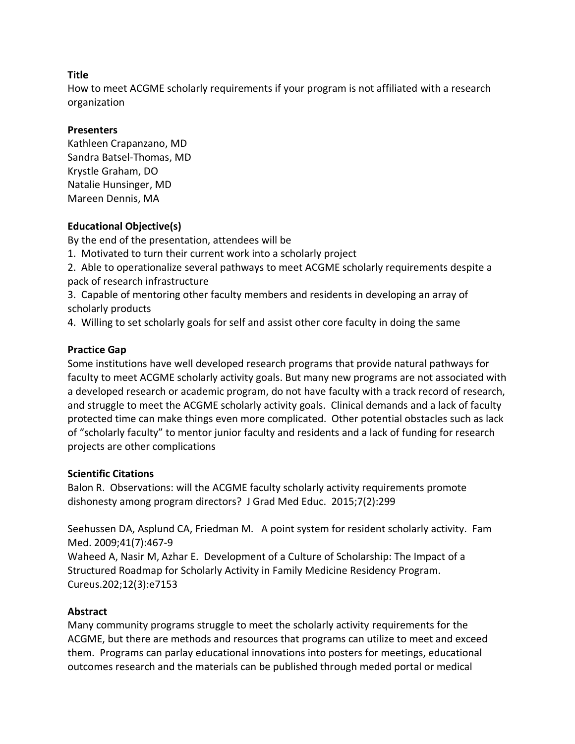How to meet ACGME scholarly requirements if your program is not affiliated with a research organization

### **Presenters**

Kathleen Crapanzano, MD Sandra Batsel-Thomas, MD Krystle Graham, DO Natalie Hunsinger, MD Mareen Dennis, MA

# **Educational Objective(s)**

By the end of the presentation, attendees will be

1. Motivated to turn their current work into a scholarly project

2. Able to operationalize several pathways to meet ACGME scholarly requirements despite a pack of research infrastructure

3. Capable of mentoring other faculty members and residents in developing an array of scholarly products

4. Willing to set scholarly goals for self and assist other core faculty in doing the same

# **Practice Gap**

Some institutions have well developed research programs that provide natural pathways for faculty to meet ACGME scholarly activity goals. But many new programs are not associated with a developed research or academic program, do not have faculty with a track record of research, and struggle to meet the ACGME scholarly activity goals. Clinical demands and a lack of faculty protected time can make things even more complicated. Other potential obstacles such as lack of "scholarly faculty" to mentor junior faculty and residents and a lack of funding for research projects are other complications

# **Scientific Citations**

Balon R. Observations: will the ACGME faculty scholarly activity requirements promote dishonesty among program directors? J Grad Med Educ. 2015;7(2):299

Seehussen DA, Asplund CA, Friedman M. A point system for resident scholarly activity. Fam Med. 2009;41(7):467-9

Waheed A, Nasir M, Azhar E. Development of a Culture of Scholarship: The Impact of a Structured Roadmap for Scholarly Activity in Family Medicine Residency Program. Cureus.202;12(3):e7153

# **Abstract**

Many community programs struggle to meet the scholarly activity requirements for the ACGME, but there are methods and resources that programs can utilize to meet and exceed them. Programs can parlay educational innovations into posters for meetings, educational outcomes research and the materials can be published through meded portal or medical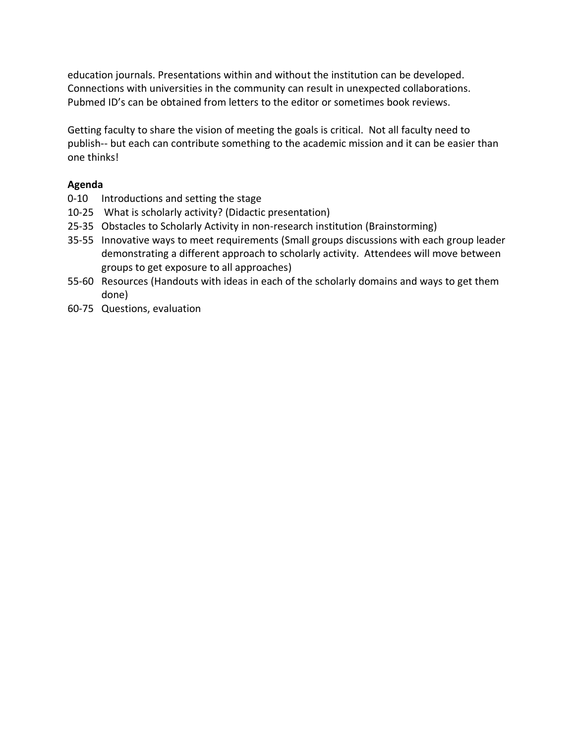education journals. Presentations within and without the institution can be developed. Connections with universities in the community can result in unexpected collaborations. Pubmed ID's can be obtained from letters to the editor or sometimes book reviews.

Getting faculty to share the vision of meeting the goals is critical. Not all faculty need to publish-- but each can contribute something to the academic mission and it can be easier than one thinks!

# **Agenda**

- 0-10 Introductions and setting the stage
- 10-25 What is scholarly activity? (Didactic presentation)
- 25-35 Obstacles to Scholarly Activity in non-research institution (Brainstorming)
- 35-55 Innovative ways to meet requirements (Small groups discussions with each group leader demonstrating a different approach to scholarly activity. Attendees will move between groups to get exposure to all approaches)
- 55-60 Resources (Handouts with ideas in each of the scholarly domains and ways to get them done)
- 60-75 Questions, evaluation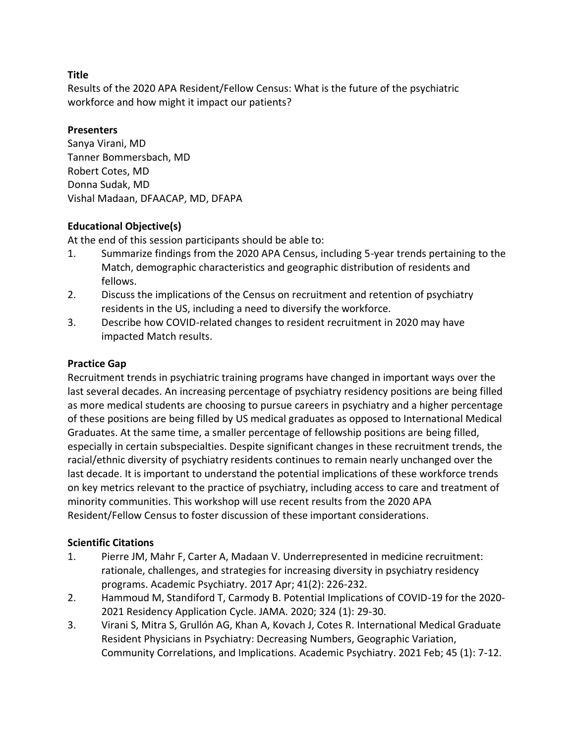Results of the 2020 APA Resident/Fellow Census: What is the future of the psychiatric workforce and how might it impact our patients?

### **Presenters**

Sanya Virani, MD Tanner Bommersbach, MD Robert Cotes, MD Donna Sudak, MD Vishal Madaan, DFAACAP, MD, DFAPA

# **Educational Objective(s)**

At the end of this session participants should be able to:

- 1. Summarize findings from the 2020 APA Census, including 5-year trends pertaining to the Match, demographic characteristics and geographic distribution of residents and fellows.
- 2. Discuss the implications of the Census on recruitment and retention of psychiatry residents in the US, including a need to diversify the workforce.
- 3. Describe how COVID-related changes to resident recruitment in 2020 may have impacted Match results.

### **Practice Gap**

Recruitment trends in psychiatric training programs have changed in important ways over the last several decades. An increasing percentage of psychiatry residency positions are being filled as more medical students are choosing to pursue careers in psychiatry and a higher percentage of these positions are being filled by US medical graduates as opposed to International Medical Graduates. At the same time, a smaller percentage of fellowship positions are being filled, especially in certain subspecialties. Despite significant changes in these recruitment trends, the racial/ethnic diversity of psychiatry residents continues to remain nearly unchanged over the last decade. It is important to understand the potential implications of these workforce trends on key metrics relevant to the practice of psychiatry, including access to care and treatment of minority communities. This workshop will use recent results from the 2020 APA Resident/Fellow Census to foster discussion of these important considerations.

#### **Scientific Citations**

- 1. Pierre JM, Mahr F, Carter A, Madaan V. Underrepresented in medicine recruitment: rationale, challenges, and strategies for increasing diversity in psychiatry residency programs. Academic Psychiatry. 2017 Apr; 41(2): 226-232.
- 2. Hammoud M, Standiford T, Carmody B. Potential Implications of COVID-19 for the 2020- 2021 Residency Application Cycle. JAMA. 2020; 324 (1): 29-30.
- 3. Virani S, Mitra S, Grullón AG, Khan A, Kovach J, Cotes R. International Medical Graduate Resident Physicians in Psychiatry: Decreasing Numbers, Geographic Variation, Community Correlations, and Implications. Academic Psychiatry. 2021 Feb; 45 (1): 7-12.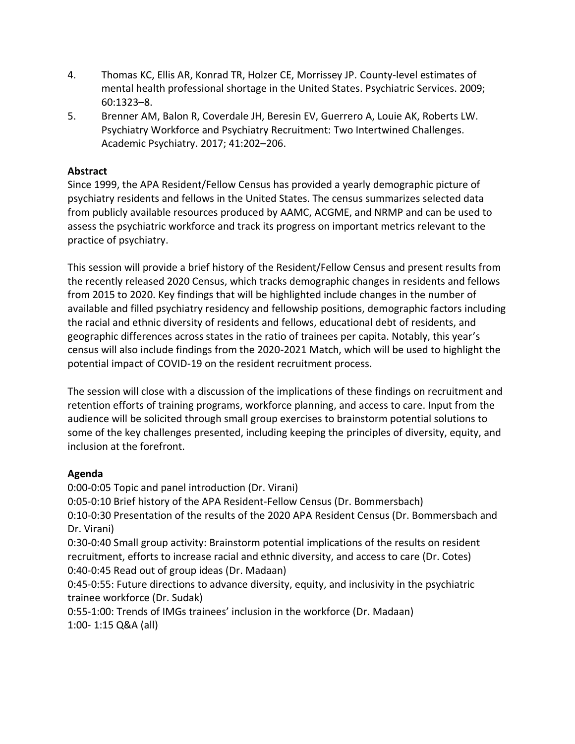- 4. Thomas KC, Ellis AR, Konrad TR, Holzer CE, Morrissey JP. County-level estimates of mental health professional shortage in the United States. Psychiatric Services. 2009; 60:1323–8.
- 5. Brenner AM, Balon R, Coverdale JH, Beresin EV, Guerrero A, Louie AK, Roberts LW. Psychiatry Workforce and Psychiatry Recruitment: Two Intertwined Challenges. Academic Psychiatry. 2017; 41:202–206.

# **Abstract**

Since 1999, the APA Resident/Fellow Census has provided a yearly demographic picture of psychiatry residents and fellows in the United States. The census summarizes selected data from publicly available resources produced by AAMC, ACGME, and NRMP and can be used to assess the psychiatric workforce and track its progress on important metrics relevant to the practice of psychiatry.

This session will provide a brief history of the Resident/Fellow Census and present results from the recently released 2020 Census, which tracks demographic changes in residents and fellows from 2015 to 2020. Key findings that will be highlighted include changes in the number of available and filled psychiatry residency and fellowship positions, demographic factors including the racial and ethnic diversity of residents and fellows, educational debt of residents, and geographic differences across states in the ratio of trainees per capita. Notably, this year's census will also include findings from the 2020-2021 Match, which will be used to highlight the potential impact of COVID-19 on the resident recruitment process.

The session will close with a discussion of the implications of these findings on recruitment and retention efforts of training programs, workforce planning, and access to care. Input from the audience will be solicited through small group exercises to brainstorm potential solutions to some of the key challenges presented, including keeping the principles of diversity, equity, and inclusion at the forefront.

# **Agenda**

0:00-0:05 Topic and panel introduction (Dr. Virani) 0:05-0:10 Brief history of the APA Resident-Fellow Census (Dr. Bommersbach) 0:10-0:30 Presentation of the results of the 2020 APA Resident Census (Dr. Bommersbach and Dr. Virani) 0:30-0:40 Small group activity: Brainstorm potential implications of the results on resident recruitment, efforts to increase racial and ethnic diversity, and access to care (Dr. Cotes) 0:40-0:45 Read out of group ideas (Dr. Madaan) 0:45-0:55: Future directions to advance diversity, equity, and inclusivity in the psychiatric trainee workforce (Dr. Sudak) 0:55-1:00: Trends of IMGs trainees' inclusion in the workforce (Dr. Madaan)

1:00- 1:15 Q&A (all)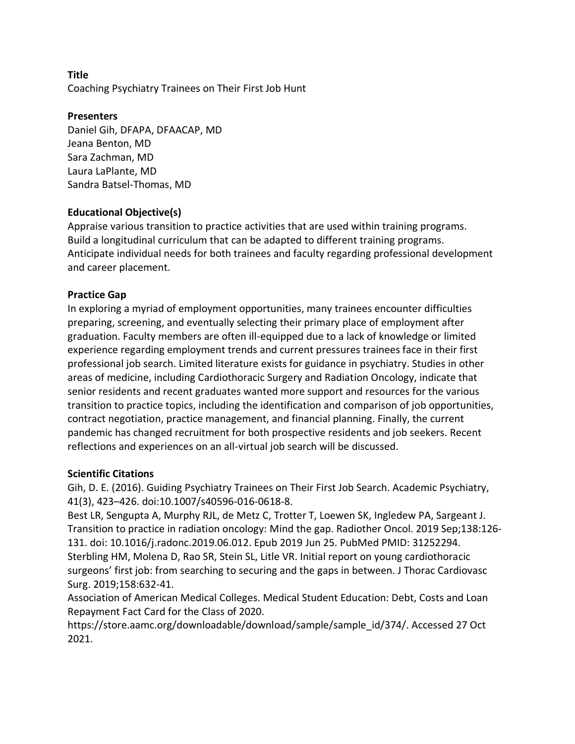Coaching Psychiatry Trainees on Their First Job Hunt

#### **Presenters**

Daniel Gih, DFAPA, DFAACAP, MD Jeana Benton, MD Sara Zachman, MD Laura LaPlante, MD Sandra Batsel-Thomas, MD

### **Educational Objective(s)**

Appraise various transition to practice activities that are used within training programs. Build a longitudinal curriculum that can be adapted to different training programs. Anticipate individual needs for both trainees and faculty regarding professional development and career placement.

# **Practice Gap**

In exploring a myriad of employment opportunities, many trainees encounter difficulties preparing, screening, and eventually selecting their primary place of employment after graduation. Faculty members are often ill-equipped due to a lack of knowledge or limited experience regarding employment trends and current pressures trainees face in their first professional job search. Limited literature exists for guidance in psychiatry. Studies in other areas of medicine, including Cardiothoracic Surgery and Radiation Oncology, indicate that senior residents and recent graduates wanted more support and resources for the various transition to practice topics, including the identification and comparison of job opportunities, contract negotiation, practice management, and financial planning. Finally, the current pandemic has changed recruitment for both prospective residents and job seekers. Recent reflections and experiences on an all-virtual job search will be discussed.

#### **Scientific Citations**

Gih, D. E. (2016). Guiding Psychiatry Trainees on Their First Job Search. Academic Psychiatry, 41(3), 423–426. doi:10.1007/s40596-016-0618-8.

Best LR, Sengupta A, Murphy RJL, de Metz C, Trotter T, Loewen SK, Ingledew PA, Sargeant J. Transition to practice in radiation oncology: Mind the gap. Radiother Oncol. 2019 Sep;138:126- 131. doi: 10.1016/j.radonc.2019.06.012. Epub 2019 Jun 25. PubMed PMID: 31252294. Sterbling HM, Molena D, Rao SR, Stein SL, Litle VR. Initial report on young cardiothoracic surgeons' first job: from searching to securing and the gaps in between. J Thorac Cardiovasc Surg. 2019;158:632-41.

Association of American Medical Colleges. Medical Student Education: Debt, Costs and Loan Repayment Fact Card for the Class of 2020.

https://store.aamc.org/downloadable/download/sample/sample\_id/374/. Accessed 27 Oct 2021.

#### **Title**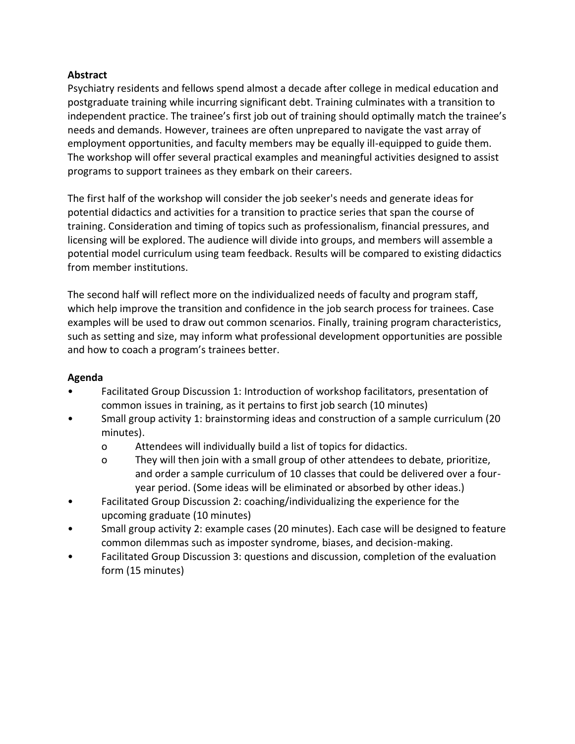### **Abstract**

Psychiatry residents and fellows spend almost a decade after college in medical education and postgraduate training while incurring significant debt. Training culminates with a transition to independent practice. The trainee's first job out of training should optimally match the trainee's needs and demands. However, trainees are often unprepared to navigate the vast array of employment opportunities, and faculty members may be equally ill-equipped to guide them. The workshop will offer several practical examples and meaningful activities designed to assist programs to support trainees as they embark on their careers.

The first half of the workshop will consider the job seeker's needs and generate ideas for potential didactics and activities for a transition to practice series that span the course of training. Consideration and timing of topics such as professionalism, financial pressures, and licensing will be explored. The audience will divide into groups, and members will assemble a potential model curriculum using team feedback. Results will be compared to existing didactics from member institutions.

The second half will reflect more on the individualized needs of faculty and program staff, which help improve the transition and confidence in the job search process for trainees. Case examples will be used to draw out common scenarios. Finally, training program characteristics, such as setting and size, may inform what professional development opportunities are possible and how to coach a program's trainees better.

# **Agenda**

- Facilitated Group Discussion 1: Introduction of workshop facilitators, presentation of common issues in training, as it pertains to first job search (10 minutes)
- Small group activity 1: brainstorming ideas and construction of a sample curriculum (20 minutes).
	- o Attendees will individually build a list of topics for didactics.
	- o They will then join with a small group of other attendees to debate, prioritize, and order a sample curriculum of 10 classes that could be delivered over a fouryear period. (Some ideas will be eliminated or absorbed by other ideas.)
- Facilitated Group Discussion 2: coaching/individualizing the experience for the upcoming graduate (10 minutes)
- Small group activity 2: example cases (20 minutes). Each case will be designed to feature common dilemmas such as imposter syndrome, biases, and decision-making.
- Facilitated Group Discussion 3: questions and discussion, completion of the evaluation form (15 minutes)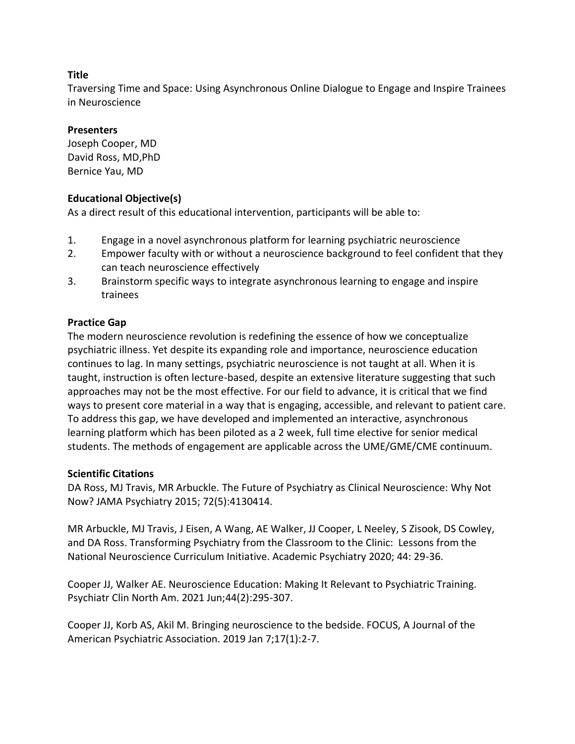Traversing Time and Space: Using Asynchronous Online Dialogue to Engage and Inspire Trainees in Neuroscience

#### **Presenters**

Joseph Cooper, MD David Ross, MD,PhD Bernice Yau, MD

### **Educational Objective(s)**

As a direct result of this educational intervention, participants will be able to:

- 1. Engage in a novel asynchronous platform for learning psychiatric neuroscience
- 2. Empower faculty with or without a neuroscience background to feel confident that they can teach neuroscience effectively
- 3. Brainstorm specific ways to integrate asynchronous learning to engage and inspire trainees

### **Practice Gap**

The modern neuroscience revolution is redefining the essence of how we conceptualize psychiatric illness. Yet despite its expanding role and importance, neuroscience education continues to lag. In many settings, psychiatric neuroscience is not taught at all. When it is taught, instruction is often lecture-based, despite an extensive literature suggesting that such approaches may not be the most effective. For our field to advance, it is critical that we find ways to present core material in a way that is engaging, accessible, and relevant to patient care. To address this gap, we have developed and implemented an interactive, asynchronous learning platform which has been piloted as a 2 week, full time elective for senior medical students. The methods of engagement are applicable across the UME/GME/CME continuum.

#### **Scientific Citations**

DA Ross, MJ Travis, MR Arbuckle. The Future of Psychiatry as Clinical Neuroscience: Why Not Now? JAMA Psychiatry 2015; 72(5):4130414.

MR Arbuckle, MJ Travis, J Eisen, A Wang, AE Walker, JJ Cooper, L Neeley, S Zisook, DS Cowley, and DA Ross. Transforming Psychiatry from the Classroom to the Clinic: Lessons from the National Neuroscience Curriculum Initiative. Academic Psychiatry 2020; 44: 29-36.

Cooper JJ, Walker AE. Neuroscience Education: Making It Relevant to Psychiatric Training. Psychiatr Clin North Am. 2021 Jun;44(2):295-307.

Cooper JJ, Korb AS, Akil M. Bringing neuroscience to the bedside. FOCUS, A Journal of the American Psychiatric Association. 2019 Jan 7;17(1):2-7.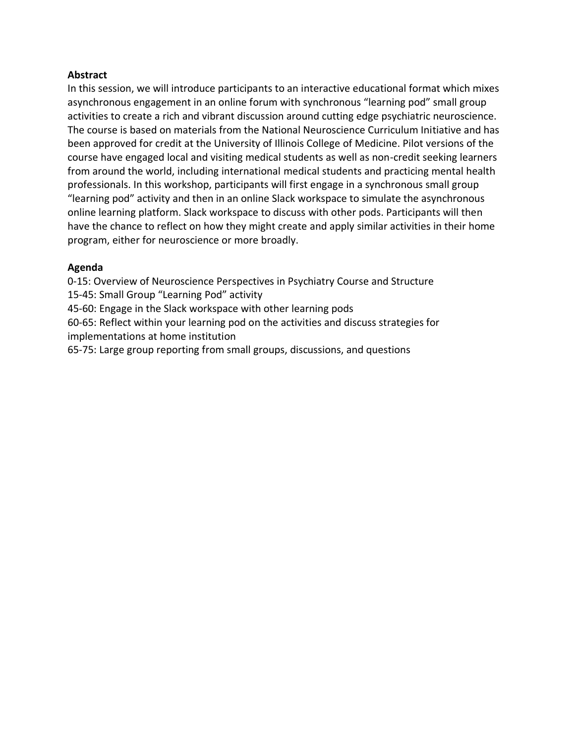#### **Abstract**

In this session, we will introduce participants to an interactive educational format which mixes asynchronous engagement in an online forum with synchronous "learning pod" small group activities to create a rich and vibrant discussion around cutting edge psychiatric neuroscience. The course is based on materials from the National Neuroscience Curriculum Initiative and has been approved for credit at the University of Illinois College of Medicine. Pilot versions of the course have engaged local and visiting medical students as well as non-credit seeking learners from around the world, including international medical students and practicing mental health professionals. In this workshop, participants will first engage in a synchronous small group "learning pod" activity and then in an online Slack workspace to simulate the asynchronous online learning platform. Slack workspace to discuss with other pods. Participants will then have the chance to reflect on how they might create and apply similar activities in their home program, either for neuroscience or more broadly.

#### **Agenda**

0-15: Overview of Neuroscience Perspectives in Psychiatry Course and Structure

15-45: Small Group "Learning Pod" activity

45-60: Engage in the Slack workspace with other learning pods

60-65: Reflect within your learning pod on the activities and discuss strategies for implementations at home institution

65-75: Large group reporting from small groups, discussions, and questions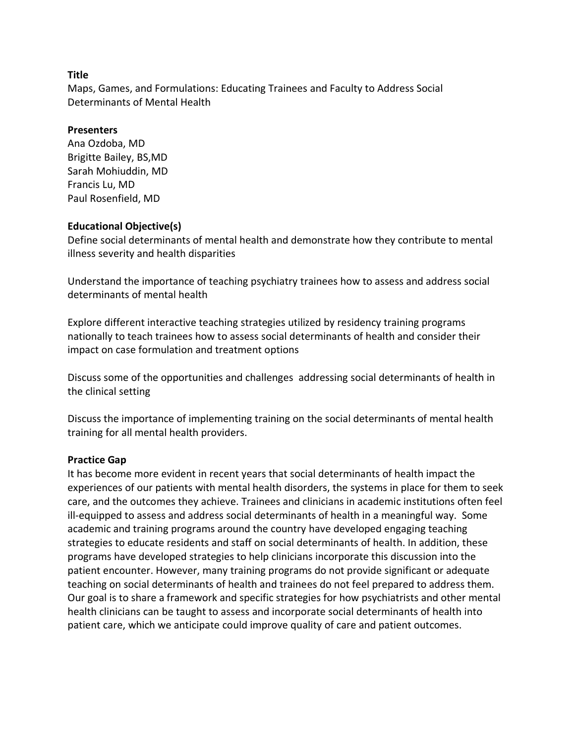Maps, Games, and Formulations: Educating Trainees and Faculty to Address Social Determinants of Mental Health

#### **Presenters**

Ana Ozdoba, MD Brigitte Bailey, BS,MD Sarah Mohiuddin, MD Francis Lu, MD Paul Rosenfield, MD

#### **Educational Objective(s)**

Define social determinants of mental health and demonstrate how they contribute to mental illness severity and health disparities

Understand the importance of teaching psychiatry trainees how to assess and address social determinants of mental health

Explore different interactive teaching strategies utilized by residency training programs nationally to teach trainees how to assess social determinants of health and consider their impact on case formulation and treatment options

Discuss some of the opportunities and challenges addressing social determinants of health in the clinical setting

Discuss the importance of implementing training on the social determinants of mental health training for all mental health providers.

#### **Practice Gap**

It has become more evident in recent years that social determinants of health impact the experiences of our patients with mental health disorders, the systems in place for them to seek care, and the outcomes they achieve. Trainees and clinicians in academic institutions often feel ill-equipped to assess and address social determinants of health in a meaningful way. Some academic and training programs around the country have developed engaging teaching strategies to educate residents and staff on social determinants of health. In addition, these programs have developed strategies to help clinicians incorporate this discussion into the patient encounter. However, many training programs do not provide significant or adequate teaching on social determinants of health and trainees do not feel prepared to address them. Our goal is to share a framework and specific strategies for how psychiatrists and other mental health clinicians can be taught to assess and incorporate social determinants of health into patient care, which we anticipate could improve quality of care and patient outcomes.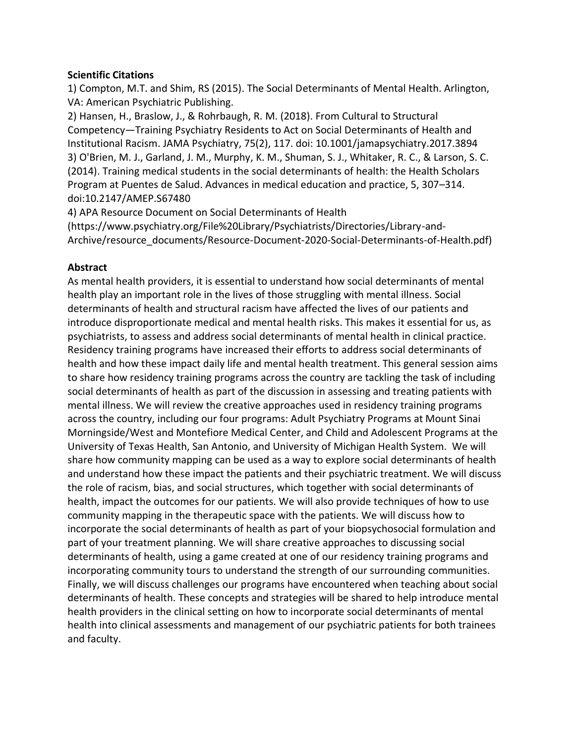### **Scientific Citations**

1) Compton, M.T. and Shim, RS (2015). The Social Determinants of Mental Health. Arlington, VA: American Psychiatric Publishing.

2) Hansen, H., Braslow, J., & Rohrbaugh, R. M. (2018). From Cultural to Structural Competency—Training Psychiatry Residents to Act on Social Determinants of Health and Institutional Racism. JAMA Psychiatry, 75(2), 117. doi: 10.1001/jamapsychiatry.2017.3894 3) O'Brien, M. J., Garland, J. M., Murphy, K. M., Shuman, S. J., Whitaker, R. C., & Larson, S. C. (2014). Training medical students in the social determinants of health: the Health Scholars Program at Puentes de Salud. Advances in medical education and practice, 5, 307–314. doi:10.2147/AMEP.S67480

4) APA Resource Document on Social Determinants of Health

(https://www.psychiatry.org/File%20Library/Psychiatrists/Directories/Library-and-Archive/resource\_documents/Resource-Document-2020-Social-Determinants-of-Health.pdf)

#### **Abstract**

As mental health providers, it is essential to understand how social determinants of mental health play an important role in the lives of those struggling with mental illness. Social determinants of health and structural racism have affected the lives of our patients and introduce disproportionate medical and mental health risks. This makes it essential for us, as psychiatrists, to assess and address social determinants of mental health in clinical practice. Residency training programs have increased their efforts to address social determinants of health and how these impact daily life and mental health treatment. This general session aims to share how residency training programs across the country are tackling the task of including social determinants of health as part of the discussion in assessing and treating patients with mental illness. We will review the creative approaches used in residency training programs across the country, including our four programs: Adult Psychiatry Programs at Mount Sinai Morningside/West and Montefiore Medical Center, and Child and Adolescent Programs at the University of Texas Health, San Antonio, and University of Michigan Health System. We will share how community mapping can be used as a way to explore social determinants of health and understand how these impact the patients and their psychiatric treatment. We will discuss the role of racism, bias, and social structures, which together with social determinants of health, impact the outcomes for our patients. We will also provide techniques of how to use community mapping in the therapeutic space with the patients. We will discuss how to incorporate the social determinants of health as part of your biopsychosocial formulation and part of your treatment planning. We will share creative approaches to discussing social determinants of health, using a game created at one of our residency training programs and incorporating community tours to understand the strength of our surrounding communities. Finally, we will discuss challenges our programs have encountered when teaching about social determinants of health. These concepts and strategies will be shared to help introduce mental health providers in the clinical setting on how to incorporate social determinants of mental health into clinical assessments and management of our psychiatric patients for both trainees and faculty.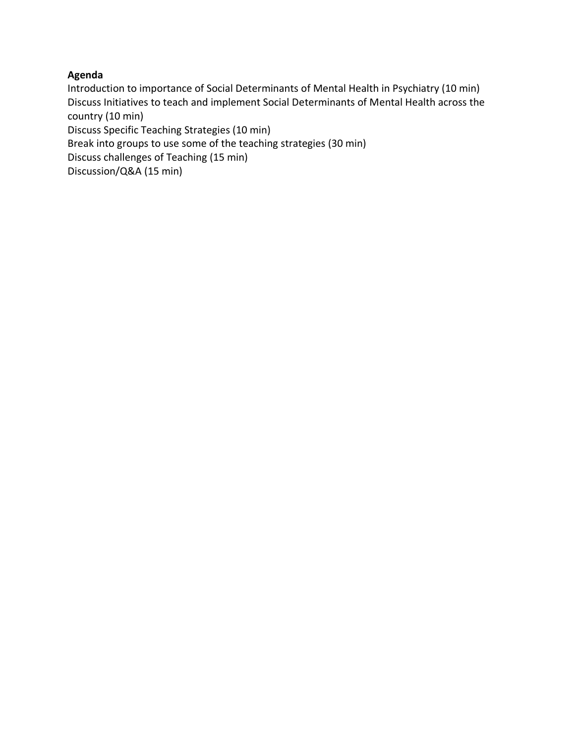# **Agenda**

Introduction to importance of Social Determinants of Mental Health in Psychiatry (10 min) Discuss Initiatives to teach and implement Social Determinants of Mental Health across the country (10 min) Discuss Specific Teaching Strategies (10 min) Break into groups to use some of the teaching strategies (30 min) Discuss challenges of Teaching (15 min)

Discussion/Q&A (15 min)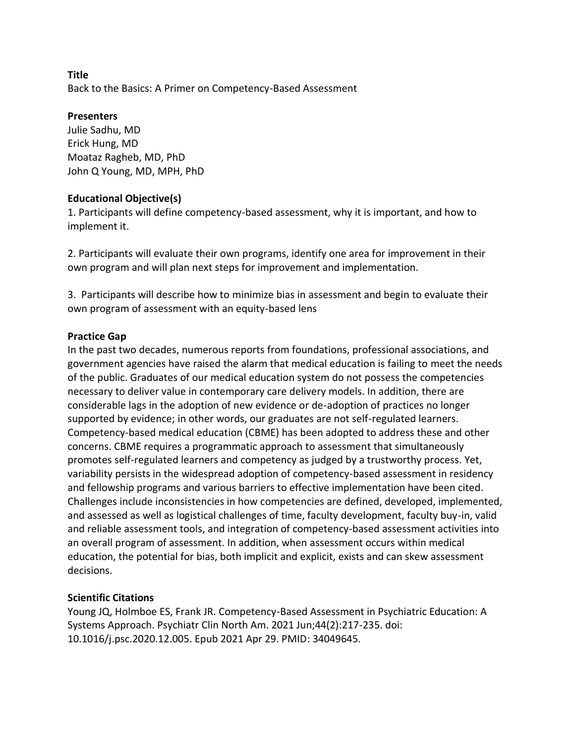**Title** Back to the Basics: A Primer on Competency-Based Assessment

### **Presenters**

Julie Sadhu, MD Erick Hung, MD Moataz Ragheb, MD, PhD John Q Young, MD, MPH, PhD

# **Educational Objective(s)**

1. Participants will define competency-based assessment, why it is important, and how to implement it.

2. Participants will evaluate their own programs, identify one area for improvement in their own program and will plan next steps for improvement and implementation.

3. Participants will describe how to minimize bias in assessment and begin to evaluate their own program of assessment with an equity-based lens

# **Practice Gap**

In the past two decades, numerous reports from foundations, professional associations, and government agencies have raised the alarm that medical education is failing to meet the needs of the public. Graduates of our medical education system do not possess the competencies necessary to deliver value in contemporary care delivery models. In addition, there are considerable lags in the adoption of new evidence or de-adoption of practices no longer supported by evidence; in other words, our graduates are not self-regulated learners. Competency-based medical education (CBME) has been adopted to address these and other concerns. CBME requires a programmatic approach to assessment that simultaneously promotes self-regulated learners and competency as judged by a trustworthy process. Yet, variability persists in the widespread adoption of competency-based assessment in residency and fellowship programs and various barriers to effective implementation have been cited. Challenges include inconsistencies in how competencies are defined, developed, implemented, and assessed as well as logistical challenges of time, faculty development, faculty buy-in, valid and reliable assessment tools, and integration of competency-based assessment activities into an overall program of assessment. In addition, when assessment occurs within medical education, the potential for bias, both implicit and explicit, exists and can skew assessment decisions.

# **Scientific Citations**

Young JQ, Holmboe ES, Frank JR. Competency-Based Assessment in Psychiatric Education: A Systems Approach. Psychiatr Clin North Am. 2021 Jun;44(2):217-235. doi: 10.1016/j.psc.2020.12.005. Epub 2021 Apr 29. PMID: 34049645.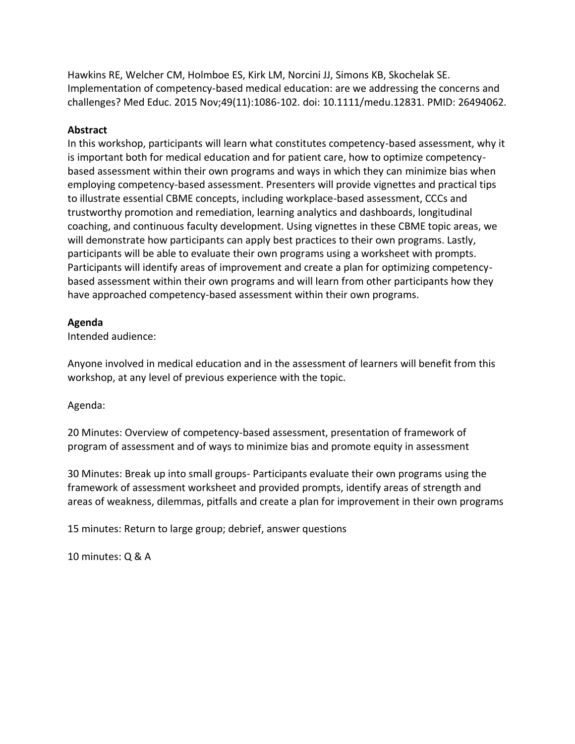Hawkins RE, Welcher CM, Holmboe ES, Kirk LM, Norcini JJ, Simons KB, Skochelak SE. Implementation of competency-based medical education: are we addressing the concerns and challenges? Med Educ. 2015 Nov;49(11):1086-102. doi: 10.1111/medu.12831. PMID: 26494062.

### **Abstract**

In this workshop, participants will learn what constitutes competency-based assessment, why it is important both for medical education and for patient care, how to optimize competencybased assessment within their own programs and ways in which they can minimize bias when employing competency-based assessment. Presenters will provide vignettes and practical tips to illustrate essential CBME concepts, including workplace-based assessment, CCCs and trustworthy promotion and remediation, learning analytics and dashboards, longitudinal coaching, and continuous faculty development. Using vignettes in these CBME topic areas, we will demonstrate how participants can apply best practices to their own programs. Lastly, participants will be able to evaluate their own programs using a worksheet with prompts. Participants will identify areas of improvement and create a plan for optimizing competencybased assessment within their own programs and will learn from other participants how they have approached competency-based assessment within their own programs.

#### **Agenda**

Intended audience:

Anyone involved in medical education and in the assessment of learners will benefit from this workshop, at any level of previous experience with the topic.

Agenda:

20 Minutes: Overview of competency-based assessment, presentation of framework of program of assessment and of ways to minimize bias and promote equity in assessment

30 Minutes: Break up into small groups- Participants evaluate their own programs using the framework of assessment worksheet and provided prompts, identify areas of strength and areas of weakness, dilemmas, pitfalls and create a plan for improvement in their own programs

15 minutes: Return to large group; debrief, answer questions

10 minutes: Q & A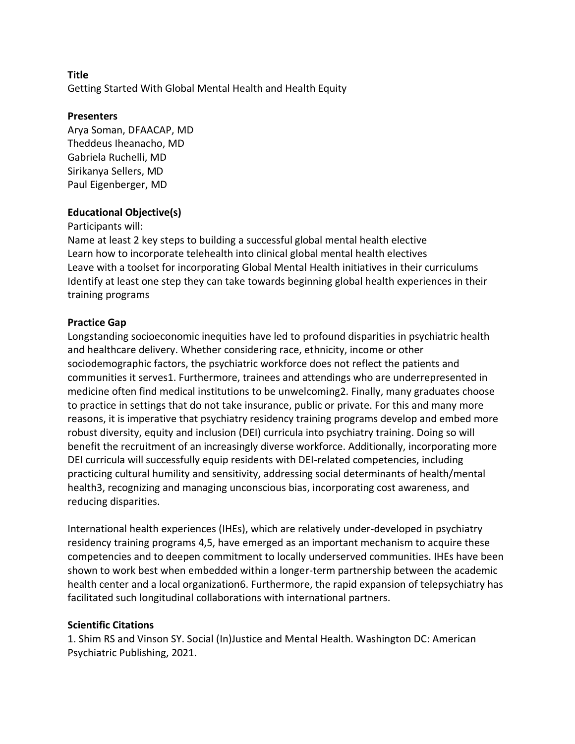Getting Started With Global Mental Health and Health Equity

### **Presenters**

Arya Soman, DFAACAP, MD Theddeus Iheanacho, MD Gabriela Ruchelli, MD Sirikanya Sellers, MD Paul Eigenberger, MD

### **Educational Objective(s)**

#### Participants will:

Name at least 2 key steps to building a successful global mental health elective Learn how to incorporate telehealth into clinical global mental health electives Leave with a toolset for incorporating Global Mental Health initiatives in their curriculums Identify at least one step they can take towards beginning global health experiences in their training programs

### **Practice Gap**

Longstanding socioeconomic inequities have led to profound disparities in psychiatric health and healthcare delivery. Whether considering race, ethnicity, income or other sociodemographic factors, the psychiatric workforce does not reflect the patients and communities it serves1. Furthermore, trainees and attendings who are underrepresented in medicine often find medical institutions to be unwelcoming2. Finally, many graduates choose to practice in settings that do not take insurance, public or private. For this and many more reasons, it is imperative that psychiatry residency training programs develop and embed more robust diversity, equity and inclusion (DEI) curricula into psychiatry training. Doing so will benefit the recruitment of an increasingly diverse workforce. Additionally, incorporating more DEI curricula will successfully equip residents with DEI-related competencies, including practicing cultural humility and sensitivity, addressing social determinants of health/mental health3, recognizing and managing unconscious bias, incorporating cost awareness, and reducing disparities.

International health experiences (IHEs), which are relatively under-developed in psychiatry residency training programs 4,5, have emerged as an important mechanism to acquire these competencies and to deepen commitment to locally underserved communities. IHEs have been shown to work best when embedded within a longer-term partnership between the academic health center and a local organization6. Furthermore, the rapid expansion of telepsychiatry has facilitated such longitudinal collaborations with international partners.

## **Scientific Citations**

1. Shim RS and Vinson SY. Social (In)Justice and Mental Health. Washington DC: American Psychiatric Publishing, 2021.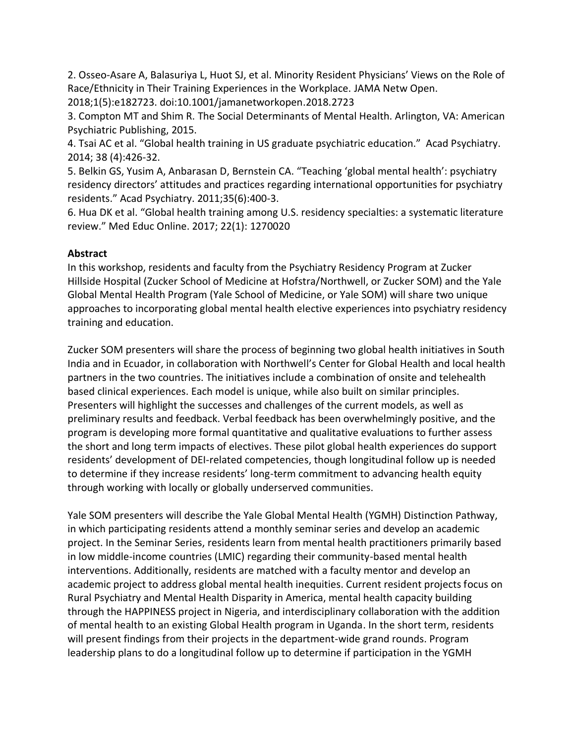2. Osseo-Asare A, Balasuriya L, Huot SJ, et al. Minority Resident Physicians' Views on the Role of Race/Ethnicity in Their Training Experiences in the Workplace. JAMA Netw Open. 2018;1(5):e182723. doi:10.1001/jamanetworkopen.2018.2723

3. Compton MT and Shim R. The Social Determinants of Mental Health. Arlington, VA: American Psychiatric Publishing, 2015.

4. Tsai AC et al. "Global health training in US graduate psychiatric education." Acad Psychiatry. 2014; 38 (4):426-32.

5. Belkin GS, Yusim A, Anbarasan D, Bernstein CA. "Teaching 'global mental health': psychiatry residency directors' attitudes and practices regarding international opportunities for psychiatry residents." Acad Psychiatry. 2011;35(6):400-3.

6. Hua DK et al. "Global health training among U.S. residency specialties: a systematic literature review." Med Educ Online. 2017; 22(1): 1270020

## **Abstract**

In this workshop, residents and faculty from the Psychiatry Residency Program at Zucker Hillside Hospital (Zucker School of Medicine at Hofstra/Northwell, or Zucker SOM) and the Yale Global Mental Health Program (Yale School of Medicine, or Yale SOM) will share two unique approaches to incorporating global mental health elective experiences into psychiatry residency training and education.

Zucker SOM presenters will share the process of beginning two global health initiatives in South India and in Ecuador, in collaboration with Northwell's Center for Global Health and local health partners in the two countries. The initiatives include a combination of onsite and telehealth based clinical experiences. Each model is unique, while also built on similar principles. Presenters will highlight the successes and challenges of the current models, as well as preliminary results and feedback. Verbal feedback has been overwhelmingly positive, and the program is developing more formal quantitative and qualitative evaluations to further assess the short and long term impacts of electives. These pilot global health experiences do support residents' development of DEI-related competencies, though longitudinal follow up is needed to determine if they increase residents' long-term commitment to advancing health equity through working with locally or globally underserved communities.

Yale SOM presenters will describe the Yale Global Mental Health (YGMH) Distinction Pathway, in which participating residents attend a monthly seminar series and develop an academic project. In the Seminar Series, residents learn from mental health practitioners primarily based in low middle-income countries (LMIC) regarding their community-based mental health interventions. Additionally, residents are matched with a faculty mentor and develop an academic project to address global mental health inequities. Current resident projects focus on Rural Psychiatry and Mental Health Disparity in America, mental health capacity building through the HAPPINESS project in Nigeria, and interdisciplinary collaboration with the addition of mental health to an existing Global Health program in Uganda. In the short term, residents will present findings from their projects in the department-wide grand rounds. Program leadership plans to do a longitudinal follow up to determine if participation in the YGMH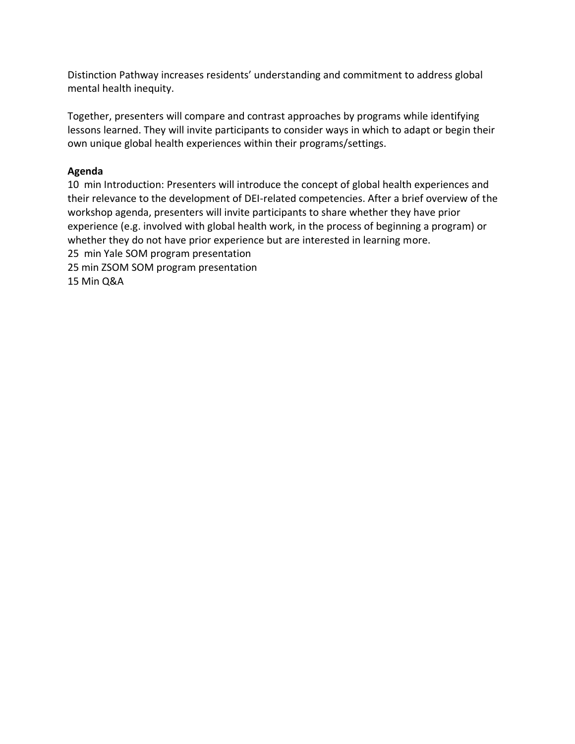Distinction Pathway increases residents' understanding and commitment to address global mental health inequity.

Together, presenters will compare and contrast approaches by programs while identifying lessons learned. They will invite participants to consider ways in which to adapt or begin their own unique global health experiences within their programs/settings.

## **Agenda**

10 min Introduction: Presenters will introduce the concept of global health experiences and their relevance to the development of DEI-related competencies. After a brief overview of the workshop agenda, presenters will invite participants to share whether they have prior experience (e.g. involved with global health work, in the process of beginning a program) or whether they do not have prior experience but are interested in learning more. 25 min Yale SOM program presentation 25 min ZSOM SOM program presentation 15 Min Q&A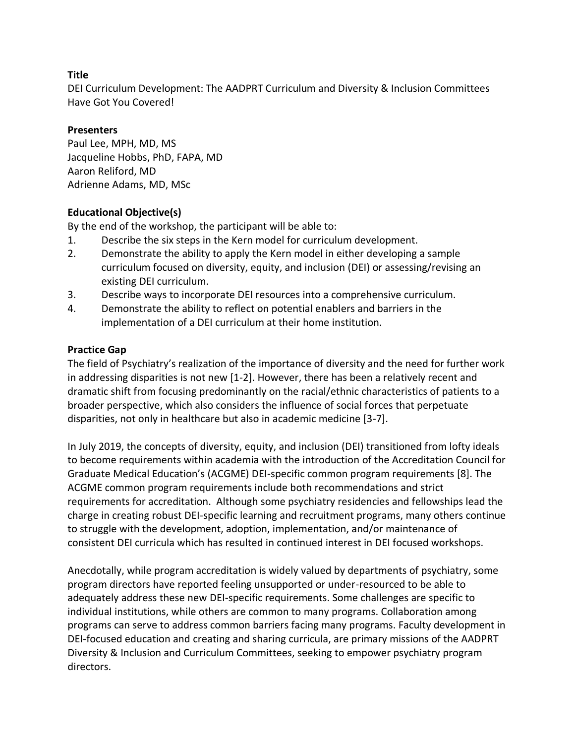DEI Curriculum Development: The AADPRT Curriculum and Diversity & Inclusion Committees Have Got You Covered!

## **Presenters**

Paul Lee, MPH, MD, MS Jacqueline Hobbs, PhD, FAPA, MD Aaron Reliford, MD Adrienne Adams, MD, MSc

## **Educational Objective(s)**

By the end of the workshop, the participant will be able to:

- 1. Describe the six steps in the Kern model for curriculum development.
- 2. Demonstrate the ability to apply the Kern model in either developing a sample curriculum focused on diversity, equity, and inclusion (DEI) or assessing/revising an existing DEI curriculum.
- 3. Describe ways to incorporate DEI resources into a comprehensive curriculum.
- 4. Demonstrate the ability to reflect on potential enablers and barriers in the implementation of a DEI curriculum at their home institution.

## **Practice Gap**

The field of Psychiatry's realization of the importance of diversity and the need for further work in addressing disparities is not new [1-2]. However, there has been a relatively recent and dramatic shift from focusing predominantly on the racial/ethnic characteristics of patients to a broader perspective, which also considers the influence of social forces that perpetuate disparities, not only in healthcare but also in academic medicine [3-7].

In July 2019, the concepts of diversity, equity, and inclusion (DEI) transitioned from lofty ideals to become requirements within academia with the introduction of the Accreditation Council for Graduate Medical Education's (ACGME) DEI-specific common program requirements [8]. The ACGME common program requirements include both recommendations and strict requirements for accreditation. Although some psychiatry residencies and fellowships lead the charge in creating robust DEI-specific learning and recruitment programs, many others continue to struggle with the development, adoption, implementation, and/or maintenance of consistent DEI curricula which has resulted in continued interest in DEI focused workshops.

Anecdotally, while program accreditation is widely valued by departments of psychiatry, some program directors have reported feeling unsupported or under-resourced to be able to adequately address these new DEI-specific requirements. Some challenges are specific to individual institutions, while others are common to many programs. Collaboration among programs can serve to address common barriers facing many programs. Faculty development in DEI-focused education and creating and sharing curricula, are primary missions of the AADPRT Diversity & Inclusion and Curriculum Committees, seeking to empower psychiatry program directors.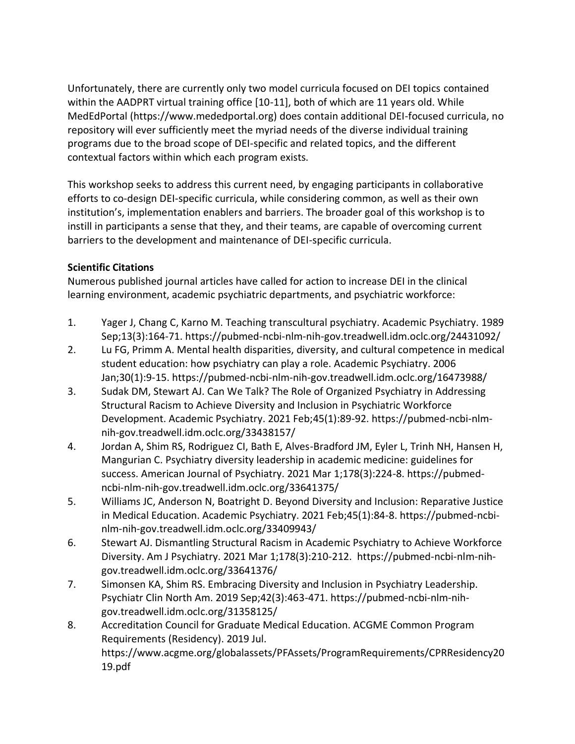Unfortunately, there are currently only two model curricula focused on DEI topics contained within the AADPRT virtual training office [10-11], both of which are 11 years old. While MedEdPortal (https://www.mededportal.org) does contain additional DEI-focused curricula, no repository will ever sufficiently meet the myriad needs of the diverse individual training programs due to the broad scope of DEI-specific and related topics, and the different contextual factors within which each program exists.

This workshop seeks to address this current need, by engaging participants in collaborative efforts to co-design DEI-specific curricula, while considering common, as well as their own institution's, implementation enablers and barriers. The broader goal of this workshop is to instill in participants a sense that they, and their teams, are capable of overcoming current barriers to the development and maintenance of DEI-specific curricula.

## **Scientific Citations**

Numerous published journal articles have called for action to increase DEI in the clinical learning environment, academic psychiatric departments, and psychiatric workforce:

- 1. Yager J, Chang C, Karno M. Teaching transcultural psychiatry. Academic Psychiatry. 1989 Sep;13(3):164-71. https://pubmed-ncbi-nlm-nih-gov.treadwell.idm.oclc.org/24431092/
- 2. Lu FG, Primm A. Mental health disparities, diversity, and cultural competence in medical student education: how psychiatry can play a role. Academic Psychiatry. 2006 Jan;30(1):9-15. https://pubmed-ncbi-nlm-nih-gov.treadwell.idm.oclc.org/16473988/
- 3. Sudak DM, Stewart AJ. Can We Talk? The Role of Organized Psychiatry in Addressing Structural Racism to Achieve Diversity and Inclusion in Psychiatric Workforce Development. Academic Psychiatry. 2021 Feb;45(1):89-92. https://pubmed-ncbi-nlmnih-gov.treadwell.idm.oclc.org/33438157/
- 4. Jordan A, Shim RS, Rodriguez CI, Bath E, Alves-Bradford JM, Eyler L, Trinh NH, Hansen H, Mangurian C. Psychiatry diversity leadership in academic medicine: guidelines for success. American Journal of Psychiatry. 2021 Mar 1;178(3):224-8. https://pubmedncbi-nlm-nih-gov.treadwell.idm.oclc.org/33641375/
- 5. Williams JC, Anderson N, Boatright D. Beyond Diversity and Inclusion: Reparative Justice in Medical Education. Academic Psychiatry. 2021 Feb;45(1):84-8. https://pubmed-ncbinlm-nih-gov.treadwell.idm.oclc.org/33409943/
- 6. Stewart AJ. Dismantling Structural Racism in Academic Psychiatry to Achieve Workforce Diversity. Am J Psychiatry. 2021 Mar 1;178(3):210-212. https://pubmed-ncbi-nlm-nihgov.treadwell.idm.oclc.org/33641376/
- 7. Simonsen KA, Shim RS. Embracing Diversity and Inclusion in Psychiatry Leadership. Psychiatr Clin North Am. 2019 Sep;42(3):463-471. https://pubmed-ncbi-nlm-nihgov.treadwell.idm.oclc.org/31358125/
- 8. Accreditation Council for Graduate Medical Education. ACGME Common Program Requirements (Residency). 2019 Jul. https://www.acgme.org/globalassets/PFAssets/ProgramRequirements/CPRResidency20 19.pdf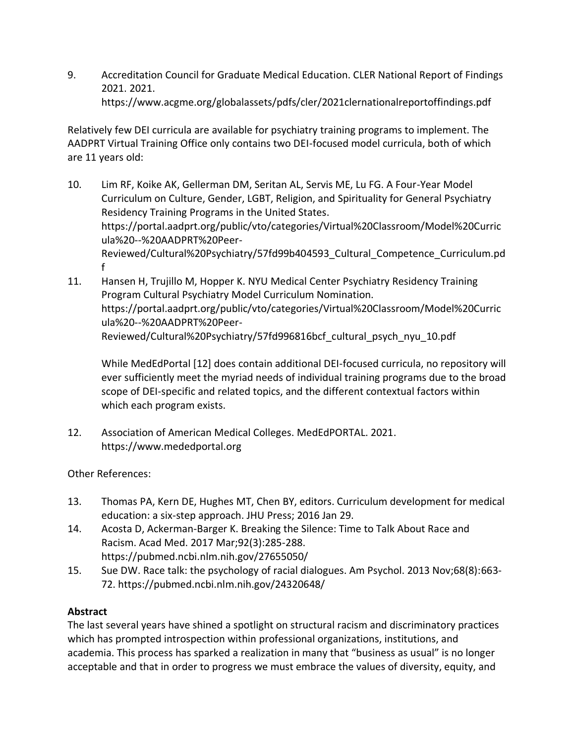9. Accreditation Council for Graduate Medical Education. CLER National Report of Findings 2021. 2021. https://www.acgme.org/globalassets/pdfs/cler/2021clernationalreportoffindings.pdf

Relatively few DEI curricula are available for psychiatry training programs to implement. The AADPRT Virtual Training Office only contains two DEI-focused model curricula, both of which are 11 years old:

- 10. Lim RF, Koike AK, Gellerman DM, Seritan AL, Servis ME, Lu FG. A Four-Year Model Curriculum on Culture, Gender, LGBT, Religion, and Spirituality for General Psychiatry Residency Training Programs in the United States. https://portal.aadprt.org/public/vto/categories/Virtual%20Classroom/Model%20Curric ula%20--%20AADPRT%20Peer-Reviewed/Cultural%20Psychiatry/57fd99b404593\_Cultural\_Competence\_Curriculum.pd f
- 11. Hansen H, Trujillo M, Hopper K. NYU Medical Center Psychiatry Residency Training Program Cultural Psychiatry Model Curriculum Nomination. https://portal.aadprt.org/public/vto/categories/Virtual%20Classroom/Model%20Curric ula%20--%20AADPRT%20Peer-Reviewed/Cultural%20Psychiatry/57fd996816bcf\_cultural\_psych\_nyu\_10.pdf

While MedEdPortal [12] does contain additional DEI-focused curricula, no repository will ever sufficiently meet the myriad needs of individual training programs due to the broad scope of DEI-specific and related topics, and the different contextual factors within which each program exists.

12. Association of American Medical Colleges. MedEdPORTAL. 2021. https://www.mededportal.org

Other References:

- 13. Thomas PA, Kern DE, Hughes MT, Chen BY, editors. Curriculum development for medical education: a six-step approach. JHU Press; 2016 Jan 29.
- 14. Acosta D, Ackerman-Barger K. Breaking the Silence: Time to Talk About Race and Racism. Acad Med. 2017 Mar;92(3):285-288. https://pubmed.ncbi.nlm.nih.gov/27655050/
- 15. Sue DW. Race talk: the psychology of racial dialogues. Am Psychol. 2013 Nov;68(8):663- 72. https://pubmed.ncbi.nlm.nih.gov/24320648/

# **Abstract**

The last several years have shined a spotlight on structural racism and discriminatory practices which has prompted introspection within professional organizations, institutions, and academia. This process has sparked a realization in many that "business as usual" is no longer acceptable and that in order to progress we must embrace the values of diversity, equity, and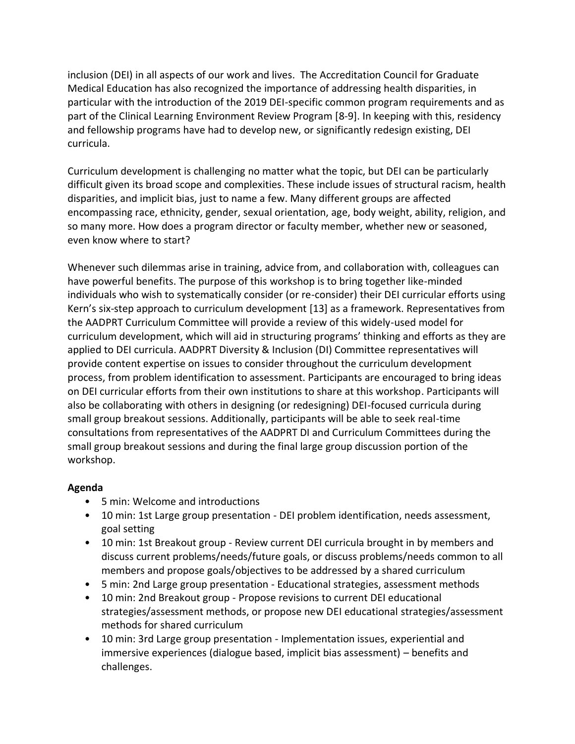inclusion (DEI) in all aspects of our work and lives. The Accreditation Council for Graduate Medical Education has also recognized the importance of addressing health disparities, in particular with the introduction of the 2019 DEI-specific common program requirements and as part of the Clinical Learning Environment Review Program [8-9]. In keeping with this, residency and fellowship programs have had to develop new, or significantly redesign existing, DEI curricula.

Curriculum development is challenging no matter what the topic, but DEI can be particularly difficult given its broad scope and complexities. These include issues of structural racism, health disparities, and implicit bias, just to name a few. Many different groups are affected encompassing race, ethnicity, gender, sexual orientation, age, body weight, ability, religion, and so many more. How does a program director or faculty member, whether new or seasoned, even know where to start?

Whenever such dilemmas arise in training, advice from, and collaboration with, colleagues can have powerful benefits. The purpose of this workshop is to bring together like-minded individuals who wish to systematically consider (or re-consider) their DEI curricular efforts using Kern's six-step approach to curriculum development [13] as a framework. Representatives from the AADPRT Curriculum Committee will provide a review of this widely-used model for curriculum development, which will aid in structuring programs' thinking and efforts as they are applied to DEI curricula. AADPRT Diversity & Inclusion (DI) Committee representatives will provide content expertise on issues to consider throughout the curriculum development process, from problem identification to assessment. Participants are encouraged to bring ideas on DEI curricular efforts from their own institutions to share at this workshop. Participants will also be collaborating with others in designing (or redesigning) DEI-focused curricula during small group breakout sessions. Additionally, participants will be able to seek real-time consultations from representatives of the AADPRT DI and Curriculum Committees during the small group breakout sessions and during the final large group discussion portion of the workshop.

## **Agenda**

- 5 min: Welcome and introductions
- 10 min: 1st Large group presentation DEI problem identification, needs assessment, goal setting
- 10 min: 1st Breakout group Review current DEI curricula brought in by members and discuss current problems/needs/future goals, or discuss problems/needs common to all members and propose goals/objectives to be addressed by a shared curriculum
- 5 min: 2nd Large group presentation Educational strategies, assessment methods
- 10 min: 2nd Breakout group Propose revisions to current DEI educational strategies/assessment methods, or propose new DEI educational strategies/assessment methods for shared curriculum
- 10 min: 3rd Large group presentation Implementation issues, experiential and immersive experiences (dialogue based, implicit bias assessment) – benefits and challenges.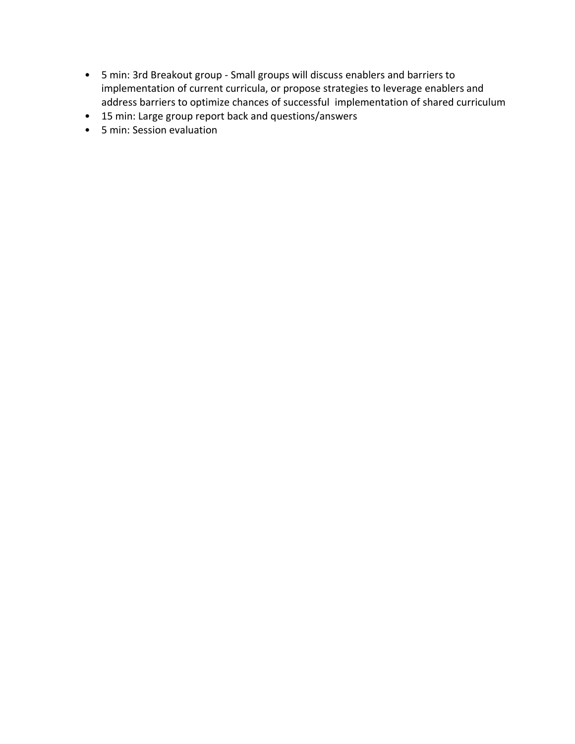- 5 min: 3rd Breakout group Small groups will discuss enablers and barriers to implementation of current curricula, or propose strategies to leverage enablers and address barriers to optimize chances of successful implementation of shared curriculum
- 15 min: Large group report back and questions/answers
- 5 min: Session evaluation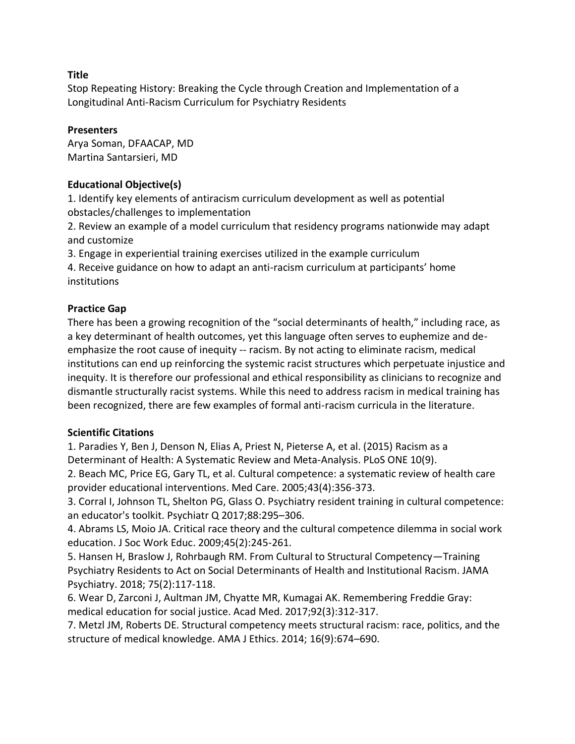Stop Repeating History: Breaking the Cycle through Creation and Implementation of a Longitudinal Anti-Racism Curriculum for Psychiatry Residents

## **Presenters**

Arya Soman, DFAACAP, MD Martina Santarsieri, MD

## **Educational Objective(s)**

1. Identify key elements of antiracism curriculum development as well as potential obstacles/challenges to implementation

2. Review an example of a model curriculum that residency programs nationwide may adapt and customize

3. Engage in experiential training exercises utilized in the example curriculum

4. Receive guidance on how to adapt an anti-racism curriculum at participants' home institutions

# **Practice Gap**

There has been a growing recognition of the "social determinants of health," including race, as a key determinant of health outcomes, yet this language often serves to euphemize and deemphasize the root cause of inequity -- racism. By not acting to eliminate racism, medical institutions can end up reinforcing the systemic racist structures which perpetuate injustice and inequity. It is therefore our professional and ethical responsibility as clinicians to recognize and dismantle structurally racist systems. While this need to address racism in medical training has been recognized, there are few examples of formal anti-racism curricula in the literature.

## **Scientific Citations**

1. Paradies Y, Ben J, Denson N, Elias A, Priest N, Pieterse A, et al. (2015) Racism as a Determinant of Health: A Systematic Review and Meta-Analysis. PLoS ONE 10(9).

2. Beach MC, Price EG, Gary TL, et al. Cultural competence: a systematic review of health care provider educational interventions. Med Care. 2005;43(4):356-373.

3. Corral I, Johnson TL, Shelton PG, Glass O. Psychiatry resident training in cultural competence: an educator's toolkit. Psychiatr Q 2017;88:295–306.

4. Abrams LS, Moio JA. Critical race theory and the cultural competence dilemma in social work education. J Soc Work Educ. 2009;45(2):245-261.

5. Hansen H, Braslow J, Rohrbaugh RM. From Cultural to Structural Competency—Training Psychiatry Residents to Act on Social Determinants of Health and Institutional Racism. JAMA Psychiatry. 2018; 75(2):117-118.

6. Wear D, Zarconi J, Aultman JM, Chyatte MR, Kumagai AK. Remembering Freddie Gray: medical education for social justice. Acad Med. 2017;92(3):312-317.

7. Metzl JM, Roberts DE. Structural competency meets structural racism: race, politics, and the structure of medical knowledge. AMA J Ethics. 2014; 16(9):674–690.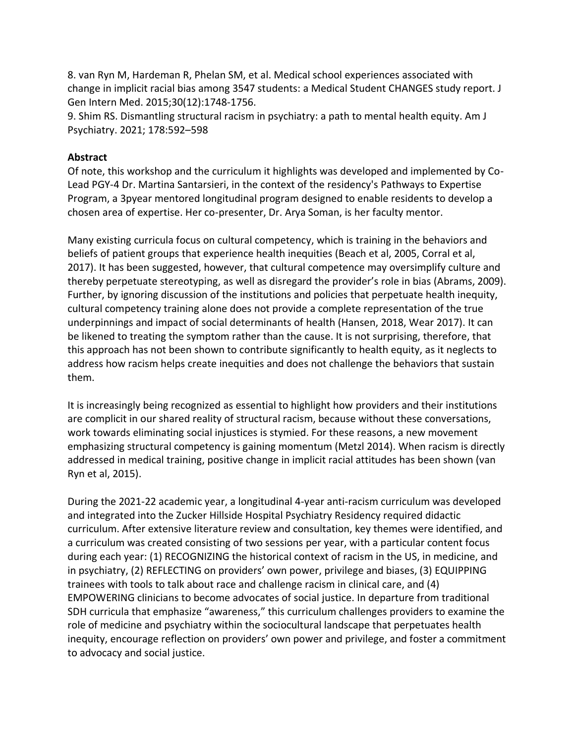8. van Ryn M, Hardeman R, Phelan SM, et al. Medical school experiences associated with change in implicit racial bias among 3547 students: a Medical Student CHANGES study report. J Gen Intern Med. 2015;30(12):1748-1756.

9. Shim RS. Dismantling structural racism in psychiatry: a path to mental health equity. Am J Psychiatry. 2021; 178:592–598

#### **Abstract**

Of note, this workshop and the curriculum it highlights was developed and implemented by Co-Lead PGY-4 Dr. Martina Santarsieri, in the context of the residency's Pathways to Expertise Program, a 3pyear mentored longitudinal program designed to enable residents to develop a chosen area of expertise. Her co-presenter, Dr. Arya Soman, is her faculty mentor.

Many existing curricula focus on cultural competency, which is training in the behaviors and beliefs of patient groups that experience health inequities (Beach et al, 2005, Corral et al, 2017). It has been suggested, however, that cultural competence may oversimplify culture and thereby perpetuate stereotyping, as well as disregard the provider's role in bias (Abrams, 2009). Further, by ignoring discussion of the institutions and policies that perpetuate health inequity, cultural competency training alone does not provide a complete representation of the true underpinnings and impact of social determinants of health (Hansen, 2018, Wear 2017). It can be likened to treating the symptom rather than the cause. It is not surprising, therefore, that this approach has not been shown to contribute significantly to health equity, as it neglects to address how racism helps create inequities and does not challenge the behaviors that sustain them.

It is increasingly being recognized as essential to highlight how providers and their institutions are complicit in our shared reality of structural racism, because without these conversations, work towards eliminating social injustices is stymied. For these reasons, a new movement emphasizing structural competency is gaining momentum (Metzl 2014). When racism is directly addressed in medical training, positive change in implicit racial attitudes has been shown (van Ryn et al, 2015).

During the 2021-22 academic year, a longitudinal 4-year anti-racism curriculum was developed and integrated into the Zucker Hillside Hospital Psychiatry Residency required didactic curriculum. After extensive literature review and consultation, key themes were identified, and a curriculum was created consisting of two sessions per year, with a particular content focus during each year: (1) RECOGNIZING the historical context of racism in the US, in medicine, and in psychiatry, (2) REFLECTING on providers' own power, privilege and biases, (3) EQUIPPING trainees with tools to talk about race and challenge racism in clinical care, and (4) EMPOWERING clinicians to become advocates of social justice. In departure from traditional SDH curricula that emphasize "awareness," this curriculum challenges providers to examine the role of medicine and psychiatry within the sociocultural landscape that perpetuates health inequity, encourage reflection on providers' own power and privilege, and foster a commitment to advocacy and social justice.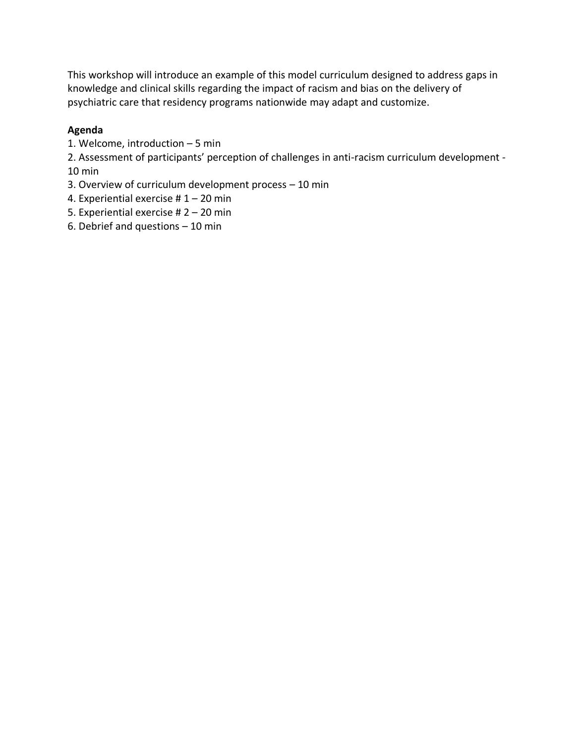This workshop will introduce an example of this model curriculum designed to address gaps in knowledge and clinical skills regarding the impact of racism and bias on the delivery of psychiatric care that residency programs nationwide may adapt and customize.

## **Agenda**

1. Welcome, introduction – 5 min

2. Assessment of participants' perception of challenges in anti-racism curriculum development - 10 min

- 3. Overview of curriculum development process 10 min
- 4. Experiential exercise # 1 20 min
- 5. Experiential exercise # 2 20 min
- 6. Debrief and questions 10 min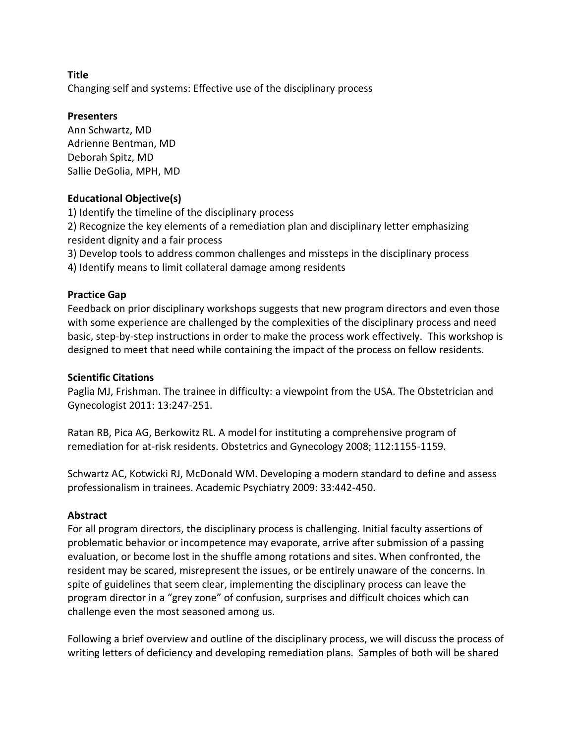Changing self and systems: Effective use of the disciplinary process

#### **Presenters**

Ann Schwartz, MD Adrienne Bentman, MD Deborah Spitz, MD Sallie DeGolia, MPH, MD

### **Educational Objective(s)**

1) Identify the timeline of the disciplinary process 2) Recognize the key elements of a remediation plan and disciplinary letter emphasizing resident dignity and a fair process

3) Develop tools to address common challenges and missteps in the disciplinary process

4) Identify means to limit collateral damage among residents

### **Practice Gap**

Feedback on prior disciplinary workshops suggests that new program directors and even those with some experience are challenged by the complexities of the disciplinary process and need basic, step-by-step instructions in order to make the process work effectively. This workshop is designed to meet that need while containing the impact of the process on fellow residents.

#### **Scientific Citations**

Paglia MJ, Frishman. The trainee in difficulty: a viewpoint from the USA. The Obstetrician and Gynecologist 2011: 13:247-251.

Ratan RB, Pica AG, Berkowitz RL. A model for instituting a comprehensive program of remediation for at-risk residents. Obstetrics and Gynecology 2008; 112:1155-1159.

Schwartz AC, Kotwicki RJ, McDonald WM. Developing a modern standard to define and assess professionalism in trainees. Academic Psychiatry 2009: 33:442-450.

#### **Abstract**

For all program directors, the disciplinary process is challenging. Initial faculty assertions of problematic behavior or incompetence may evaporate, arrive after submission of a passing evaluation, or become lost in the shuffle among rotations and sites. When confronted, the resident may be scared, misrepresent the issues, or be entirely unaware of the concerns. In spite of guidelines that seem clear, implementing the disciplinary process can leave the program director in a "grey zone" of confusion, surprises and difficult choices which can challenge even the most seasoned among us.

Following a brief overview and outline of the disciplinary process, we will discuss the process of writing letters of deficiency and developing remediation plans. Samples of both will be shared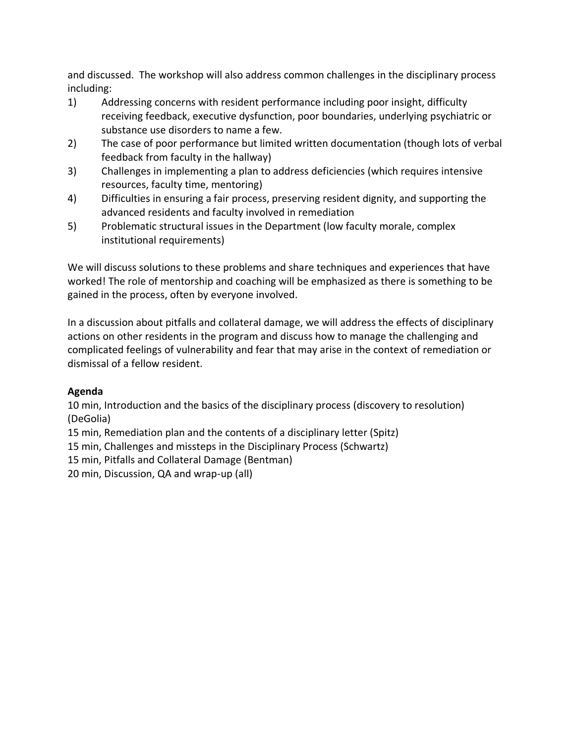and discussed. The workshop will also address common challenges in the disciplinary process including:

- 1) Addressing concerns with resident performance including poor insight, difficulty receiving feedback, executive dysfunction, poor boundaries, underlying psychiatric or substance use disorders to name a few.
- 2) The case of poor performance but limited written documentation (though lots of verbal feedback from faculty in the hallway)
- 3) Challenges in implementing a plan to address deficiencies (which requires intensive resources, faculty time, mentoring)
- 4) Difficulties in ensuring a fair process, preserving resident dignity, and supporting the advanced residents and faculty involved in remediation
- 5) Problematic structural issues in the Department (low faculty morale, complex institutional requirements)

We will discuss solutions to these problems and share techniques and experiences that have worked! The role of mentorship and coaching will be emphasized as there is something to be gained in the process, often by everyone involved.

In a discussion about pitfalls and collateral damage, we will address the effects of disciplinary actions on other residents in the program and discuss how to manage the challenging and complicated feelings of vulnerability and fear that may arise in the context of remediation or dismissal of a fellow resident.

# **Agenda**

10 min, Introduction and the basics of the disciplinary process (discovery to resolution) (DeGolia)

15 min, Remediation plan and the contents of a disciplinary letter (Spitz)

15 min, Challenges and missteps in the Disciplinary Process (Schwartz)

15 min, Pitfalls and Collateral Damage (Bentman)

20 min, Discussion, QA and wrap-up (all)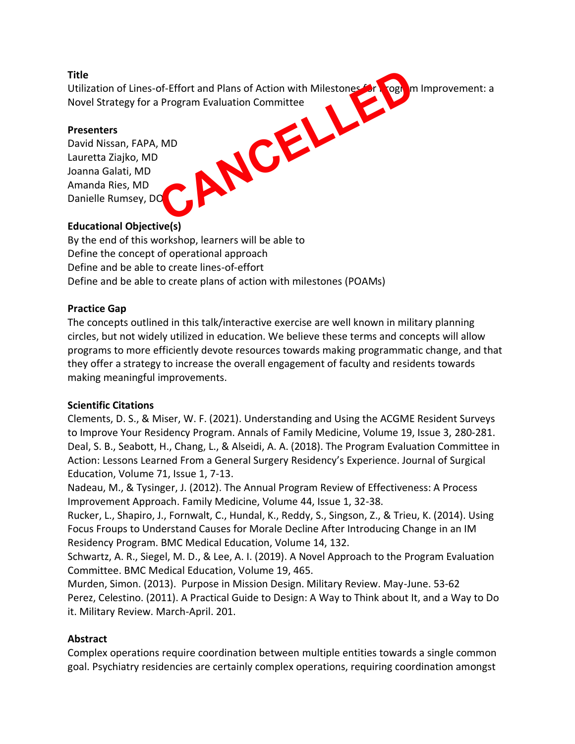Utilization of Lines-of-Effort and Plans of Action with Milestones for Program Improvement: a Novel Strategy for a Program Evaluation Committee CANCELLED

### **Presenters**

David Nissan, FAPA, MD Lauretta Ziajko, MD Joanna Galati, MD Amanda Ries, MD Danielle Rumsey, DO

## **Educational Objective(s)**

By the end of this workshop, learners will be able to Define the concept of operational approach Define and be able to create lines-of-effort Define and be able to create plans of action with milestones (POAMs)

## **Practice Gap**

The concepts outlined in this talk/interactive exercise are well known in military planning circles, but not widely utilized in education. We believe these terms and concepts will allow programs to more efficiently devote resources towards making programmatic change, and that they offer a strategy to increase the overall engagement of faculty and residents towards making meaningful improvements.

## **Scientific Citations**

Clements, D. S., & Miser, W. F. (2021). Understanding and Using the ACGME Resident Surveys to Improve Your Residency Program. Annals of Family Medicine, Volume 19, Issue 3, 280-281. Deal, S. B., Seabott, H., Chang, L., & Alseidi, A. A. (2018). The Program Evaluation Committee in Action: Lessons Learned From a General Surgery Residency's Experience. Journal of Surgical Education, Volume 71, Issue 1, 7-13.

Nadeau, M., & Tysinger, J. (2012). The Annual Program Review of Effectiveness: A Process Improvement Approach. Family Medicine, Volume 44, Issue 1, 32-38.

Rucker, L., Shapiro, J., Fornwalt, C., Hundal, K., Reddy, S., Singson, Z., & Trieu, K. (2014). Using Focus Froups to Understand Causes for Morale Decline After Introducing Change in an IM Residency Program. BMC Medical Education, Volume 14, 132.

Schwartz, A. R., Siegel, M. D., & Lee, A. I. (2019). A Novel Approach to the Program Evaluation Committee. BMC Medical Education, Volume 19, 465.

Murden, Simon. (2013). Purpose in Mission Design. Military Review. May-June. 53-62 Perez, Celestino. (2011). A Practical Guide to Design: A Way to Think about It, and a Way to Do it. Military Review. March-April. 201.

## **Abstract**

Complex operations require coordination between multiple entities towards a single common goal. Psychiatry residencies are certainly complex operations, requiring coordination amongst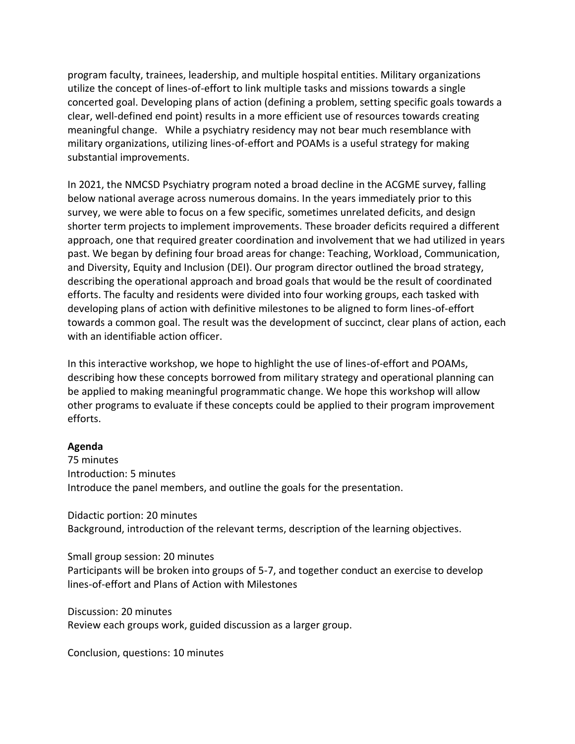program faculty, trainees, leadership, and multiple hospital entities. Military organizations utilize the concept of lines-of-effort to link multiple tasks and missions towards a single concerted goal. Developing plans of action (defining a problem, setting specific goals towards a clear, well-defined end point) results in a more efficient use of resources towards creating meaningful change. While a psychiatry residency may not bear much resemblance with military organizations, utilizing lines-of-effort and POAMs is a useful strategy for making substantial improvements.

In 2021, the NMCSD Psychiatry program noted a broad decline in the ACGME survey, falling below national average across numerous domains. In the years immediately prior to this survey, we were able to focus on a few specific, sometimes unrelated deficits, and design shorter term projects to implement improvements. These broader deficits required a different approach, one that required greater coordination and involvement that we had utilized in years past. We began by defining four broad areas for change: Teaching, Workload, Communication, and Diversity, Equity and Inclusion (DEI). Our program director outlined the broad strategy, describing the operational approach and broad goals that would be the result of coordinated efforts. The faculty and residents were divided into four working groups, each tasked with developing plans of action with definitive milestones to be aligned to form lines-of-effort towards a common goal. The result was the development of succinct, clear plans of action, each with an identifiable action officer.

In this interactive workshop, we hope to highlight the use of lines-of-effort and POAMs, describing how these concepts borrowed from military strategy and operational planning can be applied to making meaningful programmatic change. We hope this workshop will allow other programs to evaluate if these concepts could be applied to their program improvement efforts.

#### **Agenda**

75 minutes Introduction: 5 minutes Introduce the panel members, and outline the goals for the presentation.

Didactic portion: 20 minutes Background, introduction of the relevant terms, description of the learning objectives.

Small group session: 20 minutes Participants will be broken into groups of 5-7, and together conduct an exercise to develop lines-of-effort and Plans of Action with Milestones

Discussion: 20 minutes Review each groups work, guided discussion as a larger group.

Conclusion, questions: 10 minutes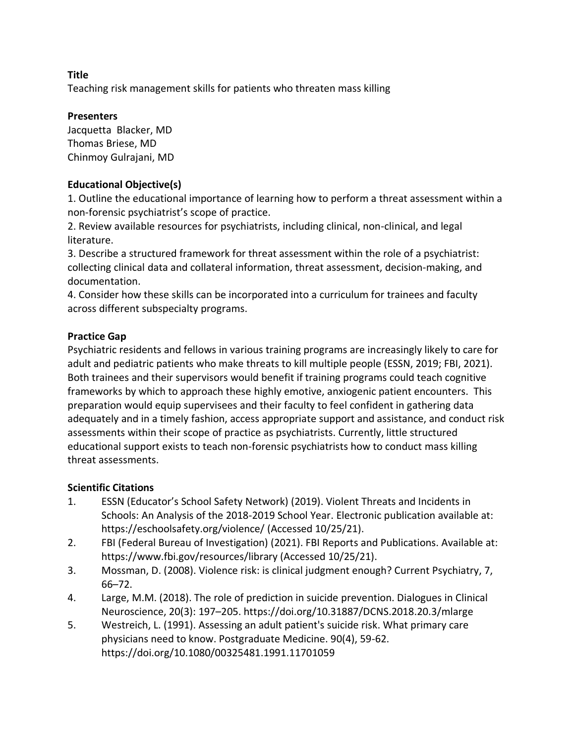Teaching risk management skills for patients who threaten mass killing

### **Presenters**

Jacquetta Blacker, MD Thomas Briese, MD Chinmoy Gulrajani, MD

## **Educational Objective(s)**

1. Outline the educational importance of learning how to perform a threat assessment within a non-forensic psychiatrist's scope of practice.

2. Review available resources for psychiatrists, including clinical, non-clinical, and legal literature.

3. Describe a structured framework for threat assessment within the role of a psychiatrist: collecting clinical data and collateral information, threat assessment, decision-making, and documentation.

4. Consider how these skills can be incorporated into a curriculum for trainees and faculty across different subspecialty programs.

## **Practice Gap**

Psychiatric residents and fellows in various training programs are increasingly likely to care for adult and pediatric patients who make threats to kill multiple people (ESSN, 2019; FBI, 2021). Both trainees and their supervisors would benefit if training programs could teach cognitive frameworks by which to approach these highly emotive, anxiogenic patient encounters. This preparation would equip supervisees and their faculty to feel confident in gathering data adequately and in a timely fashion, access appropriate support and assistance, and conduct risk assessments within their scope of practice as psychiatrists. Currently, little structured educational support exists to teach non-forensic psychiatrists how to conduct mass killing threat assessments.

## **Scientific Citations**

- 1. ESSN (Educator's School Safety Network) (2019). Violent Threats and Incidents in Schools: An Analysis of the 2018-2019 School Year. Electronic publication available at: https://eschoolsafety.org/violence/ (Accessed 10/25/21).
- 2. FBI (Federal Bureau of Investigation) (2021). FBI Reports and Publications. Available at: https://www.fbi.gov/resources/library (Accessed 10/25/21).
- 3. Mossman, D. (2008). Violence risk: is clinical judgment enough? Current Psychiatry, 7, 66–72.
- 4. Large, M.M. (2018). The role of prediction in suicide prevention. Dialogues in Clinical Neuroscience, 20(3): 197–205. https://doi.org/10.31887/DCNS.2018.20.3/mlarge
- 5. Westreich, L. (1991). Assessing an adult patient's suicide risk. What primary care physicians need to know. Postgraduate Medicine. 90(4), 59-62. https://doi.org/10.1080/00325481.1991.11701059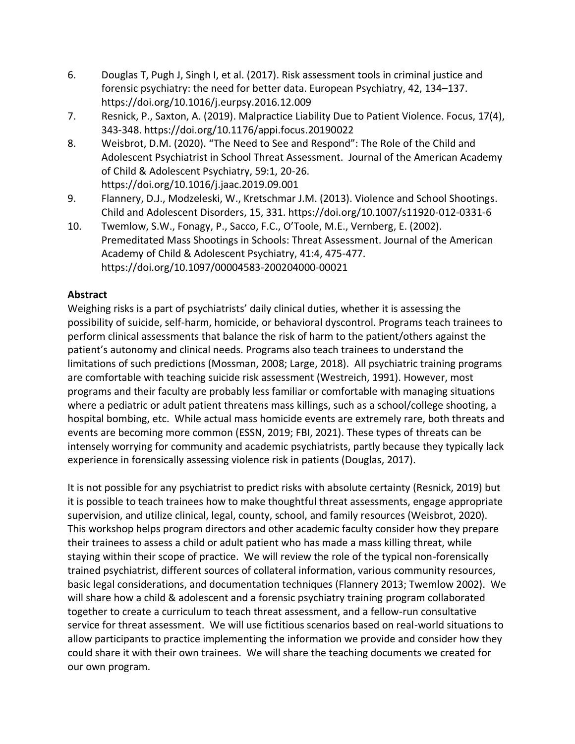- 6. Douglas T, Pugh J, Singh I, et al. (2017). Risk assessment tools in criminal justice and forensic psychiatry: the need for better data. European Psychiatry, 42, 134–137. https://doi.org/10.1016/j.eurpsy.2016.12.009
- 7. Resnick, P., Saxton, A. (2019). Malpractice Liability Due to Patient Violence. Focus, 17(4), 343-348. https://doi.org/10.1176/appi.focus.20190022
- 8. Weisbrot, D.M. (2020). "The Need to See and Respond": The Role of the Child and Adolescent Psychiatrist in School Threat Assessment. Journal of the American Academy of Child & Adolescent Psychiatry, 59:1, 20-26. https://doi.org/10.1016/j.jaac.2019.09.001
- 9. Flannery, D.J., Modzeleski, W., Kretschmar J.M. (2013). Violence and School Shootings. Child and Adolescent Disorders, 15, 331. https://doi.org/10.1007/s11920-012-0331-6
- 10. Twemlow, S.W., Fonagy, P., Sacco, F.C., O'Toole, M.E., Vernberg, E. (2002). Premeditated Mass Shootings in Schools: Threat Assessment. Journal of the American Academy of Child & Adolescent Psychiatry, 41:4, 475-477. https://doi.org/10.1097/00004583-200204000-00021

## **Abstract**

Weighing risks is a part of psychiatrists' daily clinical duties, whether it is assessing the possibility of suicide, self-harm, homicide, or behavioral dyscontrol. Programs teach trainees to perform clinical assessments that balance the risk of harm to the patient/others against the patient's autonomy and clinical needs. Programs also teach trainees to understand the limitations of such predictions (Mossman, 2008; Large, 2018). All psychiatric training programs are comfortable with teaching suicide risk assessment (Westreich, 1991). However, most programs and their faculty are probably less familiar or comfortable with managing situations where a pediatric or adult patient threatens mass killings, such as a school/college shooting, a hospital bombing, etc. While actual mass homicide events are extremely rare, both threats and events are becoming more common (ESSN, 2019; FBI, 2021). These types of threats can be intensely worrying for community and academic psychiatrists, partly because they typically lack experience in forensically assessing violence risk in patients (Douglas, 2017).

It is not possible for any psychiatrist to predict risks with absolute certainty (Resnick, 2019) but it is possible to teach trainees how to make thoughtful threat assessments, engage appropriate supervision, and utilize clinical, legal, county, school, and family resources (Weisbrot, 2020). This workshop helps program directors and other academic faculty consider how they prepare their trainees to assess a child or adult patient who has made a mass killing threat, while staying within their scope of practice. We will review the role of the typical non-forensically trained psychiatrist, different sources of collateral information, various community resources, basic legal considerations, and documentation techniques (Flannery 2013; Twemlow 2002). We will share how a child & adolescent and a forensic psychiatry training program collaborated together to create a curriculum to teach threat assessment, and a fellow-run consultative service for threat assessment. We will use fictitious scenarios based on real-world situations to allow participants to practice implementing the information we provide and consider how they could share it with their own trainees. We will share the teaching documents we created for our own program.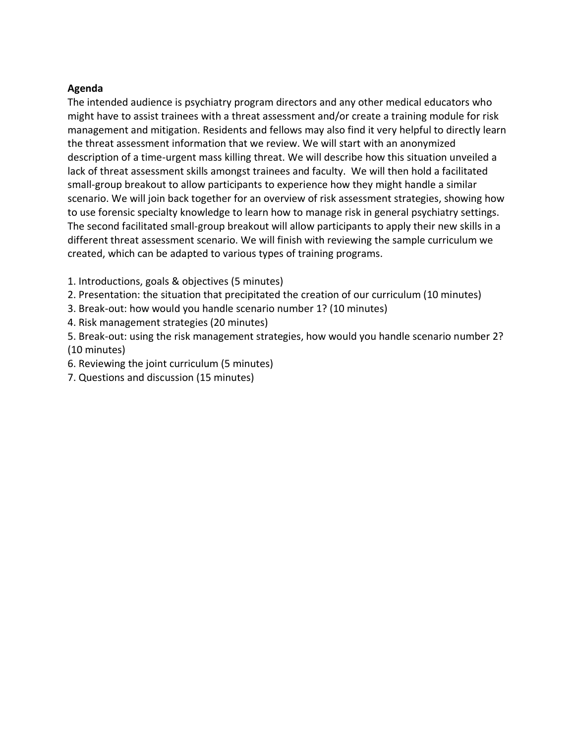#### **Agenda**

The intended audience is psychiatry program directors and any other medical educators who might have to assist trainees with a threat assessment and/or create a training module for risk management and mitigation. Residents and fellows may also find it very helpful to directly learn the threat assessment information that we review. We will start with an anonymized description of a time-urgent mass killing threat. We will describe how this situation unveiled a lack of threat assessment skills amongst trainees and faculty. We will then hold a facilitated small-group breakout to allow participants to experience how they might handle a similar scenario. We will join back together for an overview of risk assessment strategies, showing how to use forensic specialty knowledge to learn how to manage risk in general psychiatry settings. The second facilitated small-group breakout will allow participants to apply their new skills in a different threat assessment scenario. We will finish with reviewing the sample curriculum we created, which can be adapted to various types of training programs.

- 1. Introductions, goals & objectives (5 minutes)
- 2. Presentation: the situation that precipitated the creation of our curriculum (10 minutes)
- 3. Break-out: how would you handle scenario number 1? (10 minutes)
- 4. Risk management strategies (20 minutes)
- 5. Break-out: using the risk management strategies, how would you handle scenario number 2? (10 minutes)
- 6. Reviewing the joint curriculum (5 minutes)
- 7. Questions and discussion (15 minutes)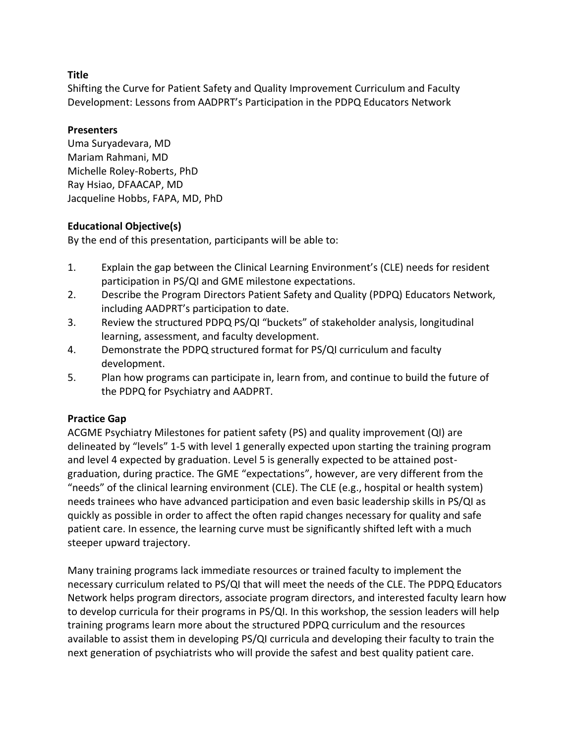Shifting the Curve for Patient Safety and Quality Improvement Curriculum and Faculty Development: Lessons from AADPRT's Participation in the PDPQ Educators Network

### **Presenters**

Uma Suryadevara, MD Mariam Rahmani, MD Michelle Roley-Roberts, PhD Ray Hsiao, DFAACAP, MD Jacqueline Hobbs, FAPA, MD, PhD

## **Educational Objective(s)**

By the end of this presentation, participants will be able to:

- 1. Explain the gap between the Clinical Learning Environment's (CLE) needs for resident participation in PS/QI and GME milestone expectations.
- 2. Describe the Program Directors Patient Safety and Quality (PDPQ) Educators Network, including AADPRT's participation to date.
- 3. Review the structured PDPQ PS/QI "buckets" of stakeholder analysis, longitudinal learning, assessment, and faculty development.
- 4. Demonstrate the PDPQ structured format for PS/QI curriculum and faculty development.
- 5. Plan how programs can participate in, learn from, and continue to build the future of the PDPQ for Psychiatry and AADPRT.

## **Practice Gap**

ACGME Psychiatry Milestones for patient safety (PS) and quality improvement (QI) are delineated by "levels" 1-5 with level 1 generally expected upon starting the training program and level 4 expected by graduation. Level 5 is generally expected to be attained postgraduation, during practice. The GME "expectations", however, are very different from the "needs" of the clinical learning environment (CLE). The CLE (e.g., hospital or health system) needs trainees who have advanced participation and even basic leadership skills in PS/QI as quickly as possible in order to affect the often rapid changes necessary for quality and safe patient care. In essence, the learning curve must be significantly shifted left with a much steeper upward trajectory.

Many training programs lack immediate resources or trained faculty to implement the necessary curriculum related to PS/QI that will meet the needs of the CLE. The PDPQ Educators Network helps program directors, associate program directors, and interested faculty learn how to develop curricula for their programs in PS/QI. In this workshop, the session leaders will help training programs learn more about the structured PDPQ curriculum and the resources available to assist them in developing PS/QI curricula and developing their faculty to train the next generation of psychiatrists who will provide the safest and best quality patient care.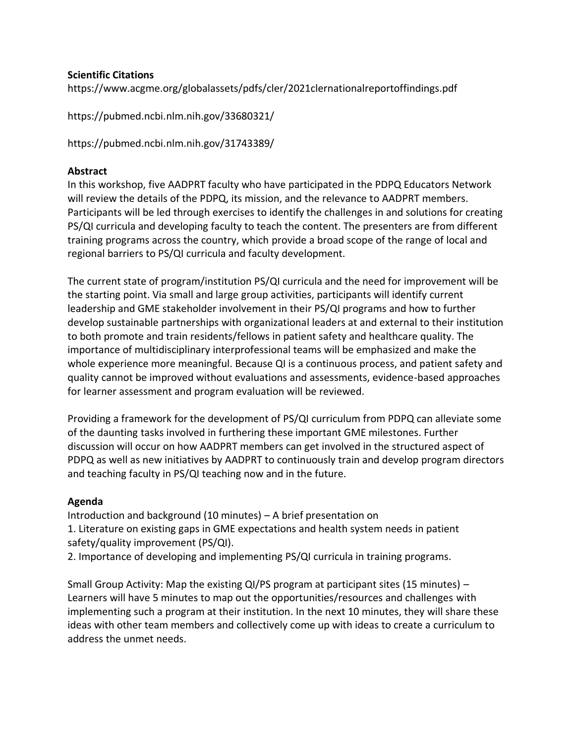### **Scientific Citations**

https://www.acgme.org/globalassets/pdfs/cler/2021clernationalreportoffindings.pdf

https://pubmed.ncbi.nlm.nih.gov/33680321/

https://pubmed.ncbi.nlm.nih.gov/31743389/

#### **Abstract**

In this workshop, five AADPRT faculty who have participated in the PDPQ Educators Network will review the details of the PDPQ, its mission, and the relevance to AADPRT members. Participants will be led through exercises to identify the challenges in and solutions for creating PS/QI curricula and developing faculty to teach the content. The presenters are from different training programs across the country, which provide a broad scope of the range of local and regional barriers to PS/QI curricula and faculty development.

The current state of program/institution PS/QI curricula and the need for improvement will be the starting point. Via small and large group activities, participants will identify current leadership and GME stakeholder involvement in their PS/QI programs and how to further develop sustainable partnerships with organizational leaders at and external to their institution to both promote and train residents/fellows in patient safety and healthcare quality. The importance of multidisciplinary interprofessional teams will be emphasized and make the whole experience more meaningful. Because QI is a continuous process, and patient safety and quality cannot be improved without evaluations and assessments, evidence-based approaches for learner assessment and program evaluation will be reviewed.

Providing a framework for the development of PS/QI curriculum from PDPQ can alleviate some of the daunting tasks involved in furthering these important GME milestones. Further discussion will occur on how AADPRT members can get involved in the structured aspect of PDPQ as well as new initiatives by AADPRT to continuously train and develop program directors and teaching faculty in PS/QI teaching now and in the future.

## **Agenda**

Introduction and background (10 minutes) – A brief presentation on 1. Literature on existing gaps in GME expectations and health system needs in patient safety/quality improvement (PS/QI).

2. Importance of developing and implementing PS/QI curricula in training programs.

Small Group Activity: Map the existing QI/PS program at participant sites (15 minutes) – Learners will have 5 minutes to map out the opportunities/resources and challenges with implementing such a program at their institution. In the next 10 minutes, they will share these ideas with other team members and collectively come up with ideas to create a curriculum to address the unmet needs.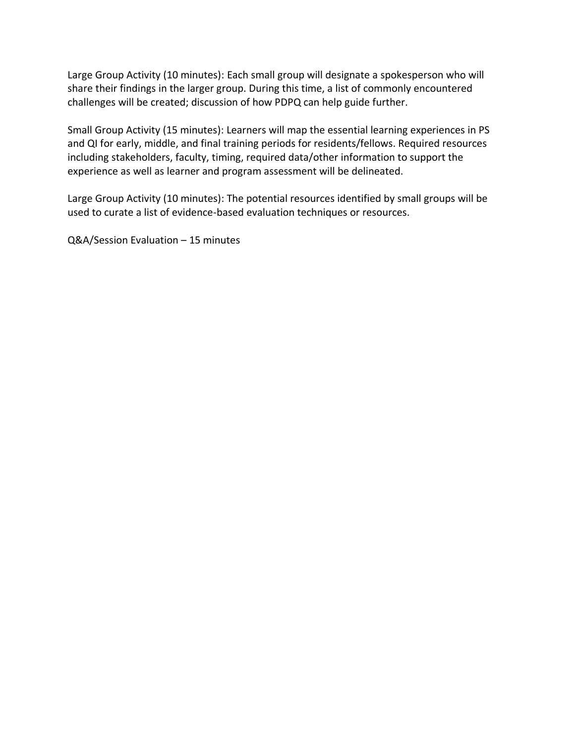Large Group Activity (10 minutes): Each small group will designate a spokesperson who will share their findings in the larger group. During this time, a list of commonly encountered challenges will be created; discussion of how PDPQ can help guide further.

Small Group Activity (15 minutes): Learners will map the essential learning experiences in PS and QI for early, middle, and final training periods for residents/fellows. Required resources including stakeholders, faculty, timing, required data/other information to support the experience as well as learner and program assessment will be delineated.

Large Group Activity (10 minutes): The potential resources identified by small groups will be used to curate a list of evidence-based evaluation techniques or resources.

Q&A/Session Evaluation – 15 minutes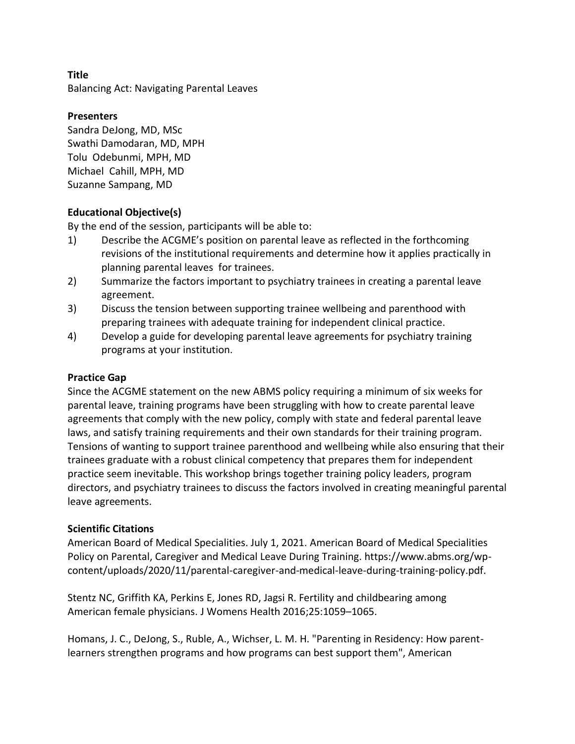Balancing Act: Navigating Parental Leaves

#### **Presenters**

Sandra DeJong, MD, MSc Swathi Damodaran, MD, MPH Tolu Odebunmi, MPH, MD Michael Cahill, MPH, MD Suzanne Sampang, MD

### **Educational Objective(s)**

By the end of the session, participants will be able to:

- 1) Describe the ACGME's position on parental leave as reflected in the forthcoming revisions of the institutional requirements and determine how it applies practically in planning parental leaves for trainees.
- 2) Summarize the factors important to psychiatry trainees in creating a parental leave agreement.
- 3) Discuss the tension between supporting trainee wellbeing and parenthood with preparing trainees with adequate training for independent clinical practice.
- 4) Develop a guide for developing parental leave agreements for psychiatry training programs at your institution.

#### **Practice Gap**

Since the ACGME statement on the new ABMS policy requiring a minimum of six weeks for parental leave, training programs have been struggling with how to create parental leave agreements that comply with the new policy, comply with state and federal parental leave laws, and satisfy training requirements and their own standards for their training program. Tensions of wanting to support trainee parenthood and wellbeing while also ensuring that their trainees graduate with a robust clinical competency that prepares them for independent practice seem inevitable. This workshop brings together training policy leaders, program directors, and psychiatry trainees to discuss the factors involved in creating meaningful parental leave agreements.

#### **Scientific Citations**

American Board of Medical Specialities. July 1, 2021. American Board of Medical Specialities Policy on Parental, Caregiver and Medical Leave During Training. https://www.abms.org/wpcontent/uploads/2020/11/parental-caregiver-and-medical-leave-during-training-policy.pdf.

Stentz NC, Griffith KA, Perkins E, Jones RD, Jagsi R. Fertility and childbearing among American female physicians. J Womens Health 2016;25:1059–1065.

Homans, J. C., DeJong, S., Ruble, A., Wichser, L. M. H. "Parenting in Residency: How parentlearners strengthen programs and how programs can best support them", American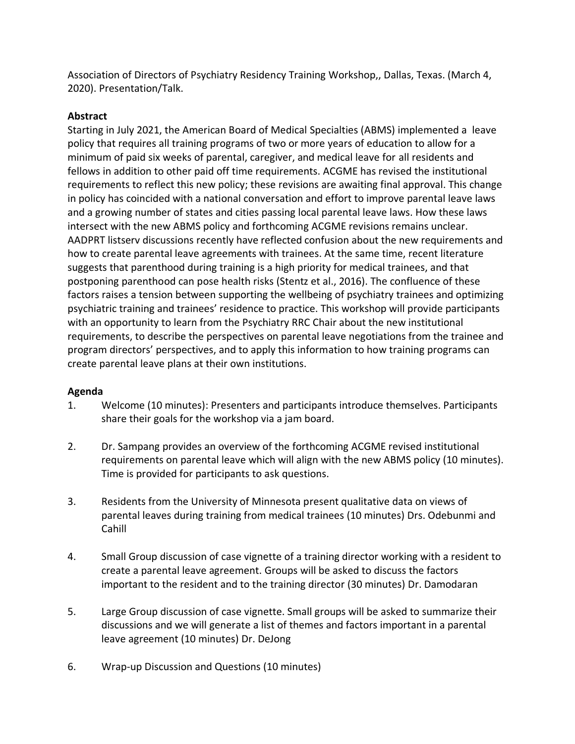Association of Directors of Psychiatry Residency Training Workshop,, Dallas, Texas. (March 4, 2020). Presentation/Talk.

## **Abstract**

Starting in July 2021, the American Board of Medical Specialties (ABMS) implemented a leave policy that requires all training programs of two or more years of education to allow for a minimum of paid six weeks of parental, caregiver, and medical leave for all residents and fellows in addition to other paid off time requirements. ACGME has revised the institutional requirements to reflect this new policy; these revisions are awaiting final approval. This change in policy has coincided with a national conversation and effort to improve parental leave laws and a growing number of states and cities passing local parental leave laws. How these laws intersect with the new ABMS policy and forthcoming ACGME revisions remains unclear. AADPRT listserv discussions recently have reflected confusion about the new requirements and how to create parental leave agreements with trainees. At the same time, recent literature suggests that parenthood during training is a high priority for medical trainees, and that postponing parenthood can pose health risks (Stentz et al., 2016). The confluence of these factors raises a tension between supporting the wellbeing of psychiatry trainees and optimizing psychiatric training and trainees' residence to practice. This workshop will provide participants with an opportunity to learn from the Psychiatry RRC Chair about the new institutional requirements, to describe the perspectives on parental leave negotiations from the trainee and program directors' perspectives, and to apply this information to how training programs can create parental leave plans at their own institutions.

#### **Agenda**

- 1. Welcome (10 minutes): Presenters and participants introduce themselves. Participants share their goals for the workshop via a jam board.
- 2. Dr. Sampang provides an overview of the forthcoming ACGME revised institutional requirements on parental leave which will align with the new ABMS policy (10 minutes). Time is provided for participants to ask questions.
- 3. Residents from the University of Minnesota present qualitative data on views of parental leaves during training from medical trainees (10 minutes) Drs. Odebunmi and Cahill
- 4. Small Group discussion of case vignette of a training director working with a resident to create a parental leave agreement. Groups will be asked to discuss the factors important to the resident and to the training director (30 minutes) Dr. Damodaran
- 5. Large Group discussion of case vignette. Small groups will be asked to summarize their discussions and we will generate a list of themes and factors important in a parental leave agreement (10 minutes) Dr. DeJong
- 6. Wrap-up Discussion and Questions (10 minutes)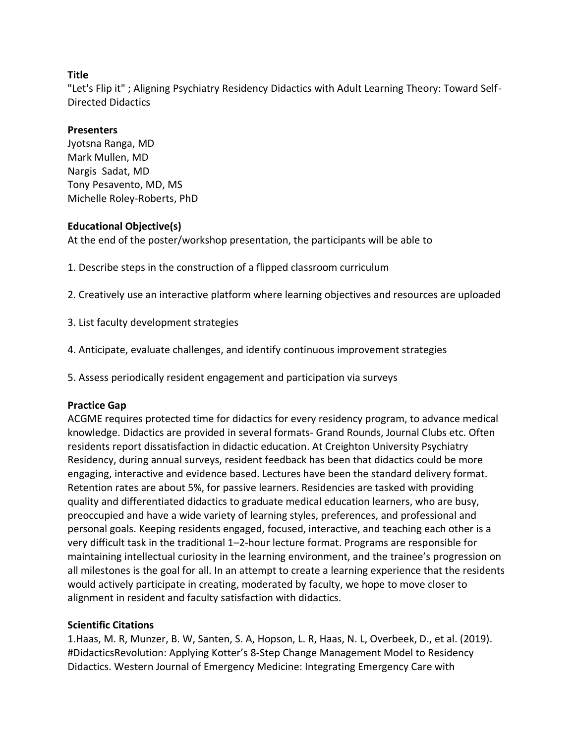"Let's Flip it" ; Aligning Psychiatry Residency Didactics with Adult Learning Theory: Toward Self-Directed Didactics

### **Presenters**

Jyotsna Ranga, MD Mark Mullen, MD Nargis Sadat, MD Tony Pesavento, MD, MS Michelle Roley-Roberts, PhD

### **Educational Objective(s)**

At the end of the poster/workshop presentation, the participants will be able to

1. Describe steps in the construction of a flipped classroom curriculum

2. Creatively use an interactive platform where learning objectives and resources are uploaded

- 3. List faculty development strategies
- 4. Anticipate, evaluate challenges, and identify continuous improvement strategies
- 5. Assess periodically resident engagement and participation via surveys

#### **Practice Gap**

ACGME requires protected time for didactics for every residency program, to advance medical knowledge. Didactics are provided in several formats- Grand Rounds, Journal Clubs etc. Often residents report dissatisfaction in didactic education. At Creighton University Psychiatry Residency, during annual surveys, resident feedback has been that didactics could be more engaging, interactive and evidence based. Lectures have been the standard delivery format. Retention rates are about 5%, for passive learners. Residencies are tasked with providing quality and differentiated didactics to graduate medical education learners, who are busy, preoccupied and have a wide variety of learning styles, preferences, and professional and personal goals. Keeping residents engaged, focused, interactive, and teaching each other is a very difficult task in the traditional 1–2-hour lecture format. Programs are responsible for maintaining intellectual curiosity in the learning environment, and the trainee's progression on all milestones is the goal for all. In an attempt to create a learning experience that the residents would actively participate in creating, moderated by faculty, we hope to move closer to alignment in resident and faculty satisfaction with didactics.

## **Scientific Citations**

1.Haas, M. R, Munzer, B. W, Santen, S. A, Hopson, L. R, Haas, N. L, Overbeek, D., et al. (2019). #DidacticsRevolution: Applying Kotter's 8-Step Change Management Model to Residency Didactics. Western Journal of Emergency Medicine: Integrating Emergency Care with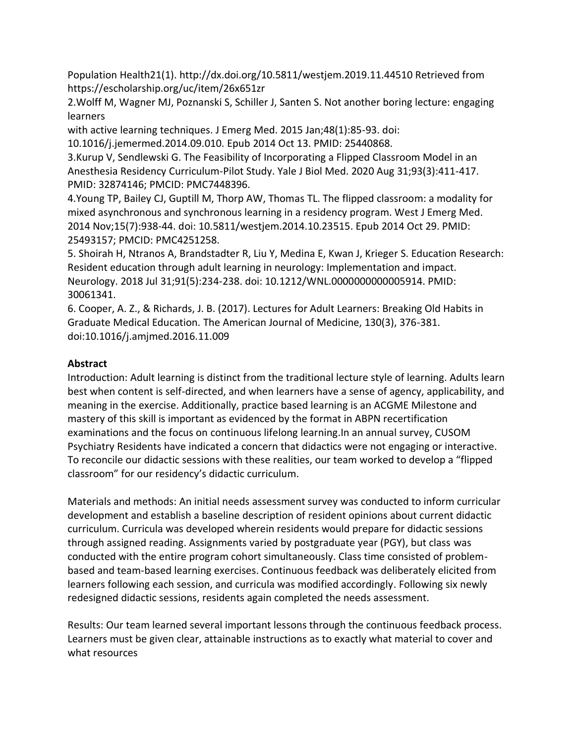Population Health21(1). http://dx.doi.org/10.5811/westjem.2019.11.44510 Retrieved from https://escholarship.org/uc/item/26x651zr

2.Wolff M, Wagner MJ, Poznanski S, Schiller J, Santen S. Not another boring lecture: engaging learners

with active learning techniques. J Emerg Med. 2015 Jan;48(1):85-93. doi:

10.1016/j.jemermed.2014.09.010. Epub 2014 Oct 13. PMID: 25440868.

3.Kurup V, Sendlewski G. The Feasibility of Incorporating a Flipped Classroom Model in an Anesthesia Residency Curriculum-Pilot Study. Yale J Biol Med. 2020 Aug 31;93(3):411-417. PMID: 32874146; PMCID: PMC7448396.

4.Young TP, Bailey CJ, Guptill M, Thorp AW, Thomas TL. The flipped classroom: a modality for mixed asynchronous and synchronous learning in a residency program. West J Emerg Med. 2014 Nov;15(7):938-44. doi: 10.5811/westjem.2014.10.23515. Epub 2014 Oct 29. PMID: 25493157; PMCID: PMC4251258.

5. Shoirah H, Ntranos A, Brandstadter R, Liu Y, Medina E, Kwan J, Krieger S. Education Research: Resident education through adult learning in neurology: Implementation and impact. Neurology. 2018 Jul 31;91(5):234-238. doi: 10.1212/WNL.0000000000005914. PMID: 30061341.

6. Cooper, A. Z., & Richards, J. B. (2017). Lectures for Adult Learners: Breaking Old Habits in Graduate Medical Education. The American Journal of Medicine, 130(3), 376-381. doi:10.1016/j.amjmed.2016.11.009

## **Abstract**

Introduction: Adult learning is distinct from the traditional lecture style of learning. Adults learn best when content is self-directed, and when learners have a sense of agency, applicability, and meaning in the exercise. Additionally, practice based learning is an ACGME Milestone and mastery of this skill is important as evidenced by the format in ABPN recertification examinations and the focus on continuous lifelong learning.In an annual survey, CUSOM Psychiatry Residents have indicated a concern that didactics were not engaging or interactive. To reconcile our didactic sessions with these realities, our team worked to develop a "flipped classroom" for our residency's didactic curriculum.

Materials and methods: An initial needs assessment survey was conducted to inform curricular development and establish a baseline description of resident opinions about current didactic curriculum. Curricula was developed wherein residents would prepare for didactic sessions through assigned reading. Assignments varied by postgraduate year (PGY), but class was conducted with the entire program cohort simultaneously. Class time consisted of problembased and team-based learning exercises. Continuous feedback was deliberately elicited from learners following each session, and curricula was modified accordingly. Following six newly redesigned didactic sessions, residents again completed the needs assessment.

Results: Our team learned several important lessons through the continuous feedback process. Learners must be given clear, attainable instructions as to exactly what material to cover and what resources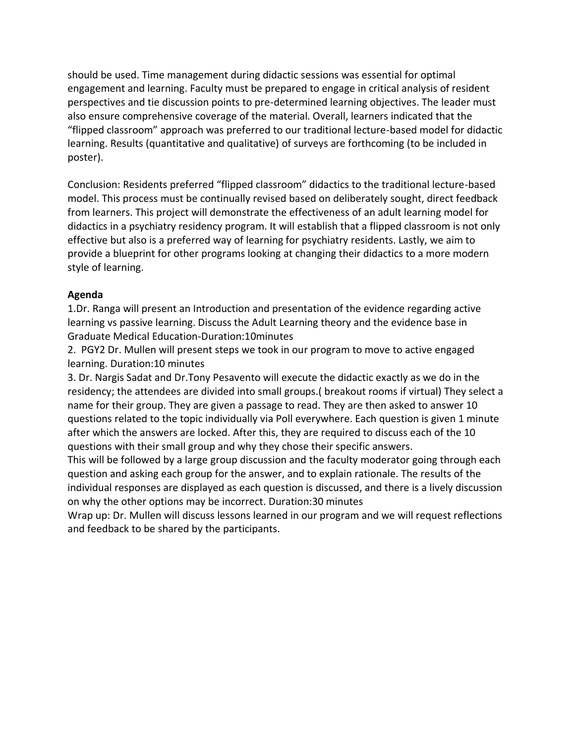should be used. Time management during didactic sessions was essential for optimal engagement and learning. Faculty must be prepared to engage in critical analysis of resident perspectives and tie discussion points to pre-determined learning objectives. The leader must also ensure comprehensive coverage of the material. Overall, learners indicated that the "flipped classroom" approach was preferred to our traditional lecture-based model for didactic learning. Results (quantitative and qualitative) of surveys are forthcoming (to be included in poster).

Conclusion: Residents preferred "flipped classroom" didactics to the traditional lecture-based model. This process must be continually revised based on deliberately sought, direct feedback from learners. This project will demonstrate the effectiveness of an adult learning model for didactics in a psychiatry residency program. It will establish that a flipped classroom is not only effective but also is a preferred way of learning for psychiatry residents. Lastly, we aim to provide a blueprint for other programs looking at changing their didactics to a more modern style of learning.

## **Agenda**

1.Dr. Ranga will present an Introduction and presentation of the evidence regarding active learning vs passive learning. Discuss the Adult Learning theory and the evidence base in Graduate Medical Education-Duration:10minutes

2. PGY2 Dr. Mullen will present steps we took in our program to move to active engaged learning. Duration:10 minutes

3. Dr. Nargis Sadat and Dr.Tony Pesavento will execute the didactic exactly as we do in the residency; the attendees are divided into small groups.( breakout rooms if virtual) They select a name for their group. They are given a passage to read. They are then asked to answer 10 questions related to the topic individually via Poll everywhere. Each question is given 1 minute after which the answers are locked. After this, they are required to discuss each of the 10 questions with their small group and why they chose their specific answers.

This will be followed by a large group discussion and the faculty moderator going through each question and asking each group for the answer, and to explain rationale. The results of the individual responses are displayed as each question is discussed, and there is a lively discussion on why the other options may be incorrect. Duration:30 minutes

Wrap up: Dr. Mullen will discuss lessons learned in our program and we will request reflections and feedback to be shared by the participants.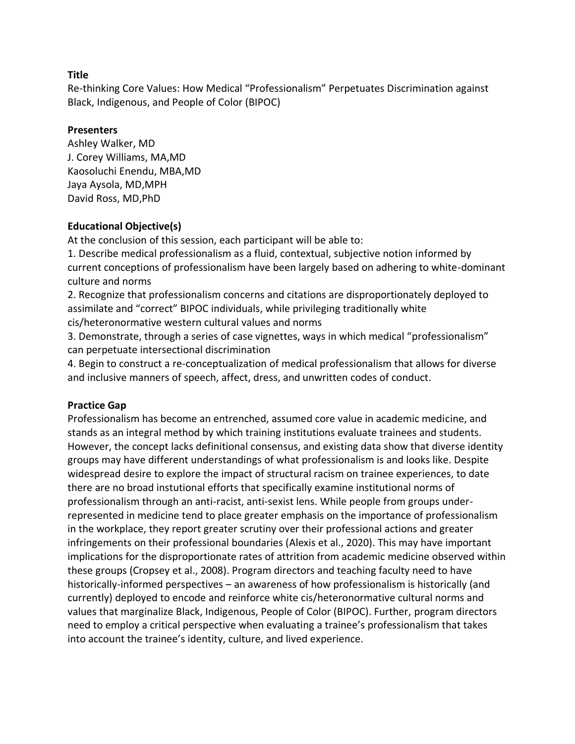Re-thinking Core Values: How Medical "Professionalism" Perpetuates Discrimination against Black, Indigenous, and People of Color (BIPOC)

### **Presenters**

Ashley Walker, MD J. Corey Williams, MA,MD Kaosoluchi Enendu, MBA,MD Jaya Aysola, MD,MPH David Ross, MD,PhD

## **Educational Objective(s)**

At the conclusion of this session, each participant will be able to:

1. Describe medical professionalism as a fluid, contextual, subjective notion informed by current conceptions of professionalism have been largely based on adhering to white-dominant culture and norms

2. Recognize that professionalism concerns and citations are disproportionately deployed to assimilate and "correct" BIPOC individuals, while privileging traditionally white cis/heteronormative western cultural values and norms

3. Demonstrate, through a series of case vignettes, ways in which medical "professionalism" can perpetuate intersectional discrimination

4. Begin to construct a re-conceptualization of medical professionalism that allows for diverse and inclusive manners of speech, affect, dress, and unwritten codes of conduct.

## **Practice Gap**

Professionalism has become an entrenched, assumed core value in academic medicine, and stands as an integral method by which training institutions evaluate trainees and students. However, the concept lacks definitional consensus, and existing data show that diverse identity groups may have different understandings of what professionalism is and looks like. Despite widespread desire to explore the impact of structural racism on trainee experiences, to date there are no broad instutional efforts that specifically examine institutional norms of professionalism through an anti-racist, anti-sexist lens. While people from groups underrepresented in medicine tend to place greater emphasis on the importance of professionalism in the workplace, they report greater scrutiny over their professional actions and greater infringements on their professional boundaries (Alexis et al., 2020). This may have important implications for the disproportionate rates of attrition from academic medicine observed within these groups (Cropsey et al., 2008). Program directors and teaching faculty need to have historically-informed perspectives – an awareness of how professionalism is historically (and currently) deployed to encode and reinforce white cis/heteronormative cultural norms and values that marginalize Black, Indigenous, People of Color (BIPOC). Further, program directors need to employ a critical perspective when evaluating a trainee's professionalism that takes into account the trainee's identity, culture, and lived experience.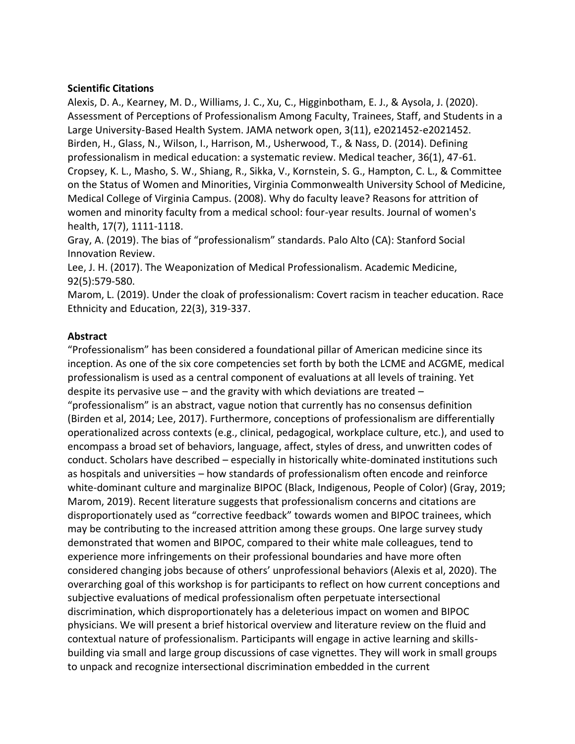#### **Scientific Citations**

Alexis, D. A., Kearney, M. D., Williams, J. C., Xu, C., Higginbotham, E. J., & Aysola, J. (2020). Assessment of Perceptions of Professionalism Among Faculty, Trainees, Staff, and Students in a Large University-Based Health System. JAMA network open, 3(11), e2021452-e2021452. Birden, H., Glass, N., Wilson, I., Harrison, M., Usherwood, T., & Nass, D. (2014). Defining professionalism in medical education: a systematic review. Medical teacher, 36(1), 47-61. Cropsey, K. L., Masho, S. W., Shiang, R., Sikka, V., Kornstein, S. G., Hampton, C. L., & Committee on the Status of Women and Minorities, Virginia Commonwealth University School of Medicine, Medical College of Virginia Campus. (2008). Why do faculty leave? Reasons for attrition of women and minority faculty from a medical school: four-year results. Journal of women's health, 17(7), 1111-1118.

Gray, A. (2019). The bias of "professionalism" standards. Palo Alto (CA): Stanford Social Innovation Review.

Lee, J. H. (2017). The Weaponization of Medical Professionalism. Academic Medicine, 92(5):579-580.

Marom, L. (2019). Under the cloak of professionalism: Covert racism in teacher education. Race Ethnicity and Education, 22(3), 319-337.

#### **Abstract**

"Professionalism" has been considered a foundational pillar of American medicine since its inception. As one of the six core competencies set forth by both the LCME and ACGME, medical professionalism is used as a central component of evaluations at all levels of training. Yet despite its pervasive use – and the gravity with which deviations are treated – "professionalism" is an abstract, vague notion that currently has no consensus definition (Birden et al, 2014; Lee, 2017). Furthermore, conceptions of professionalism are differentially operationalized across contexts (e.g., clinical, pedagogical, workplace culture, etc.), and used to encompass a broad set of behaviors, language, affect, styles of dress, and unwritten codes of conduct. Scholars have described – especially in historically white-dominated institutions such as hospitals and universities – how standards of professionalism often encode and reinforce white-dominant culture and marginalize BIPOC (Black, Indigenous, People of Color) (Gray, 2019; Marom, 2019). Recent literature suggests that professionalism concerns and citations are disproportionately used as "corrective feedback" towards women and BIPOC trainees, which may be contributing to the increased attrition among these groups. One large survey study demonstrated that women and BIPOC, compared to their white male colleagues, tend to experience more infringements on their professional boundaries and have more often considered changing jobs because of others' unprofessional behaviors (Alexis et al, 2020). The overarching goal of this workshop is for participants to reflect on how current conceptions and subjective evaluations of medical professionalism often perpetuate intersectional discrimination, which disproportionately has a deleterious impact on women and BIPOC physicians. We will present a brief historical overview and literature review on the fluid and contextual nature of professionalism. Participants will engage in active learning and skillsbuilding via small and large group discussions of case vignettes. They will work in small groups to unpack and recognize intersectional discrimination embedded in the current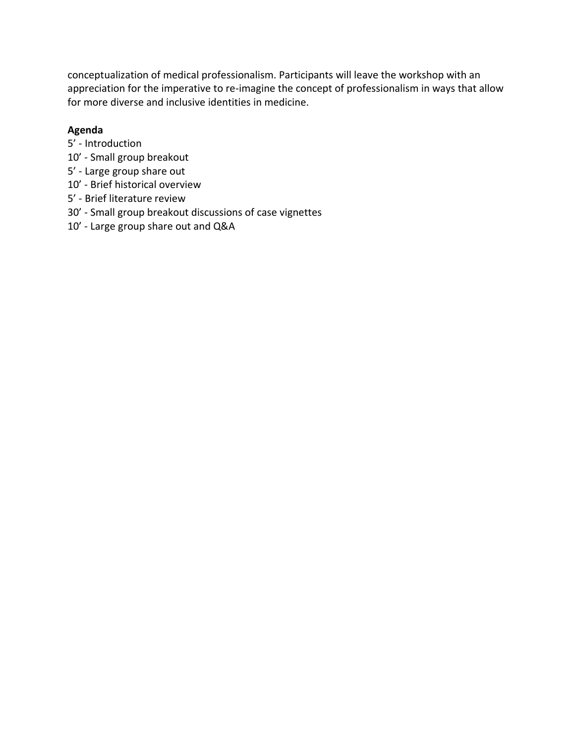conceptualization of medical professionalism. Participants will leave the workshop with an appreciation for the imperative to re-imagine the concept of professionalism in ways that allow for more diverse and inclusive identities in medicine.

### **Agenda**

- 5' Introduction
- 10' Small group breakout
- 5' Large group share out
- 10' Brief historical overview
- 5' Brief literature review
- 30' Small group breakout discussions of case vignettes
- 10' Large group share out and Q&A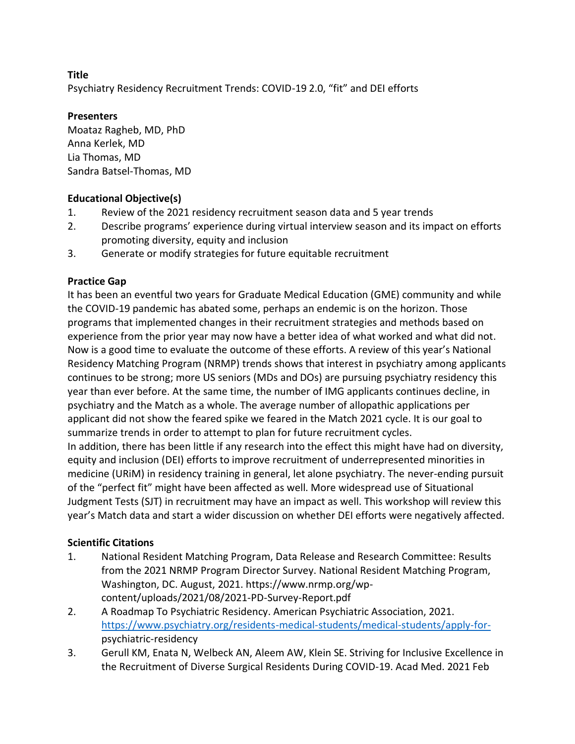Psychiatry Residency Recruitment Trends: COVID-19 2.0, "fit" and DEI efforts

## **Presenters**

Moataz Ragheb, MD, PhD Anna Kerlek, MD Lia Thomas, MD Sandra Batsel-Thomas, MD

## **Educational Objective(s)**

- 1. Review of the 2021 residency recruitment season data and 5 year trends
- 2. Describe programs' experience during virtual interview season and its impact on efforts promoting diversity, equity and inclusion
- 3. Generate or modify strategies for future equitable recruitment

## **Practice Gap**

It has been an eventful two years for Graduate Medical Education (GME) community and while the COVID-19 pandemic has abated some, perhaps an endemic is on the horizon. Those programs that implemented changes in their recruitment strategies and methods based on experience from the prior year may now have a better idea of what worked and what did not. Now is a good time to evaluate the outcome of these efforts. A review of this year's National Residency Matching Program (NRMP) trends shows that interest in psychiatry among applicants continues to be strong; more US seniors (MDs and DOs) are pursuing psychiatry residency this year than ever before. At the same time, the number of IMG applicants continues decline, in psychiatry and the Match as a whole. The average number of allopathic applications per applicant did not show the feared spike we feared in the Match 2021 cycle. It is our goal to summarize trends in order to attempt to plan for future recruitment cycles. In addition, there has been little if any research into the effect this might have had on diversity, equity and inclusion (DEI) efforts to improve recruitment of underrepresented minorities in medicine (URiM) in residency training in general, let alone psychiatry. The never-ending pursuit of the "perfect fit" might have been affected as well. More widespread use of Situational Judgment Tests (SJT) in recruitment may have an impact as well. This workshop will review this

## **Scientific Citations**

1. National Resident Matching Program, Data Release and Research Committee: Results from the 2021 NRMP Program Director Survey. National Resident Matching Program, Washington, DC. August, 2021. https://www.nrmp.org/wpcontent/uploads/2021/08/2021-PD-Survey-Report.pdf

year's Match data and start a wider discussion on whether DEI efforts were negatively affected.

- 2. A Roadmap To Psychiatric Residency. American Psychiatric Association, 2021. [https://www.psychiatry.org/residents-medical-students/medical-students/apply-for](https://www.psychiatry.org/residents-medical-students/medical-students/apply-for-)psychiatric-residency
- 3. Gerull KM, Enata N, Welbeck AN, Aleem AW, Klein SE. Striving for Inclusive Excellence in the Recruitment of Diverse Surgical Residents During COVID-19. Acad Med. 2021 Feb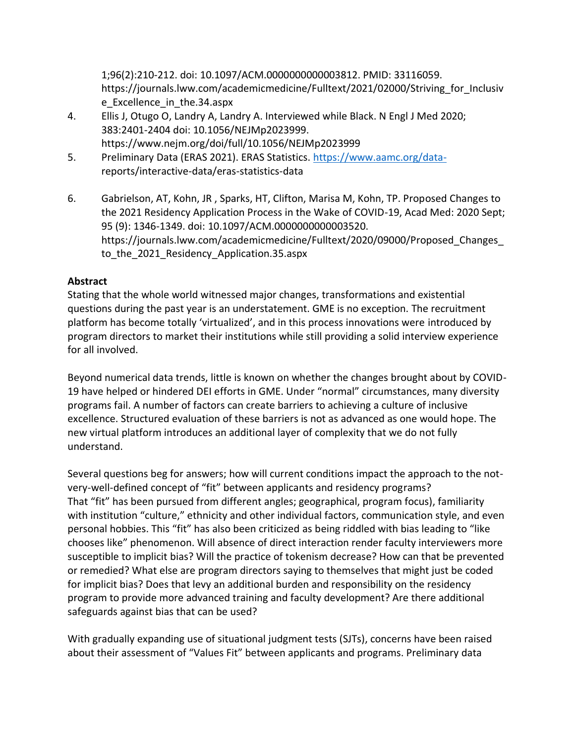1;96(2):210-212. doi: 10.1097/ACM.0000000000003812. PMID: 33116059. https://journals.lww.com/academicmedicine/Fulltext/2021/02000/Striving\_for\_Inclusiv e\_Excellence\_in\_the.34.aspx

- 4. Ellis J, Otugo O, Landry A, Landry A. Interviewed while Black. N Engl J Med 2020; 383:2401-2404 doi: 10.1056/NEJMp2023999. https://www.nejm.org/doi/full/10.1056/NEJMp2023999
- 5. Preliminary Data (ERAS 2021). ERAS Statistics. [https://www.aamc.org/data](https://www.aamc.org/data-)reports/interactive-data/eras-statistics-data
- 6. Gabrielson, AT, Kohn, JR , Sparks, HT, Clifton, Marisa M, Kohn, TP. Proposed Changes to the 2021 Residency Application Process in the Wake of COVID-19, Acad Med: 2020 Sept; 95 (9): 1346-1349. doi: 10.1097/ACM.0000000000003520. https://journals.lww.com/academicmedicine/Fulltext/2020/09000/Proposed\_Changes\_ to the 2021 Residency Application.35.aspx

## **Abstract**

Stating that the whole world witnessed major changes, transformations and existential questions during the past year is an understatement. GME is no exception. The recruitment platform has become totally 'virtualized', and in this process innovations were introduced by program directors to market their institutions while still providing a solid interview experience for all involved.

Beyond numerical data trends, little is known on whether the changes brought about by COVID-19 have helped or hindered DEI efforts in GME. Under "normal" circumstances, many diversity programs fail. A number of factors can create barriers to achieving a culture of inclusive excellence. Structured evaluation of these barriers is not as advanced as one would hope. The new virtual platform introduces an additional layer of complexity that we do not fully understand.

Several questions beg for answers; how will current conditions impact the approach to the notvery-well-defined concept of "fit" between applicants and residency programs? That "fit" has been pursued from different angles; geographical, program focus), familiarity with institution "culture," ethnicity and other individual factors, communication style, and even personal hobbies. This "fit" has also been criticized as being riddled with bias leading to "like chooses like" phenomenon. Will absence of direct interaction render faculty interviewers more susceptible to implicit bias? Will the practice of tokenism decrease? How can that be prevented or remedied? What else are program directors saying to themselves that might just be coded for implicit bias? Does that levy an additional burden and responsibility on the residency program to provide more advanced training and faculty development? Are there additional safeguards against bias that can be used?

With gradually expanding use of situational judgment tests (SJTs), concerns have been raised about their assessment of "Values Fit" between applicants and programs. Preliminary data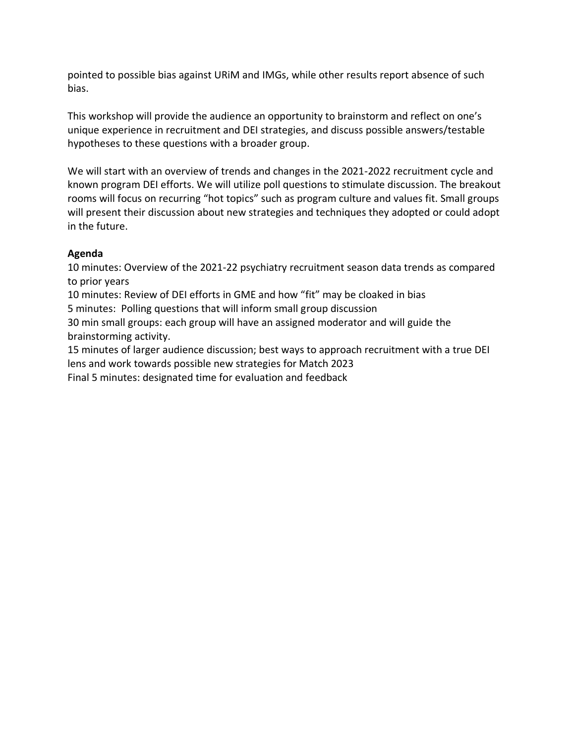pointed to possible bias against URiM and IMGs, while other results report absence of such bias.

This workshop will provide the audience an opportunity to brainstorm and reflect on one's unique experience in recruitment and DEI strategies, and discuss possible answers/testable hypotheses to these questions with a broader group.

We will start with an overview of trends and changes in the 2021-2022 recruitment cycle and known program DEI efforts. We will utilize poll questions to stimulate discussion. The breakout rooms will focus on recurring "hot topics" such as program culture and values fit. Small groups will present their discussion about new strategies and techniques they adopted or could adopt in the future.

## **Agenda**

10 minutes: Overview of the 2021-22 psychiatry recruitment season data trends as compared to prior years

10 minutes: Review of DEI efforts in GME and how "fit" may be cloaked in bias 5 minutes: Polling questions that will inform small group discussion

30 min small groups: each group will have an assigned moderator and will guide the brainstorming activity.

15 minutes of larger audience discussion; best ways to approach recruitment with a true DEI lens and work towards possible new strategies for Match 2023

Final 5 minutes: designated time for evaluation and feedback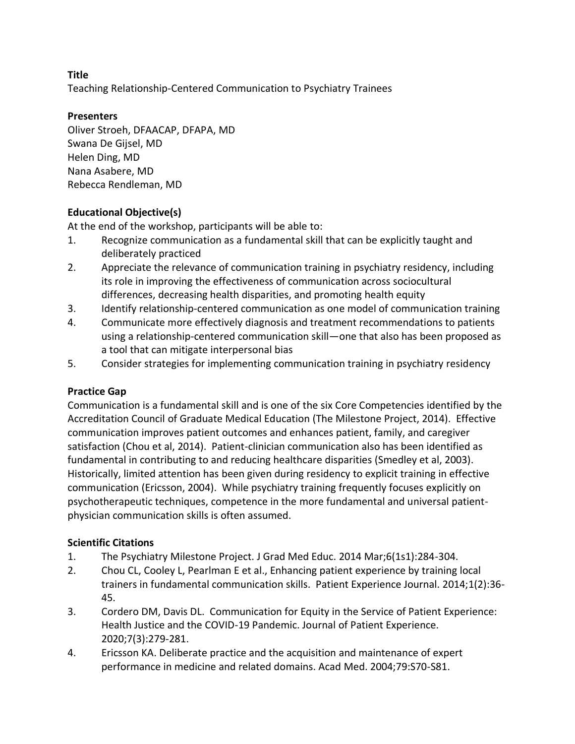Teaching Relationship-Centered Communication to Psychiatry Trainees

## **Presenters**

Oliver Stroeh, DFAACAP, DFAPA, MD Swana De Gijsel, MD Helen Ding, MD Nana Asabere, MD Rebecca Rendleman, MD

## **Educational Objective(s)**

At the end of the workshop, participants will be able to:

- 1. Recognize communication as a fundamental skill that can be explicitly taught and deliberately practiced
- 2. Appreciate the relevance of communication training in psychiatry residency, including its role in improving the effectiveness of communication across sociocultural differences, decreasing health disparities, and promoting health equity
- 3. Identify relationship-centered communication as one model of communication training
- 4. Communicate more effectively diagnosis and treatment recommendations to patients using a relationship-centered communication skill—one that also has been proposed as a tool that can mitigate interpersonal bias
- 5. Consider strategies for implementing communication training in psychiatry residency

## **Practice Gap**

Communication is a fundamental skill and is one of the six Core Competencies identified by the Accreditation Council of Graduate Medical Education (The Milestone Project, 2014). Effective communication improves patient outcomes and enhances patient, family, and caregiver satisfaction (Chou et al, 2014). Patient-clinician communication also has been identified as fundamental in contributing to and reducing healthcare disparities (Smedley et al, 2003). Historically, limited attention has been given during residency to explicit training in effective communication (Ericsson, 2004). While psychiatry training frequently focuses explicitly on psychotherapeutic techniques, competence in the more fundamental and universal patientphysician communication skills is often assumed.

# **Scientific Citations**

- 1. The Psychiatry Milestone Project. J Grad Med Educ. 2014 Mar;6(1s1):284-304.
- 2. Chou CL, Cooley L, Pearlman E et al., Enhancing patient experience by training local trainers in fundamental communication skills. Patient Experience Journal. 2014;1(2):36- 45.
- 3. Cordero DM, Davis DL. Communication for Equity in the Service of Patient Experience: Health Justice and the COVID-19 Pandemic. Journal of Patient Experience. 2020;7(3):279-281.
- 4. Ericsson KA. Deliberate practice and the acquisition and maintenance of expert performance in medicine and related domains. Acad Med. 2004;79:S70-S81.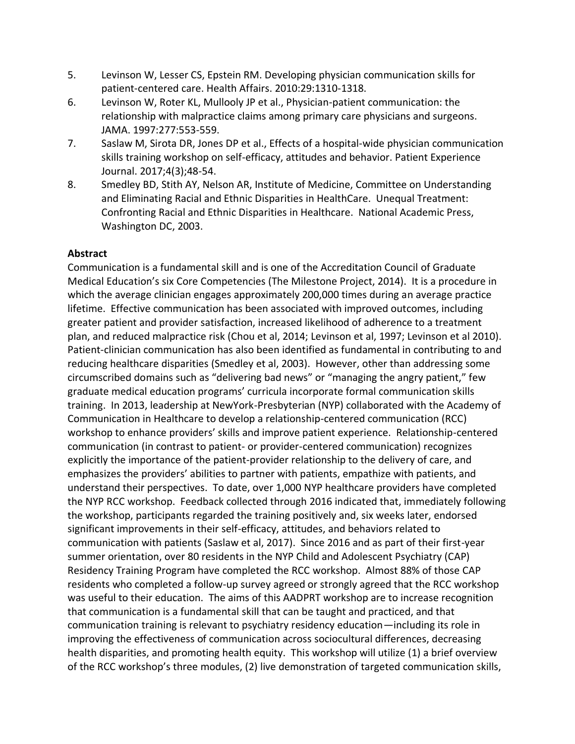- 5. Levinson W, Lesser CS, Epstein RM. Developing physician communication skills for patient-centered care. Health Affairs. 2010:29:1310-1318.
- 6. Levinson W, Roter KL, Mullooly JP et al., Physician-patient communication: the relationship with malpractice claims among primary care physicians and surgeons. JAMA. 1997:277:553-559.
- 7. Saslaw M, Sirota DR, Jones DP et al., Effects of a hospital-wide physician communication skills training workshop on self-efficacy, attitudes and behavior. Patient Experience Journal. 2017;4(3);48-54.
- 8. Smedley BD, Stith AY, Nelson AR, Institute of Medicine, Committee on Understanding and Eliminating Racial and Ethnic Disparities in HealthCare. Unequal Treatment: Confronting Racial and Ethnic Disparities in Healthcare. National Academic Press, Washington DC, 2003.

## **Abstract**

Communication is a fundamental skill and is one of the Accreditation Council of Graduate Medical Education's six Core Competencies (The Milestone Project, 2014). It is a procedure in which the average clinician engages approximately 200,000 times during an average practice lifetime. Effective communication has been associated with improved outcomes, including greater patient and provider satisfaction, increased likelihood of adherence to a treatment plan, and reduced malpractice risk (Chou et al, 2014; Levinson et al, 1997; Levinson et al 2010). Patient-clinician communication has also been identified as fundamental in contributing to and reducing healthcare disparities (Smedley et al, 2003). However, other than addressing some circumscribed domains such as "delivering bad news" or "managing the angry patient," few graduate medical education programs' curricula incorporate formal communication skills training. In 2013, leadership at NewYork-Presbyterian (NYP) collaborated with the Academy of Communication in Healthcare to develop a relationship-centered communication (RCC) workshop to enhance providers' skills and improve patient experience. Relationship-centered communication (in contrast to patient- or provider-centered communication) recognizes explicitly the importance of the patient-provider relationship to the delivery of care, and emphasizes the providers' abilities to partner with patients, empathize with patients, and understand their perspectives. To date, over 1,000 NYP healthcare providers have completed the NYP RCC workshop. Feedback collected through 2016 indicated that, immediately following the workshop, participants regarded the training positively and, six weeks later, endorsed significant improvements in their self-efficacy, attitudes, and behaviors related to communication with patients (Saslaw et al, 2017). Since 2016 and as part of their first-year summer orientation, over 80 residents in the NYP Child and Adolescent Psychiatry (CAP) Residency Training Program have completed the RCC workshop. Almost 88% of those CAP residents who completed a follow-up survey agreed or strongly agreed that the RCC workshop was useful to their education. The aims of this AADPRT workshop are to increase recognition that communication is a fundamental skill that can be taught and practiced, and that communication training is relevant to psychiatry residency education—including its role in improving the effectiveness of communication across sociocultural differences, decreasing health disparities, and promoting health equity. This workshop will utilize (1) a brief overview of the RCC workshop's three modules, (2) live demonstration of targeted communication skills,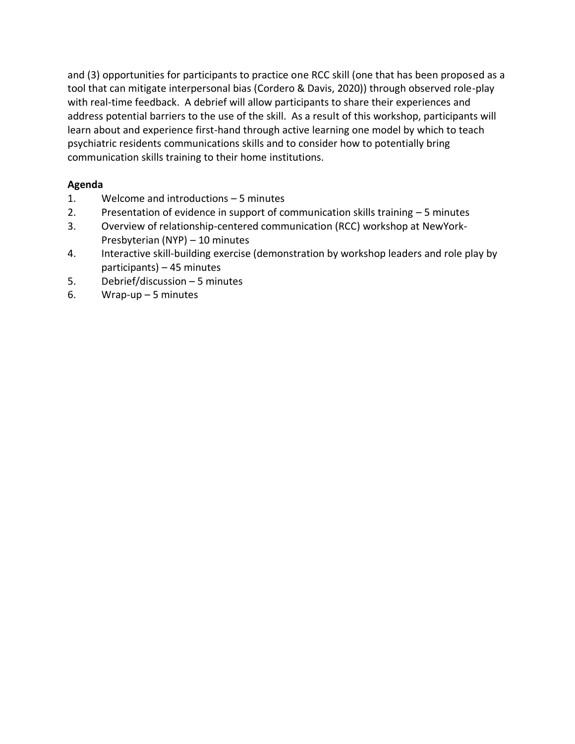and (3) opportunities for participants to practice one RCC skill (one that has been proposed as a tool that can mitigate interpersonal bias (Cordero & Davis, 2020)) through observed role-play with real-time feedback. A debrief will allow participants to share their experiences and address potential barriers to the use of the skill. As a result of this workshop, participants will learn about and experience first-hand through active learning one model by which to teach psychiatric residents communications skills and to consider how to potentially bring communication skills training to their home institutions.

## **Agenda**

- 1. Welcome and introductions 5 minutes
- 2. Presentation of evidence in support of communication skills training 5 minutes
- 3. Overview of relationship-centered communication (RCC) workshop at NewYork-Presbyterian (NYP) – 10 minutes
- 4. Interactive skill-building exercise (demonstration by workshop leaders and role play by participants) – 45 minutes
- 5. Debrief/discussion 5 minutes
- 6. Wrap-up 5 minutes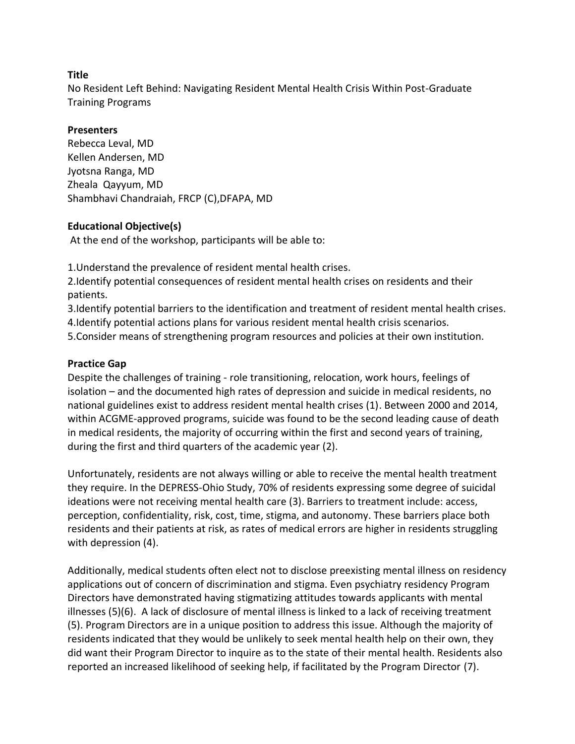No Resident Left Behind: Navigating Resident Mental Health Crisis Within Post-Graduate Training Programs

### **Presenters**

Rebecca Leval, MD Kellen Andersen, MD Jyotsna Ranga, MD Zheala Qayyum, MD Shambhavi Chandraiah, FRCP (C),DFAPA, MD

## **Educational Objective(s)**

At the end of the workshop, participants will be able to:

1.Understand the prevalence of resident mental health crises.

2.Identify potential consequences of resident mental health crises on residents and their patients.

3.Identify potential barriers to the identification and treatment of resident mental health crises. 4.Identify potential actions plans for various resident mental health crisis scenarios. 5.Consider means of strengthening program resources and policies at their own institution.

### **Practice Gap**

Despite the challenges of training - role transitioning, relocation, work hours, feelings of isolation – and the documented high rates of depression and suicide in medical residents, no national guidelines exist to address resident mental health crises (1). Between 2000 and 2014, within ACGME-approved programs, suicide was found to be the second leading cause of death in medical residents, the majority of occurring within the first and second years of training, during the first and third quarters of the academic year (2).

Unfortunately, residents are not always willing or able to receive the mental health treatment they require. In the DEPRESS-Ohio Study, 70% of residents expressing some degree of suicidal ideations were not receiving mental health care (3). Barriers to treatment include: access, perception, confidentiality, risk, cost, time, stigma, and autonomy. These barriers place both residents and their patients at risk, as rates of medical errors are higher in residents struggling with depression (4).

Additionally, medical students often elect not to disclose preexisting mental illness on residency applications out of concern of discrimination and stigma. Even psychiatry residency Program Directors have demonstrated having stigmatizing attitudes towards applicants with mental illnesses (5)(6). A lack of disclosure of mental illness is linked to a lack of receiving treatment (5). Program Directors are in a unique position to address this issue. Although the majority of residents indicated that they would be unlikely to seek mental health help on their own, they did want their Program Director to inquire as to the state of their mental health. Residents also reported an increased likelihood of seeking help, if facilitated by the Program Director (7).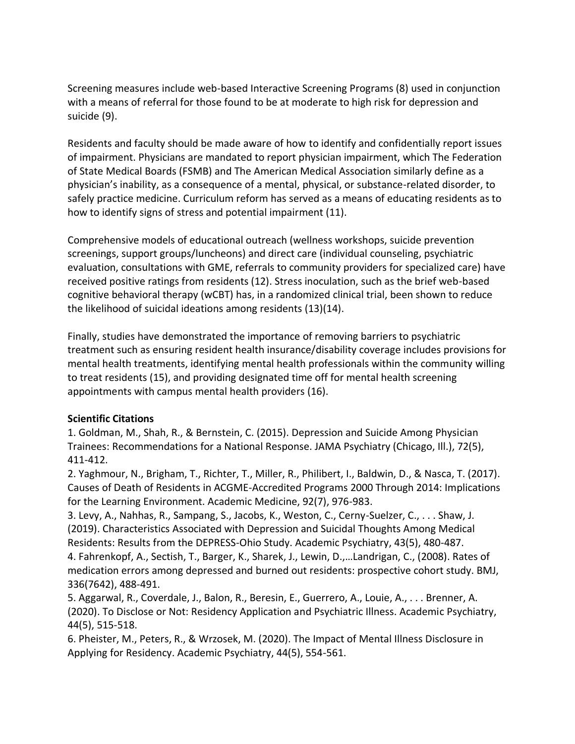Screening measures include web-based Interactive Screening Programs (8) used in conjunction with a means of referral for those found to be at moderate to high risk for depression and suicide (9).

Residents and faculty should be made aware of how to identify and confidentially report issues of impairment. Physicians are mandated to report physician impairment, which The Federation of State Medical Boards (FSMB) and The American Medical Association similarly define as a physician's inability, as a consequence of a mental, physical, or substance-related disorder, to safely practice medicine. Curriculum reform has served as a means of educating residents as to how to identify signs of stress and potential impairment (11).

Comprehensive models of educational outreach (wellness workshops, suicide prevention screenings, support groups/luncheons) and direct care (individual counseling, psychiatric evaluation, consultations with GME, referrals to community providers for specialized care) have received positive ratings from residents (12). Stress inoculation, such as the brief web-based cognitive behavioral therapy (wCBT) has, in a randomized clinical trial, been shown to reduce the likelihood of suicidal ideations among residents (13)(14).

Finally, studies have demonstrated the importance of removing barriers to psychiatric treatment such as ensuring resident health insurance/disability coverage includes provisions for mental health treatments, identifying mental health professionals within the community willing to treat residents (15), and providing designated time off for mental health screening appointments with campus mental health providers (16).

## **Scientific Citations**

1. Goldman, M., Shah, R., & Bernstein, C. (2015). Depression and Suicide Among Physician Trainees: Recommendations for a National Response. JAMA Psychiatry (Chicago, Ill.), 72(5), 411-412.

2. Yaghmour, N., Brigham, T., Richter, T., Miller, R., Philibert, I., Baldwin, D., & Nasca, T. (2017). Causes of Death of Residents in ACGME-Accredited Programs 2000 Through 2014: Implications for the Learning Environment. Academic Medicine, 92(7), 976-983.

3. Levy, A., Nahhas, R., Sampang, S., Jacobs, K., Weston, C., Cerny-Suelzer, C., . . . Shaw, J. (2019). Characteristics Associated with Depression and Suicidal Thoughts Among Medical Residents: Results from the DEPRESS-Ohio Study. Academic Psychiatry, 43(5), 480-487. 4. Fahrenkopf, A., Sectish, T., Barger, K., Sharek, J., Lewin, D.,…Landrigan, C., (2008). Rates of

medication errors among depressed and burned out residents: prospective cohort study. BMJ, 336(7642), 488-491.

5. Aggarwal, R., Coverdale, J., Balon, R., Beresin, E., Guerrero, A., Louie, A., . . . Brenner, A. (2020). To Disclose or Not: Residency Application and Psychiatric Illness. Academic Psychiatry, 44(5), 515-518.

6. Pheister, M., Peters, R., & Wrzosek, M. (2020). The Impact of Mental Illness Disclosure in Applying for Residency. Academic Psychiatry, 44(5), 554-561.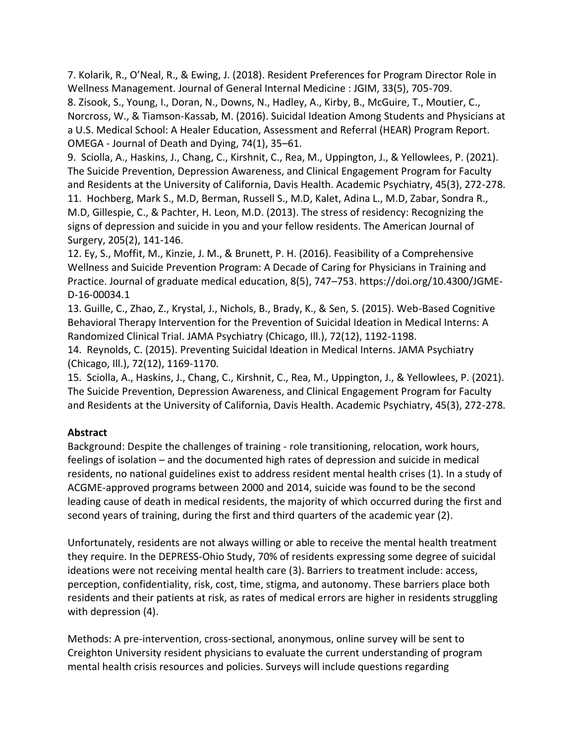7. Kolarik, R., O'Neal, R., & Ewing, J. (2018). Resident Preferences for Program Director Role in Wellness Management. Journal of General Internal Medicine : JGIM, 33(5), 705-709.

8. Zisook, S., Young, I., Doran, N., Downs, N., Hadley, A., Kirby, B., McGuire, T., Moutier, C., Norcross, W., & Tiamson-Kassab, M. (2016). Suicidal Ideation Among Students and Physicians at a U.S. Medical School: A Healer Education, Assessment and Referral (HEAR) Program Report. OMEGA - Journal of Death and Dying, 74(1), 35–61.

9. Sciolla, A., Haskins, J., Chang, C., Kirshnit, C., Rea, M., Uppington, J., & Yellowlees, P. (2021). The Suicide Prevention, Depression Awareness, and Clinical Engagement Program for Faculty and Residents at the University of California, Davis Health. Academic Psychiatry, 45(3), 272-278.

11. Hochberg, Mark S., M.D, Berman, Russell S., M.D, Kalet, Adina L., M.D, Zabar, Sondra R., M.D, Gillespie, C., & Pachter, H. Leon, M.D. (2013). The stress of residency: Recognizing the signs of depression and suicide in you and your fellow residents. The American Journal of Surgery, 205(2), 141-146.

12. Ey, S., Moffit, M., Kinzie, J. M., & Brunett, P. H. (2016). Feasibility of a Comprehensive Wellness and Suicide Prevention Program: A Decade of Caring for Physicians in Training and Practice. Journal of graduate medical education, 8(5), 747–753. https://doi.org/10.4300/JGME-D-16-00034.1

13. Guille, C., Zhao, Z., Krystal, J., Nichols, B., Brady, K., & Sen, S. (2015). Web-Based Cognitive Behavioral Therapy Intervention for the Prevention of Suicidal Ideation in Medical Interns: A Randomized Clinical Trial. JAMA Psychiatry (Chicago, Ill.), 72(12), 1192-1198.

14. Reynolds, C. (2015). Preventing Suicidal Ideation in Medical Interns. JAMA Psychiatry (Chicago, Ill.), 72(12), 1169-1170.

15. Sciolla, A., Haskins, J., Chang, C., Kirshnit, C., Rea, M., Uppington, J., & Yellowlees, P. (2021). The Suicide Prevention, Depression Awareness, and Clinical Engagement Program for Faculty and Residents at the University of California, Davis Health. Academic Psychiatry, 45(3), 272-278.

# **Abstract**

Background: Despite the challenges of training - role transitioning, relocation, work hours, feelings of isolation – and the documented high rates of depression and suicide in medical residents, no national guidelines exist to address resident mental health crises (1). In a study of ACGME-approved programs between 2000 and 2014, suicide was found to be the second leading cause of death in medical residents, the majority of which occurred during the first and second years of training, during the first and third quarters of the academic year (2).

Unfortunately, residents are not always willing or able to receive the mental health treatment they require. In the DEPRESS-Ohio Study, 70% of residents expressing some degree of suicidal ideations were not receiving mental health care (3). Barriers to treatment include: access, perception, confidentiality, risk, cost, time, stigma, and autonomy. These barriers place both residents and their patients at risk, as rates of medical errors are higher in residents struggling with depression (4).

Methods: A pre-intervention, cross-sectional, anonymous, online survey will be sent to Creighton University resident physicians to evaluate the current understanding of program mental health crisis resources and policies. Surveys will include questions regarding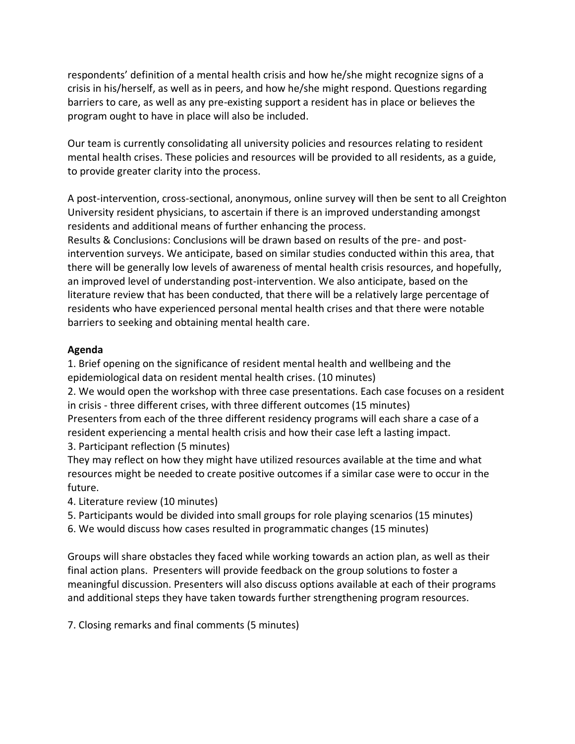respondents' definition of a mental health crisis and how he/she might recognize signs of a crisis in his/herself, as well as in peers, and how he/she might respond. Questions regarding barriers to care, as well as any pre-existing support a resident has in place or believes the program ought to have in place will also be included.

Our team is currently consolidating all university policies and resources relating to resident mental health crises. These policies and resources will be provided to all residents, as a guide, to provide greater clarity into the process.

A post-intervention, cross-sectional, anonymous, online survey will then be sent to all Creighton University resident physicians, to ascertain if there is an improved understanding amongst residents and additional means of further enhancing the process.

Results & Conclusions: Conclusions will be drawn based on results of the pre- and postintervention surveys. We anticipate, based on similar studies conducted within this area, that there will be generally low levels of awareness of mental health crisis resources, and hopefully, an improved level of understanding post-intervention. We also anticipate, based on the literature review that has been conducted, that there will be a relatively large percentage of residents who have experienced personal mental health crises and that there were notable barriers to seeking and obtaining mental health care.

## **Agenda**

1. Brief opening on the significance of resident mental health and wellbeing and the epidemiological data on resident mental health crises. (10 minutes)

2. We would open the workshop with three case presentations. Each case focuses on a resident in crisis - three different crises, with three different outcomes (15 minutes) Presenters from each of the three different residency programs will each share a case of a resident experiencing a mental health crisis and how their case left a lasting impact. 3. Participant reflection (5 minutes)

They may reflect on how they might have utilized resources available at the time and what resources might be needed to create positive outcomes if a similar case were to occur in the future.

4. Literature review (10 minutes)

5. Participants would be divided into small groups for role playing scenarios (15 minutes)

6. We would discuss how cases resulted in programmatic changes (15 minutes)

Groups will share obstacles they faced while working towards an action plan, as well as their final action plans. Presenters will provide feedback on the group solutions to foster a meaningful discussion. Presenters will also discuss options available at each of their programs and additional steps they have taken towards further strengthening program resources.

7. Closing remarks and final comments (5 minutes)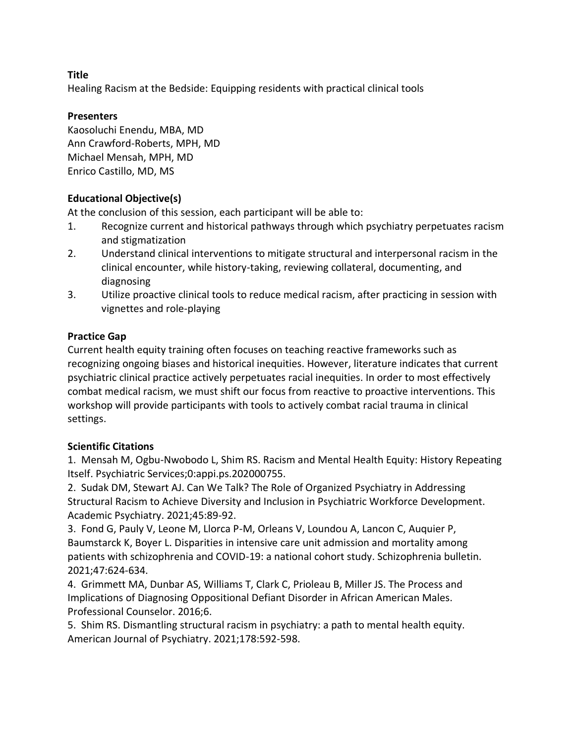Healing Racism at the Bedside: Equipping residents with practical clinical tools

## **Presenters**

Kaosoluchi Enendu, MBA, MD Ann Crawford-Roberts, MPH, MD Michael Mensah, MPH, MD Enrico Castillo, MD, MS

# **Educational Objective(s)**

At the conclusion of this session, each participant will be able to:

- 1. Recognize current and historical pathways through which psychiatry perpetuates racism and stigmatization
- 2. Understand clinical interventions to mitigate structural and interpersonal racism in the clinical encounter, while history-taking, reviewing collateral, documenting, and diagnosing
- 3. Utilize proactive clinical tools to reduce medical racism, after practicing in session with vignettes and role-playing

## **Practice Gap**

Current health equity training often focuses on teaching reactive frameworks such as recognizing ongoing biases and historical inequities. However, literature indicates that current psychiatric clinical practice actively perpetuates racial inequities. In order to most effectively combat medical racism, we must shift our focus from reactive to proactive interventions. This workshop will provide participants with tools to actively combat racial trauma in clinical settings.

## **Scientific Citations**

1. Mensah M, Ogbu-Nwobodo L, Shim RS. Racism and Mental Health Equity: History Repeating Itself. Psychiatric Services;0:appi.ps.202000755.

2. Sudak DM, Stewart AJ. Can We Talk? The Role of Organized Psychiatry in Addressing Structural Racism to Achieve Diversity and Inclusion in Psychiatric Workforce Development. Academic Psychiatry. 2021;45:89-92.

3. Fond G, Pauly V, Leone M, Llorca P-M, Orleans V, Loundou A, Lancon C, Auquier P, Baumstarck K, Boyer L. Disparities in intensive care unit admission and mortality among patients with schizophrenia and COVID-19: a national cohort study. Schizophrenia bulletin. 2021;47:624-634.

4. Grimmett MA, Dunbar AS, Williams T, Clark C, Prioleau B, Miller JS. The Process and Implications of Diagnosing Oppositional Defiant Disorder in African American Males. Professional Counselor. 2016;6.

5. Shim RS. Dismantling structural racism in psychiatry: a path to mental health equity. American Journal of Psychiatry. 2021;178:592-598.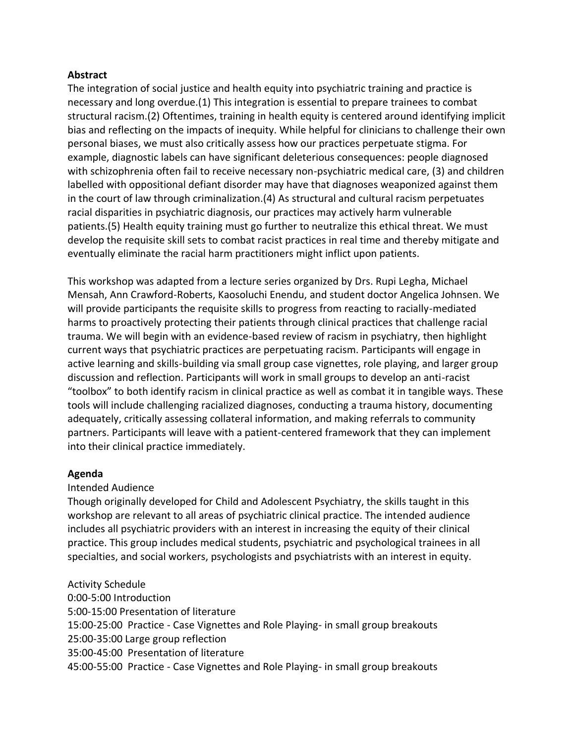#### **Abstract**

The integration of social justice and health equity into psychiatric training and practice is necessary and long overdue.(1) This integration is essential to prepare trainees to combat structural racism.(2) Oftentimes, training in health equity is centered around identifying implicit bias and reflecting on the impacts of inequity. While helpful for clinicians to challenge their own personal biases, we must also critically assess how our practices perpetuate stigma. For example, diagnostic labels can have significant deleterious consequences: people diagnosed with schizophrenia often fail to receive necessary non-psychiatric medical care, (3) and children labelled with oppositional defiant disorder may have that diagnoses weaponized against them in the court of law through criminalization.(4) As structural and cultural racism perpetuates racial disparities in psychiatric diagnosis, our practices may actively harm vulnerable patients.(5) Health equity training must go further to neutralize this ethical threat. We must develop the requisite skill sets to combat racist practices in real time and thereby mitigate and eventually eliminate the racial harm practitioners might inflict upon patients.

This workshop was adapted from a lecture series organized by Drs. Rupi Legha, Michael Mensah, Ann Crawford-Roberts, Kaosoluchi Enendu, and student doctor Angelica Johnsen. We will provide participants the requisite skills to progress from reacting to racially-mediated harms to proactively protecting their patients through clinical practices that challenge racial trauma. We will begin with an evidence-based review of racism in psychiatry, then highlight current ways that psychiatric practices are perpetuating racism. Participants will engage in active learning and skills-building via small group case vignettes, role playing, and larger group discussion and reflection. Participants will work in small groups to develop an anti-racist "toolbox" to both identify racism in clinical practice as well as combat it in tangible ways. These tools will include challenging racialized diagnoses, conducting a trauma history, documenting adequately, critically assessing collateral information, and making referrals to community partners. Participants will leave with a patient-centered framework that they can implement into their clinical practice immediately.

#### **Agenda**

#### Intended Audience

Though originally developed for Child and Adolescent Psychiatry, the skills taught in this workshop are relevant to all areas of psychiatric clinical practice. The intended audience includes all psychiatric providers with an interest in increasing the equity of their clinical practice. This group includes medical students, psychiatric and psychological trainees in all specialties, and social workers, psychologists and psychiatrists with an interest in equity.

Activity Schedule 0:00-5:00 Introduction 5:00-15:00 Presentation of literature 15:00-25:00 Practice - Case Vignettes and Role Playing- in small group breakouts 25:00-35:00 Large group reflection 35:00-45:00 Presentation of literature 45:00-55:00 Practice - Case Vignettes and Role Playing- in small group breakouts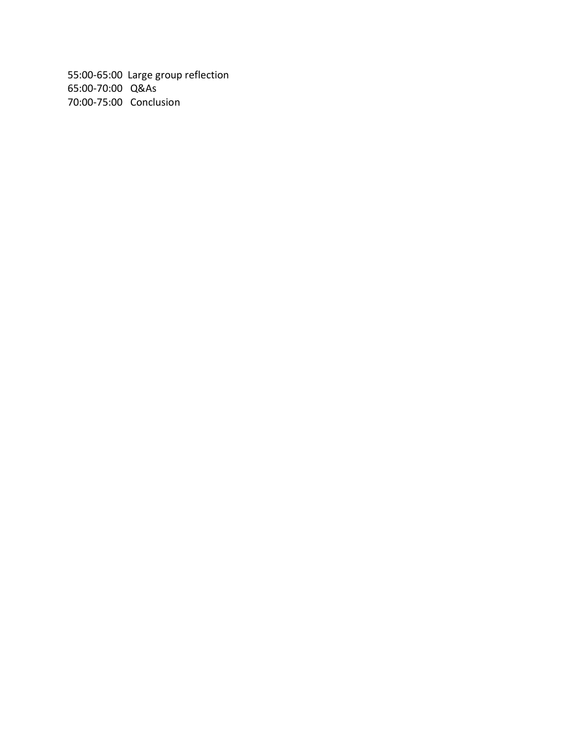55:00-65:00 Large group reflection 65:00-70:00 Q&As 70:00-75:00 Conclusion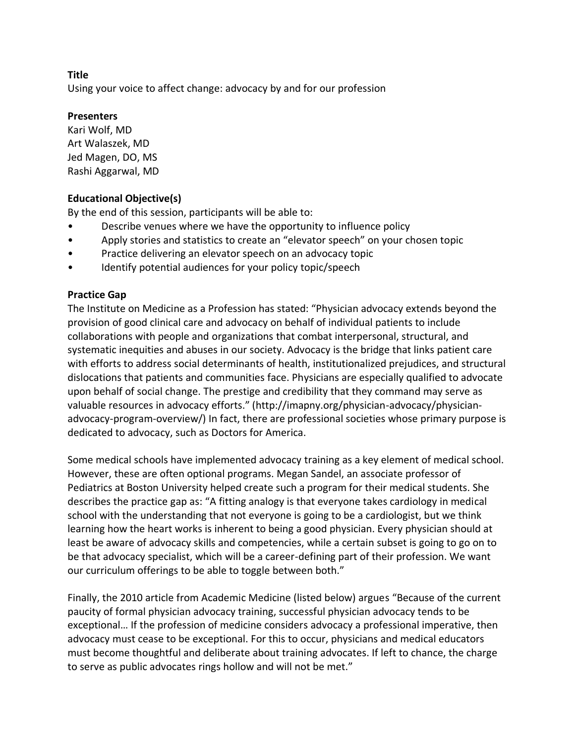Using your voice to affect change: advocacy by and for our profession

## **Presenters**

Kari Wolf, MD Art Walaszek, MD Jed Magen, DO, MS Rashi Aggarwal, MD

## **Educational Objective(s)**

By the end of this session, participants will be able to:

- Describe venues where we have the opportunity to influence policy
- Apply stories and statistics to create an "elevator speech" on your chosen topic
- Practice delivering an elevator speech on an advocacy topic
- Identify potential audiences for your policy topic/speech

## **Practice Gap**

The Institute on Medicine as a Profession has stated: "Physician advocacy extends beyond the provision of good clinical care and advocacy on behalf of individual patients to include collaborations with people and organizations that combat interpersonal, structural, and systematic inequities and abuses in our society. Advocacy is the bridge that links patient care with efforts to address social determinants of health, institutionalized prejudices, and structural dislocations that patients and communities face. Physicians are especially qualified to advocate upon behalf of social change. The prestige and credibility that they command may serve as valuable resources in advocacy efforts." (http://imapny.org/physician-advocacy/physicianadvocacy-program-overview/) In fact, there are professional societies whose primary purpose is dedicated to advocacy, such as Doctors for America.

Some medical schools have implemented advocacy training as a key element of medical school. However, these are often optional programs. Megan Sandel, an associate professor of Pediatrics at Boston University helped create such a program for their medical students. She describes the practice gap as: "A fitting analogy is that everyone takes cardiology in medical school with the understanding that not everyone is going to be a cardiologist, but we think learning how the heart works is inherent to being a good physician. Every physician should at least be aware of advocacy skills and competencies, while a certain subset is going to go on to be that advocacy specialist, which will be a career-defining part of their profession. We want our curriculum offerings to be able to toggle between both."

Finally, the 2010 article from Academic Medicine (listed below) argues "Because of the current paucity of formal physician advocacy training, successful physician advocacy tends to be exceptional… If the profession of medicine considers advocacy a professional imperative, then advocacy must cease to be exceptional. For this to occur, physicians and medical educators must become thoughtful and deliberate about training advocates. If left to chance, the charge to serve as public advocates rings hollow and will not be met."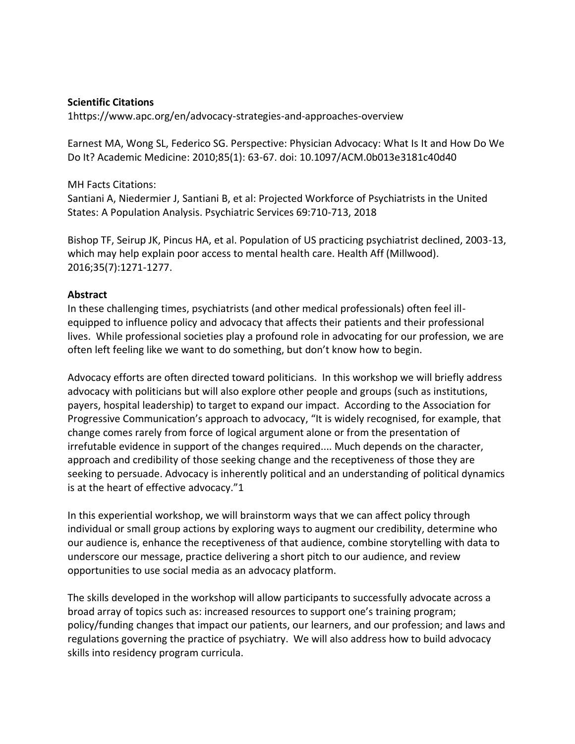### **Scientific Citations**

1https://www.apc.org/en/advocacy-strategies-and-approaches-overview

Earnest MA, Wong SL, Federico SG. Perspective: Physician Advocacy: What Is It and How Do We Do It? Academic Medicine: 2010;85(1): 63-67. doi: 10.1097/ACM.0b013e3181c40d40

#### MH Facts Citations:

Santiani A, Niedermier J, Santiani B, et al: Projected Workforce of Psychiatrists in the United States: A Population Analysis. Psychiatric Services 69:710-713, 2018

Bishop TF, Seirup JK, Pincus HA, et al. Population of US practicing psychiatrist declined, 2003-13, which may help explain poor access to mental health care. Health Aff (Millwood). 2016;35(7):1271-1277.

#### **Abstract**

In these challenging times, psychiatrists (and other medical professionals) often feel illequipped to influence policy and advocacy that affects their patients and their professional lives. While professional societies play a profound role in advocating for our profession, we are often left feeling like we want to do something, but don't know how to begin.

Advocacy efforts are often directed toward politicians. In this workshop we will briefly address advocacy with politicians but will also explore other people and groups (such as institutions, payers, hospital leadership) to target to expand our impact. According to the Association for Progressive Communication's approach to advocacy, "It is widely recognised, for example, that change comes rarely from force of logical argument alone or from the presentation of irrefutable evidence in support of the changes required.... Much depends on the character, approach and credibility of those seeking change and the receptiveness of those they are seeking to persuade. Advocacy is inherently political and an understanding of political dynamics is at the heart of effective advocacy."1

In this experiential workshop, we will brainstorm ways that we can affect policy through individual or small group actions by exploring ways to augment our credibility, determine who our audience is, enhance the receptiveness of that audience, combine storytelling with data to underscore our message, practice delivering a short pitch to our audience, and review opportunities to use social media as an advocacy platform.

The skills developed in the workshop will allow participants to successfully advocate across a broad array of topics such as: increased resources to support one's training program; policy/funding changes that impact our patients, our learners, and our profession; and laws and regulations governing the practice of psychiatry. We will also address how to build advocacy skills into residency program curricula.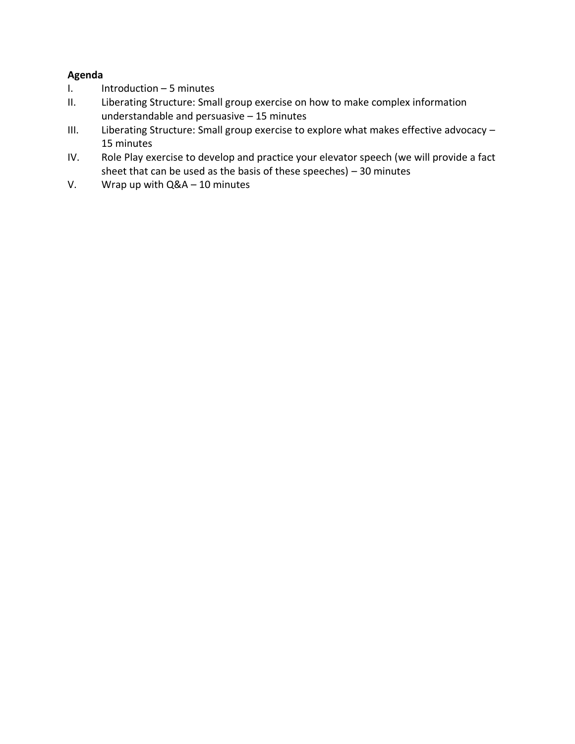## **Agenda**

- I. Introduction 5 minutes
- II. Liberating Structure: Small group exercise on how to make complex information understandable and persuasive – 15 minutes
- III. Liberating Structure: Small group exercise to explore what makes effective advocacy 15 minutes
- IV. Role Play exercise to develop and practice your elevator speech (we will provide a fact sheet that can be used as the basis of these speeches) – 30 minutes
- V. Wrap up with Q&A 10 minutes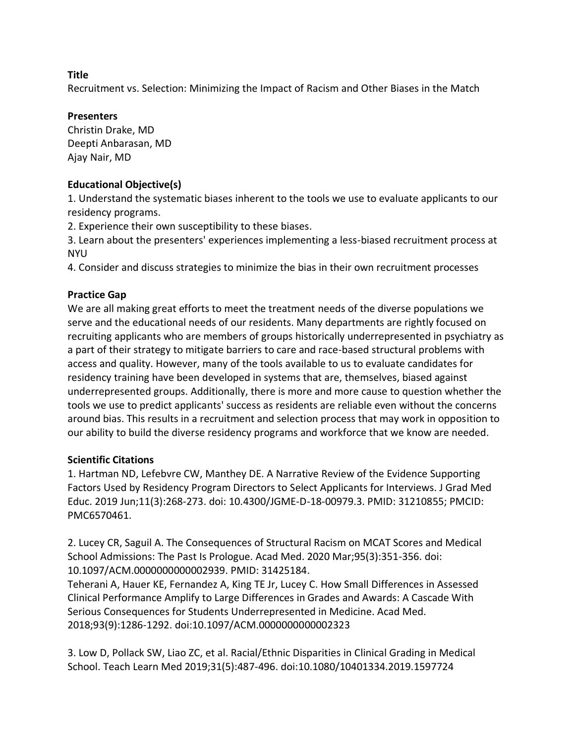Recruitment vs. Selection: Minimizing the Impact of Racism and Other Biases in the Match

## **Presenters**

Christin Drake, MD Deepti Anbarasan, MD Ajay Nair, MD

## **Educational Objective(s)**

1. Understand the systematic biases inherent to the tools we use to evaluate applicants to our residency programs.

2. Experience their own susceptibility to these biases.

3. Learn about the presenters' experiences implementing a less-biased recruitment process at **NYU** 

4. Consider and discuss strategies to minimize the bias in their own recruitment processes

## **Practice Gap**

We are all making great efforts to meet the treatment needs of the diverse populations we serve and the educational needs of our residents. Many departments are rightly focused on recruiting applicants who are members of groups historically underrepresented in psychiatry as a part of their strategy to mitigate barriers to care and race-based structural problems with access and quality. However, many of the tools available to us to evaluate candidates for residency training have been developed in systems that are, themselves, biased against underrepresented groups. Additionally, there is more and more cause to question whether the tools we use to predict applicants' success as residents are reliable even without the concerns around bias. This results in a recruitment and selection process that may work in opposition to our ability to build the diverse residency programs and workforce that we know are needed.

#### **Scientific Citations**

1. Hartman ND, Lefebvre CW, Manthey DE. A Narrative Review of the Evidence Supporting Factors Used by Residency Program Directors to Select Applicants for Interviews. J Grad Med Educ. 2019 Jun;11(3):268-273. doi: 10.4300/JGME-D-18-00979.3. PMID: 31210855; PMCID: PMC6570461.

2. Lucey CR, Saguil A. The Consequences of Structural Racism on MCAT Scores and Medical School Admissions: The Past Is Prologue. Acad Med. 2020 Mar;95(3):351-356. doi: 10.1097/ACM.0000000000002939. PMID: 31425184.

Teherani A, Hauer KE, Fernandez A, King TE Jr, Lucey C. How Small Differences in Assessed Clinical Performance Amplify to Large Differences in Grades and Awards: A Cascade With Serious Consequences for Students Underrepresented in Medicine. Acad Med. 2018;93(9):1286-1292. doi:10.1097/ACM.0000000000002323

3. Low D, Pollack SW, Liao ZC, et al. Racial/Ethnic Disparities in Clinical Grading in Medical School. Teach Learn Med 2019;31(5):487-496. doi:10.1080/10401334.2019.1597724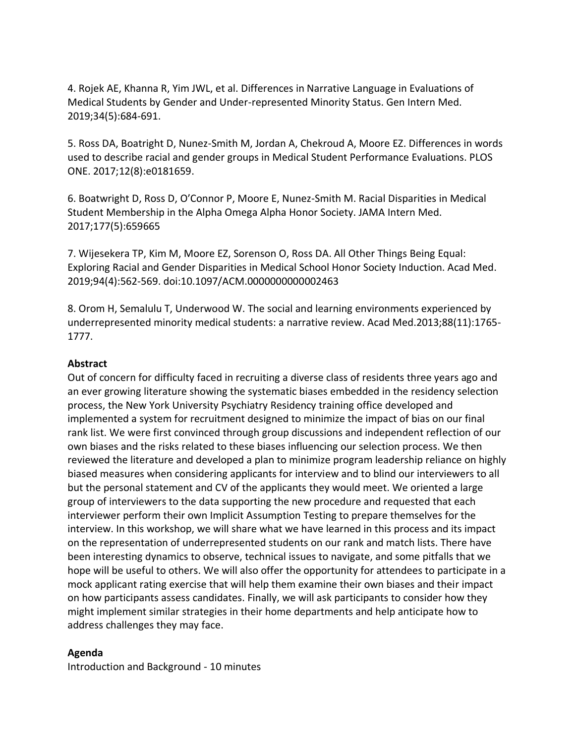4. Rojek AE, Khanna R, Yim JWL, et al. Differences in Narrative Language in Evaluations of Medical Students by Gender and Under-represented Minority Status. Gen Intern Med. 2019;34(5):684-691.

5. Ross DA, Boatright D, Nunez-Smith M, Jordan A, Chekroud A, Moore EZ. Differences in words used to describe racial and gender groups in Medical Student Performance Evaluations. PLOS ONE. 2017;12(8):e0181659.

6. Boatwright D, Ross D, O'Connor P, Moore E, Nunez-Smith M. Racial Disparities in Medical Student Membership in the Alpha Omega Alpha Honor Society. JAMA Intern Med. 2017;177(5):659665

7. Wijesekera TP, Kim M, Moore EZ, Sorenson O, Ross DA. All Other Things Being Equal: Exploring Racial and Gender Disparities in Medical School Honor Society Induction. Acad Med. 2019;94(4):562-569. doi:10.1097/ACM.0000000000002463

8. Orom H, Semalulu T, Underwood W. The social and learning environments experienced by underrepresented minority medical students: a narrative review. Acad Med.2013;88(11):1765- 1777.

## **Abstract**

Out of concern for difficulty faced in recruiting a diverse class of residents three years ago and an ever growing literature showing the systematic biases embedded in the residency selection process, the New York University Psychiatry Residency training office developed and implemented a system for recruitment designed to minimize the impact of bias on our final rank list. We were first convinced through group discussions and independent reflection of our own biases and the risks related to these biases influencing our selection process. We then reviewed the literature and developed a plan to minimize program leadership reliance on highly biased measures when considering applicants for interview and to blind our interviewers to all but the personal statement and CV of the applicants they would meet. We oriented a large group of interviewers to the data supporting the new procedure and requested that each interviewer perform their own Implicit Assumption Testing to prepare themselves for the interview. In this workshop, we will share what we have learned in this process and its impact on the representation of underrepresented students on our rank and match lists. There have been interesting dynamics to observe, technical issues to navigate, and some pitfalls that we hope will be useful to others. We will also offer the opportunity for attendees to participate in a mock applicant rating exercise that will help them examine their own biases and their impact on how participants assess candidates. Finally, we will ask participants to consider how they might implement similar strategies in their home departments and help anticipate how to address challenges they may face.

#### **Agenda**

Introduction and Background - 10 minutes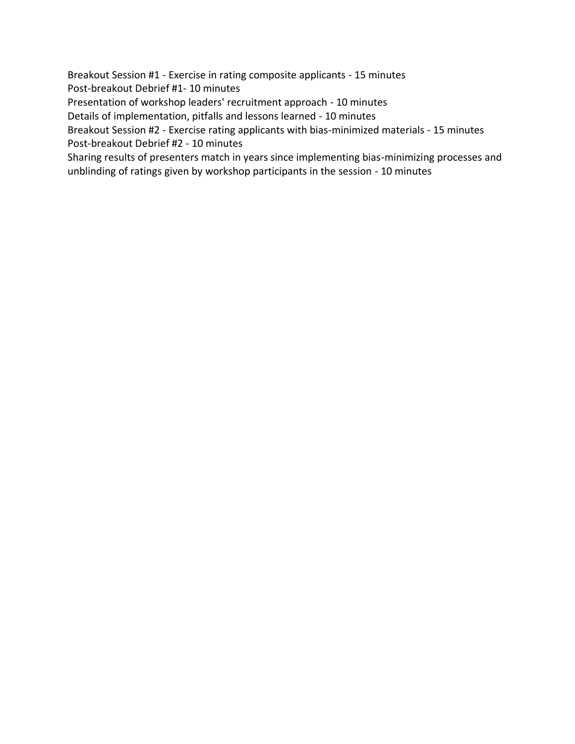Breakout Session #1 - Exercise in rating composite applicants - 15 minutes Post-breakout Debrief #1- 10 minutes

Presentation of workshop leaders' recruitment approach - 10 minutes

Details of implementation, pitfalls and lessons learned - 10 minutes

Breakout Session #2 - Exercise rating applicants with bias-minimized materials - 15 minutes Post-breakout Debrief #2 - 10 minutes

Sharing results of presenters match in years since implementing bias-minimizing processes and unblinding of ratings given by workshop participants in the session - 10 minutes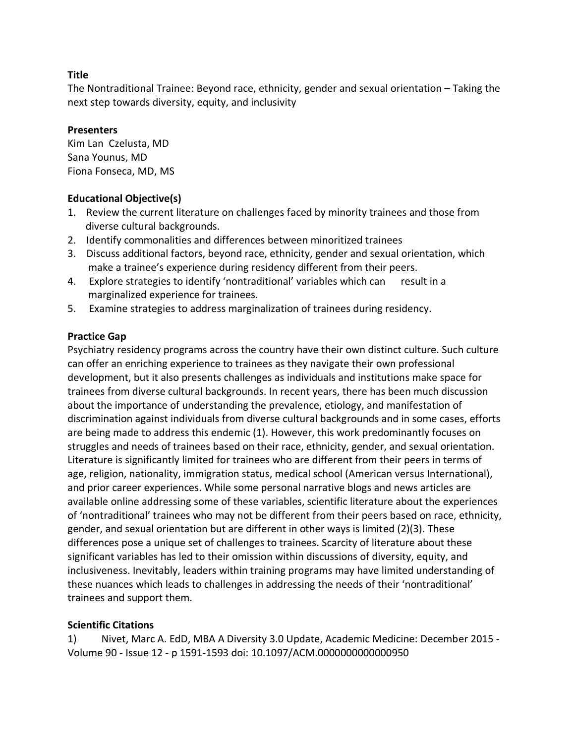The Nontraditional Trainee: Beyond race, ethnicity, gender and sexual orientation – Taking the next step towards diversity, equity, and inclusivity

## **Presenters**

Kim Lan Czelusta, MD Sana Younus, MD Fiona Fonseca, MD, MS

## **Educational Objective(s)**

- 1. Review the current literature on challenges faced by minority trainees and those from diverse cultural backgrounds.
- 2. Identify commonalities and differences between minoritized trainees
- 3. Discuss additional factors, beyond race, ethnicity, gender and sexual orientation, which make a trainee's experience during residency different from their peers.
- 4. Explore strategies to identify 'nontraditional' variables which can result in a marginalized experience for trainees.
- 5. Examine strategies to address marginalization of trainees during residency.

## **Practice Gap**

Psychiatry residency programs across the country have their own distinct culture. Such culture can offer an enriching experience to trainees as they navigate their own professional development, but it also presents challenges as individuals and institutions make space for trainees from diverse cultural backgrounds. In recent years, there has been much discussion about the importance of understanding the prevalence, etiology, and manifestation of discrimination against individuals from diverse cultural backgrounds and in some cases, efforts are being made to address this endemic (1). However, this work predominantly focuses on struggles and needs of trainees based on their race, ethnicity, gender, and sexual orientation. Literature is significantly limited for trainees who are different from their peers in terms of age, religion, nationality, immigration status, medical school (American versus International), and prior career experiences. While some personal narrative blogs and news articles are available online addressing some of these variables, scientific literature about the experiences of 'nontraditional' trainees who may not be different from their peers based on race, ethnicity, gender, and sexual orientation but are different in other ways is limited (2)(3). These differences pose a unique set of challenges to trainees. Scarcity of literature about these significant variables has led to their omission within discussions of diversity, equity, and inclusiveness. Inevitably, leaders within training programs may have limited understanding of these nuances which leads to challenges in addressing the needs of their 'nontraditional' trainees and support them.

## **Scientific Citations**

1) Nivet, Marc A. EdD, MBA A Diversity 3.0 Update, Academic Medicine: December 2015 - Volume 90 - Issue 12 - p 1591-1593 doi: 10.1097/ACM.0000000000000950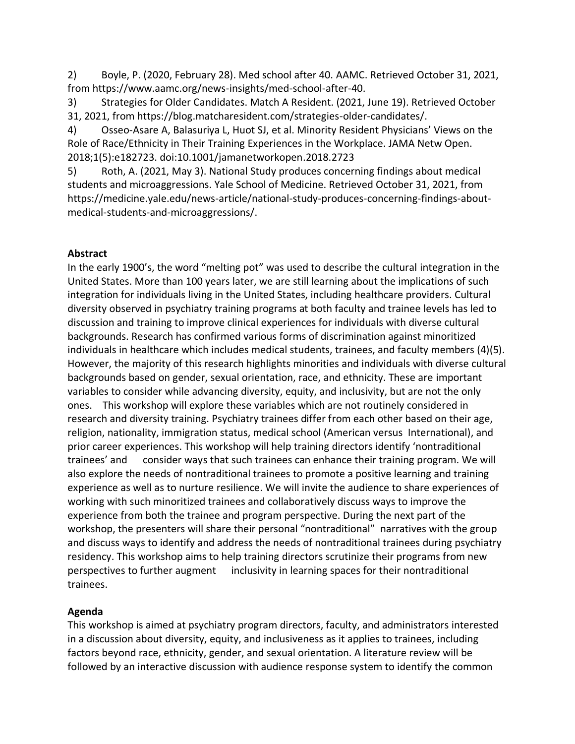2) Boyle, P. (2020, February 28). Med school after 40. AAMC. Retrieved October 31, 2021, from https://www.aamc.org/news-insights/med-school-after-40.

3) Strategies for Older Candidates. Match A Resident. (2021, June 19). Retrieved October 31, 2021, from https://blog.matcharesident.com/strategies-older-candidates/.

4) Osseo-Asare A, Balasuriya L, Huot SJ, et al. Minority Resident Physicians' Views on the Role of Race/Ethnicity in Their Training Experiences in the Workplace. JAMA Netw Open. 2018;1(5):e182723. doi:10.1001/jamanetworkopen.2018.2723

5) Roth, A. (2021, May 3). National Study produces concerning findings about medical students and microaggressions. Yale School of Medicine. Retrieved October 31, 2021, from https://medicine.yale.edu/news-article/national-study-produces-concerning-findings-aboutmedical-students-and-microaggressions/.

## **Abstract**

In the early 1900's, the word "melting pot" was used to describe the cultural integration in the United States. More than 100 years later, we are still learning about the implications of such integration for individuals living in the United States, including healthcare providers. Cultural diversity observed in psychiatry training programs at both faculty and trainee levels has led to discussion and training to improve clinical experiences for individuals with diverse cultural backgrounds. Research has confirmed various forms of discrimination against minoritized individuals in healthcare which includes medical students, trainees, and faculty members (4)(5). However, the majority of this research highlights minorities and individuals with diverse cultural backgrounds based on gender, sexual orientation, race, and ethnicity. These are important variables to consider while advancing diversity, equity, and inclusivity, but are not the only ones. This workshop will explore these variables which are not routinely considered in research and diversity training. Psychiatry trainees differ from each other based on their age, religion, nationality, immigration status, medical school (American versus International), and prior career experiences. This workshop will help training directors identify 'nontraditional trainees' and consider ways that such trainees can enhance their training program. We will also explore the needs of nontraditional trainees to promote a positive learning and training experience as well as to nurture resilience. We will invite the audience to share experiences of working with such minoritized trainees and collaboratively discuss ways to improve the experience from both the trainee and program perspective. During the next part of the workshop, the presenters will share their personal "nontraditional" narratives with the group and discuss ways to identify and address the needs of nontraditional trainees during psychiatry residency. This workshop aims to help training directors scrutinize their programs from new perspectives to further augment inclusivity in learning spaces for their nontraditional trainees.

# **Agenda**

This workshop is aimed at psychiatry program directors, faculty, and administrators interested in a discussion about diversity, equity, and inclusiveness as it applies to trainees, including factors beyond race, ethnicity, gender, and sexual orientation. A literature review will be followed by an interactive discussion with audience response system to identify the common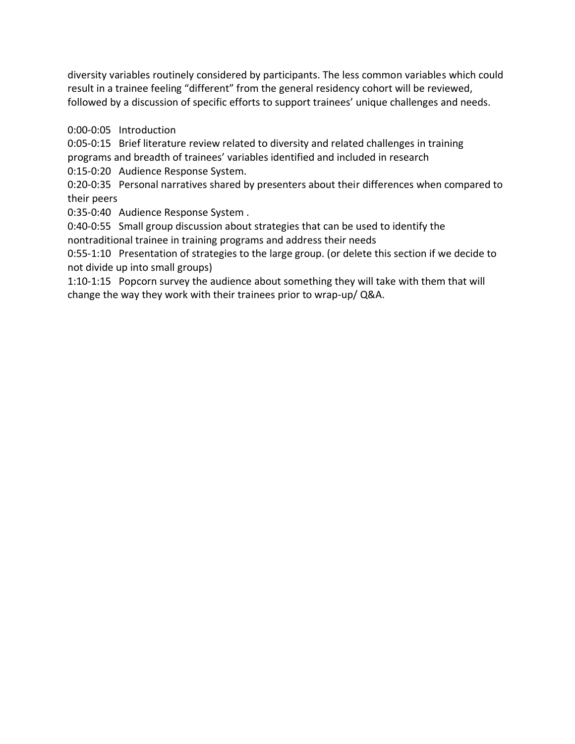diversity variables routinely considered by participants. The less common variables which could result in a trainee feeling "different" from the general residency cohort will be reviewed, followed by a discussion of specific efforts to support trainees' unique challenges and needs.

0:00-0:05 Introduction

0:05-0:15 Brief literature review related to diversity and related challenges in training programs and breadth of trainees' variables identified and included in research

0:15-0:20 Audience Response System.

0:20-0:35 Personal narratives shared by presenters about their differences when compared to their peers

0:35-0:40 Audience Response System .

0:40-0:55 Small group discussion about strategies that can be used to identify the nontraditional trainee in training programs and address their needs

0:55-1:10 Presentation of strategies to the large group. (or delete this section if we decide to not divide up into small groups)

1:10-1:15 Popcorn survey the audience about something they will take with them that will change the way they work with their trainees prior to wrap-up/ Q&A.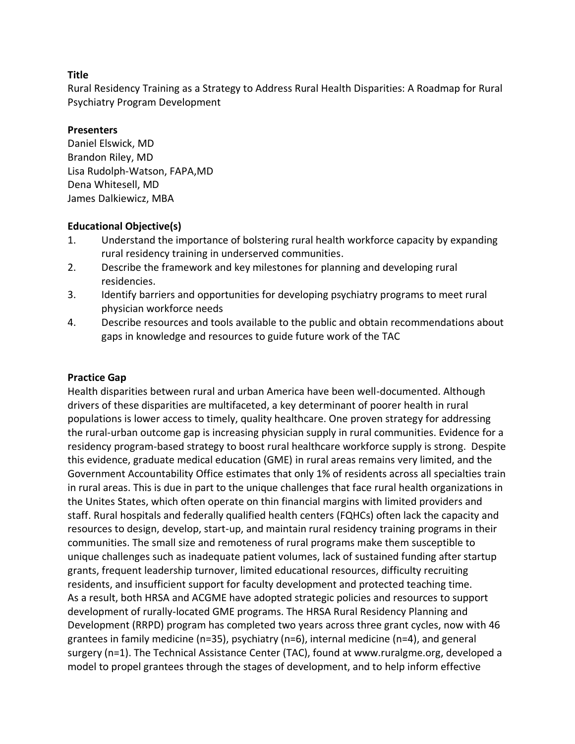Rural Residency Training as a Strategy to Address Rural Health Disparities: A Roadmap for Rural Psychiatry Program Development

## **Presenters**

Daniel Elswick, MD Brandon Riley, MD Lisa Rudolph-Watson, FAPA,MD Dena Whitesell, MD James Dalkiewicz, MBA

## **Educational Objective(s)**

- 1. Understand the importance of bolstering rural health workforce capacity by expanding rural residency training in underserved communities.
- 2. Describe the framework and key milestones for planning and developing rural residencies.
- 3. Identify barriers and opportunities for developing psychiatry programs to meet rural physician workforce needs
- 4. Describe resources and tools available to the public and obtain recommendations about gaps in knowledge and resources to guide future work of the TAC

## **Practice Gap**

Health disparities between rural and urban America have been well-documented. Although drivers of these disparities are multifaceted, a key determinant of poorer health in rural populations is lower access to timely, quality healthcare. One proven strategy for addressing the rural-urban outcome gap is increasing physician supply in rural communities. Evidence for a residency program-based strategy to boost rural healthcare workforce supply is strong. Despite this evidence, graduate medical education (GME) in rural areas remains very limited, and the Government Accountability Office estimates that only 1% of residents across all specialties train in rural areas. This is due in part to the unique challenges that face rural health organizations in the Unites States, which often operate on thin financial margins with limited providers and staff. Rural hospitals and federally qualified health centers (FQHCs) often lack the capacity and resources to design, develop, start-up, and maintain rural residency training programs in their communities. The small size and remoteness of rural programs make them susceptible to unique challenges such as inadequate patient volumes, lack of sustained funding after startup grants, frequent leadership turnover, limited educational resources, difficulty recruiting residents, and insufficient support for faculty development and protected teaching time. As a result, both HRSA and ACGME have adopted strategic policies and resources to support development of rurally-located GME programs. The HRSA Rural Residency Planning and Development (RRPD) program has completed two years across three grant cycles, now with 46 grantees in family medicine (n=35), psychiatry (n=6), internal medicine (n=4), and general surgery (n=1). The Technical Assistance Center (TAC), found at www.ruralgme.org, developed a model to propel grantees through the stages of development, and to help inform effective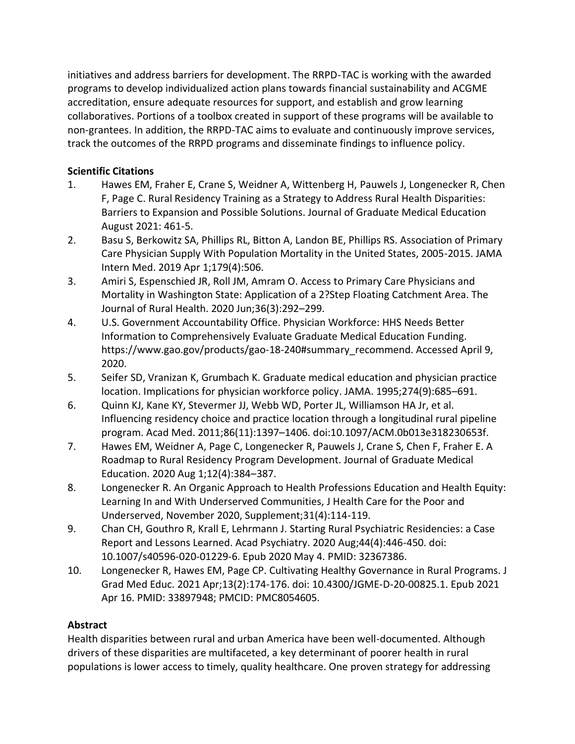initiatives and address barriers for development. The RRPD-TAC is working with the awarded programs to develop individualized action plans towards financial sustainability and ACGME accreditation, ensure adequate resources for support, and establish and grow learning collaboratives. Portions of a toolbox created in support of these programs will be available to non-grantees. In addition, the RRPD-TAC aims to evaluate and continuously improve services, track the outcomes of the RRPD programs and disseminate findings to influence policy.

## **Scientific Citations**

- 1. Hawes EM, Fraher E, Crane S, Weidner A, Wittenberg H, Pauwels J, Longenecker R, Chen F, Page C. Rural Residency Training as a Strategy to Address Rural Health Disparities: Barriers to Expansion and Possible Solutions. Journal of Graduate Medical Education August 2021: 461-5.
- 2. Basu S, Berkowitz SA, Phillips RL, Bitton A, Landon BE, Phillips RS. Association of Primary Care Physician Supply With Population Mortality in the United States, 2005-2015. JAMA Intern Med. 2019 Apr 1;179(4):506.
- 3. Amiri S, Espenschied JR, Roll JM, Amram O. Access to Primary Care Physicians and Mortality in Washington State: Application of a 2?Step Floating Catchment Area. The Journal of Rural Health. 2020 Jun;36(3):292–299.
- 4. U.S. Government Accountability Office. Physician Workforce: HHS Needs Better Information to Comprehensively Evaluate Graduate Medical Education Funding. https://www.gao.gov/products/gao-18-240#summary\_recommend. Accessed April 9, 2020.
- 5. Seifer SD, Vranizan K, Grumbach K. Graduate medical education and physician practice location. Implications for physician workforce policy. JAMA. 1995;274(9):685–691.
- 6. Quinn KJ, Kane KY, Stevermer JJ, Webb WD, Porter JL, Williamson HA Jr, et al. Influencing residency choice and practice location through a longitudinal rural pipeline program. Acad Med. 2011;86(11):1397–1406. doi:10.1097/ACM.0b013e318230653f.
- 7. Hawes EM, Weidner A, Page C, Longenecker R, Pauwels J, Crane S, Chen F, Fraher E. A Roadmap to Rural Residency Program Development. Journal of Graduate Medical Education. 2020 Aug 1;12(4):384–387.
- 8. Longenecker R. An Organic Approach to Health Professions Education and Health Equity: Learning In and With Underserved Communities, J Health Care for the Poor and Underserved, November 2020, Supplement;31(4):114-119.
- 9. Chan CH, Gouthro R, Krall E, Lehrmann J. Starting Rural Psychiatric Residencies: a Case Report and Lessons Learned. Acad Psychiatry. 2020 Aug;44(4):446-450. doi: 10.1007/s40596-020-01229-6. Epub 2020 May 4. PMID: 32367386.
- 10. Longenecker R, Hawes EM, Page CP. Cultivating Healthy Governance in Rural Programs. J Grad Med Educ. 2021 Apr;13(2):174-176. doi: 10.4300/JGME-D-20-00825.1. Epub 2021 Apr 16. PMID: 33897948; PMCID: PMC8054605.

## **Abstract**

Health disparities between rural and urban America have been well-documented. Although drivers of these disparities are multifaceted, a key determinant of poorer health in rural populations is lower access to timely, quality healthcare. One proven strategy for addressing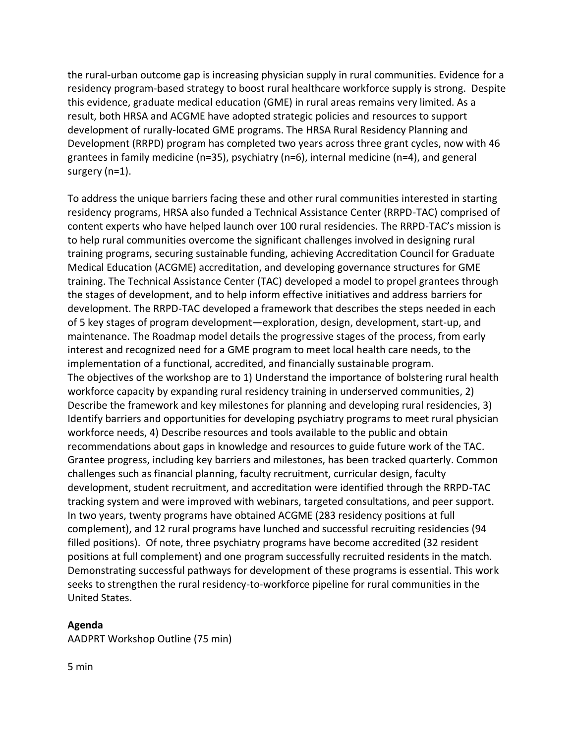the rural-urban outcome gap is increasing physician supply in rural communities. Evidence for a residency program-based strategy to boost rural healthcare workforce supply is strong. Despite this evidence, graduate medical education (GME) in rural areas remains very limited. As a result, both HRSA and ACGME have adopted strategic policies and resources to support development of rurally-located GME programs. The HRSA Rural Residency Planning and Development (RRPD) program has completed two years across three grant cycles, now with 46 grantees in family medicine (n=35), psychiatry (n=6), internal medicine (n=4), and general surgery (n=1).

To address the unique barriers facing these and other rural communities interested in starting residency programs, HRSA also funded a Technical Assistance Center (RRPD-TAC) comprised of content experts who have helped launch over 100 rural residencies. The RRPD-TAC's mission is to help rural communities overcome the significant challenges involved in designing rural training programs, securing sustainable funding, achieving Accreditation Council for Graduate Medical Education (ACGME) accreditation, and developing governance structures for GME training. The Technical Assistance Center (TAC) developed a model to propel grantees through the stages of development, and to help inform effective initiatives and address barriers for development. The RRPD-TAC developed a framework that describes the steps needed in each of 5 key stages of program development—exploration, design, development, start-up, and maintenance. The Roadmap model details the progressive stages of the process, from early interest and recognized need for a GME program to meet local health care needs, to the implementation of a functional, accredited, and financially sustainable program. The objectives of the workshop are to 1) Understand the importance of bolstering rural health workforce capacity by expanding rural residency training in underserved communities, 2) Describe the framework and key milestones for planning and developing rural residencies, 3) Identify barriers and opportunities for developing psychiatry programs to meet rural physician workforce needs, 4) Describe resources and tools available to the public and obtain recommendations about gaps in knowledge and resources to guide future work of the TAC. Grantee progress, including key barriers and milestones, has been tracked quarterly. Common challenges such as financial planning, faculty recruitment, curricular design, faculty development, student recruitment, and accreditation were identified through the RRPD-TAC tracking system and were improved with webinars, targeted consultations, and peer support. In two years, twenty programs have obtained ACGME (283 residency positions at full complement), and 12 rural programs have lunched and successful recruiting residencies (94 filled positions). Of note, three psychiatry programs have become accredited (32 resident positions at full complement) and one program successfully recruited residents in the match. Demonstrating successful pathways for development of these programs is essential. This work seeks to strengthen the rural residency-to-workforce pipeline for rural communities in the United States.

#### **Agenda**

AADPRT Workshop Outline (75 min)

5 min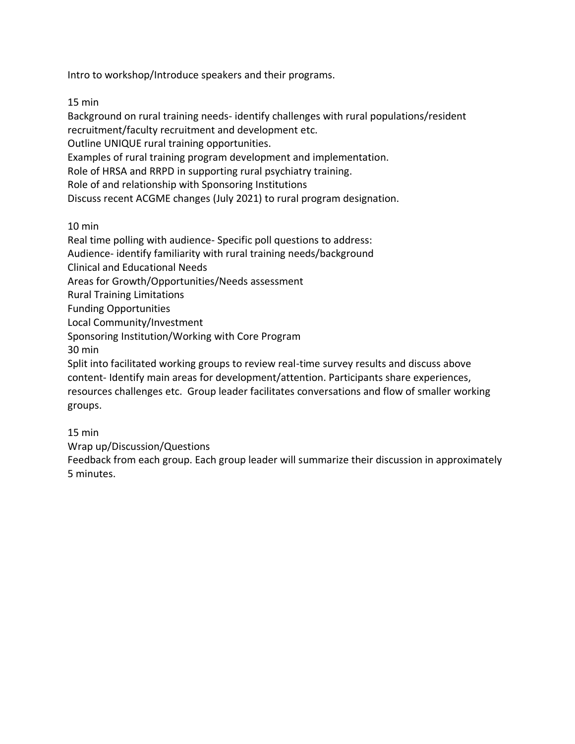Intro to workshop/Introduce speakers and their programs.

15 min

Background on rural training needs- identify challenges with rural populations/resident recruitment/faculty recruitment and development etc.

Outline UNIQUE rural training opportunities.

Examples of rural training program development and implementation.

Role of HRSA and RRPD in supporting rural psychiatry training.

Role of and relationship with Sponsoring Institutions

Discuss recent ACGME changes (July 2021) to rural program designation.

10 min

Real time polling with audience- Specific poll questions to address: Audience- identify familiarity with rural training needs/background Clinical and Educational Needs Areas for Growth/Opportunities/Needs assessment Rural Training Limitations Funding Opportunities Local Community/Investment Sponsoring Institution/Working with Core Program 30 min Split into facilitated working groups to review real-time survey results and discuss above content- Identify main areas for development/attention. Participants share experiences, resources challenges etc. Group leader facilitates conversations and flow of smaller working

groups.

15 min

Wrap up/Discussion/Questions

Feedback from each group. Each group leader will summarize their discussion in approximately 5 minutes.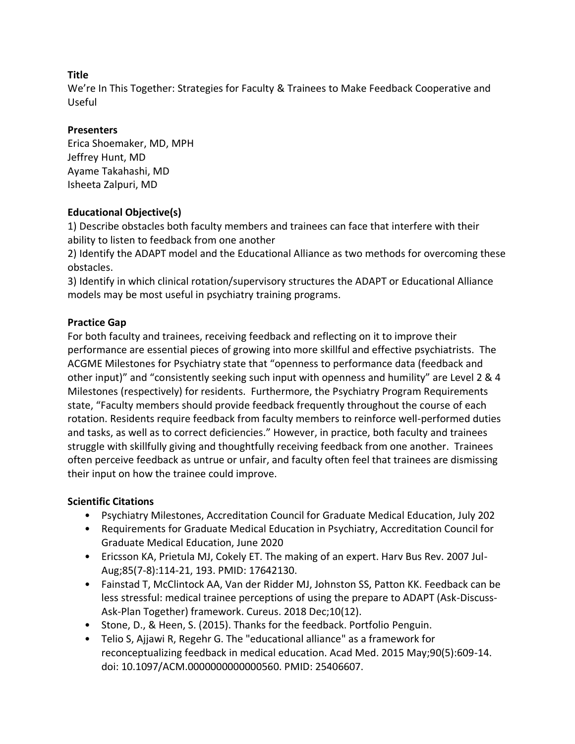We're In This Together: Strategies for Faculty & Trainees to Make Feedback Cooperative and Useful

## **Presenters**

Erica Shoemaker, MD, MPH Jeffrey Hunt, MD Ayame Takahashi, MD Isheeta Zalpuri, MD

# **Educational Objective(s)**

1) Describe obstacles both faculty members and trainees can face that interfere with their ability to listen to feedback from one another

2) Identify the ADAPT model and the Educational Alliance as two methods for overcoming these obstacles.

3) Identify in which clinical rotation/supervisory structures the ADAPT or Educational Alliance models may be most useful in psychiatry training programs.

## **Practice Gap**

For both faculty and trainees, receiving feedback and reflecting on it to improve their performance are essential pieces of growing into more skillful and effective psychiatrists. The ACGME Milestones for Psychiatry state that "openness to performance data (feedback and other input)" and "consistently seeking such input with openness and humility" are Level 2 & 4 Milestones (respectively) for residents. Furthermore, the Psychiatry Program Requirements state, "Faculty members should provide feedback frequently throughout the course of each rotation. Residents require feedback from faculty members to reinforce well-performed duties and tasks, as well as to correct deficiencies." However, in practice, both faculty and trainees struggle with skillfully giving and thoughtfully receiving feedback from one another. Trainees often perceive feedback as untrue or unfair, and faculty often feel that trainees are dismissing their input on how the trainee could improve.

# **Scientific Citations**

- Psychiatry Milestones, Accreditation Council for Graduate Medical Education, July 202
- Requirements for Graduate Medical Education in Psychiatry, Accreditation Council for Graduate Medical Education, June 2020
- Ericsson KA, Prietula MJ, Cokely ET. The making of an expert. Harv Bus Rev. 2007 Jul-Aug;85(7-8):114-21, 193. PMID: 17642130.
- Fainstad T, McClintock AA, Van der Ridder MJ, Johnston SS, Patton KK. Feedback can be less stressful: medical trainee perceptions of using the prepare to ADAPT (Ask-Discuss-Ask-Plan Together) framework. Cureus. 2018 Dec;10(12).
- Stone, D., & Heen, S. (2015). Thanks for the feedback. Portfolio Penguin.
- Telio S, Ajjawi R, Regehr G. The "educational alliance" as a framework for reconceptualizing feedback in medical education. Acad Med. 2015 May;90(5):609-14. doi: 10.1097/ACM.0000000000000560. PMID: 25406607.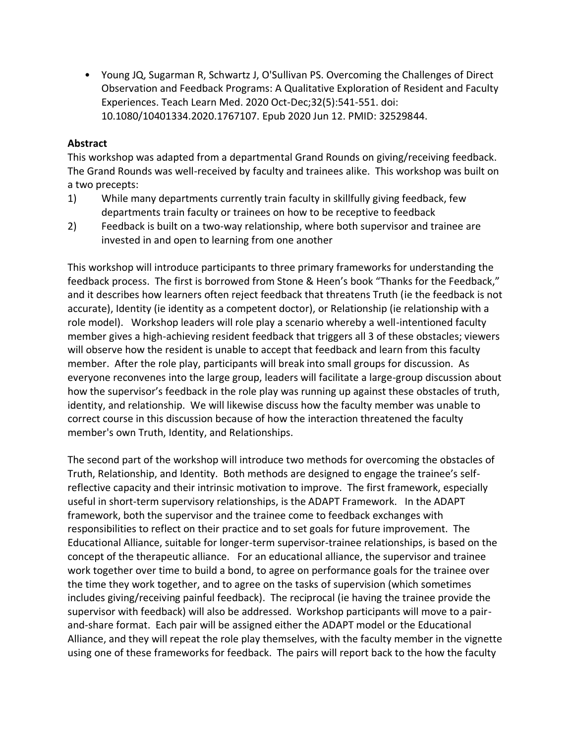• Young JQ, Sugarman R, Schwartz J, O'Sullivan PS. Overcoming the Challenges of Direct Observation and Feedback Programs: A Qualitative Exploration of Resident and Faculty Experiences. Teach Learn Med. 2020 Oct-Dec;32(5):541-551. doi: 10.1080/10401334.2020.1767107. Epub 2020 Jun 12. PMID: 32529844.

#### **Abstract**

This workshop was adapted from a departmental Grand Rounds on giving/receiving feedback. The Grand Rounds was well-received by faculty and trainees alike. This workshop was built on a two precepts:

- 1) While many departments currently train faculty in skillfully giving feedback, few departments train faculty or trainees on how to be receptive to feedback
- 2) Feedback is built on a two-way relationship, where both supervisor and trainee are invested in and open to learning from one another

This workshop will introduce participants to three primary frameworks for understanding the feedback process. The first is borrowed from Stone & Heen's book "Thanks for the Feedback," and it describes how learners often reject feedback that threatens Truth (ie the feedback is not accurate), Identity (ie identity as a competent doctor), or Relationship (ie relationship with a role model). Workshop leaders will role play a scenario whereby a well-intentioned faculty member gives a high-achieving resident feedback that triggers all 3 of these obstacles; viewers will observe how the resident is unable to accept that feedback and learn from this faculty member. After the role play, participants will break into small groups for discussion. As everyone reconvenes into the large group, leaders will facilitate a large-group discussion about how the supervisor's feedback in the role play was running up against these obstacles of truth, identity, and relationship. We will likewise discuss how the faculty member was unable to correct course in this discussion because of how the interaction threatened the faculty member's own Truth, Identity, and Relationships.

The second part of the workshop will introduce two methods for overcoming the obstacles of Truth, Relationship, and Identity. Both methods are designed to engage the trainee's selfreflective capacity and their intrinsic motivation to improve. The first framework, especially useful in short-term supervisory relationships, is the ADAPT Framework. In the ADAPT framework, both the supervisor and the trainee come to feedback exchanges with responsibilities to reflect on their practice and to set goals for future improvement. The Educational Alliance, suitable for longer-term supervisor-trainee relationships, is based on the concept of the therapeutic alliance. For an educational alliance, the supervisor and trainee work together over time to build a bond, to agree on performance goals for the trainee over the time they work together, and to agree on the tasks of supervision (which sometimes includes giving/receiving painful feedback). The reciprocal (ie having the trainee provide the supervisor with feedback) will also be addressed. Workshop participants will move to a pairand-share format. Each pair will be assigned either the ADAPT model or the Educational Alliance, and they will repeat the role play themselves, with the faculty member in the vignette using one of these frameworks for feedback. The pairs will report back to the how the faculty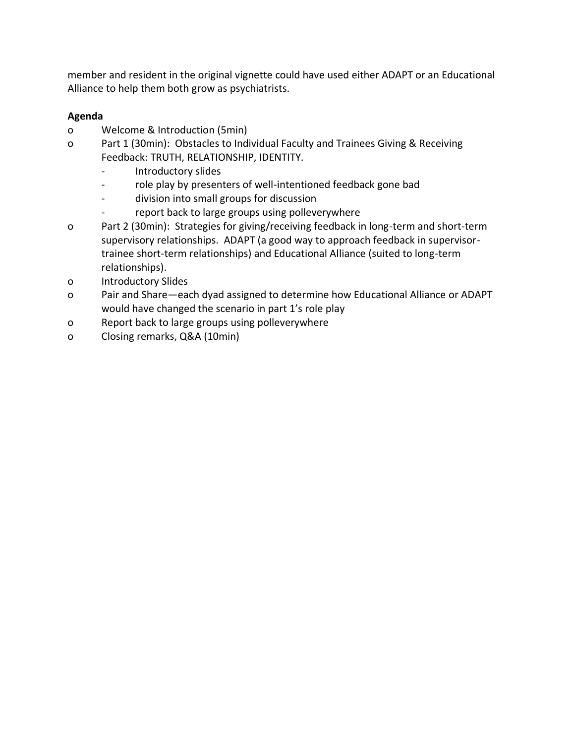member and resident in the original vignette could have used either ADAPT or an Educational Alliance to help them both grow as psychiatrists.

# **Agenda**

- o Welcome & Introduction (5min)
- o Part 1 (30min): Obstacles to Individual Faculty and Trainees Giving & Receiving Feedback: TRUTH, RELATIONSHIP, IDENTITY.
	- Introductory slides
	- role play by presenters of well-intentioned feedback gone bad
	- division into small groups for discussion
	- report back to large groups using polleverywhere
- o Part 2 (30min): Strategies for giving/receiving feedback in long-term and short-term supervisory relationships. ADAPT (a good way to approach feedback in supervisortrainee short-term relationships) and Educational Alliance (suited to long-term relationships).
- o Introductory Slides
- o Pair and Share—each dyad assigned to determine how Educational Alliance or ADAPT would have changed the scenario in part 1's role play
- o Report back to large groups using polleverywhere
- o Closing remarks, Q&A (10min)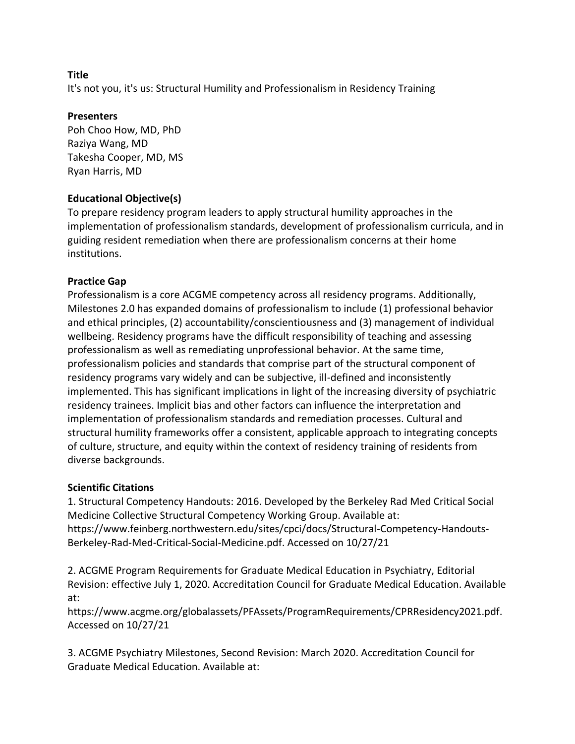It's not you, it's us: Structural Humility and Professionalism in Residency Training

## **Presenters**

Poh Choo How, MD, PhD Raziya Wang, MD Takesha Cooper, MD, MS Ryan Harris, MD

## **Educational Objective(s)**

To prepare residency program leaders to apply structural humility approaches in the implementation of professionalism standards, development of professionalism curricula, and in guiding resident remediation when there are professionalism concerns at their home institutions.

## **Practice Gap**

Professionalism is a core ACGME competency across all residency programs. Additionally, Milestones 2.0 has expanded domains of professionalism to include (1) professional behavior and ethical principles, (2) accountability/conscientiousness and (3) management of individual wellbeing. Residency programs have the difficult responsibility of teaching and assessing professionalism as well as remediating unprofessional behavior. At the same time, professionalism policies and standards that comprise part of the structural component of residency programs vary widely and can be subjective, ill-defined and inconsistently implemented. This has significant implications in light of the increasing diversity of psychiatric residency trainees. Implicit bias and other factors can influence the interpretation and implementation of professionalism standards and remediation processes. Cultural and structural humility frameworks offer a consistent, applicable approach to integrating concepts of culture, structure, and equity within the context of residency training of residents from diverse backgrounds.

## **Scientific Citations**

1. Structural Competency Handouts: 2016. Developed by the Berkeley Rad Med Critical Social Medicine Collective Structural Competency Working Group. Available at: https://www.feinberg.northwestern.edu/sites/cpci/docs/Structural-Competency-Handouts-Berkeley-Rad-Med-Critical-Social-Medicine.pdf. Accessed on 10/27/21

2. ACGME Program Requirements for Graduate Medical Education in Psychiatry, Editorial Revision: effective July 1, 2020. Accreditation Council for Graduate Medical Education. Available at:

https://www.acgme.org/globalassets/PFAssets/ProgramRequirements/CPRResidency2021.pdf. Accessed on 10/27/21

3. ACGME Psychiatry Milestones, Second Revision: March 2020. Accreditation Council for Graduate Medical Education. Available at: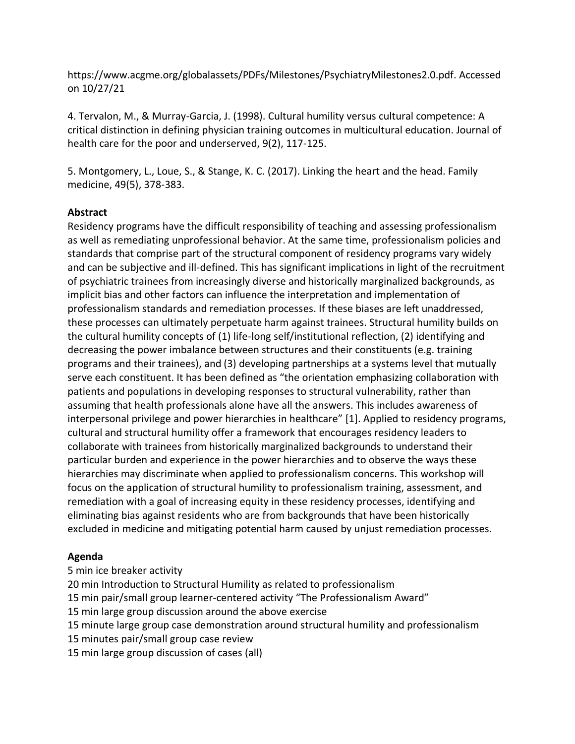https://www.acgme.org/globalassets/PDFs/Milestones/PsychiatryMilestones2.0.pdf. Accessed on 10/27/21

4. Tervalon, M., & Murray-Garcia, J. (1998). Cultural humility versus cultural competence: A critical distinction in defining physician training outcomes in multicultural education. Journal of health care for the poor and underserved, 9(2), 117-125.

5. Montgomery, L., Loue, S., & Stange, K. C. (2017). Linking the heart and the head. Family medicine, 49(5), 378-383.

## **Abstract**

Residency programs have the difficult responsibility of teaching and assessing professionalism as well as remediating unprofessional behavior. At the same time, professionalism policies and standards that comprise part of the structural component of residency programs vary widely and can be subjective and ill-defined. This has significant implications in light of the recruitment of psychiatric trainees from increasingly diverse and historically marginalized backgrounds, as implicit bias and other factors can influence the interpretation and implementation of professionalism standards and remediation processes. If these biases are left unaddressed, these processes can ultimately perpetuate harm against trainees. Structural humility builds on the cultural humility concepts of (1) life-long self/institutional reflection, (2) identifying and decreasing the power imbalance between structures and their constituents (e.g. training programs and their trainees), and (3) developing partnerships at a systems level that mutually serve each constituent. It has been defined as "the orientation emphasizing collaboration with patients and populations in developing responses to structural vulnerability, rather than assuming that health professionals alone have all the answers. This includes awareness of interpersonal privilege and power hierarchies in healthcare" [1]. Applied to residency programs, cultural and structural humility offer a framework that encourages residency leaders to collaborate with trainees from historically marginalized backgrounds to understand their particular burden and experience in the power hierarchies and to observe the ways these hierarchies may discriminate when applied to professionalism concerns. This workshop will focus on the application of structural humility to professionalism training, assessment, and remediation with a goal of increasing equity in these residency processes, identifying and eliminating bias against residents who are from backgrounds that have been historically excluded in medicine and mitigating potential harm caused by unjust remediation processes.

## **Agenda**

- 5 min ice breaker activity
- 20 min Introduction to Structural Humility as related to professionalism
- 15 min pair/small group learner-centered activity "The Professionalism Award"
- 15 min large group discussion around the above exercise
- 15 minute large group case demonstration around structural humility and professionalism
- 15 minutes pair/small group case review
- 15 min large group discussion of cases (all)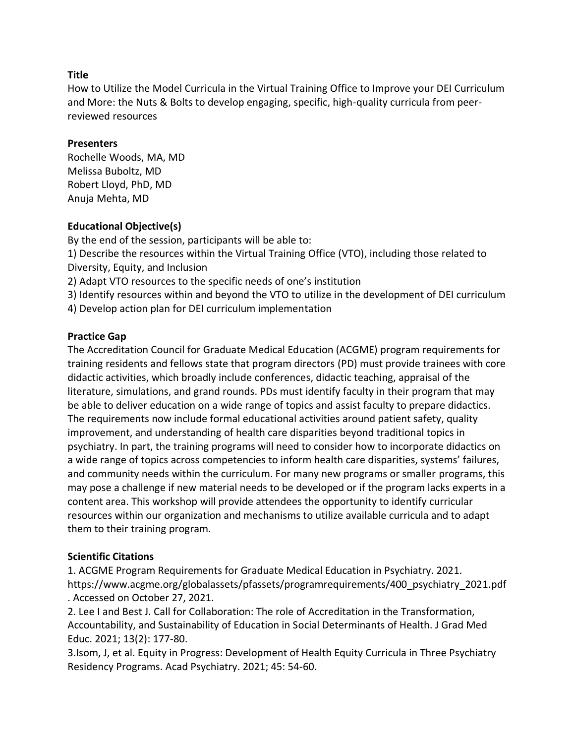How to Utilize the Model Curricula in the Virtual Training Office to Improve your DEI Curriculum and More: the Nuts & Bolts to develop engaging, specific, high-quality curricula from peerreviewed resources

#### **Presenters**

Rochelle Woods, MA, MD Melissa Buboltz, MD Robert Lloyd, PhD, MD Anuja Mehta, MD

## **Educational Objective(s)**

By the end of the session, participants will be able to:

1) Describe the resources within the Virtual Training Office (VTO), including those related to Diversity, Equity, and Inclusion

2) Adapt VTO resources to the specific needs of one's institution

3) Identify resources within and beyond the VTO to utilize in the development of DEI curriculum

4) Develop action plan for DEI curriculum implementation

## **Practice Gap**

The Accreditation Council for Graduate Medical Education (ACGME) program requirements for training residents and fellows state that program directors (PD) must provide trainees with core didactic activities, which broadly include conferences, didactic teaching, appraisal of the literature, simulations, and grand rounds. PDs must identify faculty in their program that may be able to deliver education on a wide range of topics and assist faculty to prepare didactics. The requirements now include formal educational activities around patient safety, quality improvement, and understanding of health care disparities beyond traditional topics in psychiatry. In part, the training programs will need to consider how to incorporate didactics on a wide range of topics across competencies to inform health care disparities, systems' failures, and community needs within the curriculum. For many new programs or smaller programs, this may pose a challenge if new material needs to be developed or if the program lacks experts in a content area. This workshop will provide attendees the opportunity to identify curricular resources within our organization and mechanisms to utilize available curricula and to adapt them to their training program.

## **Scientific Citations**

1. ACGME Program Requirements for Graduate Medical Education in Psychiatry. 2021. https://www.acgme.org/globalassets/pfassets/programrequirements/400\_psychiatry\_2021.pdf . Accessed on October 27, 2021.

2. Lee I and Best J. Call for Collaboration: The role of Accreditation in the Transformation, Accountability, and Sustainability of Education in Social Determinants of Health. J Grad Med Educ. 2021; 13(2): 177-80.

3.Isom, J, et al. Equity in Progress: Development of Health Equity Curricula in Three Psychiatry Residency Programs. Acad Psychiatry. 2021; 45: 54-60.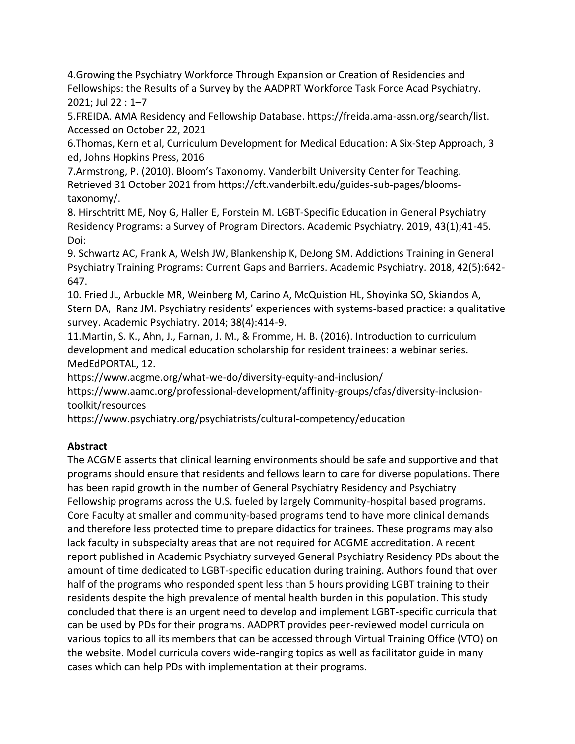4.Growing the Psychiatry Workforce Through Expansion or Creation of Residencies and Fellowships: the Results of a Survey by the AADPRT Workforce Task Force Acad Psychiatry. 2021; Jul 22 : 1–7

5.FREIDA. AMA Residency and Fellowship Database. https://freida.ama-assn.org/search/list. Accessed on October 22, 2021

6.Thomas, Kern et al, Curriculum Development for Medical Education: A Six-Step Approach, 3 ed, Johns Hopkins Press, 2016

7.Armstrong, P. (2010). Bloom's Taxonomy. Vanderbilt University Center for Teaching. Retrieved 31 October 2021 from https://cft.vanderbilt.edu/guides-sub-pages/bloomstaxonomy/.

8. Hirschtritt ME, Noy G, Haller E, Forstein M. LGBT-Specific Education in General Psychiatry Residency Programs: a Survey of Program Directors. Academic Psychiatry. 2019, 43(1);41-45. Doi:

9. Schwartz AC, Frank A, Welsh JW, Blankenship K, DeJong SM. Addictions Training in General Psychiatry Training Programs: Current Gaps and Barriers. Academic Psychiatry. 2018, 42(5):642- 647.

10. Fried JL, Arbuckle MR, Weinberg M, Carino A, McQuistion HL, Shoyinka SO, Skiandos A, Stern DA, Ranz JM. Psychiatry residents' experiences with systems-based practice: a qualitative survey. Academic Psychiatry. 2014; 38(4):414-9.

11.Martin, S. K., Ahn, J., Farnan, J. M., & Fromme, H. B. (2016). Introduction to curriculum development and medical education scholarship for resident trainees: a webinar series. MedEdPORTAL, 12.

https://www.acgme.org/what-we-do/diversity-equity-and-inclusion/

https://www.aamc.org/professional-development/affinity-groups/cfas/diversity-inclusiontoolkit/resources

https://www.psychiatry.org/psychiatrists/cultural-competency/education

# **Abstract**

The ACGME asserts that clinical learning environments should be safe and supportive and that programs should ensure that residents and fellows learn to care for diverse populations. There has been rapid growth in the number of General Psychiatry Residency and Psychiatry Fellowship programs across the U.S. fueled by largely Community-hospital based programs. Core Faculty at smaller and community-based programs tend to have more clinical demands and therefore less protected time to prepare didactics for trainees. These programs may also lack faculty in subspecialty areas that are not required for ACGME accreditation. A recent report published in Academic Psychiatry surveyed General Psychiatry Residency PDs about the amount of time dedicated to LGBT-specific education during training. Authors found that over half of the programs who responded spent less than 5 hours providing LGBT training to their residents despite the high prevalence of mental health burden in this population. This study concluded that there is an urgent need to develop and implement LGBT-specific curricula that can be used by PDs for their programs. AADPRT provides peer-reviewed model curricula on various topics to all its members that can be accessed through Virtual Training Office (VTO) on the website. Model curricula covers wide-ranging topics as well as facilitator guide in many cases which can help PDs with implementation at their programs.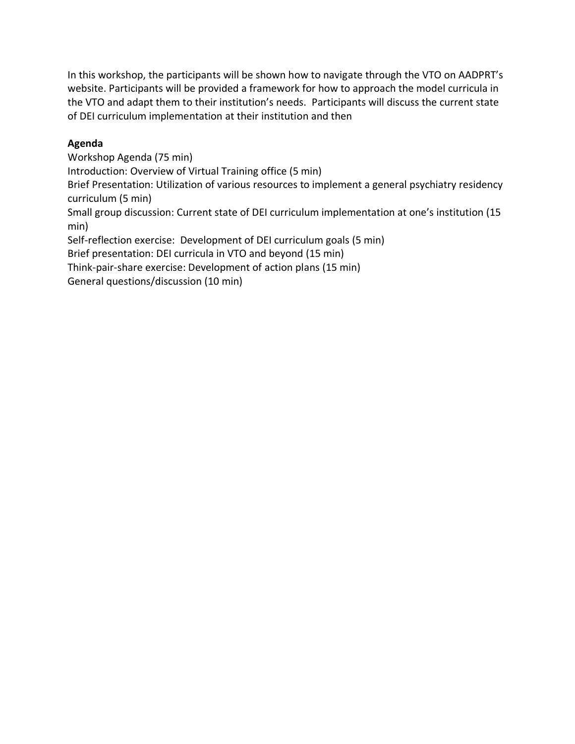In this workshop, the participants will be shown how to navigate through the VTO on AADPRT's website. Participants will be provided a framework for how to approach the model curricula in the VTO and adapt them to their institution's needs. Participants will discuss the current state of DEI curriculum implementation at their institution and then

## **Agenda**

Workshop Agenda (75 min)

Introduction: Overview of Virtual Training office (5 min)

Brief Presentation: Utilization of various resources to implement a general psychiatry residency curriculum (5 min)

Small group discussion: Current state of DEI curriculum implementation at one's institution (15 min)

Self-reflection exercise: Development of DEI curriculum goals (5 min)

Brief presentation: DEI curricula in VTO and beyond (15 min)

Think-pair-share exercise: Development of action plans (15 min)

General questions/discussion (10 min)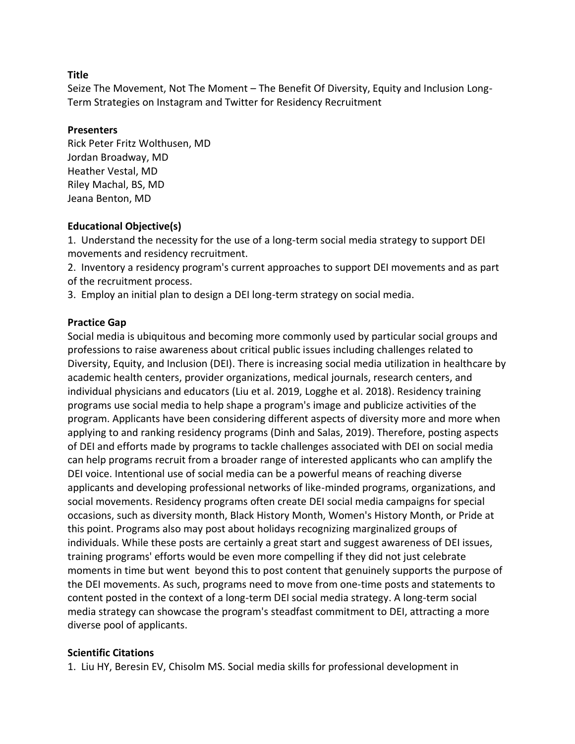Seize The Movement, Not The Moment – The Benefit Of Diversity, Equity and Inclusion Long-Term Strategies on Instagram and Twitter for Residency Recruitment

#### **Presenters**

Rick Peter Fritz Wolthusen, MD Jordan Broadway, MD Heather Vestal, MD Riley Machal, BS, MD Jeana Benton, MD

#### **Educational Objective(s)**

1. Understand the necessity for the use of a long-term social media strategy to support DEI movements and residency recruitment.

2. Inventory a residency program's current approaches to support DEI movements and as part of the recruitment process.

3. Employ an initial plan to design a DEI long-term strategy on social media.

#### **Practice Gap**

Social media is ubiquitous and becoming more commonly used by particular social groups and professions to raise awareness about critical public issues including challenges related to Diversity, Equity, and Inclusion (DEI). There is increasing social media utilization in healthcare by academic health centers, provider organizations, medical journals, research centers, and individual physicians and educators (Liu et al. 2019, Logghe et al. 2018). Residency training programs use social media to help shape a program's image and publicize activities of the program. Applicants have been considering different aspects of diversity more and more when applying to and ranking residency programs (Dinh and Salas, 2019). Therefore, posting aspects of DEI and efforts made by programs to tackle challenges associated with DEI on social media can help programs recruit from a broader range of interested applicants who can amplify the DEI voice. Intentional use of social media can be a powerful means of reaching diverse applicants and developing professional networks of like-minded programs, organizations, and social movements. Residency programs often create DEI social media campaigns for special occasions, such as diversity month, Black History Month, Women's History Month, or Pride at this point. Programs also may post about holidays recognizing marginalized groups of individuals. While these posts are certainly a great start and suggest awareness of DEI issues, training programs' efforts would be even more compelling if they did not just celebrate moments in time but went beyond this to post content that genuinely supports the purpose of the DEI movements. As such, programs need to move from one-time posts and statements to content posted in the context of a long-term DEI social media strategy. A long-term social media strategy can showcase the program's steadfast commitment to DEI, attracting a more diverse pool of applicants.

#### **Scientific Citations**

1. Liu HY, Beresin EV, Chisolm MS. Social media skills for professional development in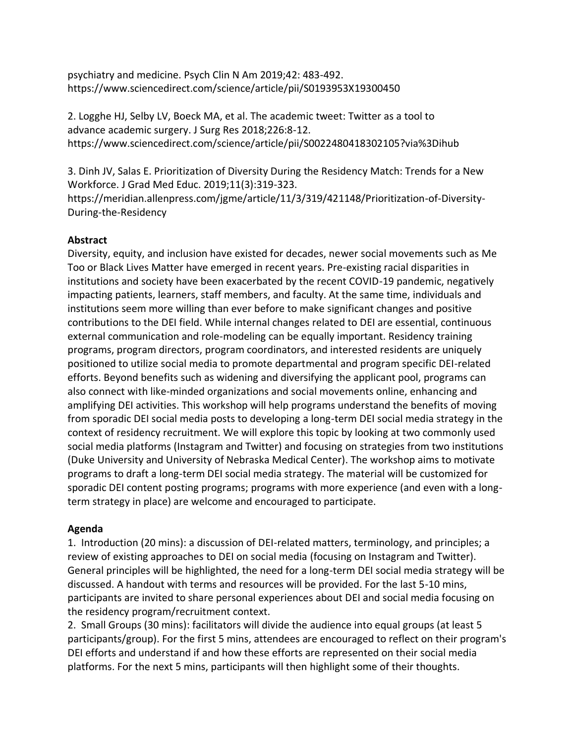psychiatry and medicine. Psych Clin N Am 2019;42: 483-492. https://www.sciencedirect.com/science/article/pii/S0193953X19300450

2. Logghe HJ, Selby LV, Boeck MA, et al. The academic tweet: Twitter as a tool to advance academic surgery. J Surg Res 2018;226:8-12. https://www.sciencedirect.com/science/article/pii/S0022480418302105?via%3Dihub

3. Dinh JV, Salas E. Prioritization of Diversity During the Residency Match: Trends for a New Workforce. J Grad Med Educ. 2019;11(3):319-323.

https://meridian.allenpress.com/jgme/article/11/3/319/421148/Prioritization-of-Diversity-During-the-Residency

## **Abstract**

Diversity, equity, and inclusion have existed for decades, newer social movements such as Me Too or Black Lives Matter have emerged in recent years. Pre-existing racial disparities in institutions and society have been exacerbated by the recent COVID-19 pandemic, negatively impacting patients, learners, staff members, and faculty. At the same time, individuals and institutions seem more willing than ever before to make significant changes and positive contributions to the DEI field. While internal changes related to DEI are essential, continuous external communication and role-modeling can be equally important. Residency training programs, program directors, program coordinators, and interested residents are uniquely positioned to utilize social media to promote departmental and program specific DEI-related efforts. Beyond benefits such as widening and diversifying the applicant pool, programs can also connect with like-minded organizations and social movements online, enhancing and amplifying DEI activities. This workshop will help programs understand the benefits of moving from sporadic DEI social media posts to developing a long-term DEI social media strategy in the context of residency recruitment. We will explore this topic by looking at two commonly used social media platforms (Instagram and Twitter) and focusing on strategies from two institutions (Duke University and University of Nebraska Medical Center). The workshop aims to motivate programs to draft a long-term DEI social media strategy. The material will be customized for sporadic DEI content posting programs; programs with more experience (and even with a longterm strategy in place) are welcome and encouraged to participate.

#### **Agenda**

1. Introduction (20 mins): a discussion of DEI-related matters, terminology, and principles; a review of existing approaches to DEI on social media (focusing on Instagram and Twitter). General principles will be highlighted, the need for a long-term DEI social media strategy will be discussed. A handout with terms and resources will be provided. For the last 5-10 mins, participants are invited to share personal experiences about DEI and social media focusing on the residency program/recruitment context.

2. Small Groups (30 mins): facilitators will divide the audience into equal groups (at least 5 participants/group). For the first 5 mins, attendees are encouraged to reflect on their program's DEI efforts and understand if and how these efforts are represented on their social media platforms. For the next 5 mins, participants will then highlight some of their thoughts.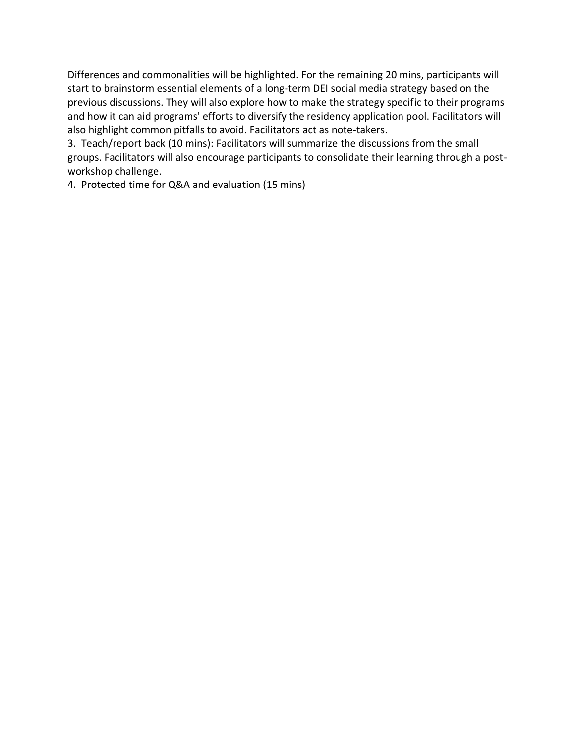Differences and commonalities will be highlighted. For the remaining 20 mins, participants will start to brainstorm essential elements of a long-term DEI social media strategy based on the previous discussions. They will also explore how to make the strategy specific to their programs and how it can aid programs' efforts to diversify the residency application pool. Facilitators will also highlight common pitfalls to avoid. Facilitators act as note-takers.

3. Teach/report back (10 mins): Facilitators will summarize the discussions from the small groups. Facilitators will also encourage participants to consolidate their learning through a postworkshop challenge.

4. Protected time for Q&A and evaluation (15 mins)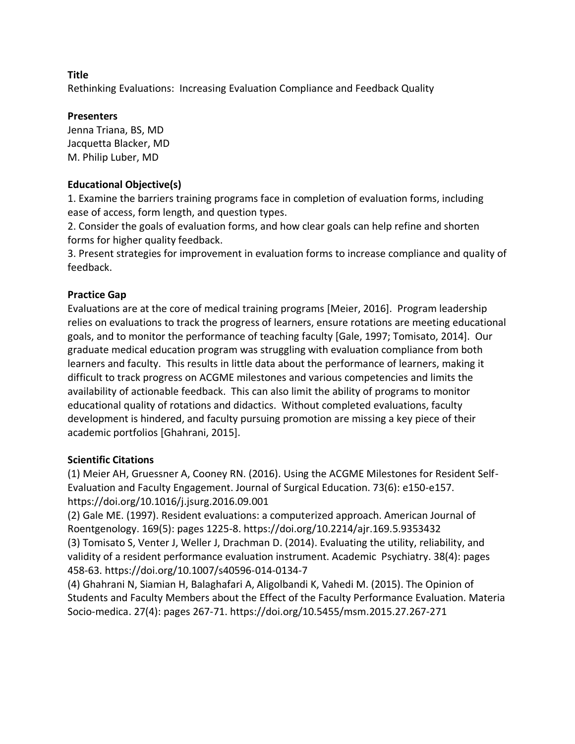Rethinking Evaluations: Increasing Evaluation Compliance and Feedback Quality

## **Presenters**

Jenna Triana, BS, MD Jacquetta Blacker, MD M. Philip Luber, MD

## **Educational Objective(s)**

1. Examine the barriers training programs face in completion of evaluation forms, including ease of access, form length, and question types.

2. Consider the goals of evaluation forms, and how clear goals can help refine and shorten forms for higher quality feedback.

3. Present strategies for improvement in evaluation forms to increase compliance and quality of feedback.

## **Practice Gap**

Evaluations are at the core of medical training programs [Meier, 2016]. Program leadership relies on evaluations to track the progress of learners, ensure rotations are meeting educational goals, and to monitor the performance of teaching faculty [Gale, 1997; Tomisato, 2014]. Our graduate medical education program was struggling with evaluation compliance from both learners and faculty. This results in little data about the performance of learners, making it difficult to track progress on ACGME milestones and various competencies and limits the availability of actionable feedback. This can also limit the ability of programs to monitor educational quality of rotations and didactics. Without completed evaluations, faculty development is hindered, and faculty pursuing promotion are missing a key piece of their academic portfolios [Ghahrani, 2015].

#### **Scientific Citations**

(1) Meier AH, Gruessner A, Cooney RN. (2016). Using the ACGME Milestones for Resident Self-Evaluation and Faculty Engagement. Journal of Surgical Education. 73(6): e150-e157. https://doi.org/10.1016/j.jsurg.2016.09.001

(2) Gale ME. (1997). Resident evaluations: a computerized approach. American Journal of Roentgenology. 169(5): pages 1225-8. https://doi.org/10.2214/ajr.169.5.9353432 (3) Tomisato S, Venter J, Weller J, Drachman D. (2014). Evaluating the utility, reliability, and validity of a resident performance evaluation instrument. Academic Psychiatry. 38(4): pages 458-63. https://doi.org/10.1007/s40596-014-0134-7

(4) Ghahrani N, Siamian H, Balaghafari A, Aligolbandi K, Vahedi M. (2015). The Opinion of Students and Faculty Members about the Effect of the Faculty Performance Evaluation. Materia Socio-medica. 27(4): pages 267-71. https://doi.org/10.5455/msm.2015.27.267-271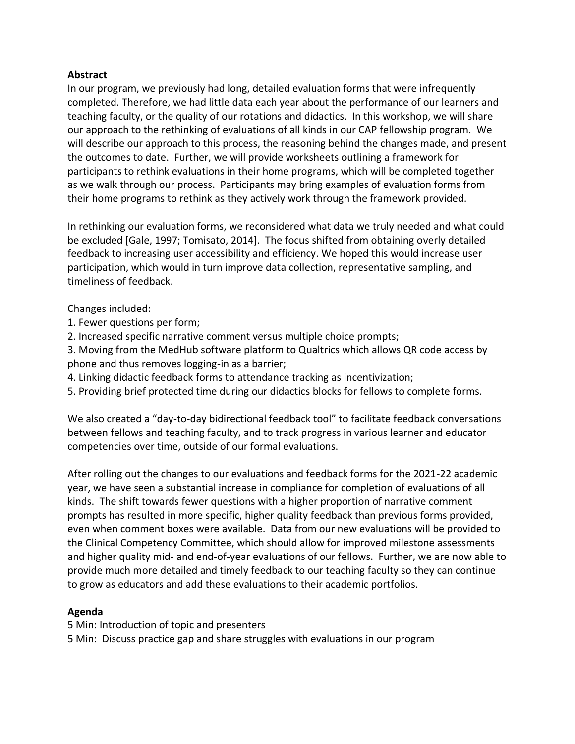#### **Abstract**

In our program, we previously had long, detailed evaluation forms that were infrequently completed. Therefore, we had little data each year about the performance of our learners and teaching faculty, or the quality of our rotations and didactics. In this workshop, we will share our approach to the rethinking of evaluations of all kinds in our CAP fellowship program. We will describe our approach to this process, the reasoning behind the changes made, and present the outcomes to date. Further, we will provide worksheets outlining a framework for participants to rethink evaluations in their home programs, which will be completed together as we walk through our process. Participants may bring examples of evaluation forms from their home programs to rethink as they actively work through the framework provided.

In rethinking our evaluation forms, we reconsidered what data we truly needed and what could be excluded [Gale, 1997; Tomisato, 2014]. The focus shifted from obtaining overly detailed feedback to increasing user accessibility and efficiency. We hoped this would increase user participation, which would in turn improve data collection, representative sampling, and timeliness of feedback.

Changes included:

- 1. Fewer questions per form;
- 2. Increased specific narrative comment versus multiple choice prompts;
- 3. Moving from the MedHub software platform to Qualtrics which allows QR code access by phone and thus removes logging-in as a barrier;
- 4. Linking didactic feedback forms to attendance tracking as incentivization;
- 5. Providing brief protected time during our didactics blocks for fellows to complete forms.

We also created a "day-to-day bidirectional feedback tool" to facilitate feedback conversations between fellows and teaching faculty, and to track progress in various learner and educator competencies over time, outside of our formal evaluations.

After rolling out the changes to our evaluations and feedback forms for the 2021-22 academic year, we have seen a substantial increase in compliance for completion of evaluations of all kinds. The shift towards fewer questions with a higher proportion of narrative comment prompts has resulted in more specific, higher quality feedback than previous forms provided, even when comment boxes were available. Data from our new evaluations will be provided to the Clinical Competency Committee, which should allow for improved milestone assessments and higher quality mid- and end-of-year evaluations of our fellows. Further, we are now able to provide much more detailed and timely feedback to our teaching faculty so they can continue to grow as educators and add these evaluations to their academic portfolios.

## **Agenda**

5 Min: Introduction of topic and presenters

5 Min: Discuss practice gap and share struggles with evaluations in our program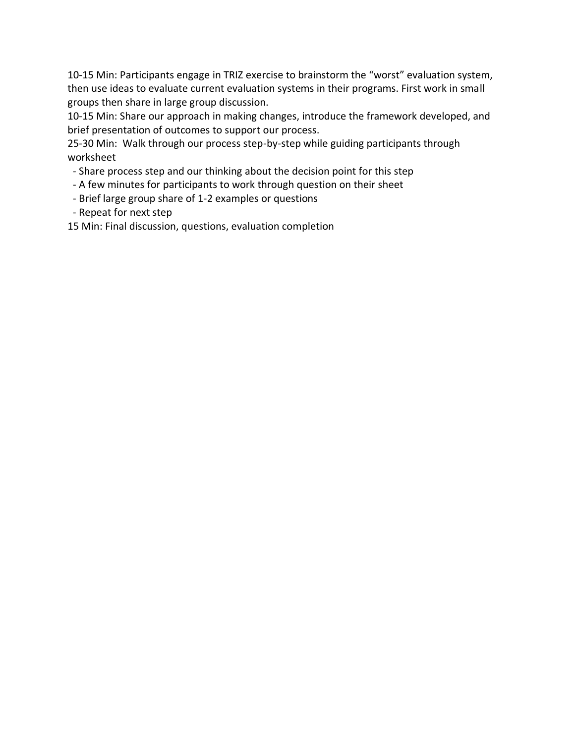10-15 Min: Participants engage in TRIZ exercise to brainstorm the "worst" evaluation system, then use ideas to evaluate current evaluation systems in their programs. First work in small groups then share in large group discussion.

10-15 Min: Share our approach in making changes, introduce the framework developed, and brief presentation of outcomes to support our process.

25-30 Min: Walk through our process step-by-step while guiding participants through worksheet

- Share process step and our thinking about the decision point for this step
- A few minutes for participants to work through question on their sheet
- Brief large group share of 1-2 examples or questions
- Repeat for next step

15 Min: Final discussion, questions, evaluation completion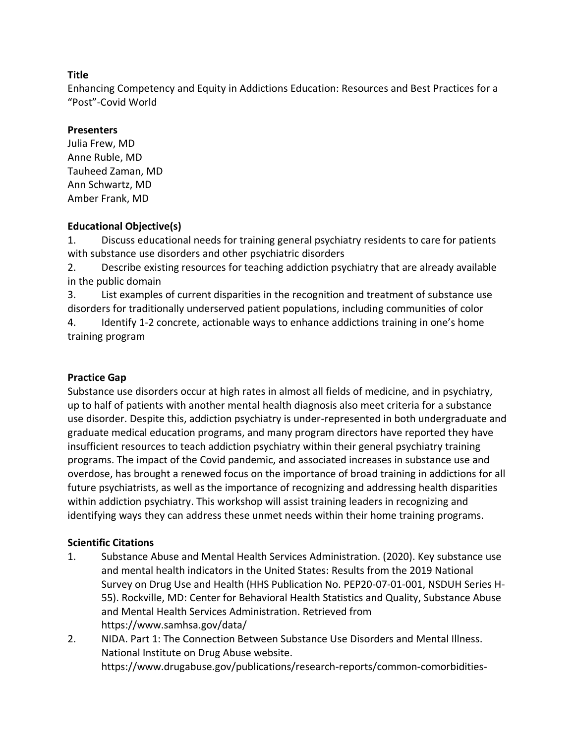Enhancing Competency and Equity in Addictions Education: Resources and Best Practices for a "Post"-Covid World

## **Presenters**

Julia Frew, MD Anne Ruble, MD Tauheed Zaman, MD Ann Schwartz, MD Amber Frank, MD

## **Educational Objective(s)**

1. Discuss educational needs for training general psychiatry residents to care for patients with substance use disorders and other psychiatric disorders

2. Describe existing resources for teaching addiction psychiatry that are already available in the public domain

3. List examples of current disparities in the recognition and treatment of substance use disorders for traditionally underserved patient populations, including communities of color 4. Identify 1-2 concrete, actionable ways to enhance addictions training in one's home training program

## **Practice Gap**

Substance use disorders occur at high rates in almost all fields of medicine, and in psychiatry, up to half of patients with another mental health diagnosis also meet criteria for a substance use disorder. Despite this, addiction psychiatry is under-represented in both undergraduate and graduate medical education programs, and many program directors have reported they have insufficient resources to teach addiction psychiatry within their general psychiatry training programs. The impact of the Covid pandemic, and associated increases in substance use and overdose, has brought a renewed focus on the importance of broad training in addictions for all future psychiatrists, as well as the importance of recognizing and addressing health disparities within addiction psychiatry. This workshop will assist training leaders in recognizing and identifying ways they can address these unmet needs within their home training programs.

## **Scientific Citations**

- 1. Substance Abuse and Mental Health Services Administration. (2020). Key substance use and mental health indicators in the United States: Results from the 2019 National Survey on Drug Use and Health (HHS Publication No. PEP20-07-01-001, NSDUH Series H-55). Rockville, MD: Center for Behavioral Health Statistics and Quality, Substance Abuse and Mental Health Services Administration. Retrieved from https://www.samhsa.gov/data/
- 2. NIDA. Part 1: The Connection Between Substance Use Disorders and Mental Illness. National Institute on Drug Abuse website. https://www.drugabuse.gov/publications/research-reports/common-comorbidities-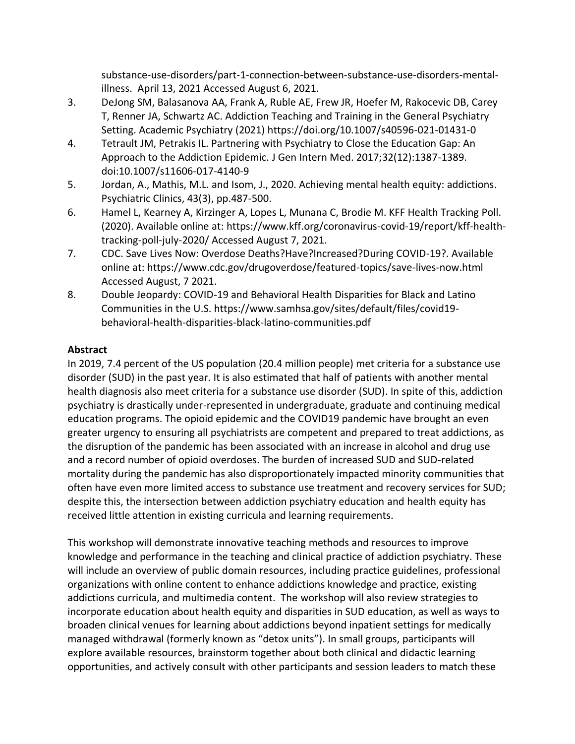substance-use-disorders/part-1-connection-between-substance-use-disorders-mentalillness. April 13, 2021 Accessed August 6, 2021.

- 3. DeJong SM, Balasanova AA, Frank A, Ruble AE, Frew JR, Hoefer M, Rakocevic DB, Carey T, Renner JA, Schwartz AC. Addiction Teaching and Training in the General Psychiatry Setting. Academic Psychiatry (2021) https://doi.org/10.1007/s40596-021-01431-0
- 4. Tetrault JM, Petrakis IL. Partnering with Psychiatry to Close the Education Gap: An Approach to the Addiction Epidemic. J Gen Intern Med. 2017;32(12):1387-1389. doi:10.1007/s11606-017-4140-9
- 5. Jordan, A., Mathis, M.L. and Isom, J., 2020. Achieving mental health equity: addictions. Psychiatric Clinics, 43(3), pp.487-500.
- 6. Hamel L, Kearney A, Kirzinger A, Lopes L, Munana C, Brodie M. KFF Health Tracking Poll. (2020). Available online at: https://www.kff.org/coronavirus-covid-19/report/kff-healthtracking-poll-july-2020/ Accessed August 7, 2021.
- 7. CDC. Save Lives Now: Overdose Deaths?Have?Increased?During COVID-19?. Available online at: https://www.cdc.gov/drugoverdose/featured-topics/save-lives-now.html Accessed August, 7 2021.
- 8. Double Jeopardy: COVID-19 and Behavioral Health Disparities for Black and Latino Communities in the U.S. https://www.samhsa.gov/sites/default/files/covid19 behavioral-health-disparities-black-latino-communities.pdf

## **Abstract**

In 2019, 7.4 percent of the US population (20.4 million people) met criteria for a substance use disorder (SUD) in the past year. It is also estimated that half of patients with another mental health diagnosis also meet criteria for a substance use disorder (SUD). In spite of this, addiction psychiatry is drastically under-represented in undergraduate, graduate and continuing medical education programs. The opioid epidemic and the COVID19 pandemic have brought an even greater urgency to ensuring all psychiatrists are competent and prepared to treat addictions, as the disruption of the pandemic has been associated with an increase in alcohol and drug use and a record number of opioid overdoses. The burden of increased SUD and SUD-related mortality during the pandemic has also disproportionately impacted minority communities that often have even more limited access to substance use treatment and recovery services for SUD; despite this, the intersection between addiction psychiatry education and health equity has received little attention in existing curricula and learning requirements.

This workshop will demonstrate innovative teaching methods and resources to improve knowledge and performance in the teaching and clinical practice of addiction psychiatry. These will include an overview of public domain resources, including practice guidelines, professional organizations with online content to enhance addictions knowledge and practice, existing addictions curricula, and multimedia content. The workshop will also review strategies to incorporate education about health equity and disparities in SUD education, as well as ways to broaden clinical venues for learning about addictions beyond inpatient settings for medically managed withdrawal (formerly known as "detox units"). In small groups, participants will explore available resources, brainstorm together about both clinical and didactic learning opportunities, and actively consult with other participants and session leaders to match these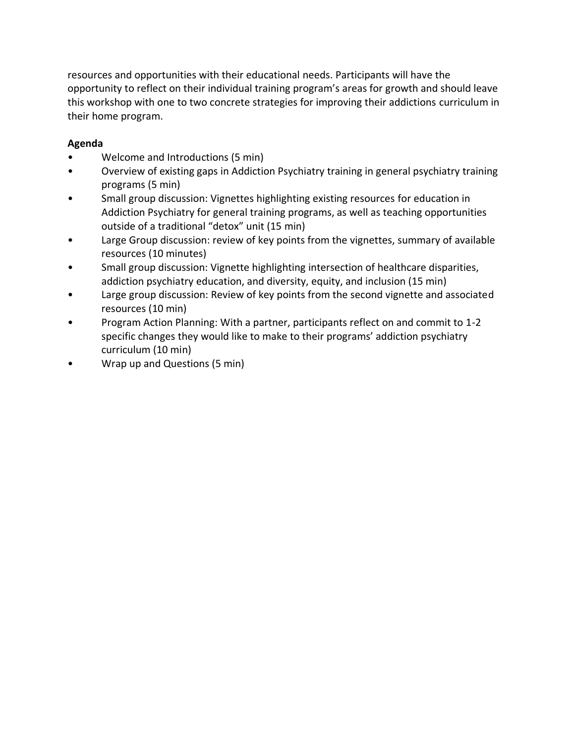resources and opportunities with their educational needs. Participants will have the opportunity to reflect on their individual training program's areas for growth and should leave this workshop with one to two concrete strategies for improving their addictions curriculum in their home program.

## **Agenda**

- Welcome and Introductions (5 min)
- Overview of existing gaps in Addiction Psychiatry training in general psychiatry training programs (5 min)
- Small group discussion: Vignettes highlighting existing resources for education in Addiction Psychiatry for general training programs, as well as teaching opportunities outside of a traditional "detox" unit (15 min)
- Large Group discussion: review of key points from the vignettes, summary of available resources (10 minutes)
- Small group discussion: Vignette highlighting intersection of healthcare disparities, addiction psychiatry education, and diversity, equity, and inclusion (15 min)
- Large group discussion: Review of key points from the second vignette and associated resources (10 min)
- Program Action Planning: With a partner, participants reflect on and commit to 1-2 specific changes they would like to make to their programs' addiction psychiatry curriculum (10 min)
- Wrap up and Questions (5 min)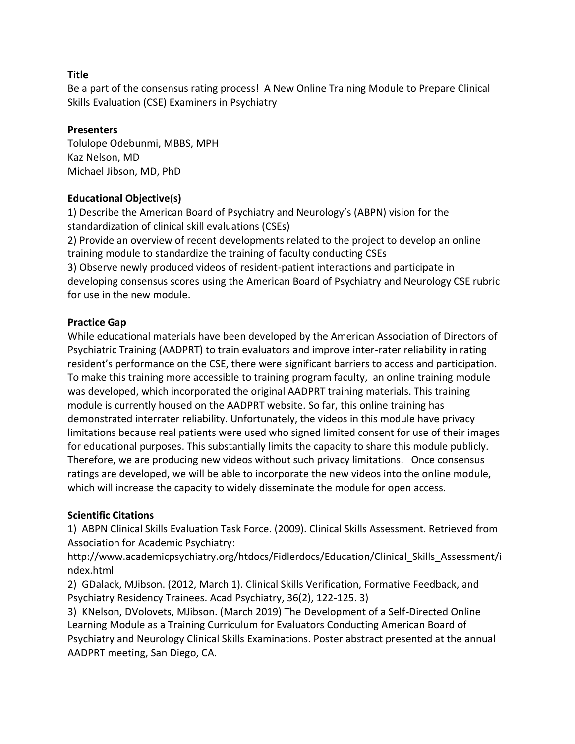Be a part of the consensus rating process! A New Online Training Module to Prepare Clinical Skills Evaluation (CSE) Examiners in Psychiatry

#### **Presenters**

Tolulope Odebunmi, MBBS, MPH Kaz Nelson, MD Michael Jibson, MD, PhD

## **Educational Objective(s)**

1) Describe the American Board of Psychiatry and Neurology's (ABPN) vision for the standardization of clinical skill evaluations (CSEs)

2) Provide an overview of recent developments related to the project to develop an online training module to standardize the training of faculty conducting CSEs

3) Observe newly produced videos of resident-patient interactions and participate in developing consensus scores using the American Board of Psychiatry and Neurology CSE rubric for use in the new module.

#### **Practice Gap**

While educational materials have been developed by the American Association of Directors of Psychiatric Training (AADPRT) to train evaluators and improve inter-rater reliability in rating resident's performance on the CSE, there were significant barriers to access and participation. To make this training more accessible to training program faculty, an online training module was developed, which incorporated the original AADPRT training materials. This training module is currently housed on the AADPRT website. So far, this online training has demonstrated interrater reliability. Unfortunately, the videos in this module have privacy limitations because real patients were used who signed limited consent for use of their images for educational purposes. This substantially limits the capacity to share this module publicly. Therefore, we are producing new videos without such privacy limitations. Once consensus ratings are developed, we will be able to incorporate the new videos into the online module, which will increase the capacity to widely disseminate the module for open access.

#### **Scientific Citations**

1) ABPN Clinical Skills Evaluation Task Force. (2009). Clinical Skills Assessment. Retrieved from Association for Academic Psychiatry:

http://www.academicpsychiatry.org/htdocs/Fidlerdocs/Education/Clinical\_Skills\_Assessment/i ndex.html

2) GDalack, MJibson. (2012, March 1). Clinical Skills Verification, Formative Feedback, and Psychiatry Residency Trainees. Acad Psychiatry, 36(2), 122-125. 3)

3) KNelson, DVolovets, MJibson. (March 2019) The Development of a Self-Directed Online Learning Module as a Training Curriculum for Evaluators Conducting American Board of Psychiatry and Neurology Clinical Skills Examinations. Poster abstract presented at the annual AADPRT meeting, San Diego, CA.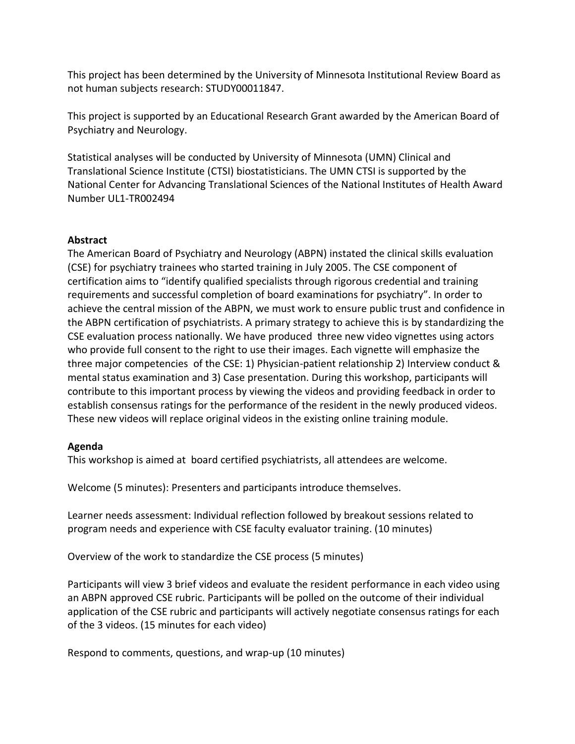This project has been determined by the University of Minnesota Institutional Review Board as not human subjects research: STUDY00011847.

This project is supported by an Educational Research Grant awarded by the American Board of Psychiatry and Neurology.

Statistical analyses will be conducted by University of Minnesota (UMN) Clinical and Translational Science Institute (CTSI) biostatisticians. The UMN CTSI is supported by the National Center for Advancing Translational Sciences of the National Institutes of Health Award Number UL1-TR002494

#### **Abstract**

The American Board of Psychiatry and Neurology (ABPN) instated the clinical skills evaluation (CSE) for psychiatry trainees who started training in July 2005. The CSE component of certification aims to "identify qualified specialists through rigorous credential and training requirements and successful completion of board examinations for psychiatry". In order to achieve the central mission of the ABPN, we must work to ensure public trust and confidence in the ABPN certification of psychiatrists. A primary strategy to achieve this is by standardizing the CSE evaluation process nationally. We have produced three new video vignettes using actors who provide full consent to the right to use their images. Each vignette will emphasize the three major competencies of the CSE: 1) Physician-patient relationship 2) Interview conduct & mental status examination and 3) Case presentation. During this workshop, participants will contribute to this important process by viewing the videos and providing feedback in order to establish consensus ratings for the performance of the resident in the newly produced videos. These new videos will replace original videos in the existing online training module.

## **Agenda**

This workshop is aimed at board certified psychiatrists, all attendees are welcome.

Welcome (5 minutes): Presenters and participants introduce themselves.

Learner needs assessment: Individual reflection followed by breakout sessions related to program needs and experience with CSE faculty evaluator training. (10 minutes)

Overview of the work to standardize the CSE process (5 minutes)

Participants will view 3 brief videos and evaluate the resident performance in each video using an ABPN approved CSE rubric. Participants will be polled on the outcome of their individual application of the CSE rubric and participants will actively negotiate consensus ratings for each of the 3 videos. (15 minutes for each video)

Respond to comments, questions, and wrap-up (10 minutes)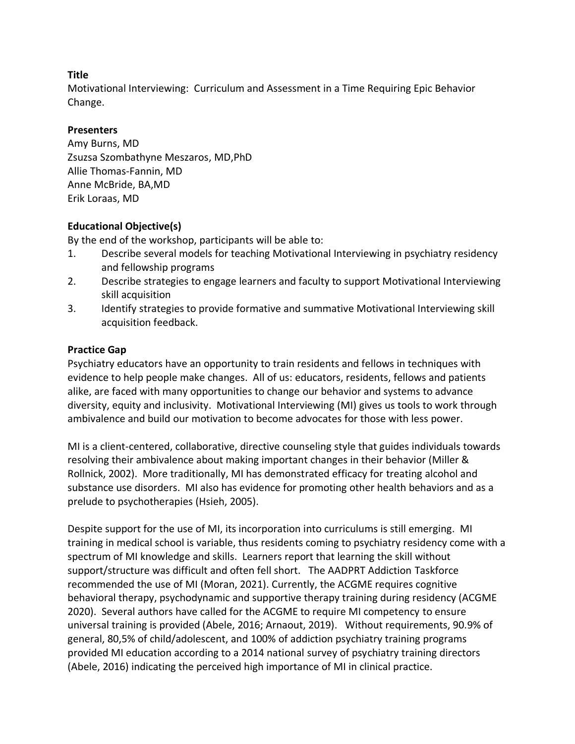Motivational Interviewing: Curriculum and Assessment in a Time Requiring Epic Behavior Change.

#### **Presenters**

Amy Burns, MD Zsuzsa Szombathyne Meszaros, MD,PhD Allie Thomas-Fannin, MD Anne McBride, BA,MD Erik Loraas, MD

## **Educational Objective(s)**

By the end of the workshop, participants will be able to:

- 1. Describe several models for teaching Motivational Interviewing in psychiatry residency and fellowship programs
- 2. Describe strategies to engage learners and faculty to support Motivational Interviewing skill acquisition
- 3. Identify strategies to provide formative and summative Motivational Interviewing skill acquisition feedback.

## **Practice Gap**

Psychiatry educators have an opportunity to train residents and fellows in techniques with evidence to help people make changes. All of us: educators, residents, fellows and patients alike, are faced with many opportunities to change our behavior and systems to advance diversity, equity and inclusivity. Motivational Interviewing (MI) gives us tools to work through ambivalence and build our motivation to become advocates for those with less power.

MI is a client-centered, collaborative, directive counseling style that guides individuals towards resolving their ambivalence about making important changes in their behavior (Miller & Rollnick, 2002). More traditionally, MI has demonstrated efficacy for treating alcohol and substance use disorders. MI also has evidence for promoting other health behaviors and as a prelude to psychotherapies (Hsieh, 2005).

Despite support for the use of MI, its incorporation into curriculums is still emerging. MI training in medical school is variable, thus residents coming to psychiatry residency come with a spectrum of MI knowledge and skills. Learners report that learning the skill without support/structure was difficult and often fell short. The AADPRT Addiction Taskforce recommended the use of MI (Moran, 2021). Currently, the ACGME requires cognitive behavioral therapy, psychodynamic and supportive therapy training during residency (ACGME 2020). Several authors have called for the ACGME to require MI competency to ensure universal training is provided (Abele, 2016; Arnaout, 2019). Without requirements, 90.9% of general, 80,5% of child/adolescent, and 100% of addiction psychiatry training programs provided MI education according to a 2014 national survey of psychiatry training directors (Abele, 2016) indicating the perceived high importance of MI in clinical practice.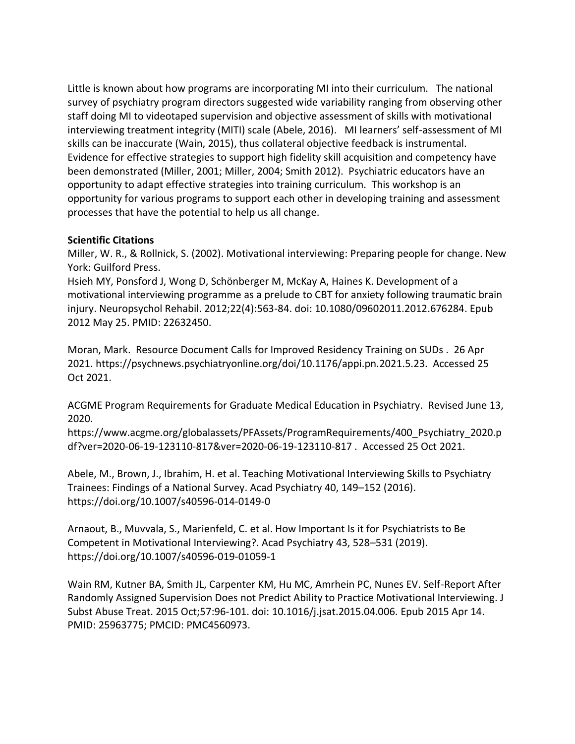Little is known about how programs are incorporating MI into their curriculum. The national survey of psychiatry program directors suggested wide variability ranging from observing other staff doing MI to videotaped supervision and objective assessment of skills with motivational interviewing treatment integrity (MITI) scale (Abele, 2016). MI learners' self-assessment of MI skills can be inaccurate (Wain, 2015), thus collateral objective feedback is instrumental. Evidence for effective strategies to support high fidelity skill acquisition and competency have been demonstrated (Miller, 2001; Miller, 2004; Smith 2012). Psychiatric educators have an opportunity to adapt effective strategies into training curriculum. This workshop is an opportunity for various programs to support each other in developing training and assessment processes that have the potential to help us all change.

#### **Scientific Citations**

Miller, W. R., & Rollnick, S. (2002). Motivational interviewing: Preparing people for change. New York: Guilford Press.

Hsieh MY, Ponsford J, Wong D, Schönberger M, McKay A, Haines K. Development of a motivational interviewing programme as a prelude to CBT for anxiety following traumatic brain injury. Neuropsychol Rehabil. 2012;22(4):563-84. doi: 10.1080/09602011.2012.676284. Epub 2012 May 25. PMID: 22632450.

Moran, Mark. Resource Document Calls for Improved Residency Training on SUDs . 26 Apr 2021. https://psychnews.psychiatryonline.org/doi/10.1176/appi.pn.2021.5.23. Accessed 25 Oct 2021.

ACGME Program Requirements for Graduate Medical Education in Psychiatry. Revised June 13, 2020.

https://www.acgme.org/globalassets/PFAssets/ProgramRequirements/400\_Psychiatry\_2020.p df?ver=2020-06-19-123110-817&ver=2020-06-19-123110-817 . Accessed 25 Oct 2021.

Abele, M., Brown, J., Ibrahim, H. et al. Teaching Motivational Interviewing Skills to Psychiatry Trainees: Findings of a National Survey. Acad Psychiatry 40, 149–152 (2016). https://doi.org/10.1007/s40596-014-0149-0

Arnaout, B., Muvvala, S., Marienfeld, C. et al. How Important Is it for Psychiatrists to Be Competent in Motivational Interviewing?. Acad Psychiatry 43, 528–531 (2019). https://doi.org/10.1007/s40596-019-01059-1

Wain RM, Kutner BA, Smith JL, Carpenter KM, Hu MC, Amrhein PC, Nunes EV. Self-Report After Randomly Assigned Supervision Does not Predict Ability to Practice Motivational Interviewing. J Subst Abuse Treat. 2015 Oct;57:96-101. doi: 10.1016/j.jsat.2015.04.006. Epub 2015 Apr 14. PMID: 25963775; PMCID: PMC4560973.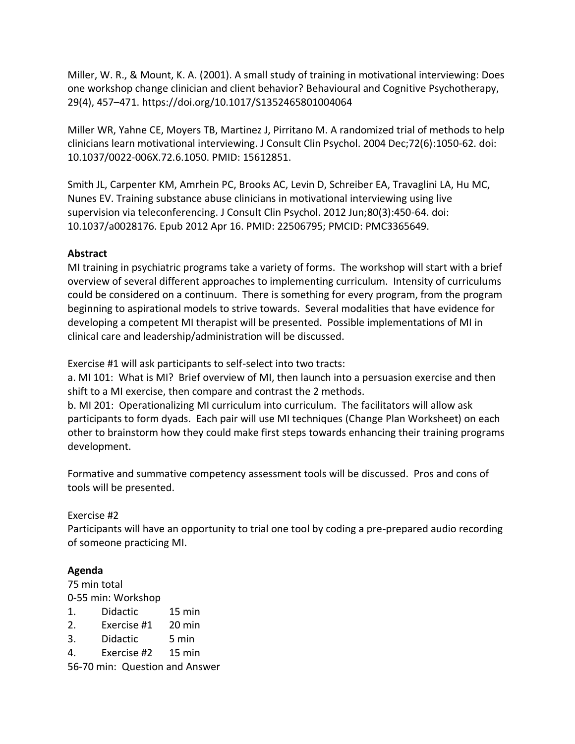Miller, W. R., & Mount, K. A. (2001). A small study of training in motivational interviewing: Does one workshop change clinician and client behavior? Behavioural and Cognitive Psychotherapy, 29(4), 457–471. https://doi.org/10.1017/S1352465801004064

Miller WR, Yahne CE, Moyers TB, Martinez J, Pirritano M. A randomized trial of methods to help clinicians learn motivational interviewing. J Consult Clin Psychol. 2004 Dec;72(6):1050-62. doi: 10.1037/0022-006X.72.6.1050. PMID: 15612851.

Smith JL, Carpenter KM, Amrhein PC, Brooks AC, Levin D, Schreiber EA, Travaglini LA, Hu MC, Nunes EV. Training substance abuse clinicians in motivational interviewing using live supervision via teleconferencing. J Consult Clin Psychol. 2012 Jun;80(3):450-64. doi: 10.1037/a0028176. Epub 2012 Apr 16. PMID: 22506795; PMCID: PMC3365649.

# **Abstract**

MI training in psychiatric programs take a variety of forms. The workshop will start with a brief overview of several different approaches to implementing curriculum. Intensity of curriculums could be considered on a continuum. There is something for every program, from the program beginning to aspirational models to strive towards. Several modalities that have evidence for developing a competent MI therapist will be presented. Possible implementations of MI in clinical care and leadership/administration will be discussed.

Exercise #1 will ask participants to self-select into two tracts:

a. MI 101: What is MI? Brief overview of MI, then launch into a persuasion exercise and then shift to a MI exercise, then compare and contrast the 2 methods.

b. MI 201: Operationalizing MI curriculum into curriculum. The facilitators will allow ask participants to form dyads. Each pair will use MI techniques (Change Plan Worksheet) on each other to brainstorm how they could make first steps towards enhancing their training programs development.

Formative and summative competency assessment tools will be discussed. Pros and cons of tools will be presented.

## Exercise #2

Participants will have an opportunity to trial one tool by coding a pre-prepared audio recording of someone practicing MI.

# **Agenda**

75 min total 0-55 min: Workshop

- 1. Didactic 15 min
- 2. Exercise #1 20 min
- 3. Didactic 5 min
- 4. Exercise #2 15 min

56-70 min: Question and Answer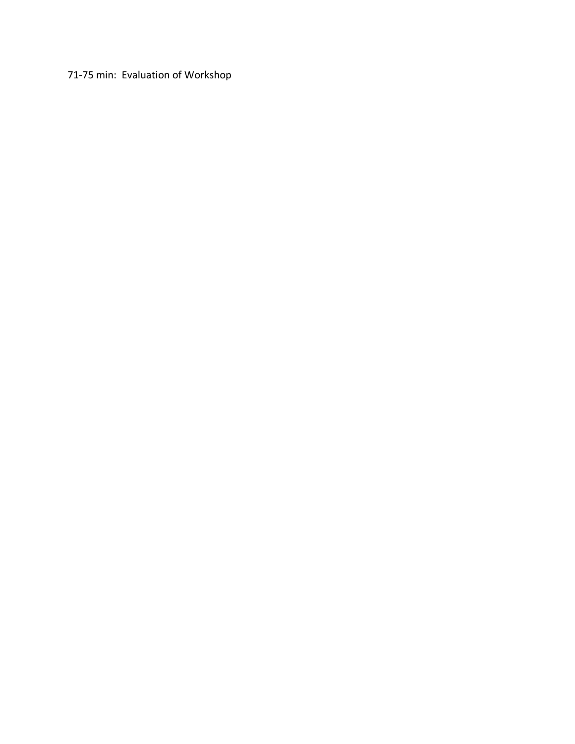# 71-75 min: Evaluation of Workshop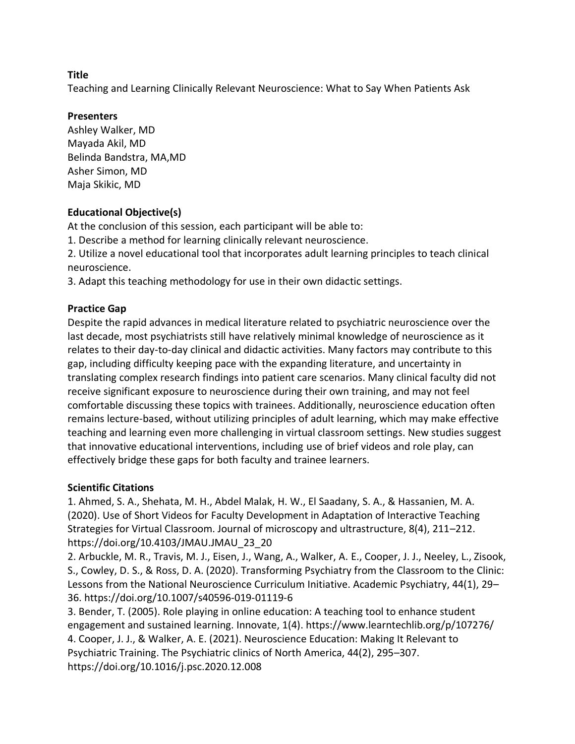Teaching and Learning Clinically Relevant Neuroscience: What to Say When Patients Ask

#### **Presenters**

Ashley Walker, MD Mayada Akil, MD Belinda Bandstra, MA,MD Asher Simon, MD Maja Skikic, MD

## **Educational Objective(s)**

At the conclusion of this session, each participant will be able to:

1. Describe a method for learning clinically relevant neuroscience.

2. Utilize a novel educational tool that incorporates adult learning principles to teach clinical neuroscience.

3. Adapt this teaching methodology for use in their own didactic settings.

# **Practice Gap**

Despite the rapid advances in medical literature related to psychiatric neuroscience over the last decade, most psychiatrists still have relatively minimal knowledge of neuroscience as it relates to their day-to-day clinical and didactic activities. Many factors may contribute to this gap, including difficulty keeping pace with the expanding literature, and uncertainty in translating complex research findings into patient care scenarios. Many clinical faculty did not receive significant exposure to neuroscience during their own training, and may not feel comfortable discussing these topics with trainees. Additionally, neuroscience education often remains lecture-based, without utilizing principles of adult learning, which may make effective teaching and learning even more challenging in virtual classroom settings. New studies suggest that innovative educational interventions, including use of brief videos and role play, can effectively bridge these gaps for both faculty and trainee learners.

## **Scientific Citations**

1. Ahmed, S. A., Shehata, M. H., Abdel Malak, H. W., El Saadany, S. A., & Hassanien, M. A. (2020). Use of Short Videos for Faculty Development in Adaptation of Interactive Teaching Strategies for Virtual Classroom. Journal of microscopy and ultrastructure, 8(4), 211–212. https://doi.org/10.4103/JMAU.JMAU\_23\_20

2. Arbuckle, M. R., Travis, M. J., Eisen, J., Wang, A., Walker, A. E., Cooper, J. J., Neeley, L., Zisook, S., Cowley, D. S., & Ross, D. A. (2020). Transforming Psychiatry from the Classroom to the Clinic: Lessons from the National Neuroscience Curriculum Initiative. Academic Psychiatry, 44(1), 29– 36. https://doi.org/10.1007/s40596-019-01119-6

3. Bender, T. (2005). Role playing in online education: A teaching tool to enhance student engagement and sustained learning. Innovate, 1(4). https://www.learntechlib.org/p/107276/ 4. Cooper, J. J., & Walker, A. E. (2021). Neuroscience Education: Making It Relevant to Psychiatric Training. The Psychiatric clinics of North America, 44(2), 295–307. https://doi.org/10.1016/j.psc.2020.12.008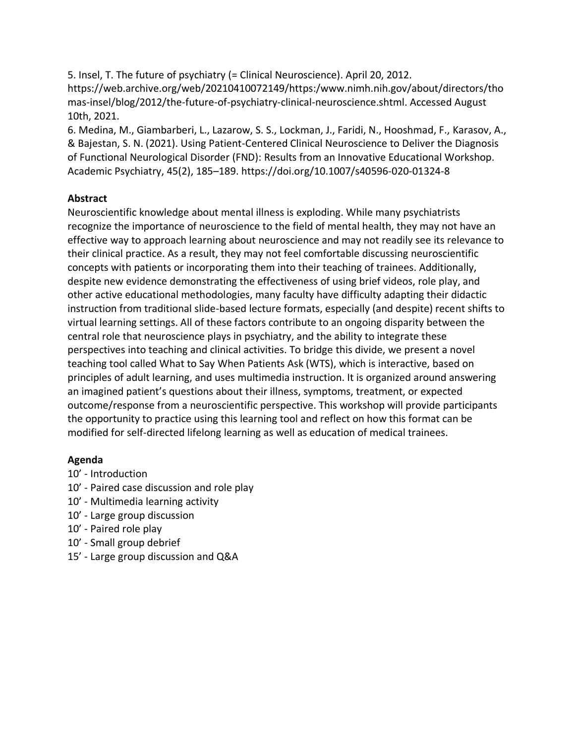5. Insel, T. The future of psychiatry (= Clinical Neuroscience). April 20, 2012. https://web.archive.org/web/20210410072149/https:/www.nimh.nih.gov/about/directors/tho mas-insel/blog/2012/the-future-of-psychiatry-clinical-neuroscience.shtml. Accessed August 10th, 2021.

6. Medina, M., Giambarberi, L., Lazarow, S. S., Lockman, J., Faridi, N., Hooshmad, F., Karasov, A., & Bajestan, S. N. (2021). Using Patient-Centered Clinical Neuroscience to Deliver the Diagnosis of Functional Neurological Disorder (FND): Results from an Innovative Educational Workshop. Academic Psychiatry, 45(2), 185–189. https://doi.org/10.1007/s40596-020-01324-8

#### **Abstract**

Neuroscientific knowledge about mental illness is exploding. While many psychiatrists recognize the importance of neuroscience to the field of mental health, they may not have an effective way to approach learning about neuroscience and may not readily see its relevance to their clinical practice. As a result, they may not feel comfortable discussing neuroscientific concepts with patients or incorporating them into their teaching of trainees. Additionally, despite new evidence demonstrating the effectiveness of using brief videos, role play, and other active educational methodologies, many faculty have difficulty adapting their didactic instruction from traditional slide-based lecture formats, especially (and despite) recent shifts to virtual learning settings. All of these factors contribute to an ongoing disparity between the central role that neuroscience plays in psychiatry, and the ability to integrate these perspectives into teaching and clinical activities. To bridge this divide, we present a novel teaching tool called What to Say When Patients Ask (WTS), which is interactive, based on principles of adult learning, and uses multimedia instruction. It is organized around answering an imagined patient's questions about their illness, symptoms, treatment, or expected outcome/response from a neuroscientific perspective. This workshop will provide participants the opportunity to practice using this learning tool and reflect on how this format can be modified for self-directed lifelong learning as well as education of medical trainees.

## **Agenda**

- 10' Introduction
- 10' Paired case discussion and role play
- 10' Multimedia learning activity
- 10' Large group discussion
- 10' Paired role play
- 10' Small group debrief
- 15' Large group discussion and Q&A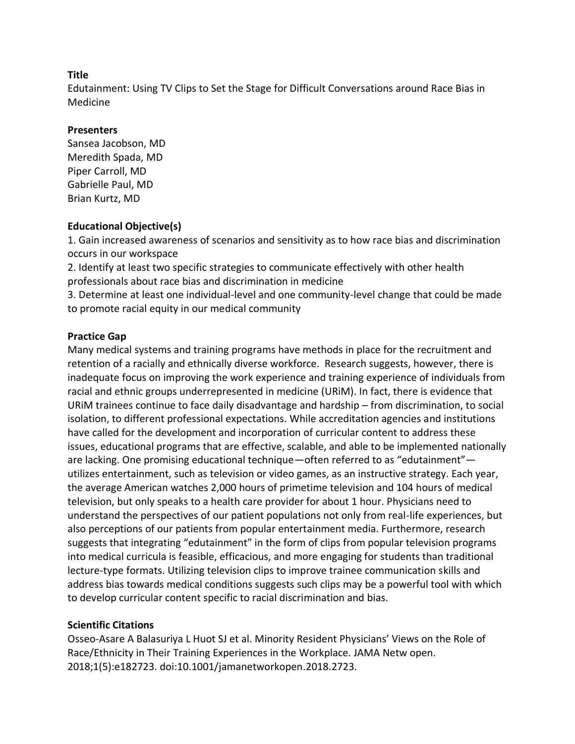Edutainment: Using TV Clips to Set the Stage for Difficult Conversations around Race Bias in Medicine

#### **Presenters**

Sansea Jacobson, MD Meredith Spada, MD Piper Carroll, MD Gabrielle Paul, MD Brian Kurtz, MD

#### **Educational Objective(s)**

1. Gain increased awareness of scenarios and sensitivity as to how race bias and discrimination occurs in our workspace

2. Identify at least two specific strategies to communicate effectively with other health professionals about race bias and discrimination in medicine

3. Determine at least one individual-level and one community-level change that could be made to promote racial equity in our medical community

## **Practice Gap**

Many medical systems and training programs have methods in place for the recruitment and retention of a racially and ethnically diverse workforce. Research suggests, however, there is inadequate focus on improving the work experience and training experience of individuals from racial and ethnic groups underrepresented in medicine (URiM). In fact, there is evidence that URiM trainees continue to face daily disadvantage and hardship – from discrimination, to social isolation, to different professional expectations. While accreditation agencies and institutions have called for the development and incorporation of curricular content to address these issues, educational programs that are effective, scalable, and able to be implemented nationally are lacking. One promising educational technique—often referred to as "edutainment" utilizes entertainment, such as television or video games, as an instructive strategy. Each year, the average American watches 2,000 hours of primetime television and 104 hours of medical television, but only speaks to a health care provider for about 1 hour. Physicians need to understand the perspectives of our patient populations not only from real-life experiences, but also perceptions of our patients from popular entertainment media. Furthermore, research suggests that integrating "edutainment" in the form of clips from popular television programs into medical curricula is feasible, efficacious, and more engaging for students than traditional lecture-type formats. Utilizing television clips to improve trainee communication skills and address bias towards medical conditions suggests such clips may be a powerful tool with which to develop curricular content specific to racial discrimination and bias.

## **Scientific Citations**

Osseo-Asare A Balasuriya L Huot SJ et al. Minority Resident Physicians' Views on the Role of Race/Ethnicity in Their Training Experiences in the Workplace. JAMA Netw open. 2018;1(5):e182723. doi:10.1001/jamanetworkopen.2018.2723.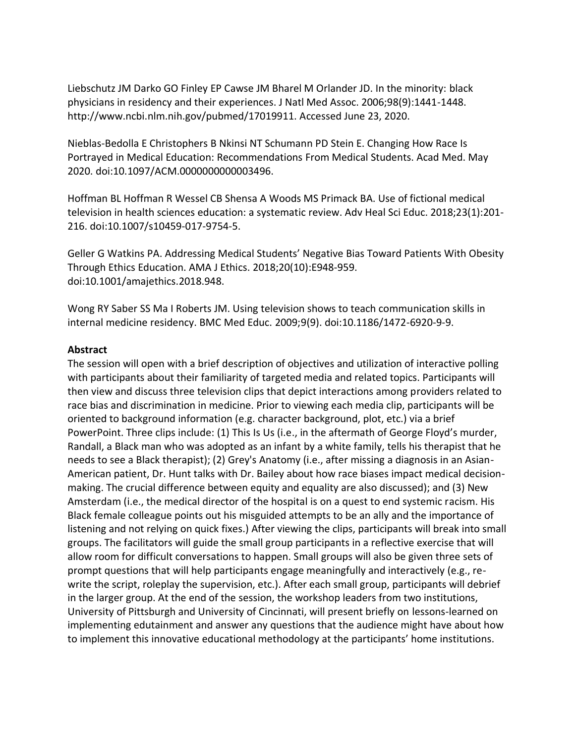Liebschutz JM Darko GO Finley EP Cawse JM Bharel M Orlander JD. In the minority: black physicians in residency and their experiences. J Natl Med Assoc. 2006;98(9):1441-1448. http://www.ncbi.nlm.nih.gov/pubmed/17019911. Accessed June 23, 2020.

Nieblas-Bedolla E Christophers B Nkinsi NT Schumann PD Stein E. Changing How Race Is Portrayed in Medical Education: Recommendations From Medical Students. Acad Med. May 2020. doi:10.1097/ACM.0000000000003496.

Hoffman BL Hoffman R Wessel CB Shensa A Woods MS Primack BA. Use of fictional medical television in health sciences education: a systematic review. Adv Heal Sci Educ. 2018;23(1):201- 216. doi:10.1007/s10459-017-9754-5.

Geller G Watkins PA. Addressing Medical Students' Negative Bias Toward Patients With Obesity Through Ethics Education. AMA J Ethics. 2018;20(10):E948-959. doi:10.1001/amajethics.2018.948.

Wong RY Saber SS Ma I Roberts JM. Using television shows to teach communication skills in internal medicine residency. BMC Med Educ. 2009;9(9). doi:10.1186/1472-6920-9-9.

#### **Abstract**

The session will open with a brief description of objectives and utilization of interactive polling with participants about their familiarity of targeted media and related topics. Participants will then view and discuss three television clips that depict interactions among providers related to race bias and discrimination in medicine. Prior to viewing each media clip, participants will be oriented to background information (e.g. character background, plot, etc.) via a brief PowerPoint. Three clips include: (1) This Is Us (i.e., in the aftermath of George Floyd's murder, Randall, a Black man who was adopted as an infant by a white family, tells his therapist that he needs to see a Black therapist); (2) Grey's Anatomy (i.e., after missing a diagnosis in an Asian-American patient, Dr. Hunt talks with Dr. Bailey about how race biases impact medical decisionmaking. The crucial difference between equity and equality are also discussed); and (3) New Amsterdam (i.e., the medical director of the hospital is on a quest to end systemic racism. His Black female colleague points out his misguided attempts to be an ally and the importance of listening and not relying on quick fixes.) After viewing the clips, participants will break into small groups. The facilitators will guide the small group participants in a reflective exercise that will allow room for difficult conversations to happen. Small groups will also be given three sets of prompt questions that will help participants engage meaningfully and interactively (e.g., rewrite the script, roleplay the supervision, etc.). After each small group, participants will debrief in the larger group. At the end of the session, the workshop leaders from two institutions, University of Pittsburgh and University of Cincinnati, will present briefly on lessons-learned on implementing edutainment and answer any questions that the audience might have about how to implement this innovative educational methodology at the participants' home institutions.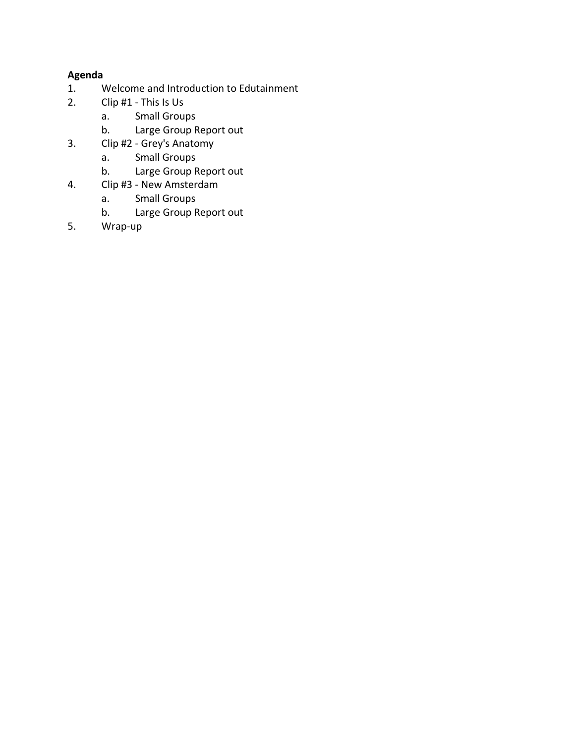# **Agenda**

- 1. Welcome and Introduction to Edutainment<br>2. Clip #1 This Is Us
- 2. Clip #1 This Is Us
	- a. Small Groups
	- b. Large Group Report out
- 3. Clip #2 Grey's Anatomy
	- a. Small Groups
	- b. Large Group Report out
- 4. Clip #3 New Amsterdam<br>a. Small Groups
	- **Small Groups**
	- b. Large Group Report out
- 5. Wrap-up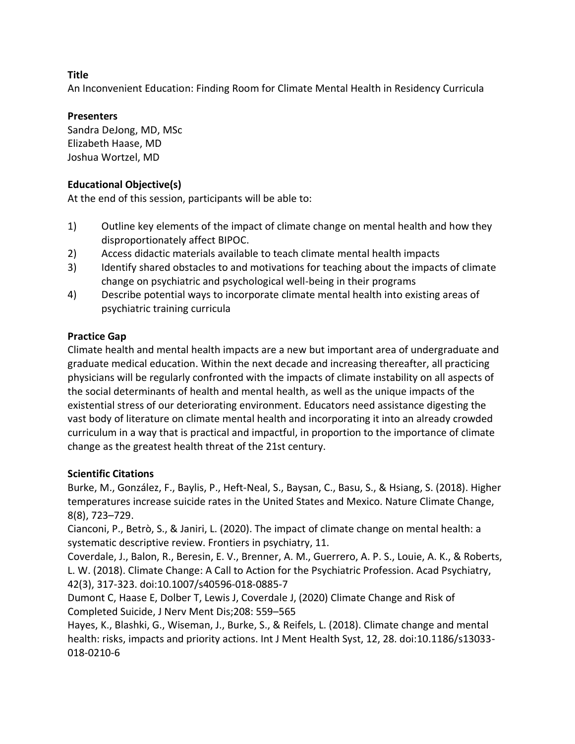An Inconvenient Education: Finding Room for Climate Mental Health in Residency Curricula

# **Presenters**

Sandra DeJong, MD, MSc Elizabeth Haase, MD Joshua Wortzel, MD

# **Educational Objective(s)**

At the end of this session, participants will be able to:

- 1) Outline key elements of the impact of climate change on mental health and how they disproportionately affect BIPOC.
- 2) Access didactic materials available to teach climate mental health impacts
- 3) Identify shared obstacles to and motivations for teaching about the impacts of climate change on psychiatric and psychological well-being in their programs
- 4) Describe potential ways to incorporate climate mental health into existing areas of psychiatric training curricula

# **Practice Gap**

Climate health and mental health impacts are a new but important area of undergraduate and graduate medical education. Within the next decade and increasing thereafter, all practicing physicians will be regularly confronted with the impacts of climate instability on all aspects of the social determinants of health and mental health, as well as the unique impacts of the existential stress of our deteriorating environment. Educators need assistance digesting the vast body of literature on climate mental health and incorporating it into an already crowded curriculum in a way that is practical and impactful, in proportion to the importance of climate change as the greatest health threat of the 21st century.

## **Scientific Citations**

Burke, M., González, F., Baylis, P., Heft-Neal, S., Baysan, C., Basu, S., & Hsiang, S. (2018). Higher temperatures increase suicide rates in the United States and Mexico. Nature Climate Change, 8(8), 723–729.

Cianconi, P., Betrò, S., & Janiri, L. (2020). The impact of climate change on mental health: a systematic descriptive review. Frontiers in psychiatry, 11.

Coverdale, J., Balon, R., Beresin, E. V., Brenner, A. M., Guerrero, A. P. S., Louie, A. K., & Roberts, L. W. (2018). Climate Change: A Call to Action for the Psychiatric Profession. Acad Psychiatry, 42(3), 317-323. doi:10.1007/s40596-018-0885-7

Dumont C, Haase E, Dolber T, Lewis J, Coverdale J, (2020) Climate Change and Risk of Completed Suicide, J Nerv Ment Dis;208: 559–565

Hayes, K., Blashki, G., Wiseman, J., Burke, S., & Reifels, L. (2018). Climate change and mental health: risks, impacts and priority actions. Int J Ment Health Syst, 12, 28. doi:10.1186/s13033-018-0210-6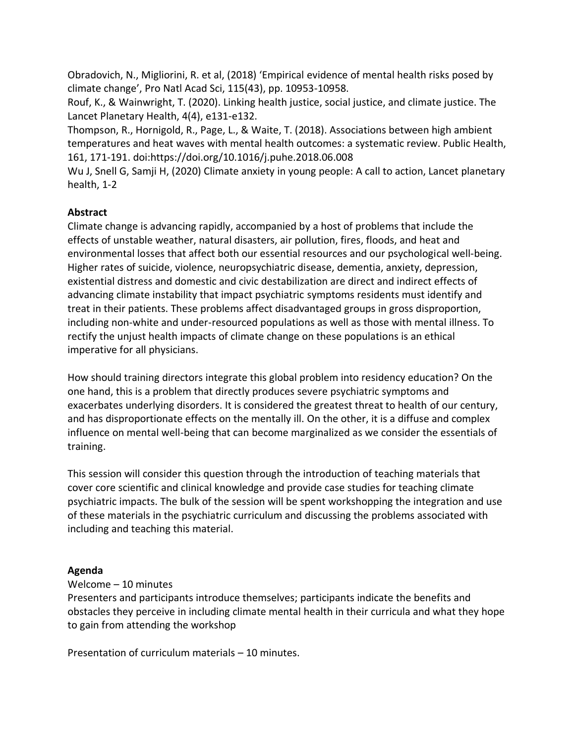Obradovich, N., Migliorini, R. et al, (2018) 'Empirical evidence of mental health risks posed by climate change', Pro Natl Acad Sci, 115(43), pp. 10953-10958.

Rouf, K., & Wainwright, T. (2020). Linking health justice, social justice, and climate justice. The Lancet Planetary Health, 4(4), e131-e132.

Thompson, R., Hornigold, R., Page, L., & Waite, T. (2018). Associations between high ambient temperatures and heat waves with mental health outcomes: a systematic review. Public Health, 161, 171-191. doi:https://doi.org/10.1016/j.puhe.2018.06.008

Wu J, Snell G, Samji H, (2020) Climate anxiety in young people: A call to action, Lancet planetary health, 1-2

# **Abstract**

Climate change is advancing rapidly, accompanied by a host of problems that include the effects of unstable weather, natural disasters, air pollution, fires, floods, and heat and environmental losses that affect both our essential resources and our psychological well-being. Higher rates of suicide, violence, neuropsychiatric disease, dementia, anxiety, depression, existential distress and domestic and civic destabilization are direct and indirect effects of advancing climate instability that impact psychiatric symptoms residents must identify and treat in their patients. These problems affect disadvantaged groups in gross disproportion, including non-white and under-resourced populations as well as those with mental illness. To rectify the unjust health impacts of climate change on these populations is an ethical imperative for all physicians.

How should training directors integrate this global problem into residency education? On the one hand, this is a problem that directly produces severe psychiatric symptoms and exacerbates underlying disorders. It is considered the greatest threat to health of our century, and has disproportionate effects on the mentally ill. On the other, it is a diffuse and complex influence on mental well-being that can become marginalized as we consider the essentials of training.

This session will consider this question through the introduction of teaching materials that cover core scientific and clinical knowledge and provide case studies for teaching climate psychiatric impacts. The bulk of the session will be spent workshopping the integration and use of these materials in the psychiatric curriculum and discussing the problems associated with including and teaching this material.

## **Agenda**

## Welcome – 10 minutes

Presenters and participants introduce themselves; participants indicate the benefits and obstacles they perceive in including climate mental health in their curricula and what they hope to gain from attending the workshop

Presentation of curriculum materials – 10 minutes.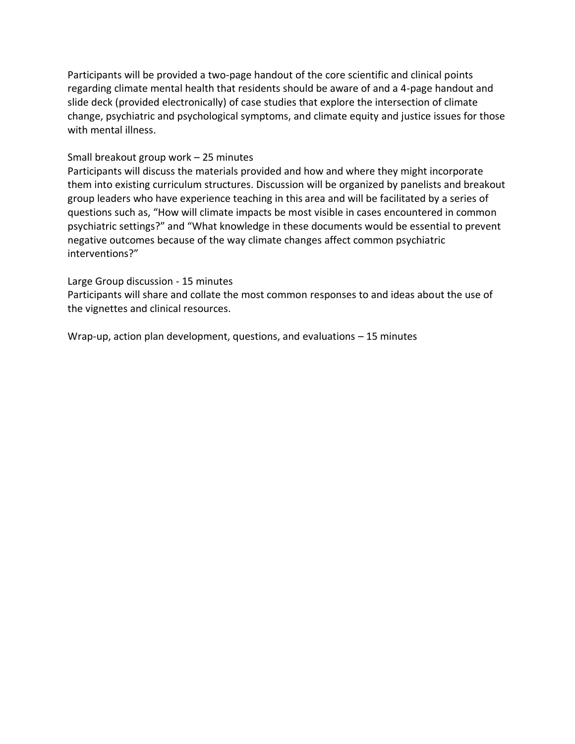Participants will be provided a two-page handout of the core scientific and clinical points regarding climate mental health that residents should be aware of and a 4-page handout and slide deck (provided electronically) of case studies that explore the intersection of climate change, psychiatric and psychological symptoms, and climate equity and justice issues for those with mental illness.

#### Small breakout group work – 25 minutes

Participants will discuss the materials provided and how and where they might incorporate them into existing curriculum structures. Discussion will be organized by panelists and breakout group leaders who have experience teaching in this area and will be facilitated by a series of questions such as, "How will climate impacts be most visible in cases encountered in common psychiatric settings?" and "What knowledge in these documents would be essential to prevent negative outcomes because of the way climate changes affect common psychiatric interventions?"

#### Large Group discussion - 15 minutes

Participants will share and collate the most common responses to and ideas about the use of the vignettes and clinical resources.

Wrap-up, action plan development, questions, and evaluations – 15 minutes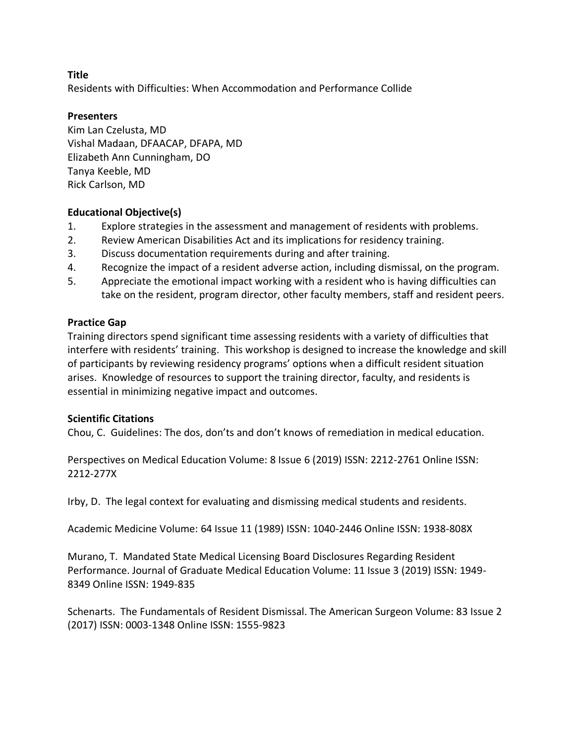Residents with Difficulties: When Accommodation and Performance Collide

#### **Presenters**

Kim Lan Czelusta, MD Vishal Madaan, DFAACAP, DFAPA, MD Elizabeth Ann Cunningham, DO Tanya Keeble, MD Rick Carlson, MD

#### **Educational Objective(s)**

- 1. Explore strategies in the assessment and management of residents with problems.
- 2. Review American Disabilities Act and its implications for residency training.
- 3. Discuss documentation requirements during and after training.
- 4. Recognize the impact of a resident adverse action, including dismissal, on the program.
- 5. Appreciate the emotional impact working with a resident who is having difficulties can take on the resident, program director, other faculty members, staff and resident peers.

#### **Practice Gap**

Training directors spend significant time assessing residents with a variety of difficulties that interfere with residents' training. This workshop is designed to increase the knowledge and skill of participants by reviewing residency programs' options when a difficult resident situation arises. Knowledge of resources to support the training director, faculty, and residents is essential in minimizing negative impact and outcomes.

#### **Scientific Citations**

Chou, C. Guidelines: The dos, don'ts and don't knows of remediation in medical education.

Perspectives on Medical Education Volume: 8 Issue 6 (2019) ISSN: 2212-2761 Online ISSN: 2212-277X

Irby, D. The legal context for evaluating and dismissing medical students and residents.

Academic Medicine Volume: 64 Issue 11 (1989) ISSN: 1040-2446 Online ISSN: 1938-808X

Murano, T. Mandated State Medical Licensing Board Disclosures Regarding Resident Performance. Journal of Graduate Medical Education Volume: 11 Issue 3 (2019) ISSN: 1949- 8349 Online ISSN: 1949-835

Schenarts. The Fundamentals of Resident Dismissal. The American Surgeon Volume: 83 Issue 2 (2017) ISSN: 0003-1348 Online ISSN: 1555-9823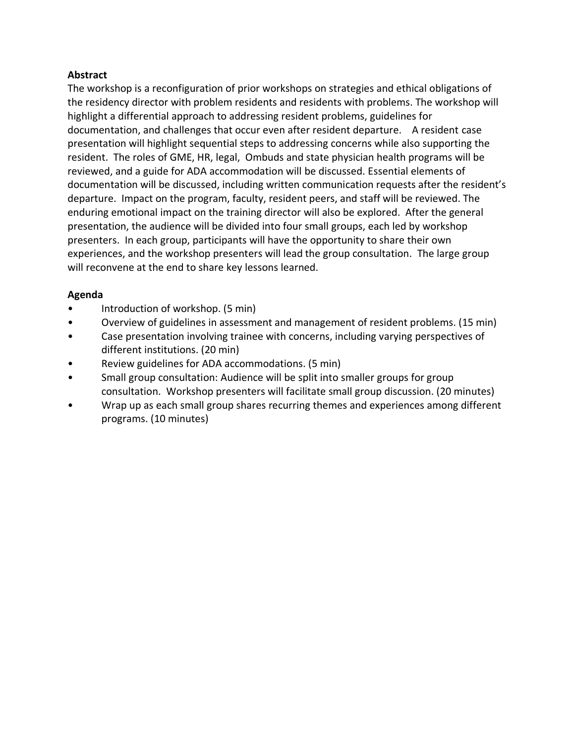#### **Abstract**

The workshop is a reconfiguration of prior workshops on strategies and ethical obligations of the residency director with problem residents and residents with problems. The workshop will highlight a differential approach to addressing resident problems, guidelines for documentation, and challenges that occur even after resident departure. A resident case presentation will highlight sequential steps to addressing concerns while also supporting the resident. The roles of GME, HR, legal, Ombuds and state physician health programs will be reviewed, and a guide for ADA accommodation will be discussed. Essential elements of documentation will be discussed, including written communication requests after the resident's departure. Impact on the program, faculty, resident peers, and staff will be reviewed. The enduring emotional impact on the training director will also be explored. After the general presentation, the audience will be divided into four small groups, each led by workshop presenters. In each group, participants will have the opportunity to share their own experiences, and the workshop presenters will lead the group consultation. The large group will reconvene at the end to share key lessons learned.

#### **Agenda**

- Introduction of workshop. (5 min)
- Overview of guidelines in assessment and management of resident problems. (15 min)
- Case presentation involving trainee with concerns, including varying perspectives of different institutions. (20 min)
- Review guidelines for ADA accommodations. (5 min)
- Small group consultation: Audience will be split into smaller groups for group consultation. Workshop presenters will facilitate small group discussion. (20 minutes)
- Wrap up as each small group shares recurring themes and experiences among different programs. (10 minutes)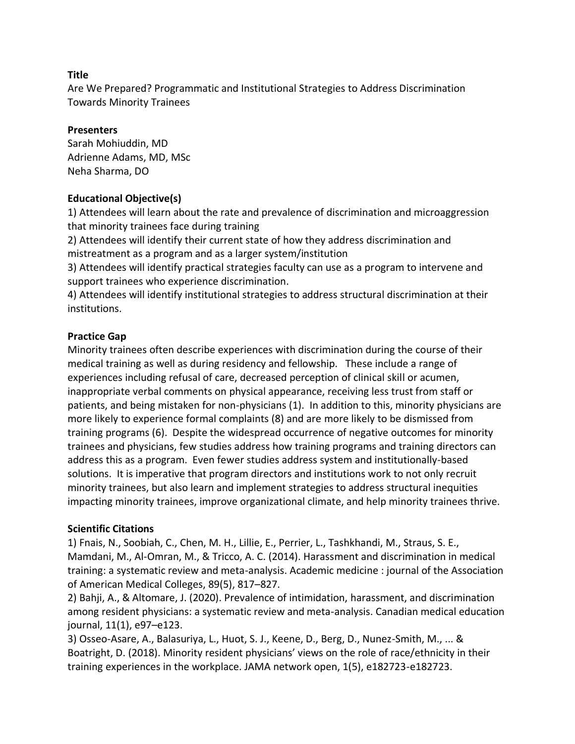Are We Prepared? Programmatic and Institutional Strategies to Address Discrimination Towards Minority Trainees

#### **Presenters**

Sarah Mohiuddin, MD Adrienne Adams, MD, MSc Neha Sharma, DO

## **Educational Objective(s)**

1) Attendees will learn about the rate and prevalence of discrimination and microaggression that minority trainees face during training

2) Attendees will identify their current state of how they address discrimination and mistreatment as a program and as a larger system/institution

3) Attendees will identify practical strategies faculty can use as a program to intervene and support trainees who experience discrimination.

4) Attendees will identify institutional strategies to address structural discrimination at their institutions.

#### **Practice Gap**

Minority trainees often describe experiences with discrimination during the course of their medical training as well as during residency and fellowship. These include a range of experiences including refusal of care, decreased perception of clinical skill or acumen, inappropriate verbal comments on physical appearance, receiving less trust from staff or patients, and being mistaken for non-physicians (1). In addition to this, minority physicians are more likely to experience formal complaints (8) and are more likely to be dismissed from training programs (6). Despite the widespread occurrence of negative outcomes for minority trainees and physicians, few studies address how training programs and training directors can address this as a program. Even fewer studies address system and institutionally-based solutions. It is imperative that program directors and institutions work to not only recruit minority trainees, but also learn and implement strategies to address structural inequities impacting minority trainees, improve organizational climate, and help minority trainees thrive.

## **Scientific Citations**

1) Fnais, N., Soobiah, C., Chen, M. H., Lillie, E., Perrier, L., Tashkhandi, M., Straus, S. E., Mamdani, M., Al-Omran, M., & Tricco, A. C. (2014). Harassment and discrimination in medical training: a systematic review and meta-analysis. Academic medicine : journal of the Association of American Medical Colleges, 89(5), 817–827.

2) Bahji, A., & Altomare, J. (2020). Prevalence of intimidation, harassment, and discrimination among resident physicians: a systematic review and meta-analysis. Canadian medical education journal, 11(1), e97–e123.

3) Osseo-Asare, A., Balasuriya, L., Huot, S. J., Keene, D., Berg, D., Nunez-Smith, M., ... & Boatright, D. (2018). Minority resident physicians' views on the role of race/ethnicity in their training experiences in the workplace. JAMA network open, 1(5), e182723-e182723.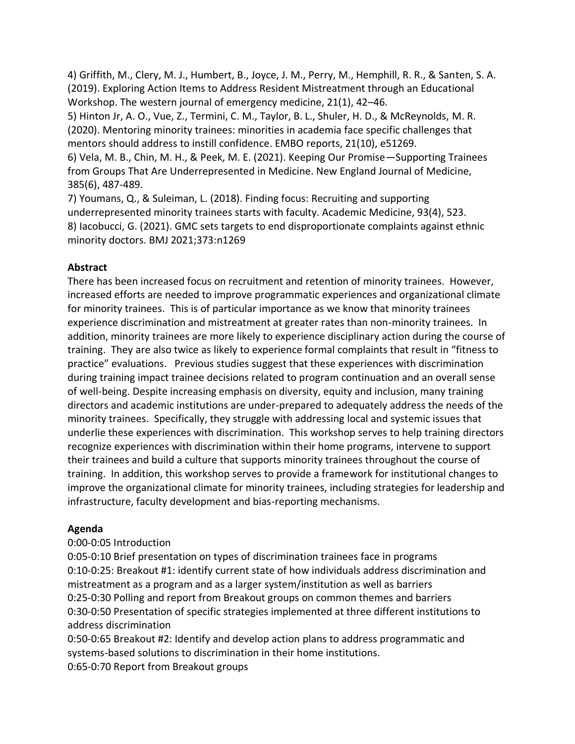4) Griffith, M., Clery, M. J., Humbert, B., Joyce, J. M., Perry, M., Hemphill, R. R., & Santen, S. A. (2019). Exploring Action Items to Address Resident Mistreatment through an Educational Workshop. The western journal of emergency medicine, 21(1), 42–46.

5) Hinton Jr, A. O., Vue, Z., Termini, C. M., Taylor, B. L., Shuler, H. D., & McReynolds, M. R. (2020). Mentoring minority trainees: minorities in academia face specific challenges that mentors should address to instill confidence. EMBO reports, 21(10), e51269.

6) Vela, M. B., Chin, M. H., & Peek, M. E. (2021). Keeping Our Promise—Supporting Trainees from Groups That Are Underrepresented in Medicine. New England Journal of Medicine, 385(6), 487-489.

7) Youmans, Q., & Suleiman, L. (2018). Finding focus: Recruiting and supporting underrepresented minority trainees starts with faculty. Academic Medicine, 93(4), 523. 8) Iacobucci, G. (2021). GMC sets targets to end disproportionate complaints against ethnic minority doctors. BMJ 2021;373:n1269

## **Abstract**

There has been increased focus on recruitment and retention of minority trainees. However, increased efforts are needed to improve programmatic experiences and organizational climate for minority trainees. This is of particular importance as we know that minority trainees experience discrimination and mistreatment at greater rates than non-minority trainees. In addition, minority trainees are more likely to experience disciplinary action during the course of training. They are also twice as likely to experience formal complaints that result in "fitness to practice" evaluations. Previous studies suggest that these experiences with discrimination during training impact trainee decisions related to program continuation and an overall sense of well-being. Despite increasing emphasis on diversity, equity and inclusion, many training directors and academic institutions are under-prepared to adequately address the needs of the minority trainees. Specifically, they struggle with addressing local and systemic issues that underlie these experiences with discrimination. This workshop serves to help training directors recognize experiences with discrimination within their home programs, intervene to support their trainees and build a culture that supports minority trainees throughout the course of training. In addition, this workshop serves to provide a framework for institutional changes to improve the organizational climate for minority trainees, including strategies for leadership and infrastructure, faculty development and bias-reporting mechanisms.

## **Agenda**

# 0:00-0:05 Introduction

0:05-0:10 Brief presentation on types of discrimination trainees face in programs 0:10-0:25: Breakout #1: identify current state of how individuals address discrimination and mistreatment as a program and as a larger system/institution as well as barriers 0:25-0:30 Polling and report from Breakout groups on common themes and barriers 0:30-0:50 Presentation of specific strategies implemented at three different institutions to address discrimination

0:50-0:65 Breakout #2: Identify and develop action plans to address programmatic and systems-based solutions to discrimination in their home institutions. 0:65-0:70 Report from Breakout groups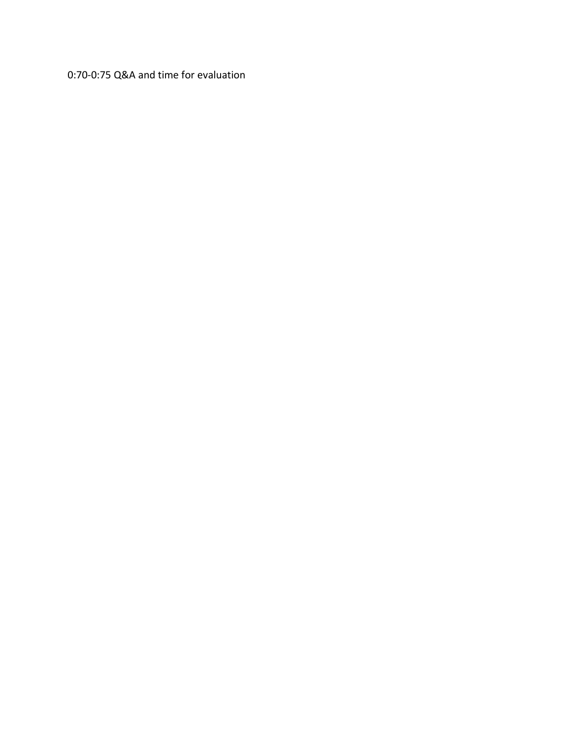0:70-0:75 Q&A and time for evaluation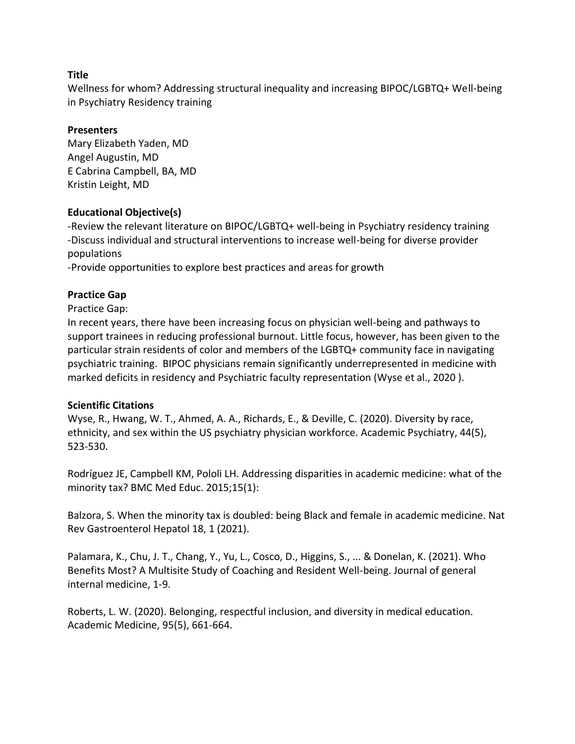Wellness for whom? Addressing structural inequality and increasing BIPOC/LGBTQ+ Well-being in Psychiatry Residency training

#### **Presenters**

Mary Elizabeth Yaden, MD Angel Augustin, MD E Cabrina Campbell, BA, MD Kristin Leight, MD

## **Educational Objective(s)**

-Review the relevant literature on BIPOC/LGBTQ+ well-being in Psychiatry residency training -Discuss individual and structural interventions to increase well-being for diverse provider populations

-Provide opportunities to explore best practices and areas for growth

## **Practice Gap**

Practice Gap:

In recent years, there have been increasing focus on physician well-being and pathways to support trainees in reducing professional burnout. Little focus, however, has been given to the particular strain residents of color and members of the LGBTQ+ community face in navigating psychiatric training. BIPOC physicians remain significantly underrepresented in medicine with marked deficits in residency and Psychiatric faculty representation (Wyse et al., 2020 ).

#### **Scientific Citations**

Wyse, R., Hwang, W. T., Ahmed, A. A., Richards, E., & Deville, C. (2020). Diversity by race, ethnicity, and sex within the US psychiatry physician workforce. Academic Psychiatry, 44(5), 523-530.

Rodríguez JE, Campbell KM, Pololi LH. Addressing disparities in academic medicine: what of the minority tax? BMC Med Educ. 2015;15(1):

Balzora, S. When the minority tax is doubled: being Black and female in academic medicine. Nat Rev Gastroenterol Hepatol 18, 1 (2021).

Palamara, K., Chu, J. T., Chang, Y., Yu, L., Cosco, D., Higgins, S., ... & Donelan, K. (2021). Who Benefits Most? A Multisite Study of Coaching and Resident Well-being. Journal of general internal medicine, 1-9.

Roberts, L. W. (2020). Belonging, respectful inclusion, and diversity in medical education. Academic Medicine, 95(5), 661-664.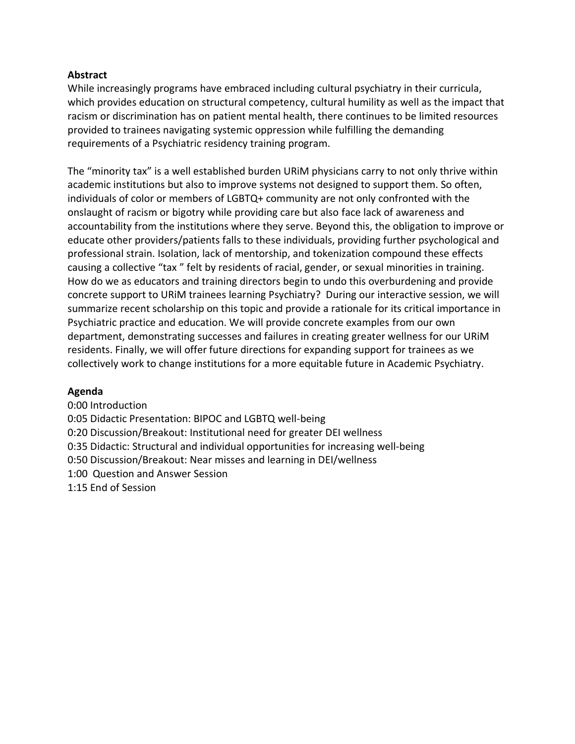#### **Abstract**

While increasingly programs have embraced including cultural psychiatry in their curricula, which provides education on structural competency, cultural humility as well as the impact that racism or discrimination has on patient mental health, there continues to be limited resources provided to trainees navigating systemic oppression while fulfilling the demanding requirements of a Psychiatric residency training program.

The "minority tax" is a well established burden URiM physicians carry to not only thrive within academic institutions but also to improve systems not designed to support them. So often, individuals of color or members of LGBTQ+ community are not only confronted with the onslaught of racism or bigotry while providing care but also face lack of awareness and accountability from the institutions where they serve. Beyond this, the obligation to improve or educate other providers/patients falls to these individuals, providing further psychological and professional strain. Isolation, lack of mentorship, and tokenization compound these effects causing a collective "tax " felt by residents of racial, gender, or sexual minorities in training. How do we as educators and training directors begin to undo this overburdening and provide concrete support to URiM trainees learning Psychiatry? During our interactive session, we will summarize recent scholarship on this topic and provide a rationale for its critical importance in Psychiatric practice and education. We will provide concrete examples from our own department, demonstrating successes and failures in creating greater wellness for our URiM residents. Finally, we will offer future directions for expanding support for trainees as we collectively work to change institutions for a more equitable future in Academic Psychiatry.

#### **Agenda**

0:00 Introduction 0:05 Didactic Presentation: BIPOC and LGBTQ well-being 0:20 Discussion/Breakout: Institutional need for greater DEI wellness 0:35 Didactic: Structural and individual opportunities for increasing well-being 0:50 Discussion/Breakout: Near misses and learning in DEI/wellness 1:00 Question and Answer Session 1:15 End of Session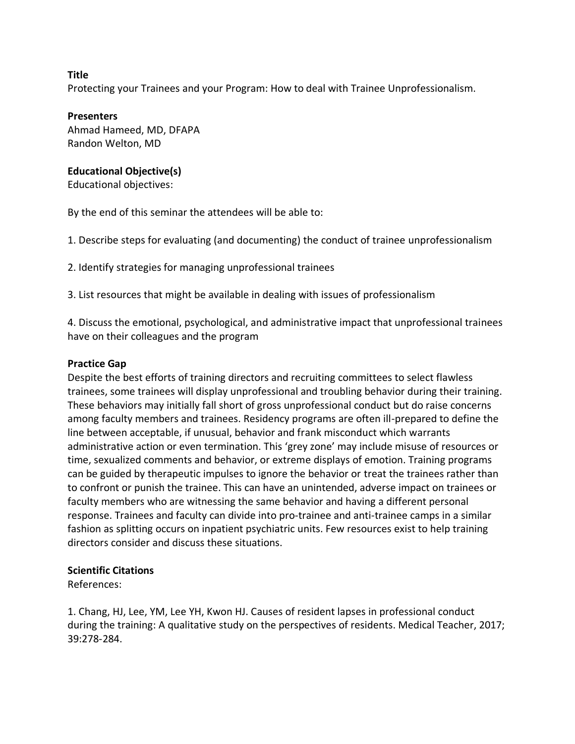Protecting your Trainees and your Program: How to deal with Trainee Unprofessionalism.

#### **Presenters**

Ahmad Hameed, MD, DFAPA Randon Welton, MD

#### **Educational Objective(s)**

Educational objectives:

By the end of this seminar the attendees will be able to:

1. Describe steps for evaluating (and documenting) the conduct of trainee unprofessionalism

2. Identify strategies for managing unprofessional trainees

3. List resources that might be available in dealing with issues of professionalism

4. Discuss the emotional, psychological, and administrative impact that unprofessional trainees have on their colleagues and the program

#### **Practice Gap**

Despite the best efforts of training directors and recruiting committees to select flawless trainees, some trainees will display unprofessional and troubling behavior during their training. These behaviors may initially fall short of gross unprofessional conduct but do raise concerns among faculty members and trainees. Residency programs are often ill-prepared to define the line between acceptable, if unusual, behavior and frank misconduct which warrants administrative action or even termination. This 'grey zone' may include misuse of resources or time, sexualized comments and behavior, or extreme displays of emotion. Training programs can be guided by therapeutic impulses to ignore the behavior or treat the trainees rather than to confront or punish the trainee. This can have an unintended, adverse impact on trainees or faculty members who are witnessing the same behavior and having a different personal response. Trainees and faculty can divide into pro-trainee and anti-trainee camps in a similar fashion as splitting occurs on inpatient psychiatric units. Few resources exist to help training directors consider and discuss these situations.

#### **Scientific Citations**

References:

1. Chang, HJ, Lee, YM, Lee YH, Kwon HJ. Causes of resident lapses in professional conduct during the training: A qualitative study on the perspectives of residents. Medical Teacher, 2017; 39:278-284.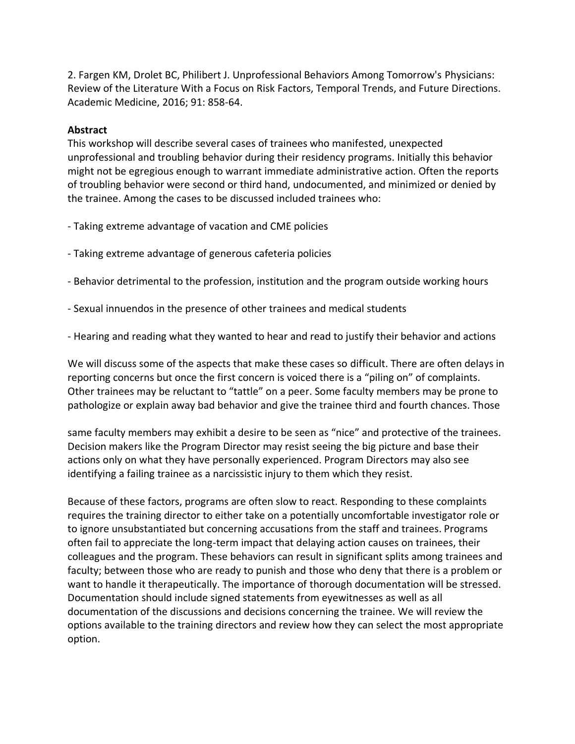2. Fargen KM, Drolet BC, Philibert J. Unprofessional Behaviors Among Tomorrow's Physicians: Review of the Literature With a Focus on Risk Factors, Temporal Trends, and Future Directions. Academic Medicine, 2016; 91: 858-64.

#### **Abstract**

This workshop will describe several cases of trainees who manifested, unexpected unprofessional and troubling behavior during their residency programs. Initially this behavior might not be egregious enough to warrant immediate administrative action. Often the reports of troubling behavior were second or third hand, undocumented, and minimized or denied by the trainee. Among the cases to be discussed included trainees who:

- Taking extreme advantage of vacation and CME policies
- Taking extreme advantage of generous cafeteria policies
- Behavior detrimental to the profession, institution and the program outside working hours
- Sexual innuendos in the presence of other trainees and medical students
- Hearing and reading what they wanted to hear and read to justify their behavior and actions

We will discuss some of the aspects that make these cases so difficult. There are often delays in reporting concerns but once the first concern is voiced there is a "piling on" of complaints. Other trainees may be reluctant to "tattle" on a peer. Some faculty members may be prone to pathologize or explain away bad behavior and give the trainee third and fourth chances. Those

same faculty members may exhibit a desire to be seen as "nice" and protective of the trainees. Decision makers like the Program Director may resist seeing the big picture and base their actions only on what they have personally experienced. Program Directors may also see identifying a failing trainee as a narcissistic injury to them which they resist.

Because of these factors, programs are often slow to react. Responding to these complaints requires the training director to either take on a potentially uncomfortable investigator role or to ignore unsubstantiated but concerning accusations from the staff and trainees. Programs often fail to appreciate the long-term impact that delaying action causes on trainees, their colleagues and the program. These behaviors can result in significant splits among trainees and faculty; between those who are ready to punish and those who deny that there is a problem or want to handle it therapeutically. The importance of thorough documentation will be stressed. Documentation should include signed statements from eyewitnesses as well as all documentation of the discussions and decisions concerning the trainee. We will review the options available to the training directors and review how they can select the most appropriate option.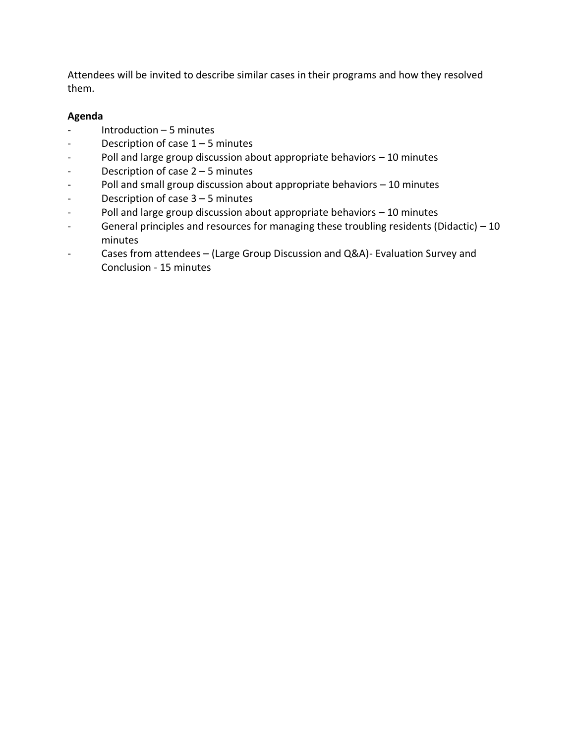Attendees will be invited to describe similar cases in their programs and how they resolved them.

# **Agenda**

- $Introduction 5 minutes$
- Description of case 1 5 minutes
- Poll and large group discussion about appropriate behaviors 10 minutes
- Description of case 2 5 minutes
- Poll and small group discussion about appropriate behaviors 10 minutes
- Description of case 3 5 minutes
- Poll and large group discussion about appropriate behaviors 10 minutes
- General principles and resources for managing these troubling residents (Didactic) 10 minutes
- Cases from attendees (Large Group Discussion and Q&A)- Evaluation Survey and Conclusion - 15 minutes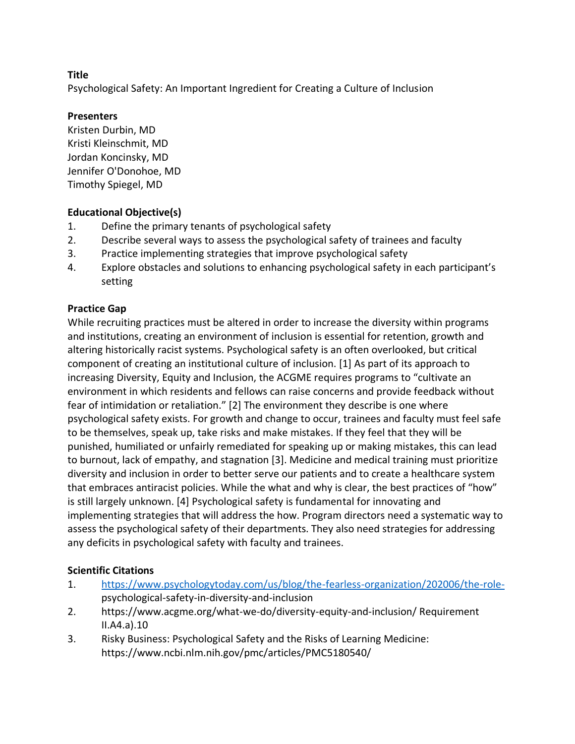Psychological Safety: An Important Ingredient for Creating a Culture of Inclusion

# **Presenters**

Kristen Durbin, MD Kristi Kleinschmit, MD Jordan Koncinsky, MD Jennifer O'Donohoe, MD Timothy Spiegel, MD

# **Educational Objective(s)**

- 1. Define the primary tenants of psychological safety
- 2. Describe several ways to assess the psychological safety of trainees and faculty
- 3. Practice implementing strategies that improve psychological safety
- 4. Explore obstacles and solutions to enhancing psychological safety in each participant's setting

# **Practice Gap**

While recruiting practices must be altered in order to increase the diversity within programs and institutions, creating an environment of inclusion is essential for retention, growth and altering historically racist systems. Psychological safety is an often overlooked, but critical component of creating an institutional culture of inclusion. [1] As part of its approach to increasing Diversity, Equity and Inclusion, the ACGME requires programs to "cultivate an environment in which residents and fellows can raise concerns and provide feedback without fear of intimidation or retaliation." [2] The environment they describe is one where psychological safety exists. For growth and change to occur, trainees and faculty must feel safe to be themselves, speak up, take risks and make mistakes. If they feel that they will be punished, humiliated or unfairly remediated for speaking up or making mistakes, this can lead to burnout, lack of empathy, and stagnation [3]. Medicine and medical training must prioritize diversity and inclusion in order to better serve our patients and to create a healthcare system that embraces antiracist policies. While the what and why is clear, the best practices of "how" is still largely unknown. [4] Psychological safety is fundamental for innovating and implementing strategies that will address the how. Program directors need a systematic way to assess the psychological safety of their departments. They also need strategies for addressing any deficits in psychological safety with faculty and trainees.

## **Scientific Citations**

- 1. [https://www.psychologytoday.com/us/blog/the-fearless-organization/202006/the-role](https://www.psychologytoday.com/us/blog/the-fearless-organization/202006/the-role-)psychological-safety-in-diversity-and-inclusion
- 2. https://www.acgme.org/what-we-do/diversity-equity-and-inclusion/ Requirement II.A4.a).10
- 3. Risky Business: Psychological Safety and the Risks of Learning Medicine: https://www.ncbi.nlm.nih.gov/pmc/articles/PMC5180540/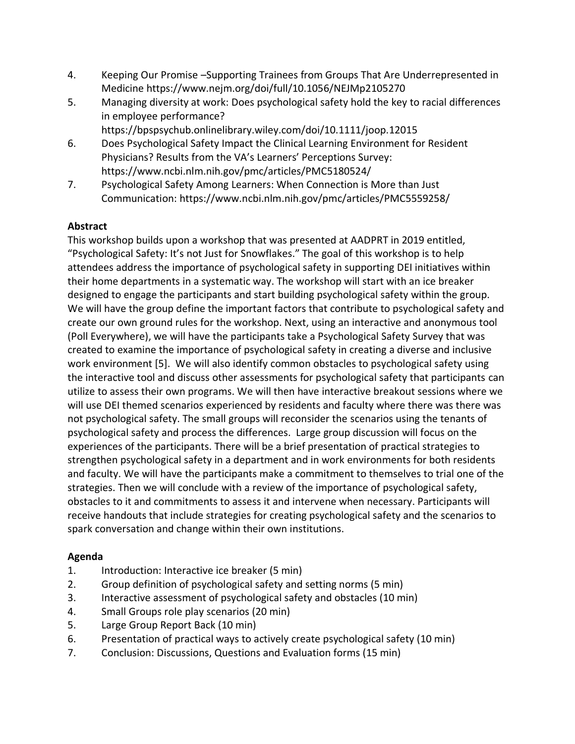- 4. Keeping Our Promise –Supporting Trainees from Groups That Are Underrepresented in Medicine https://www.nejm.org/doi/full/10.1056/NEJMp2105270
- 5. Managing diversity at work: Does psychological safety hold the key to racial differences in employee performance?
- https://bpspsychub.onlinelibrary.wiley.com/doi/10.1111/joop.12015 6. Does Psychological Safety Impact the Clinical Learning Environment for Resident Physicians? Results from the VA's Learners' Perceptions Survey:
	- https://www.ncbi.nlm.nih.gov/pmc/articles/PMC5180524/
- 7. Psychological Safety Among Learners: When Connection is More than Just Communication: https://www.ncbi.nlm.nih.gov/pmc/articles/PMC5559258/

# **Abstract**

This workshop builds upon a workshop that was presented at AADPRT in 2019 entitled, "Psychological Safety: It's not Just for Snowflakes." The goal of this workshop is to help attendees address the importance of psychological safety in supporting DEI initiatives within their home departments in a systematic way. The workshop will start with an ice breaker designed to engage the participants and start building psychological safety within the group. We will have the group define the important factors that contribute to psychological safety and create our own ground rules for the workshop. Next, using an interactive and anonymous tool (Poll Everywhere), we will have the participants take a Psychological Safety Survey that was created to examine the importance of psychological safety in creating a diverse and inclusive work environment [5]. We will also identify common obstacles to psychological safety using the interactive tool and discuss other assessments for psychological safety that participants can utilize to assess their own programs. We will then have interactive breakout sessions where we will use DEI themed scenarios experienced by residents and faculty where there was there was not psychological safety. The small groups will reconsider the scenarios using the tenants of psychological safety and process the differences. Large group discussion will focus on the experiences of the participants. There will be a brief presentation of practical strategies to strengthen psychological safety in a department and in work environments for both residents and faculty. We will have the participants make a commitment to themselves to trial one of the strategies. Then we will conclude with a review of the importance of psychological safety, obstacles to it and commitments to assess it and intervene when necessary. Participants will receive handouts that include strategies for creating psychological safety and the scenarios to spark conversation and change within their own institutions.

## **Agenda**

- 1. Introduction: Interactive ice breaker (5 min)
- 2. Group definition of psychological safety and setting norms (5 min)
- 3. Interactive assessment of psychological safety and obstacles (10 min)
- 4. Small Groups role play scenarios (20 min)
- 5. Large Group Report Back (10 min)
- 6. Presentation of practical ways to actively create psychological safety (10 min)
- 7. Conclusion: Discussions, Questions and Evaluation forms (15 min)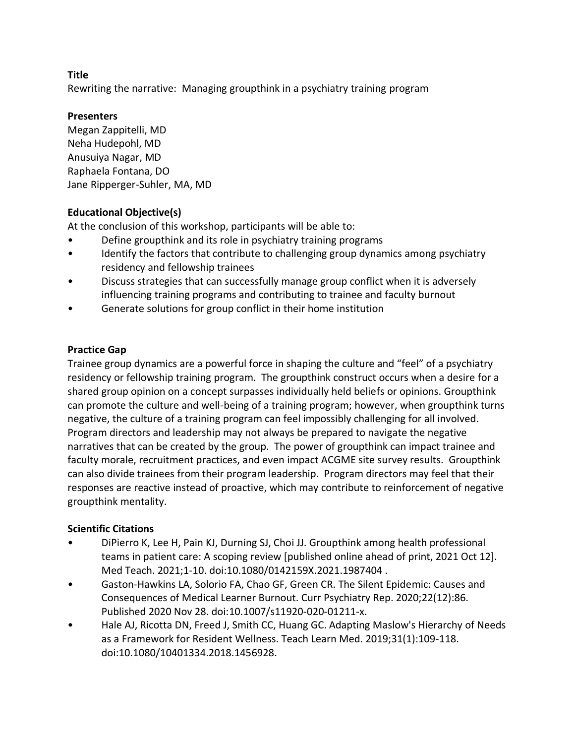Rewriting the narrative: Managing groupthink in a psychiatry training program

# **Presenters**

Megan Zappitelli, MD Neha Hudepohl, MD Anusuiya Nagar, MD Raphaela Fontana, DO Jane Ripperger-Suhler, MA, MD

# **Educational Objective(s)**

At the conclusion of this workshop, participants will be able to:

- Define groupthink and its role in psychiatry training programs
- Identify the factors that contribute to challenging group dynamics among psychiatry residency and fellowship trainees
- Discuss strategies that can successfully manage group conflict when it is adversely influencing training programs and contributing to trainee and faculty burnout
- Generate solutions for group conflict in their home institution

# **Practice Gap**

Trainee group dynamics are a powerful force in shaping the culture and "feel" of a psychiatry residency or fellowship training program. The groupthink construct occurs when a desire for a shared group opinion on a concept surpasses individually held beliefs or opinions. Groupthink can promote the culture and well-being of a training program; however, when groupthink turns negative, the culture of a training program can feel impossibly challenging for all involved. Program directors and leadership may not always be prepared to navigate the negative narratives that can be created by the group. The power of groupthink can impact trainee and faculty morale, recruitment practices, and even impact ACGME site survey results. Groupthink can also divide trainees from their program leadership. Program directors may feel that their responses are reactive instead of proactive, which may contribute to reinforcement of negative groupthink mentality.

## **Scientific Citations**

- DiPierro K, Lee H, Pain KJ, Durning SJ, Choi JJ. Groupthink among health professional teams in patient care: A scoping review [published online ahead of print, 2021 Oct 12]. Med Teach. 2021;1-10. doi:10.1080/0142159X.2021.1987404 .
- Gaston-Hawkins LA, Solorio FA, Chao GF, Green CR. The Silent Epidemic: Causes and Consequences of Medical Learner Burnout. Curr Psychiatry Rep. 2020;22(12):86. Published 2020 Nov 28. doi:10.1007/s11920-020-01211-x.
- Hale AJ, Ricotta DN, Freed J, Smith CC, Huang GC. Adapting Maslow's Hierarchy of Needs as a Framework for Resident Wellness. Teach Learn Med. 2019;31(1):109-118. doi:10.1080/10401334.2018.1456928.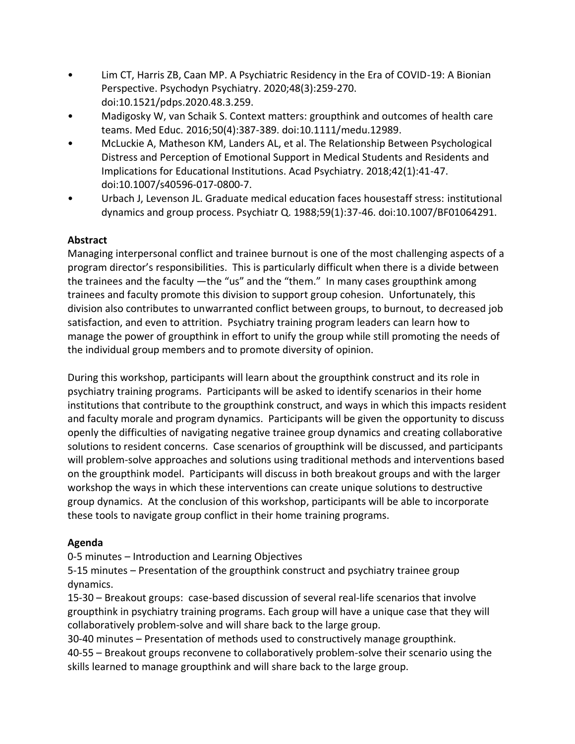- Lim CT, Harris ZB, Caan MP. A Psychiatric Residency in the Era of COVID-19: A Bionian Perspective. Psychodyn Psychiatry. 2020;48(3):259-270. doi:10.1521/pdps.2020.48.3.259.
- Madigosky W, van Schaik S. Context matters: groupthink and outcomes of health care teams. Med Educ. 2016;50(4):387-389. doi:10.1111/medu.12989.
- McLuckie A, Matheson KM, Landers AL, et al. The Relationship Between Psychological Distress and Perception of Emotional Support in Medical Students and Residents and Implications for Educational Institutions. Acad Psychiatry. 2018;42(1):41-47. doi:10.1007/s40596-017-0800-7.
- Urbach J, Levenson JL. Graduate medical education faces housestaff stress: institutional dynamics and group process. Psychiatr Q. 1988;59(1):37-46. doi:10.1007/BF01064291.

# **Abstract**

Managing interpersonal conflict and trainee burnout is one of the most challenging aspects of a program director's responsibilities. This is particularly difficult when there is a divide between the trainees and the faculty —the "us" and the "them." In many cases groupthink among trainees and faculty promote this division to support group cohesion. Unfortunately, this division also contributes to unwarranted conflict between groups, to burnout, to decreased job satisfaction, and even to attrition. Psychiatry training program leaders can learn how to manage the power of groupthink in effort to unify the group while still promoting the needs of the individual group members and to promote diversity of opinion.

During this workshop, participants will learn about the groupthink construct and its role in psychiatry training programs. Participants will be asked to identify scenarios in their home institutions that contribute to the groupthink construct, and ways in which this impacts resident and faculty morale and program dynamics. Participants will be given the opportunity to discuss openly the difficulties of navigating negative trainee group dynamics and creating collaborative solutions to resident concerns. Case scenarios of groupthink will be discussed, and participants will problem-solve approaches and solutions using traditional methods and interventions based on the groupthink model. Participants will discuss in both breakout groups and with the larger workshop the ways in which these interventions can create unique solutions to destructive group dynamics. At the conclusion of this workshop, participants will be able to incorporate these tools to navigate group conflict in their home training programs.

# **Agenda**

0-5 minutes – Introduction and Learning Objectives

5-15 minutes – Presentation of the groupthink construct and psychiatry trainee group dynamics.

15-30 – Breakout groups: case-based discussion of several real-life scenarios that involve groupthink in psychiatry training programs. Each group will have a unique case that they will collaboratively problem-solve and will share back to the large group.

30-40 minutes – Presentation of methods used to constructively manage groupthink.

40-55 – Breakout groups reconvene to collaboratively problem-solve their scenario using the skills learned to manage groupthink and will share back to the large group.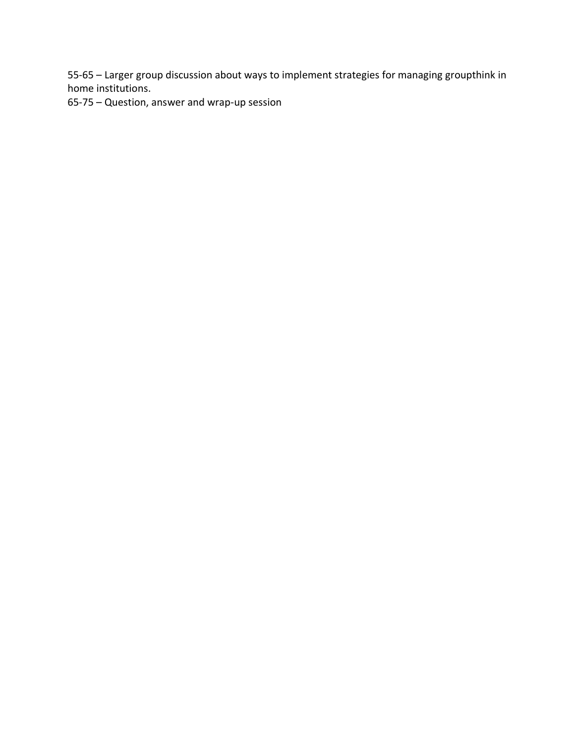55-65 – Larger group discussion about ways to implement strategies for managing groupthink in home institutions.

65-75 – Question, answer and wrap-up session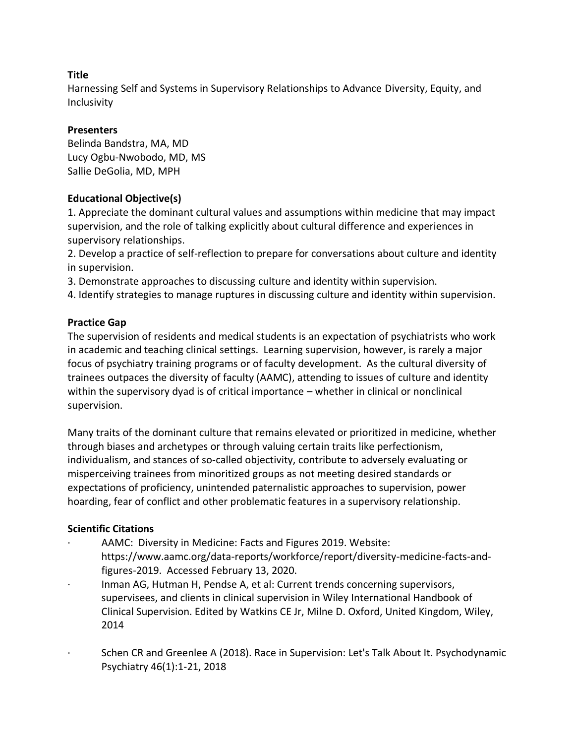Harnessing Self and Systems in Supervisory Relationships to Advance Diversity, Equity, and Inclusivity

# **Presenters**

Belinda Bandstra, MA, MD Lucy Ogbu-Nwobodo, MD, MS Sallie DeGolia, MD, MPH

# **Educational Objective(s)**

1. Appreciate the dominant cultural values and assumptions within medicine that may impact supervision, and the role of talking explicitly about cultural difference and experiences in supervisory relationships.

2. Develop a practice of self-reflection to prepare for conversations about culture and identity in supervision.

3. Demonstrate approaches to discussing culture and identity within supervision.

4. Identify strategies to manage ruptures in discussing culture and identity within supervision.

# **Practice Gap**

The supervision of residents and medical students is an expectation of psychiatrists who work in academic and teaching clinical settings. Learning supervision, however, is rarely a major focus of psychiatry training programs or of faculty development. As the cultural diversity of trainees outpaces the diversity of faculty (AAMC), attending to issues of culture and identity within the supervisory dyad is of critical importance – whether in clinical or nonclinical supervision.

Many traits of the dominant culture that remains elevated or prioritized in medicine, whether through biases and archetypes or through valuing certain traits like perfectionism, individualism, and stances of so-called objectivity, contribute to adversely evaluating or misperceiving trainees from minoritized groups as not meeting desired standards or expectations of proficiency, unintended paternalistic approaches to supervision, power hoarding, fear of conflict and other problematic features in a supervisory relationship.

## **Scientific Citations**

- AAMC: Diversity in Medicine: Facts and Figures 2019. Website: https://www.aamc.org/data-reports/workforce/report/diversity-medicine-facts-andfigures-2019. Accessed February 13, 2020.
- Inman AG, Hutman H, Pendse A, et al: Current trends concerning supervisors, supervisees, and clients in clinical supervision in Wiley International Handbook of Clinical Supervision. Edited by Watkins CE Jr, Milne D. Oxford, United Kingdom, Wiley, 2014
- · Schen CR and Greenlee A (2018). Race in Supervision: Let's Talk About It. Psychodynamic Psychiatry 46(1):1-21, 2018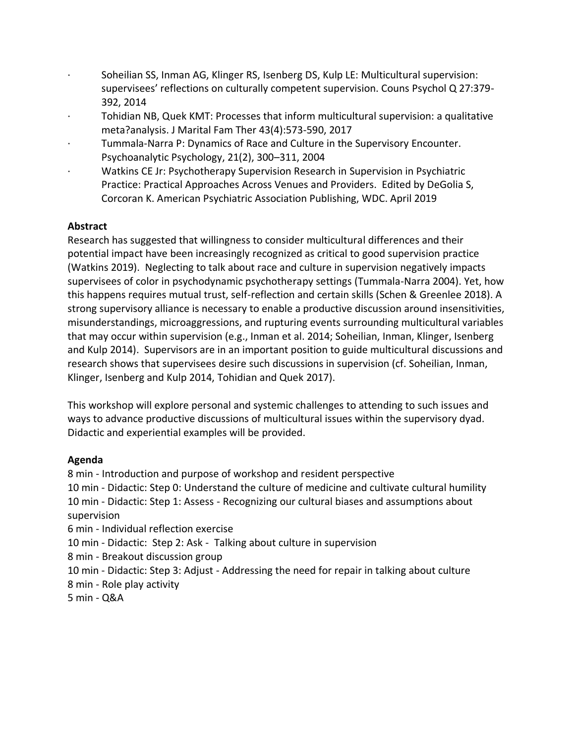- Soheilian SS, Inman AG, Klinger RS, Isenberg DS, Kulp LE: Multicultural supervision: supervisees' reflections on culturally competent supervision. Couns Psychol Q 27:379- 392, 2014
- · Tohidian NB, Quek KMT: Processes that inform multicultural supervision: a qualitative meta?analysis. J Marital Fam Ther 43(4):573-590, 2017
- · Tummala-Narra P: Dynamics of Race and Culture in the Supervisory Encounter. Psychoanalytic Psychology, 21(2), 300–311, 2004
- · Watkins CE Jr: Psychotherapy Supervision Research in Supervision in Psychiatric Practice: Practical Approaches Across Venues and Providers. Edited by DeGolia S, Corcoran K. American Psychiatric Association Publishing, WDC. April 2019

# **Abstract**

Research has suggested that willingness to consider multicultural differences and their potential impact have been increasingly recognized as critical to good supervision practice (Watkins 2019). Neglecting to talk about race and culture in supervision negatively impacts supervisees of color in psychodynamic psychotherapy settings (Tummala-Narra 2004). Yet, how this happens requires mutual trust, self-reflection and certain skills (Schen & Greenlee 2018). A strong supervisory alliance is necessary to enable a productive discussion around insensitivities, misunderstandings, microaggressions, and rupturing events surrounding multicultural variables that may occur within supervision (e.g., Inman et al. 2014; Soheilian, Inman, Klinger, Isenberg and Kulp 2014). Supervisors are in an important position to guide multicultural discussions and research shows that supervisees desire such discussions in supervision (cf. Soheilian, Inman, Klinger, Isenberg and Kulp 2014, Tohidian and Quek 2017).

This workshop will explore personal and systemic challenges to attending to such issues and ways to advance productive discussions of multicultural issues within the supervisory dyad. Didactic and experiential examples will be provided.

## **Agenda**

8 min - Introduction and purpose of workshop and resident perspective 10 min - Didactic: Step 0: Understand the culture of medicine and cultivate cultural humility 10 min - Didactic: Step 1: Assess - Recognizing our cultural biases and assumptions about supervision 6 min - Individual reflection exercise

10 min - Didactic: Step 2: Ask - Talking about culture in supervision

8 min - Breakout discussion group

10 min - Didactic: Step 3: Adjust - Addressing the need for repair in talking about culture 8 min - Role play activity

5 min - Q&A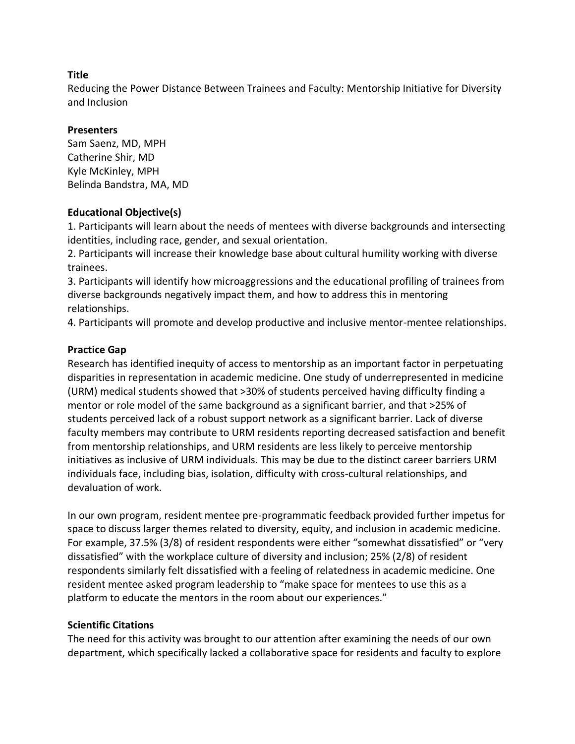Reducing the Power Distance Between Trainees and Faculty: Mentorship Initiative for Diversity and Inclusion

#### **Presenters**

Sam Saenz, MD, MPH Catherine Shir, MD Kyle McKinley, MPH Belinda Bandstra, MA, MD

## **Educational Objective(s)**

1. Participants will learn about the needs of mentees with diverse backgrounds and intersecting identities, including race, gender, and sexual orientation.

2. Participants will increase their knowledge base about cultural humility working with diverse trainees.

3. Participants will identify how microaggressions and the educational profiling of trainees from diverse backgrounds negatively impact them, and how to address this in mentoring relationships.

4. Participants will promote and develop productive and inclusive mentor-mentee relationships.

#### **Practice Gap**

Research has identified inequity of access to mentorship as an important factor in perpetuating disparities in representation in academic medicine. One study of underrepresented in medicine (URM) medical students showed that >30% of students perceived having difficulty finding a mentor or role model of the same background as a significant barrier, and that >25% of students perceived lack of a robust support network as a significant barrier. Lack of diverse faculty members may contribute to URM residents reporting decreased satisfaction and benefit from mentorship relationships, and URM residents are less likely to perceive mentorship initiatives as inclusive of URM individuals. This may be due to the distinct career barriers URM individuals face, including bias, isolation, difficulty with cross-cultural relationships, and devaluation of work.

In our own program, resident mentee pre-programmatic feedback provided further impetus for space to discuss larger themes related to diversity, equity, and inclusion in academic medicine. For example, 37.5% (3/8) of resident respondents were either "somewhat dissatisfied" or "very dissatisfied" with the workplace culture of diversity and inclusion; 25% (2/8) of resident respondents similarly felt dissatisfied with a feeling of relatedness in academic medicine. One resident mentee asked program leadership to "make space for mentees to use this as a platform to educate the mentors in the room about our experiences."

## **Scientific Citations**

The need for this activity was brought to our attention after examining the needs of our own department, which specifically lacked a collaborative space for residents and faculty to explore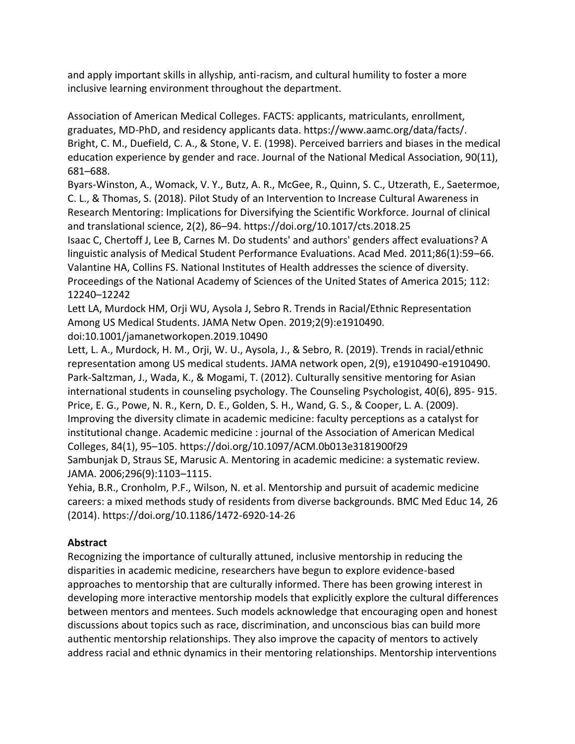and apply important skills in allyship, anti-racism, and cultural humility to foster a more inclusive learning environment throughout the department.

Association of American Medical Colleges. FACTS: applicants, matriculants, enrollment, graduates, MD-PhD, and residency applicants data. https://www.aamc.org/data/facts/. Bright, C. M., Duefield, C. A., & Stone, V. E. (1998). Perceived barriers and biases in the medical education experience by gender and race. Journal of the National Medical Association, 90(11), 681–688.

Byars-Winston, A., Womack, V. Y., Butz, A. R., McGee, R., Quinn, S. C., Utzerath, E., Saetermoe, C. L., & Thomas, S. (2018). Pilot Study of an Intervention to Increase Cultural Awareness in Research Mentoring: Implications for Diversifying the Scientific Workforce. Journal of clinical and translational science, 2(2), 86–94. https://doi.org/10.1017/cts.2018.25

Isaac C, Chertoff J, Lee B, Carnes M. Do students' and authors' genders affect evaluations? A linguistic analysis of Medical Student Performance Evaluations. Acad Med. 2011;86(1):59–66. Valantine HA, Collins FS. National Institutes of Health addresses the science of diversity. Proceedings of the National Academy of Sciences of the United States of America 2015; 112: 12240–12242

Lett LA, Murdock HM, Orji WU, Aysola J, Sebro R. Trends in Racial/Ethnic Representation Among US Medical Students. JAMA Netw Open. 2019;2(9):e1910490. doi:10.1001/jamanetworkopen.2019.10490

Lett, L. A., Murdock, H. M., Orji, W. U., Aysola, J., & Sebro, R. (2019). Trends in racial/ethnic representation among US medical students. JAMA network open, 2(9), e1910490-e1910490. Park-Saltzman, J., Wada, K., & Mogami, T. (2012). Culturally sensitive mentoring for Asian international students in counseling psychology. The Counseling Psychologist, 40(6), 895- 915. Price, E. G., Powe, N. R., Kern, D. E., Golden, S. H., Wand, G. S., & Cooper, L. A. (2009). Improving the diversity climate in academic medicine: faculty perceptions as a catalyst for institutional change. Academic medicine : journal of the Association of American Medical Colleges, 84(1), 95–105. https://doi.org/10.1097/ACM.0b013e3181900f29 Sambunjak D, Straus SE, Marusic A. Mentoring in academic medicine: a systematic review. JAMA. 2006;296(9):1103–1115.

Yehia, B.R., Cronholm, P.F., Wilson, N. et al. Mentorship and pursuit of academic medicine careers: a mixed methods study of residents from diverse backgrounds. BMC Med Educ 14, 26 (2014). https://doi.org/10.1186/1472-6920-14-26

## **Abstract**

Recognizing the importance of culturally attuned, inclusive mentorship in reducing the disparities in academic medicine, researchers have begun to explore evidence-based approaches to mentorship that are culturally informed. There has been growing interest in developing more interactive mentorship models that explicitly explore the cultural differences between mentors and mentees. Such models acknowledge that encouraging open and honest discussions about topics such as race, discrimination, and unconscious bias can build more authentic mentorship relationships. They also improve the capacity of mentors to actively address racial and ethnic dynamics in their mentoring relationships. Mentorship interventions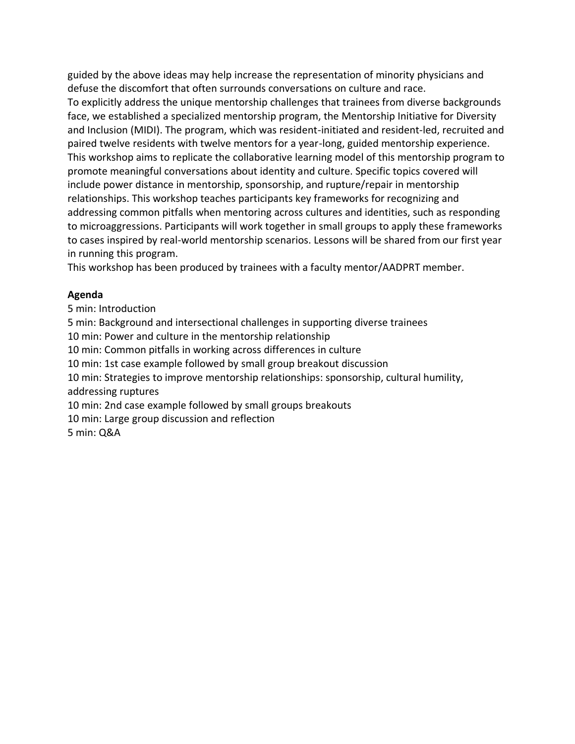guided by the above ideas may help increase the representation of minority physicians and defuse the discomfort that often surrounds conversations on culture and race.

To explicitly address the unique mentorship challenges that trainees from diverse backgrounds face, we established a specialized mentorship program, the Mentorship Initiative for Diversity and Inclusion (MIDI). The program, which was resident-initiated and resident-led, recruited and paired twelve residents with twelve mentors for a year-long, guided mentorship experience. This workshop aims to replicate the collaborative learning model of this mentorship program to promote meaningful conversations about identity and culture. Specific topics covered will include power distance in mentorship, sponsorship, and rupture/repair in mentorship relationships. This workshop teaches participants key frameworks for recognizing and addressing common pitfalls when mentoring across cultures and identities, such as responding to microaggressions. Participants will work together in small groups to apply these frameworks to cases inspired by real-world mentorship scenarios. Lessons will be shared from our first year in running this program.

This workshop has been produced by trainees with a faculty mentor/AADPRT member.

## **Agenda**

5 min: Introduction 5 min: Background and intersectional challenges in supporting diverse trainees 10 min: Power and culture in the mentorship relationship 10 min: Common pitfalls in working across differences in culture 10 min: 1st case example followed by small group breakout discussion 10 min: Strategies to improve mentorship relationships: sponsorship, cultural humility, addressing ruptures 10 min: 2nd case example followed by small groups breakouts 10 min: Large group discussion and reflection 5 min: Q&A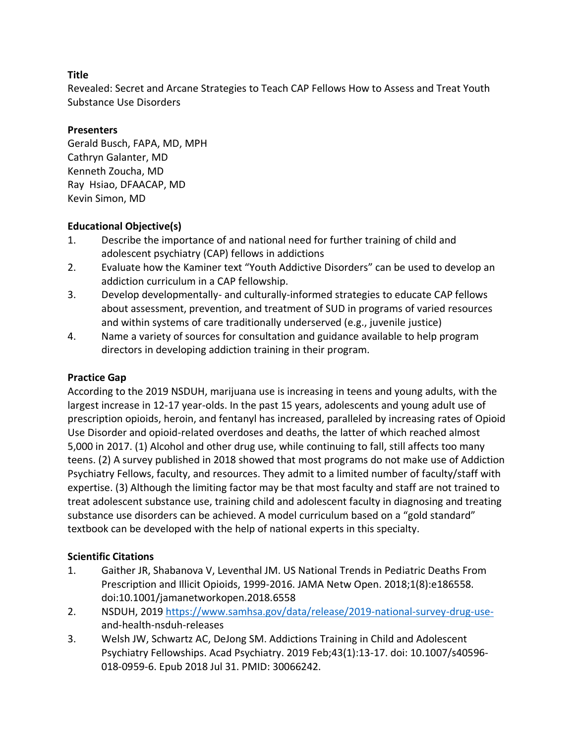Revealed: Secret and Arcane Strategies to Teach CAP Fellows How to Assess and Treat Youth Substance Use Disorders

# **Presenters**

Gerald Busch, FAPA, MD, MPH Cathryn Galanter, MD Kenneth Zoucha, MD Ray Hsiao, DFAACAP, MD Kevin Simon, MD

# **Educational Objective(s)**

- 1. Describe the importance of and national need for further training of child and adolescent psychiatry (CAP) fellows in addictions
- 2. Evaluate how the Kaminer text "Youth Addictive Disorders" can be used to develop an addiction curriculum in a CAP fellowship.
- 3. Develop developmentally- and culturally-informed strategies to educate CAP fellows about assessment, prevention, and treatment of SUD in programs of varied resources and within systems of care traditionally underserved (e.g., juvenile justice)
- 4. Name a variety of sources for consultation and guidance available to help program directors in developing addiction training in their program.

# **Practice Gap**

According to the 2019 NSDUH, marijuana use is increasing in teens and young adults, with the largest increase in 12-17 year-olds. In the past 15 years, adolescents and young adult use of prescription opioids, heroin, and fentanyl has increased, paralleled by increasing rates of Opioid Use Disorder and opioid-related overdoses and deaths, the latter of which reached almost 5,000 in 2017. (1) Alcohol and other drug use, while continuing to fall, still affects too many teens. (2) A survey published in 2018 showed that most programs do not make use of Addiction Psychiatry Fellows, faculty, and resources. They admit to a limited number of faculty/staff with expertise. (3) Although the limiting factor may be that most faculty and staff are not trained to treat adolescent substance use, training child and adolescent faculty in diagnosing and treating substance use disorders can be achieved. A model curriculum based on a "gold standard" textbook can be developed with the help of national experts in this specialty.

# **Scientific Citations**

- 1. Gaither JR, Shabanova V, Leventhal JM. US National Trends in Pediatric Deaths From Prescription and Illicit Opioids, 1999-2016. JAMA Netw Open. 2018;1(8):e186558. doi:10.1001/jamanetworkopen.2018.6558
- 2. NSDUH, 2019 [https://www.samhsa.gov/data/release/2019-national-survey-drug-use](https://www.samhsa.gov/data/release/2019-national-survey-drug-use-)and-health-nsduh-releases
- 3. Welsh JW, Schwartz AC, DeJong SM. Addictions Training in Child and Adolescent Psychiatry Fellowships. Acad Psychiatry. 2019 Feb;43(1):13-17. doi: 10.1007/s40596- 018-0959-6. Epub 2018 Jul 31. PMID: 30066242.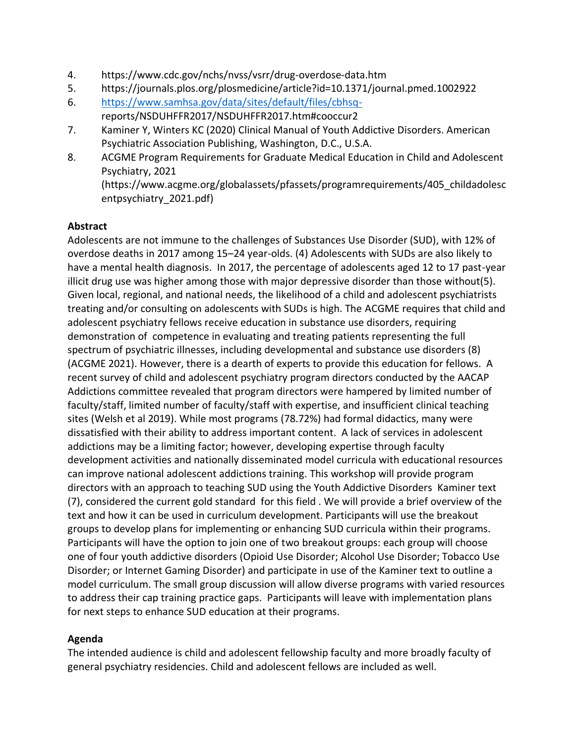- 4. https://www.cdc.gov/nchs/nvss/vsrr/drug-overdose-data.htm
- 5. https://journals.plos.org/plosmedicine/article?id=10.1371/journal.pmed.1002922
- 6. [https://www.samhsa.gov/data/sites/default/files/cbhsq](https://www.samhsa.gov/data/sites/default/files/cbhsq-)reports/NSDUHFFR2017/NSDUHFFR2017.htm#cooccur2
- 7. Kaminer Y, Winters KC (2020) Clinical Manual of Youth Addictive Disorders. American Psychiatric Association Publishing, Washington, D.C., U.S.A.
- 8. ACGME Program Requirements for Graduate Medical Education in Child and Adolescent Psychiatry, 2021 (https://www.acgme.org/globalassets/pfassets/programrequirements/405\_childadolesc entpsychiatry\_2021.pdf)

# **Abstract**

Adolescents are not immune to the challenges of Substances Use Disorder (SUD), with 12% of overdose deaths in 2017 among 15–24 year-olds. (4) Adolescents with SUDs are also likely to have a mental health diagnosis. In 2017, the percentage of adolescents aged 12 to 17 past-year illicit drug use was higher among those with major depressive disorder than those without(5). Given local, regional, and national needs, the likelihood of a child and adolescent psychiatrists treating and/or consulting on adolescents with SUDs is high. The ACGME requires that child and adolescent psychiatry fellows receive education in substance use disorders, requiring demonstration of competence in evaluating and treating patients representing the full spectrum of psychiatric illnesses, including developmental and substance use disorders (8) (ACGME 2021). However, there is a dearth of experts to provide this education for fellows. A recent survey of child and adolescent psychiatry program directors conducted by the AACAP Addictions committee revealed that program directors were hampered by limited number of faculty/staff, limited number of faculty/staff with expertise, and insufficient clinical teaching sites (Welsh et al 2019). While most programs (78.72%) had formal didactics, many were dissatisfied with their ability to address important content. A lack of services in adolescent addictions may be a limiting factor; however, developing expertise through faculty development activities and nationally disseminated model curricula with educational resources can improve national adolescent addictions training. This workshop will provide program directors with an approach to teaching SUD using the Youth Addictive Disorders Kaminer text (7), considered the current gold standard for this field . We will provide a brief overview of the text and how it can be used in curriculum development. Participants will use the breakout groups to develop plans for implementing or enhancing SUD curricula within their programs. Participants will have the option to join one of two breakout groups: each group will choose one of four youth addictive disorders (Opioid Use Disorder; Alcohol Use Disorder; Tobacco Use Disorder; or Internet Gaming Disorder) and participate in use of the Kaminer text to outline a model curriculum. The small group discussion will allow diverse programs with varied resources to address their cap training practice gaps. Participants will leave with implementation plans for next steps to enhance SUD education at their programs.

## **Agenda**

The intended audience is child and adolescent fellowship faculty and more broadly faculty of general psychiatry residencies. Child and adolescent fellows are included as well.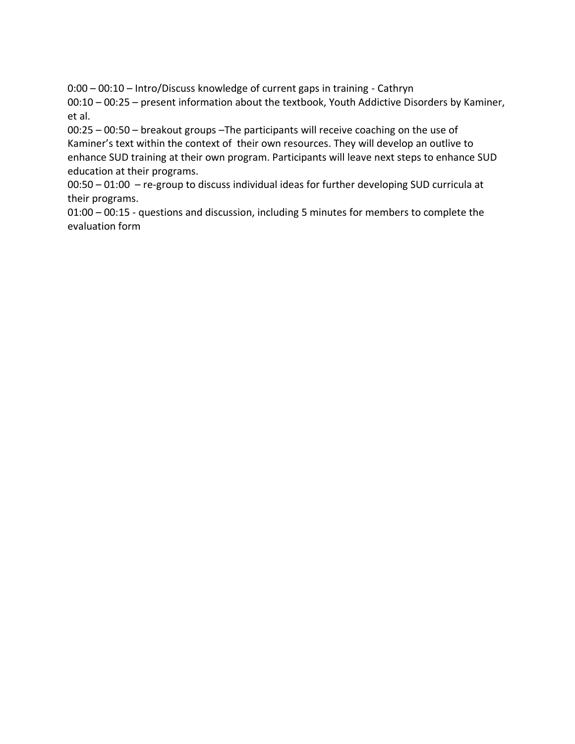0:00 – 00:10 – Intro/Discuss knowledge of current gaps in training - Cathryn 00:10 – 00:25 – present information about the textbook, Youth Addictive Disorders by Kaminer, et al.

00:25 – 00:50 – breakout groups –The participants will receive coaching on the use of Kaminer's text within the context of their own resources. They will develop an outlive to enhance SUD training at their own program. Participants will leave next steps to enhance SUD education at their programs.

00:50 – 01:00 – re-group to discuss individual ideas for further developing SUD curricula at their programs.

01:00 – 00:15 - questions and discussion, including 5 minutes for members to complete the evaluation form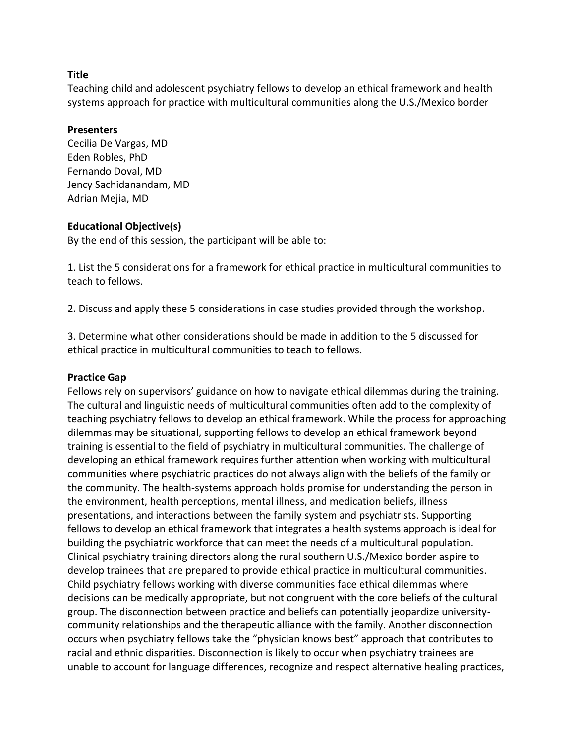#### **Title**

Teaching child and adolescent psychiatry fellows to develop an ethical framework and health systems approach for practice with multicultural communities along the U.S./Mexico border

#### **Presenters**

Cecilia De Vargas, MD Eden Robles, PhD Fernando Doval, MD Jency Sachidanandam, MD Adrian Mejia, MD

### **Educational Objective(s)**

By the end of this session, the participant will be able to:

1. List the 5 considerations for a framework for ethical practice in multicultural communities to teach to fellows.

2. Discuss and apply these 5 considerations in case studies provided through the workshop.

3. Determine what other considerations should be made in addition to the 5 discussed for ethical practice in multicultural communities to teach to fellows.

## **Practice Gap**

Fellows rely on supervisors' guidance on how to navigate ethical dilemmas during the training. The cultural and linguistic needs of multicultural communities often add to the complexity of teaching psychiatry fellows to develop an ethical framework. While the process for approaching dilemmas may be situational, supporting fellows to develop an ethical framework beyond training is essential to the field of psychiatry in multicultural communities. The challenge of developing an ethical framework requires further attention when working with multicultural communities where psychiatric practices do not always align with the beliefs of the family or the community. The health-systems approach holds promise for understanding the person in the environment, health perceptions, mental illness, and medication beliefs, illness presentations, and interactions between the family system and psychiatrists. Supporting fellows to develop an ethical framework that integrates a health systems approach is ideal for building the psychiatric workforce that can meet the needs of a multicultural population. Clinical psychiatry training directors along the rural southern U.S./Mexico border aspire to develop trainees that are prepared to provide ethical practice in multicultural communities. Child psychiatry fellows working with diverse communities face ethical dilemmas where decisions can be medically appropriate, but not congruent with the core beliefs of the cultural group. The disconnection between practice and beliefs can potentially jeopardize universitycommunity relationships and the therapeutic alliance with the family. Another disconnection occurs when psychiatry fellows take the "physician knows best" approach that contributes to racial and ethnic disparities. Disconnection is likely to occur when psychiatry trainees are unable to account for language differences, recognize and respect alternative healing practices,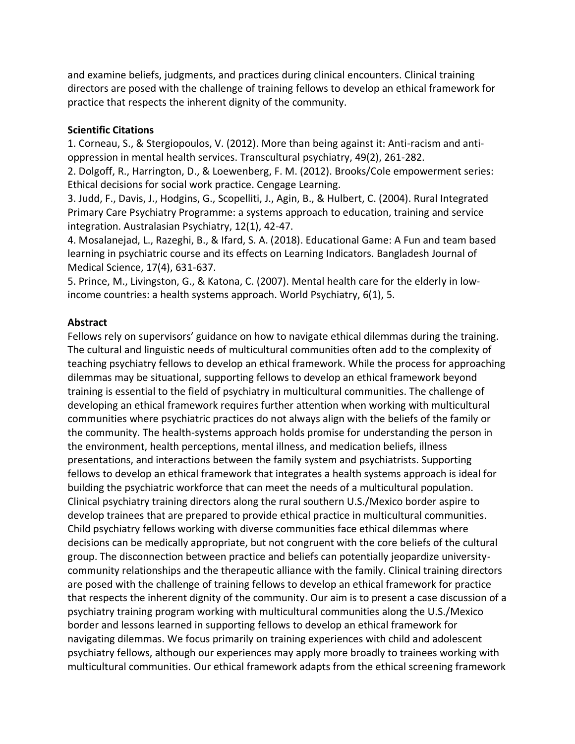and examine beliefs, judgments, and practices during clinical encounters. Clinical training directors are posed with the challenge of training fellows to develop an ethical framework for practice that respects the inherent dignity of the community.

## **Scientific Citations**

1. Corneau, S., & Stergiopoulos, V. (2012). More than being against it: Anti-racism and antioppression in mental health services. Transcultural psychiatry, 49(2), 261-282.

2. Dolgoff, R., Harrington, D., & Loewenberg, F. M. (2012). Brooks/Cole empowerment series: Ethical decisions for social work practice. Cengage Learning.

3. Judd, F., Davis, J., Hodgins, G., Scopelliti, J., Agin, B., & Hulbert, C. (2004). Rural Integrated Primary Care Psychiatry Programme: a systems approach to education, training and service integration. Australasian Psychiatry, 12(1), 42-47.

4. Mosalanejad, L., Razeghi, B., & Ifard, S. A. (2018). Educational Game: A Fun and team based learning in psychiatric course and its effects on Learning Indicators. Bangladesh Journal of Medical Science, 17(4), 631-637.

5. Prince, M., Livingston, G., & Katona, C. (2007). Mental health care for the elderly in lowincome countries: a health systems approach. World Psychiatry, 6(1), 5.

# **Abstract**

Fellows rely on supervisors' guidance on how to navigate ethical dilemmas during the training. The cultural and linguistic needs of multicultural communities often add to the complexity of teaching psychiatry fellows to develop an ethical framework. While the process for approaching dilemmas may be situational, supporting fellows to develop an ethical framework beyond training is essential to the field of psychiatry in multicultural communities. The challenge of developing an ethical framework requires further attention when working with multicultural communities where psychiatric practices do not always align with the beliefs of the family or the community. The health-systems approach holds promise for understanding the person in the environment, health perceptions, mental illness, and medication beliefs, illness presentations, and interactions between the family system and psychiatrists. Supporting fellows to develop an ethical framework that integrates a health systems approach is ideal for building the psychiatric workforce that can meet the needs of a multicultural population. Clinical psychiatry training directors along the rural southern U.S./Mexico border aspire to develop trainees that are prepared to provide ethical practice in multicultural communities. Child psychiatry fellows working with diverse communities face ethical dilemmas where decisions can be medically appropriate, but not congruent with the core beliefs of the cultural group. The disconnection between practice and beliefs can potentially jeopardize universitycommunity relationships and the therapeutic alliance with the family. Clinical training directors are posed with the challenge of training fellows to develop an ethical framework for practice that respects the inherent dignity of the community. Our aim is to present a case discussion of a psychiatry training program working with multicultural communities along the U.S./Mexico border and lessons learned in supporting fellows to develop an ethical framework for navigating dilemmas. We focus primarily on training experiences with child and adolescent psychiatry fellows, although our experiences may apply more broadly to trainees working with multicultural communities. Our ethical framework adapts from the ethical screening framework